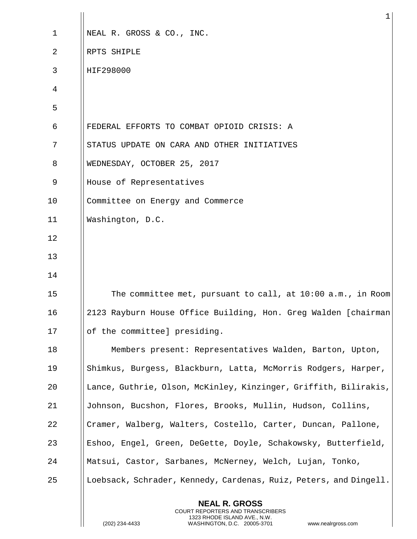|    | ı                                                                                                                                                               |
|----|-----------------------------------------------------------------------------------------------------------------------------------------------------------------|
| 1  | NEAL R. GROSS & CO., INC.                                                                                                                                       |
| 2  | RPTS SHIPLE                                                                                                                                                     |
| 3  | HIF298000                                                                                                                                                       |
| 4  |                                                                                                                                                                 |
| 5  |                                                                                                                                                                 |
| 6  | FEDERAL EFFORTS TO COMBAT OPIOID CRISIS: A                                                                                                                      |
| 7  | STATUS UPDATE ON CARA AND OTHER INITIATIVES                                                                                                                     |
| 8  | WEDNESDAY, OCTOBER 25, 2017                                                                                                                                     |
| 9  | House of Representatives                                                                                                                                        |
| 10 | Committee on Energy and Commerce                                                                                                                                |
| 11 | Washington, D.C.                                                                                                                                                |
| 12 |                                                                                                                                                                 |
| 13 |                                                                                                                                                                 |
| 14 |                                                                                                                                                                 |
| 15 | The committee met, pursuant to call, at $10:00$ a.m., in Room                                                                                                   |
| 16 | 2123 Rayburn House Office Building, Hon. Greg Walden [chairman]                                                                                                 |
| 17 | of the committee] presiding.                                                                                                                                    |
| 18 | Members present: Representatives Walden, Barton, Upton,                                                                                                         |
| 19 | Shimkus, Burgess, Blackburn, Latta, McMorris Rodgers, Harper,                                                                                                   |
| 20 | Lance, Guthrie, Olson, McKinley, Kinzinger, Griffith, Bilirakis,                                                                                                |
| 21 | Johnson, Bucshon, Flores, Brooks, Mullin, Hudson, Collins,                                                                                                      |
| 22 | Cramer, Walberg, Walters, Costello, Carter, Duncan, Pallone,                                                                                                    |
| 23 | Eshoo, Engel, Green, DeGette, Doyle, Schakowsky, Butterfield,                                                                                                   |
| 24 | Matsui, Castor, Sarbanes, McNerney, Welch, Lujan, Tonko,                                                                                                        |
| 25 | Loebsack, Schrader, Kennedy, Cardenas, Ruiz, Peters, and Dingell.                                                                                               |
|    | <b>NEAL R. GROSS</b><br>COURT REPORTERS AND TRANSCRIBERS<br>1323 RHODE ISLAND AVE., N.W.<br>(202) 234-4433<br>WASHINGTON, D.C. 20005-3701<br>www.nealrgross.com |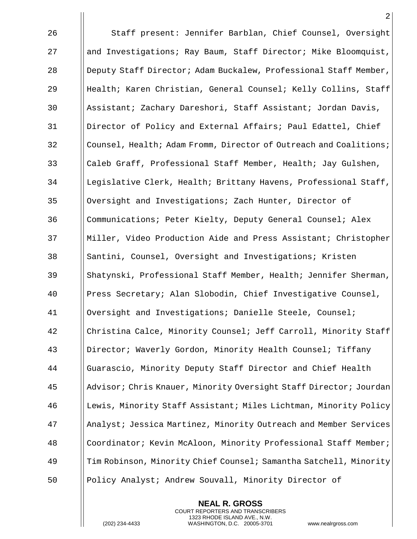Staff present: Jennifer Barblan, Chief Counsel, Oversight and Investigations; Ray Baum, Staff Director; Mike Bloomquist, **Deputy Staff Director; Adam Buckalew, Professional Staff Member,**  Health; Karen Christian, General Counsel; Kelly Collins, Staff Assistant; Zachary Dareshori, Staff Assistant; Jordan Davis, Director of Policy and External Affairs; Paul Edattel, Chief Counsel, Health; Adam Fromm, Director of Outreach and Coalitions; 33 Caleb Graff, Professional Staff Member, Health; Jay Gulshen, 34 I Legislative Clerk, Health; Brittany Havens, Professional Staff, 35 | | Oversight and Investigations; Zach Hunter, Director of Communications; Peter Kielty, Deputy General Counsel; Alex Miller, Video Production Aide and Press Assistant; Christopher 38 Santini, Counsel, Oversight and Investigations; Kristen Shatynski, Professional Staff Member, Health; Jennifer Sherman, Press Secretary; Alan Slobodin, Chief Investigative Counsel, Oversight and Investigations; Danielle Steele, Counsel; Christina Calce, Minority Counsel; Jeff Carroll, Minority Staff Director; Waverly Gordon, Minority Health Counsel; Tiffany Guarascio, Minority Deputy Staff Director and Chief Health Advisor; Chris Knauer, Minority Oversight Staff Director; Jourdan Lewis, Minority Staff Assistant; Miles Lichtman, Minority Policy 47 | Analyst; Jessica Martinez, Minority Outreach and Member Services Coordinator; Kevin McAloon, Minority Professional Staff Member; Tim Robinson, Minority Chief Counsel; Samantha Satchell, Minority Policy Analyst; Andrew Souvall, Minority Director of

> **NEAL R. GROSS** COURT REPORTERS AND TRANSCRIBERS 1323 RHODE ISLAND AVE., N.W.

(202) 234-4433 WASHINGTON, D.C. 20005-3701 www.nealrgross.com

 $\mathfrak{D}$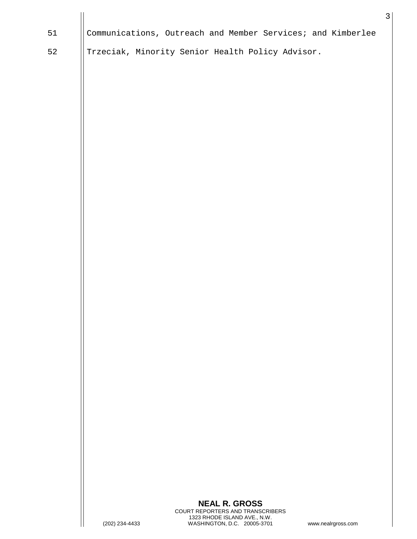|    |                |                                                             |                    | $\mathfrak{Z}$ |
|----|----------------|-------------------------------------------------------------|--------------------|----------------|
| 51 |                | Communications, Outreach and Member Services; and Kimberlee |                    |                |
| 52 |                | Trzeciak, Minority Senior Health Policy Advisor.            |                    |                |
|    |                |                                                             |                    |                |
|    |                |                                                             |                    |                |
|    |                |                                                             |                    |                |
|    |                |                                                             |                    |                |
|    |                |                                                             |                    |                |
|    |                |                                                             |                    |                |
|    |                |                                                             |                    |                |
|    |                |                                                             |                    |                |
|    |                |                                                             |                    |                |
|    |                |                                                             |                    |                |
|    |                |                                                             |                    |                |
|    |                |                                                             |                    |                |
|    |                |                                                             |                    |                |
|    |                |                                                             |                    |                |
|    |                |                                                             |                    |                |
|    |                |                                                             |                    |                |
|    |                |                                                             |                    |                |
|    |                |                                                             |                    |                |
|    |                |                                                             |                    |                |
|    |                |                                                             |                    |                |
|    |                |                                                             |                    |                |
|    |                |                                                             |                    |                |
|    |                |                                                             |                    |                |
|    |                |                                                             |                    |                |
|    |                |                                                             |                    |                |
|    |                |                                                             |                    |                |
|    |                | <b>NEAL R. GROSS</b><br>COURT REPORTERS AND TRANSCRIBERS    |                    |                |
|    | (202) 234-4433 | 1323 RHODE ISLAND AVE., N.W.<br>WASHINGTON, D.C. 20005-3701 | www.nealrgross.com |                |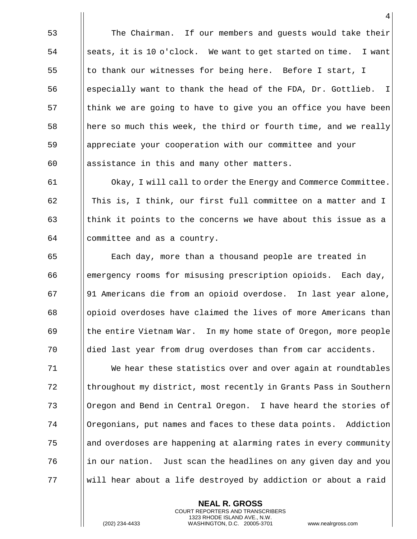The Chairman. If our members and guests would take their ||seats, it is 10 o'clock. We want to get started on time. I want 55 | to thank our witnesses for being here. Before I start, I ||especially want to thank the head of the FDA, Dr. Gottlieb. I 57 Think we are going to have to give you an office you have been 58 here so much this week, the third or fourth time, and we really appreciate your cooperation with our committee and your || assistance in this and many other matters.

 Okay, I will call to order the Energy and Commerce Committee. This is, I think, our first full committee on a matter and I 63 think it points to the concerns we have about this issue as a committee and as a country.

 Each day, more than a thousand people are treated in emergency rooms for misusing prescription opioids. Each day, 91 Americans die from an opioid overdose. In last year alone, opioid overdoses have claimed the lives of more Americans than the entire Vietnam War. In my home state of Oregon, more people died last year from drug overdoses than from car accidents.

 We hear these statistics over and over again at roundtables 72 Introughout my district, most recently in Grants Pass in Southern Oregon and Bend in Central Oregon. I have heard the stories of Oregonians, put names and faces to these data points. Addiction and overdoses are happening at alarming rates in every community in our nation. Just scan the headlines on any given day and you will hear about a life destroyed by addiction or about a raid

> **NEAL R. GROSS** COURT REPORTERS AND TRANSCRIBERS 1323 RHODE ISLAND AVE., N.W.

(202) 234-4433 WASHINGTON, D.C. 20005-3701 www.nealrgross.com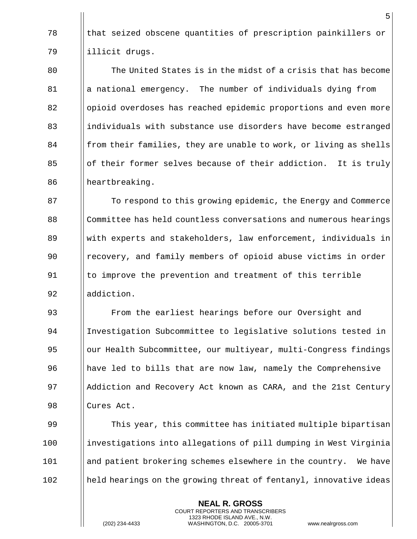78 In that seized obscene quantities of prescription painkillers or 79 illicit drugs.

80 The United States is in the midst of a crisis that has become  $81$  || a national emergency. The number of individuals dying from 82 Solutional over also has reached epidemic proportions and even more 83 individuals with substance use disorders have become estranged  $84$  || from their families, they are unable to work, or living as shells 85 **of their former selves because of their addiction.** It is truly 86 | heartbreaking.

**The Fourier Energy and Commerce** 87 To respond to this growing epidemic, the Energy and Commerce 88 Committee has held countless conversations and numerous hearings with experts and stakeholders, law enforcement, individuals in recovery, and family members of opioid abuse victims in order 91 Ito improve the prevention and treatment of this terrible **I** addiction.

 From the earliest hearings before our Oversight and Investigation Subcommittee to legislative solutions tested in 95 | our Health Subcommittee, our multiyear, multi-Congress findings have led to bills that are now law, namely the Comprehensive 97 I Addiction and Recovery Act known as CARA, and the 21st Century Cures Act.

99 This year, this committee has initiated multiple bipartisan 100 investigations into allegations of pill dumping in West Virginia 101 and patient brokering schemes elsewhere in the country. We have 102 || held hearings on the growing threat of fentanyl, innovative ideas

> **NEAL R. GROSS** COURT REPORTERS AND TRANSCRIBERS 1323 RHODE ISLAND AVE., N.W.

(202) 234-4433 WASHINGTON, D.C. 20005-3701 www.nealrgross.com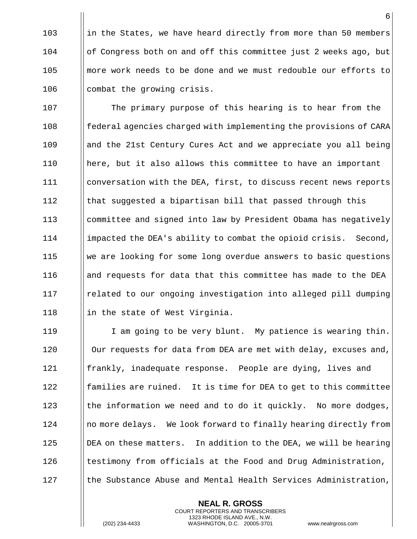103 in the States, we have heard directly from more than 50 members 104 of Congress both on and off this committee just 2 weeks ago, but 105 **more work needs to be done and we must redouble our efforts to** 106 | combat the growing crisis.

107 | The primary purpose of this hearing is to hear from the 108 **follog federal agencies charged with implementing the provisions of CARA** 109 and the 21st Century Cures Act and we appreciate you all being 110 here, but it also allows this committee to have an important 111 | conversation with the DEA, first, to discuss recent news reports 112 Ithat suggested a bipartisan bill that passed through this 113 committee and signed into law by President Obama has negatively 114 impacted the DEA's ability to combat the opioid crisis. Second, 115 we are looking for some long overdue answers to basic questions 116 and requests for data that this committee has made to the DEA 117 | related to our ongoing investigation into alleged pill dumping 118  $\parallel$  in the state of West Virginia.

119 | I am going to be very blunt. My patience is wearing thin. 120 | Our requests for data from DEA are met with delay, excuses and, 121 **f** frankly, inadequate response. People are dying, lives and 122 **follo** families are ruined. It is time for DEA to get to this committee 123  $\parallel$  the information we need and to do it quickly. No more dodges, 124 | no more delays. We look forward to finally hearing directly from 125 | DEA on these matters. In addition to the DEA, we will be hearing 126  $\parallel$  testimony from officials at the Food and Drug Administration, 127 | the Substance Abuse and Mental Health Services Administration,

> **NEAL R. GROSS** COURT REPORTERS AND TRANSCRIBERS 1323 RHODE ISLAND AVE., N.W.

(202) 234-4433 WASHINGTON, D.C. 20005-3701 www.nealrgross.com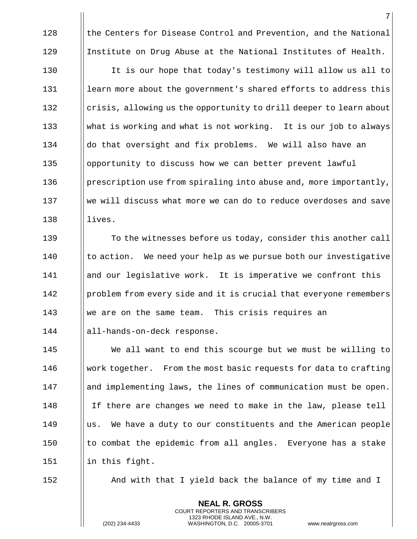128 **the Centers for Disease Control and Prevention, and the National** 129 Institute on Drug Abuse at the National Institutes of Health.

130 | It is our hope that today's testimony will allow us all to 131 | learn more about the government's shared efforts to address this  $\lvert$  132 crisis, allowing us the opportunity to drill deeper to learn about 133 What is working and what is not working. It is our job to always 134 ||do that oversight and fix problems. We will also have an 135 | opportunity to discuss how we can better prevent lawful 136 | prescription use from spiraling into abuse and, more importantly, 137 We will discuss what more we can do to reduce overdoses and save 138 lives.

139 To the witnesses before us today, consider this another call || to action. We need your help as we pursue both our investigative and our legislative work. It is imperative we confront this 142 | problem from every side and it is crucial that everyone remembers we are on the same team. This crisis requires an all-hands-on-deck response.

145 We all want to end this scourge but we must be willing to  $146$  Work together. From the most basic requests for data to crafting 147 | and implementing laws, the lines of communication must be open. 148 I If there are changes we need to make in the law, please tell 149 | us. We have a duty to our constituents and the American people 150  $\parallel$  to combat the epidemic from all angles. Everyone has a stake 151 | in this fight.

152 And with that I yield back the balance of my time and I

**NEAL R. GROSS** COURT REPORTERS AND TRANSCRIBERS 1323 RHODE ISLAND AVE., N.W.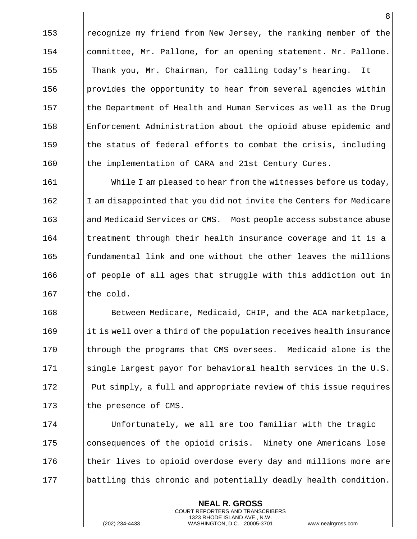153 || recognize my friend from New Jersey, the ranking member of the 154 | committee, Mr. Pallone, for an opening statement. Mr. Pallone. Thank you, Mr. Chairman, for calling today's hearing. It  $\parallel$  provides the opportunity to hear from several agencies within  $\|\cdot\|$  the Department of Health and Human Services as well as the Drug Enforcement Administration about the opioid abuse epidemic and the status of federal efforts to combat the crisis, including 160 || the implementation of CARA and 21st Century Cures.

161 **While I am pleased to hear from the witnesses before us today**, 162 I I am disappointed that you did not invite the Centers for Medicare 163 and Medicaid Services or CMS. Most people access substance abuse 164 I treatment through their health insurance coverage and it is a 165 **fundamental link and one without the other leaves the millions** 166 | | | | of people of all ages that struggle with this addiction out in  $167$  || the cold.

168 **Between Medicare, Medicaid, CHIP, and the ACA marketplace,**  $169$  ||it is well over a third of the population receives health insurance 170 In through the programs that CMS oversees. Medicaid alone is the 171 Single largest payor for behavioral health services in the U.S. 172 Put simply, a full and appropriate review of this issue requires 173 | the presence of CMS.

174 Unfortunately, we all are too familiar with the tragic 175 consequences of the opioid crisis. Ninety one Americans lose 176 their lives to opioid overdose every day and millions more are 177 | battling this chronic and potentially deadly health condition.

> **NEAL R. GROSS** COURT REPORTERS AND TRANSCRIBERS 1323 RHODE ISLAND AVE., N.W.

(202) 234-4433 WASHINGTON, D.C. 20005-3701 www.nealrgross.com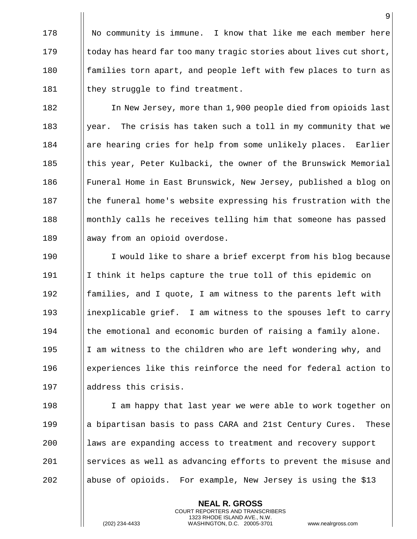178 | No community is immune. I know that like me each member here 179  $\|\cdot\|$  today has heard far too many tragic stories about lives cut short, 180 families torn apart, and people left with few places to turn as 181 |  $\|$  they struggle to find treatment.

182 | In New Jersey, more than 1,900 people died from opioids last 183  $\|\$  year. The crisis has taken such a toll in my community that we 184 | are hearing cries for help from some unlikely places. Earlier 185 this year, Peter Kulbacki, the owner of the Brunswick Memorial 186 Funeral Home in East Brunswick, New Jersey, published a blog on 187 Iche funeral home's website expressing his frustration with the 188 in || monthly calls he receives telling him that someone has passed 189 | away from an opioid overdose.

190 I would like to share a brief excerpt from his blog because 191 I think it helps capture the true toll of this epidemic on 192 **families, and I quote, I am witness to the parents left with** 193 inexplicable grief. I am witness to the spouses left to carry  $194$  || the emotional and economic burden of raising a family alone. 195 I  $\parallel$  I am witness to the children who are left wondering why, and 196 experiences like this reinforce the need for federal action to 197 || address this crisis.

198 I am happy that last year we were able to work together on 199 **a** a bipartisan basis to pass CARA and 21st Century Cures. These 200 laws are expanding access to treatment and recovery support 201 Services as well as advancing efforts to prevent the misuse and 202  $\parallel$  abuse of opioids. For example, New Jersey is using the \$13

> **NEAL R. GROSS** COURT REPORTERS AND TRANSCRIBERS 1323 RHODE ISLAND AVE., N.W.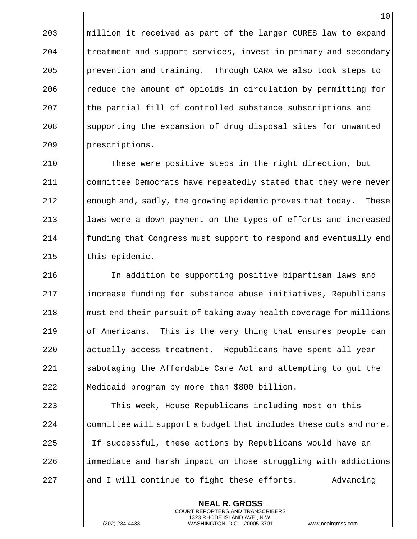||million it received as part of the larger CURES law to expand | treatment and support services, invest in primary and secondary prevention and training. Through CARA we also took steps to  $\parallel$  reduce the amount of opioids in circulation by permitting for 207 In the partial fill of controlled substance subscriptions and 208 Supporting the expansion of drug disposal sites for unwanted 209 | prescriptions.

 These were positive steps in the right direction, but committee Democrats have repeatedly stated that they were never 212 enough and, sadly, the growing epidemic proves that today. These **laws were a down payment on the types of efforts and increased Funding that Congress must support to respond and eventually end** || this epidemic.

 In addition to supporting positive bipartisan laws and 217 increase funding for substance abuse initiatives, Republicans must end their pursuit of taking away health coverage for millions of Americans. This is the very thing that ensures people can actually access treatment. Republicans have spent all year sabotaging the Affordable Care Act and attempting to gut the Medicaid program by more than \$800 billion.

 This week, House Republicans including most on this committee will support a budget that includes these cuts and more. 225 I If successful, these actions by Republicans would have an ||immediate and harsh impact on those struggling with addictions  $\parallel$  and I will continue to fight these efforts. Advancing

> **NEAL R. GROSS** COURT REPORTERS AND TRANSCRIBERS 1323 RHODE ISLAND AVE., N.W.

(202) 234-4433 WASHINGTON, D.C. 20005-3701 www.nealrgross.com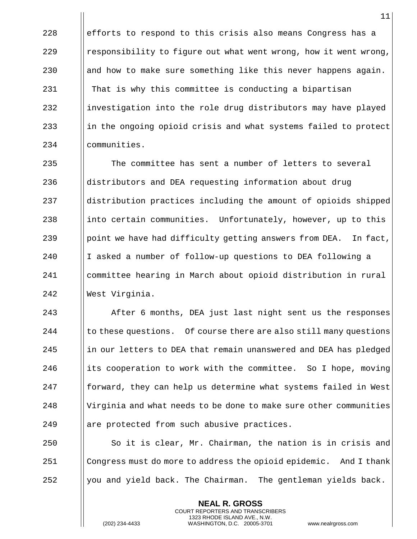228  $\|\$ efforts to respond to this crisis also means Congress has a 229 **e** responsibility to figure out what went wrong, how it went wrong, 230  $\parallel$  and how to make sure something like this never happens again. 231 | That is why this committee is conducting a bipartisan 232 investigation into the role drug distributors may have played  $\begin{array}{c|c|c|c|c} \hline \end{array}$  in the ongoing opioid crisis and what systems failed to protect 234 communities.

 The committee has sent a number of letters to several distributors and DEA requesting information about drug distribution practices including the amount of opioids shipped 238 into certain communities. Unfortunately, however, up to this 239 | point we have had difficulty getting answers from DEA. In fact, 240 I asked a number of follow-up questions to DEA following a committee hearing in March about opioid distribution in rural West Virginia.

**After 6 months, DEA** just last night sent us the responses  $\parallel$  to these questions. Of course there are also still many questions ||in our letters to DEA that remain unanswered and DEA has pledged 246 its cooperation to work with the committee. So I hope, moving || forward, they can help us determine what systems failed in West Virginia and what needs to be done to make sure other communities || are protected from such abusive practices.

 $250$   $\parallel$  So it is clear, Mr. Chairman, the nation is in crisis and 251 Congress must do more to address the opioid epidemic. And I thank  $252$  || you and yield back. The Chairman. The gentleman yields back.

> **NEAL R. GROSS** COURT REPORTERS AND TRANSCRIBERS 1323 RHODE ISLAND AVE., N.W.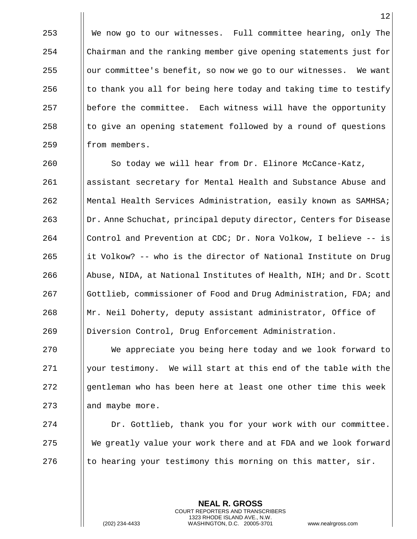We now go to our witnesses. Full committee hearing, only The Chairman and the ranking member give opening statements just for || our committee's benefit, so now we go to our witnesses. We want  $\parallel$  to thank you all for being here today and taking time to testify before the committee. Each witness will have the opportunity || to give an opening statement followed by a round of questions 259 | from members.

260 | So today we will hear from Dr. Elinore McCance-Katz, assistant secretary for Mental Health and Substance Abuse and Mental Health Services Administration, easily known as SAMHSA; Dr. Anne Schuchat, principal deputy director, Centers for Disease Control and Prevention at CDC; Dr. Nora Volkow, I believe -- is  $\parallel$  it Volkow? -- who is the director of National Institute on Drug 266 Abuse, NIDA, at National Institutes of Health, NIH; and Dr. Scott Gottlieb, commissioner of Food and Drug Administration, FDA; and Mr. Neil Doherty, deputy assistant administrator, Office of Diversion Control, Drug Enforcement Administration.

 We appreciate you being here today and we look forward to 271 | your testimony. We will start at this end of the table with the gentleman who has been here at least one other time this week 273 | and maybe more.

 Dr. Gottlieb, thank you for your work with our committee. We greatly value your work there and at FDA and we look forward  $\parallel$  to hearing your testimony this morning on this matter, sir.

> **NEAL R. GROSS** COURT REPORTERS AND TRANSCRIBERS 1323 RHODE ISLAND AVE., N.W.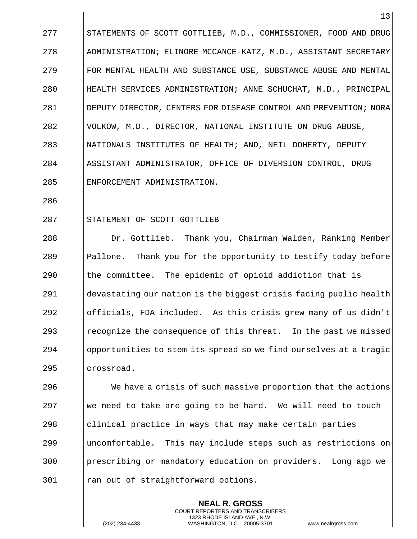277 STATEMENTS OF SCOTT GOTTLIEB, M.D., COMMISSIONER, FOOD AND DRUG 278 | ADMINISTRATION; ELINORE MCCANCE-KATZ, M.D., ASSISTANT SECRETARY 279 **FOR MENTAL HEALTH AND SUBSTANCE USE, SUBSTANCE ABUSE AND MENTAL** 280 HEALTH SERVICES ADMINISTRATION; ANNE SCHUCHAT, M.D., PRINCIPAL 281 DEPUTY DIRECTOR, CENTERS FOR DISEASE CONTROL AND PREVENTION; NORA 282 | VOLKOW, M.D., DIRECTOR, NATIONAL INSTITUTE ON DRUG ABUSE, 283 || NATIONALS INSTITUTES OF HEALTH; AND, NEIL DOHERTY, DEPUTY 284 || ASSISTANT ADMINISTRATOR, OFFICE OF DIVERSION CONTROL, DRUG 285 | ENFORCEMENT ADMINISTRATION.

286

## 287 STATEMENT OF SCOTT GOTTLIEB

 Dr. Gottlieb. Thank you, Chairman Walden, Ranking Member  $\parallel$  Pallone. Thank you for the opportunity to testify today before || the committee. The epidemic of opioid addiction that is devastating our nation is the biggest crisis facing public health officials, FDA included. As this crisis grew many of us didn't **Property** recognize the consequence of this threat. In the past we missed opportunities to stem its spread so we find ourselves at a tragic crossroad.

 We have a crisis of such massive proportion that the actions 297 We need to take are going to be hard. We will need to touch || clinical practice in ways that may make certain parties uncomfortable. This may include steps such as restrictions on prescribing or mandatory education on providers. Long ago we 301 || ran out of straightforward options.

> **NEAL R. GROSS** COURT REPORTERS AND TRANSCRIBERS 1323 RHODE ISLAND AVE., N.W.

(202) 234-4433 WASHINGTON, D.C. 20005-3701 www.nealrgross.com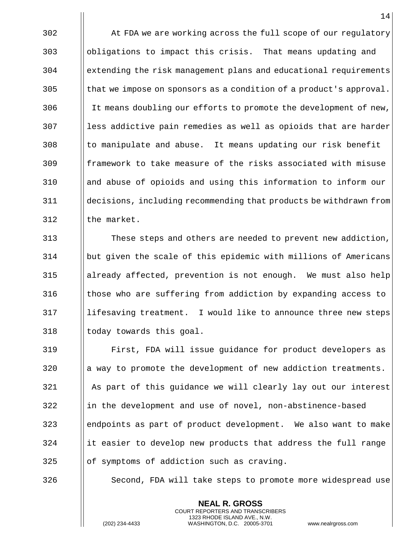302 | At FDA we are working across the full scope of our regulatory obligations to impact this crisis. That means updating and extending the risk management plans and educational requirements || that we impose on sponsors as a condition of a product's approval. 306 It means doubling our efforts to promote the development of new, || less addictive pain remedies as well as opioids that are harder || to manipulate and abuse. It means updating our risk benefit framework to take measure of the risks associated with misuse and abuse of opioids and using this information to inform our decisions, including recommending that products be withdrawn from I the market.

 These steps and others are needed to prevent new addiction, but given the scale of this epidemic with millions of Americans already affected, prevention is not enough. We must also help those who are suffering from addiction by expanding access to 317 || lifesaving treatment. I would like to announce three new steps || today towards this goal.

 First, FDA will issue guidance for product developers as || a way to promote the development of new addiction treatments. As part of this guidance we will clearly lay out our interest ||in the development and use of novel, non-abstinence-based endpoints as part of product development. We also want to make ||it easier to develop new products that address the full range || of symptoms of addiction such as craving.

326 | Second, FDA will take steps to promote more widespread use

**NEAL R. GROSS** COURT REPORTERS AND TRANSCRIBERS 1323 RHODE ISLAND AVE., N.W.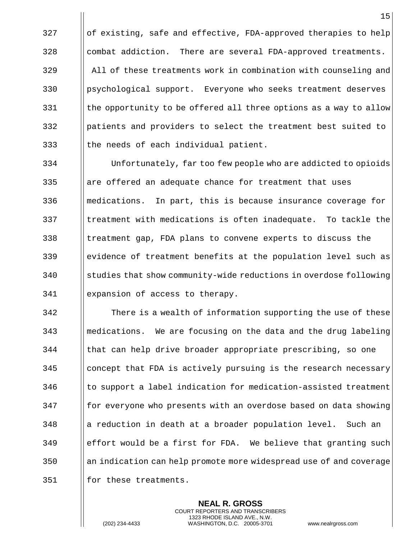|| of existing, safe and effective, FDA-approved therapies to help 328 combat addiction. There are several FDA-approved treatments. All of these treatments work in combination with counseling and 330 | psychological support. Everyone who seeks treatment deserves || the opportunity to be offered all three options as a way to allow patients and providers to select the treatment best suited to || the needs of each individual patient.

334 Unfortunately, far too few people who are addicted to opioids 335 || are offered an adequate chance for treatment that uses 336 medications. In part, this is because insurance coverage for 337 I treatment with medications is often inadequate. To tackle the 338 I treatment gap, FDA plans to convene experts to discuss the 339 evidence of treatment benefits at the population level such as 340 Studies that show community-wide reductions in overdose following 341 expansion of access to therapy.

 There is a wealth of information supporting the use of these medications. We are focusing on the data and the drug labeling 344 || that can help drive broader appropriate prescribing, so one || concept that FDA is actively pursuing is the research necessary || to support a label indication for medication-assisted treatment **for everyone who presents with an overdose based on data showing**  || a reduction in death at a broader population level. Such an  $\|\$ effort would be a first for FDA. We believe that granting such an indication can help promote more widespread use of and coverage 351 | for these treatments.

> **NEAL R. GROSS** COURT REPORTERS AND TRANSCRIBERS 1323 RHODE ISLAND AVE., N.W.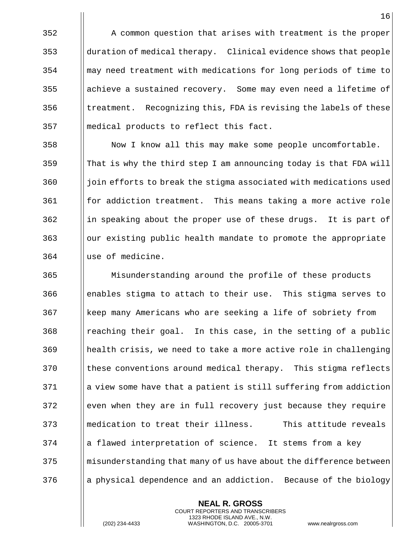|| A common question that arises with treatment is the proper duration of medical therapy. Clinical evidence shows that people may need treatment with medications for long periods of time to || achieve a sustained recovery. Some may even need a lifetime of || treatment. Recognizing this, FDA is revising the labels of these medical products to reflect this fact.

 Now I know all this may make some people uncomfortable. || That is why the third step I am announcing today is that FDA will  $\frac{1}{10}$  join efforts to break the stigma associated with medications used for addiction treatment. This means taking a more active role ||in speaking about the proper use of these drugs. It is part of our existing public health mandate to promote the appropriate use of medicine.

 Misunderstanding around the profile of these products enables stigma to attach to their use. This stigma serves to keep many Americans who are seeking a life of sobriety from ||reaching their goal. In this case, in the setting of a public health crisis, we need to take a more active role in challenging these conventions around medical therapy. This stigma reflects || a view some have that a patient is still suffering from addiction even when they are in full recovery just because they require medication to treat their illness. This attitude reveals || a flawed interpretation of science. It stems from a key misunderstanding that many of us have about the difference between || a physical dependence and an addiction. Because of the biology

> **NEAL R. GROSS** COURT REPORTERS AND TRANSCRIBERS 1323 RHODE ISLAND AVE., N.W.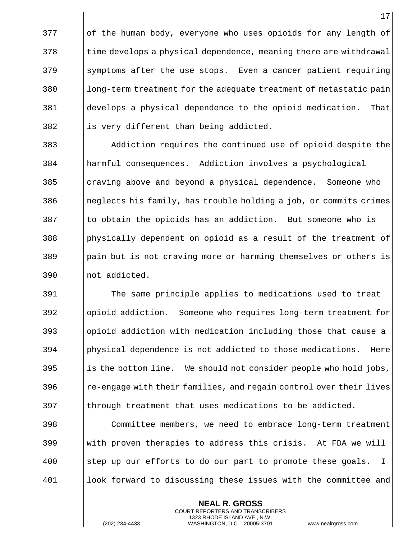|| of the human body, everyone who uses opioids for any length of Itime develops a physical dependence, meaning there are withdrawal | symptoms after the use stops. Even a cancer patient requiring || long-term treatment for the adequate treatment of metastatic pain develops a physical dependence to the opioid medication. That || is very different than being addicted.

 Addiction requires the continued use of opioid despite the harmful consequences. Addiction involves a psychological craving above and beyond a physical dependence. Someone who 386 Ineglects his family, has trouble holding a job, or commits crimes || to obtain the opioids has an addiction. But someone who is  $\frac{388}{\text{physically dependent on optical}}$  as a result of the treatment of 389 | pain but is not craving more or harming themselves or others is 390 | not addicted.

 The same principle applies to medications used to treat opioid addiction. Someone who requires long-term treatment for opioid addiction with medication including those that cause a physical dependence is not addicted to those medications. Here ||is the bottom line. We should not consider people who hold jobs,  $\frac{1}{2}$   $\left\vert \frac{1}{2} \right\vert$  re-engage with their families, and regain control over their lives ||through treatment that uses medications to be addicted.

 Committee members, we need to embrace long-term treatment With proven therapies to address this crisis. At FDA we will 400 Step up our efforts to do our part to promote these goals. I look forward to discussing these issues with the committee and

> **NEAL R. GROSS** COURT REPORTERS AND TRANSCRIBERS 1323 RHODE ISLAND AVE., N.W.

(202) 234-4433 WASHINGTON, D.C. 20005-3701 www.nealrgross.com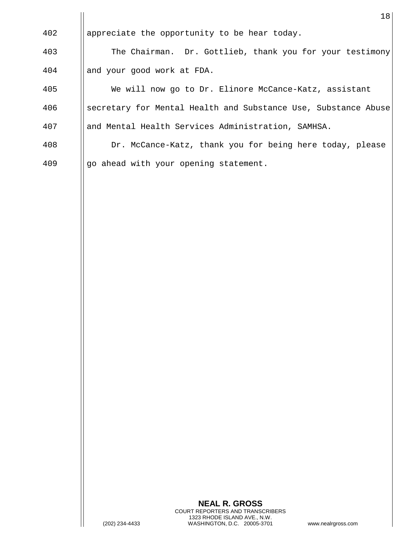|     | 18                                                             |
|-----|----------------------------------------------------------------|
| 402 | appreciate the opportunity to be hear today.                   |
| 403 | The Chairman. Dr. Gottlieb, thank you for your testimony       |
| 404 | and your good work at FDA.                                     |
| 405 | We will now go to Dr. Elinore McCance-Katz, assistant          |
| 406 | secretary for Mental Health and Substance Use, Substance Abuse |
| 407 | and Mental Health Services Administration, SAMHSA.             |
| 408 | Dr. McCance-Katz, thank you for being here today, please       |
| 409 | go ahead with your opening statement.                          |

 $\mathbf{I}$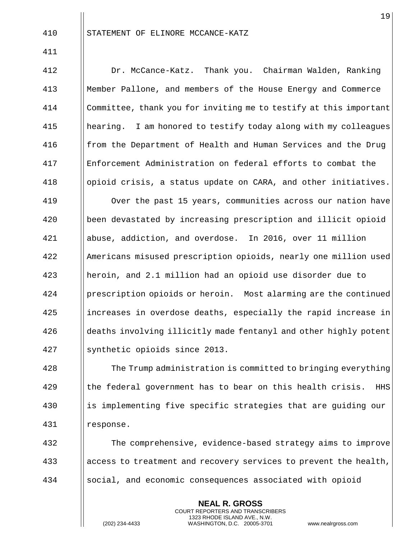STATEMENT OF ELINORE MCCANCE-KATZ

 Dr. McCance-Katz. Thank you. Chairman Walden, Ranking Member Pallone, and members of the House Energy and Commerce Committee, thank you for inviting me to testify at this important 415 | hearing. I am honored to testify today along with my colleagues **follow** from the Department of Health and Human Services and the Drug Enforcement Administration on federal efforts to combat the 418 | opioid crisis, a status update on CARA, and other initiatives. Over the past 15 years, communities across our nation have been devastated by increasing prescription and illicit opioid abuse, addiction, and overdose. In 2016, over 11 million Americans misused prescription opioids, nearly one million used heroin, and 2.1 million had an opioid use disorder due to prescription opioids or heroin. Most alarming are the continued 425 increases in overdose deaths, especially the rapid increase in 426 deaths involving illicitly made fentanyl and other highly potent synthetic opioids since 2013.

**The Trump administration is committed to bringing everything**  || the federal government has to bear on this health crisis. HHS is implementing five specific strategies that are guiding our response.

 The comprehensive, evidence-based strategy aims to improve 433 access to treatment and recovery services to prevent the health, 434 Social, and economic consequences associated with opioid

> **NEAL R. GROSS** COURT REPORTERS AND TRANSCRIBERS 1323 RHODE ISLAND AVE., N.W.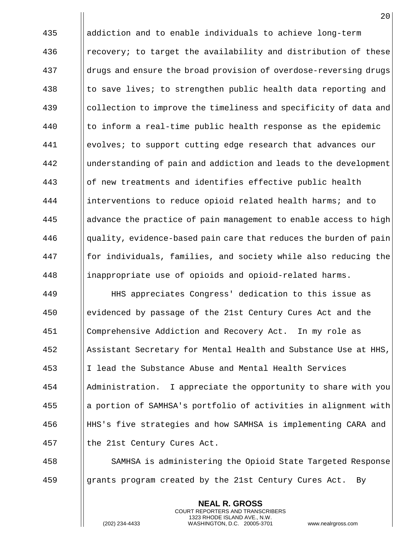435 addiction and to enable individuals to achieve long-term 436 **e** || recovery; to target the availability and distribution of these 437 drugs and ensure the broad provision of overdose-reversing drugs 438  $\parallel$  to save lives; to strengthen public health data reporting and 439 Collection to improve the timeliness and specificity of data and  $440$  || to inform a real-time public health response as the epidemic 441 evolves; to support cutting edge research that advances our 442 | understanding of pain and addiction and leads to the development 443 || of new treatments and identifies effective public health 444 interventions to reduce opioid related health harms; and to 445 advance the practice of pain management to enable access to high  $446$  ||quality, evidence-based pain care that reduces the burden of pain 447 **for individuals, families, and society while also reducing the** 448 | inappropriate use of opioids and opioid-related harms.

 HHS appreciates Congress' dedication to this issue as evidenced by passage of the 21st Century Cures Act and the Comprehensive Addiction and Recovery Act. In my role as Assistant Secretary for Mental Health and Substance Use at HHS, I lead the Substance Abuse and Mental Health Services Administration. I appreciate the opportunity to share with you a portion of SAMHSA's portfolio of activities in alignment with HHS's five strategies and how SAMHSA is implementing CARA and 457 | the 21st Century Cures Act.

458 SAMHSA is administering the Opioid State Targeted Response 459 Grants program created by the 21st Century Cures Act. By

> **NEAL R. GROSS** COURT REPORTERS AND TRANSCRIBERS 1323 RHODE ISLAND AVE., N.W.

(202) 234-4433 WASHINGTON, D.C. 20005-3701 www.nealrgross.com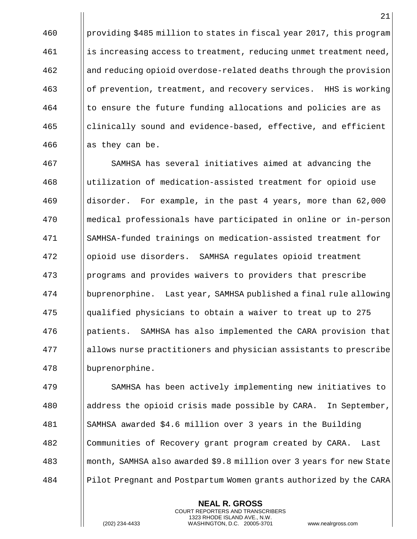providing \$485 million to states in fiscal year 2017, this program  $\left\| \right\|$  is increasing access to treatment, reducing unmet treatment need, and reducing opioid overdose-related deaths through the provision of prevention, treatment, and recovery services. HHS is working I to ensure the future funding allocations and policies are as clinically sound and evidence-based, effective, and efficient  $\parallel$  as they can be.

 SAMHSA has several initiatives aimed at advancing the utilization of medication-assisted treatment for opioid use disorder. For example, in the past 4 years, more than 62,000 medical professionals have participated in online or in-person SAMHSA-funded trainings on medication-assisted treatment for opioid use disorders. SAMHSA regulates opioid treatment programs and provides waivers to providers that prescribe buprenorphine. Last year, SAMHSA published a final rule allowing qualified physicians to obtain a waiver to treat up to 275 patients. SAMHSA has also implemented the CARA provision that allows nurse practitioners and physician assistants to prescribe buprenorphine.

 SAMHSA has been actively implementing new initiatives to 480 address the opioid crisis made possible by CARA. In September, SAMHSA awarded \$4.6 million over 3 years in the Building 482 Communities of Recovery grant program created by CARA. Last month, SAMHSA also awarded \$9.8 million over 3 years for new State Pilot Pregnant and Postpartum Women grants authorized by the CARA

> **NEAL R. GROSS** COURT REPORTERS AND TRANSCRIBERS 1323 RHODE ISLAND AVE., N.W.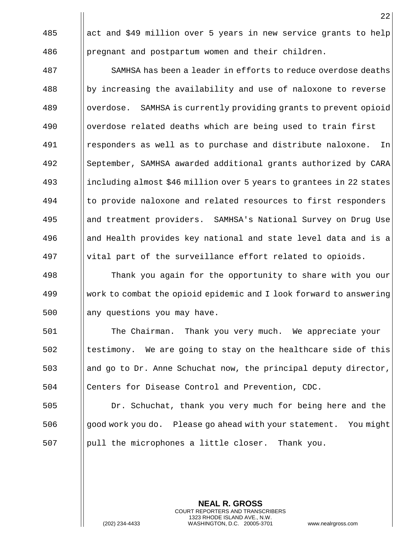||act and \$49 million over 5 years in new service grants to help pregnant and postpartum women and their children.

 SAMHSA has been a leader in efforts to reduce overdose deaths by increasing the availability and use of naloxone to reverse 489 Section 189 overdose. SAMHSA is currently providing grants to prevent opioid 490 | | overdose related deaths which are being used to train first responders as well as to purchase and distribute naloxone. In September, SAMHSA awarded additional grants authorized by CARA including almost \$46 million over 5 years to grantees in 22 states 494 I to provide naloxone and related resources to first responders and treatment providers. SAMHSA's National Survey on Drug Use and Health provides key national and state level data and is a vital part of the surveillance effort related to opioids.

 Thank you again for the opportunity to share with you our work to combat the opioid epidemic and I look forward to answering || any questions you may have.

 The Chairman. Thank you very much. We appreciate your || testimony. We are going to stay on the healthcare side of this 503 and go to Dr. Anne Schuchat now, the principal deputy director, Centers for Disease Control and Prevention, CDC.

 Dr. Schuchat, thank you very much for being here and the good work you do. Please go ahead with your statement. You might || pull the microphones a little closer. Thank you.

> **NEAL R. GROSS** COURT REPORTERS AND TRANSCRIBERS 1323 RHODE ISLAND AVE., N.W. (202) 234-4433 WASHINGTON, D.C. 20005-3701 www.nealrgross.com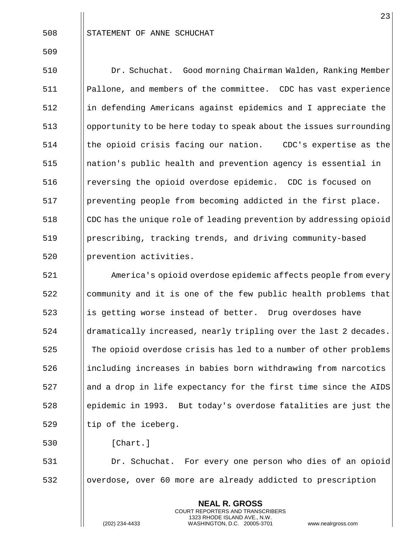| 508 | I STATEMENT OF ANNE SCHUCHAT |  |  |  |
|-----|------------------------------|--|--|--|
|-----|------------------------------|--|--|--|

 Dr. Schuchat. Good morning Chairman Walden, Ranking Member Pallone, and members of the committee. CDC has vast experience in defending Americans against epidemics and I appreciate the opportunity to be here today to speak about the issues surrounding || the opioid crisis facing our nation. CDC's expertise as the nation's public health and prevention agency is essential in 516 | reversing the opioid overdose epidemic. CDC is focused on 517 | preventing people from becoming addicted in the first place. 518 CDC has the unique role of leading prevention by addressing opioid prescribing, tracking trends, and driving community-based prevention activities.

 America's opioid overdose epidemic affects people from every || community and it is one of the few public health problems that 523 is getting worse instead of better. Drug overdoses have dramatically increased, nearly tripling over the last 2 decades. 525 The opioid overdose crisis has led to a number of other problems 526 including increases in babies born withdrawing from narcotics || and a drop in life expectancy for the first time since the AIDS epidemic in 1993. But today's overdose fatalities are just the  $\parallel$  tip of the iceberg.

 $\parallel$   $[{\rm Chart.}]$ 

 Dr. Schuchat. For every one person who dies of an opioid overdose, over 60 more are already addicted to prescription

> **NEAL R. GROSS** COURT REPORTERS AND TRANSCRIBERS 1323 RHODE ISLAND AVE., N.W.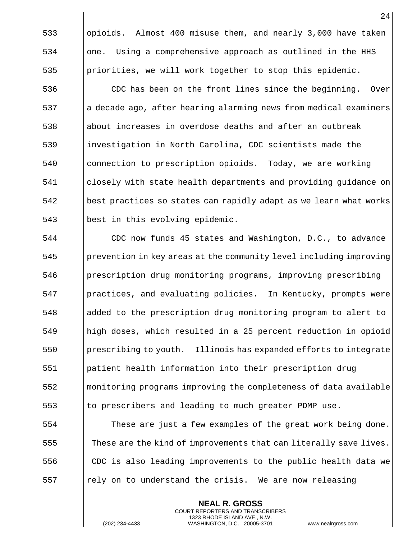533 | opioids. Almost 400 misuse them, and nearly 3,000 have taken  $534$  || one. Using a comprehensive approach as outlined in the HHS 535 | priorities, we will work together to stop this epidemic.

536 | CDC has been on the front lines since the beginning. Over a decade ago, after hearing alarming news from medical examiners ||about increases in overdose deaths and after an outbreak investigation in North Carolina, CDC scientists made the connection to prescription opioids. Today, we are working closely with state health departments and providing guidance on best practices so states can rapidly adapt as we learn what works 543 | best in this evolving epidemic.

 CDC now funds 45 states and Washington, D.C., to advance prevention in key areas at the community level including improving 546 | prescription drug monitoring programs, improving prescribing practices, and evaluating policies. In Kentucky, prompts were added to the prescription drug monitoring program to alert to high doses, which resulted in a 25 percent reduction in opioid prescribing to youth. Illinois has expanded efforts to integrate patient health information into their prescription drug monitoring programs improving the completeness of data available to prescribers and leading to much greater PDMP use.

 These are just a few examples of the great work being done.  $\begin{array}{c|c|c|c|c} \text{These are the kind of improvements that can literally save lives.} \end{array}$  $\Box$  CDC is also leading improvements to the public health data we ||rely on to understand the crisis. We are now releasing

> **NEAL R. GROSS** COURT REPORTERS AND TRANSCRIBERS 1323 RHODE ISLAND AVE., N.W.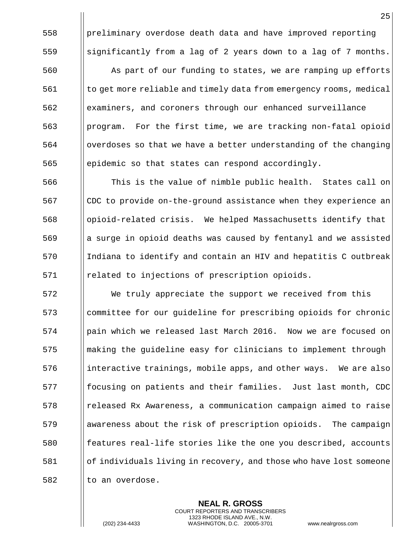preliminary overdose death data and have improved reporting

**As part of our funding to states, we are ramping up efforts**  $\begin{bmatrix} 561 \end{bmatrix}$  to get more reliable and timely data from emergency rooms, medical examiners, and coroners through our enhanced surveillance program. For the first time, we are tracking non-fatal opioid || overdoses so that we have a better understanding of the changing epidemic so that states can respond accordingly.

559  $\parallel$  significantly from a lag of 2 years down to a lag of 7 months.

 This is the value of nimble public health. States call on 567 CDC to provide on-the-ground assistance when they experience an opioid-related crisis. We helped Massachusetts identify that  $\begin{bmatrix} 569 \end{bmatrix}$  a surge in opioid deaths was caused by fentanyl and we assisted 570 Indiana to identify and contain an HIV and hepatitis C outbreak related to injections of prescription opioids.

 We truly appreciate the support we received from this committee for our guideline for prescribing opioids for chronic pain which we released last March 2016. Now we are focused on 575 I making the guideline easy for clinicians to implement through ||interactive trainings, mobile apps, and other ways. We are also **follogies** focusing on patients and their families. Just last month, CDC released Rx Awareness, a communication campaign aimed to raise awareness about the risk of prescription opioids. The campaign 580 features real-life stories like the one you described, accounts of individuals living in recovery, and those who have lost someone || to an overdose.

> **NEAL R. GROSS** COURT REPORTERS AND TRANSCRIBERS 1323 RHODE ISLAND AVE., N.W.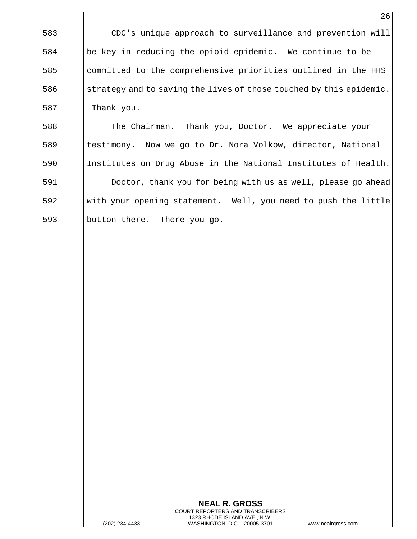CDC's unique approach to surveillance and prevention will be key in reducing the opioid epidemic. We continue to be committed to the comprehensive priorities outlined in the HHS 586 Strategy and to saving the lives of those touched by this epidemic. || Thank you.

 The Chairman. Thank you, Doctor. We appreciate your **the Interpol** testimony. Now we go to Dr. Nora Volkow, director, National Institutes on Drug Abuse in the National Institutes of Health. Doctor, thank you for being with us as well, please go ahead with your opening statement. Well, you need to push the little button there. There you go.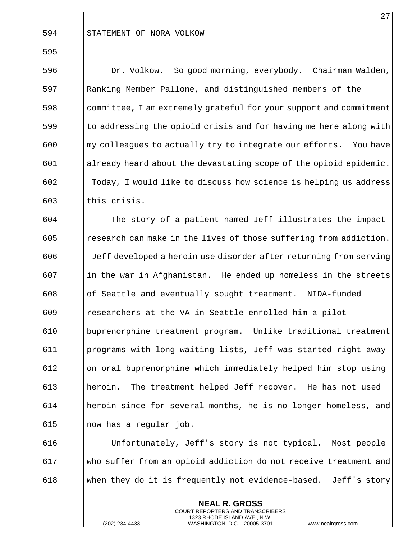Dr. Volkow. So good morning, everybody. Chairman Walden, Ranking Member Pallone, and distinguished members of the committee, I am extremely grateful for your support and commitment || to addressing the opioid crisis and for having me here along with ||my colleagues to actually try to integrate our efforts. You have already heard about the devastating scope of the opioid epidemic. Today, I would like to discuss how science is helping us address | this crisis.

 The story of a patient named Jeff illustrates the impact 605 Fesearch can make in the lives of those suffering from addiction. Jeff developed a heroin use disorder after returning from serving ||in the war in Afghanistan. He ended up homeless in the streets of Seattle and eventually sought treatment. NIDA-funded researchers at the VA in Seattle enrolled him a pilot buprenorphine treatment program. Unlike traditional treatment programs with long waiting lists, Jeff was started right away on oral buprenorphine which immediately helped him stop using heroin. The treatment helped Jeff recover. He has not used heroin since for several months, he is no longer homeless, and  $\parallel$  now has a regular job.

 Unfortunately, Jeff's story is not typical. Most people who suffer from an opioid addiction do not receive treatment and 618 When they do it is frequently not evidence-based. Jeff's story

> **NEAL R. GROSS** COURT REPORTERS AND TRANSCRIBERS 1323 RHODE ISLAND AVE., N.W.

(202) 234-4433 WASHINGTON, D.C. 20005-3701 www.nealrgross.com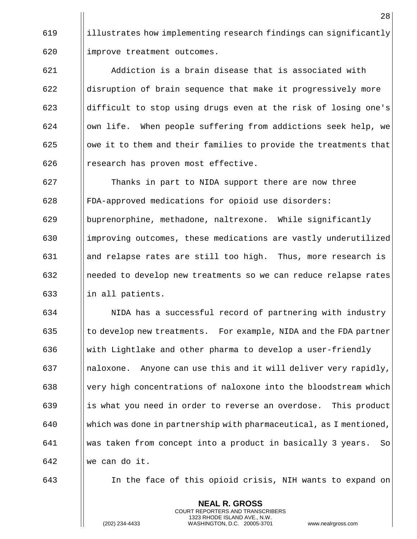619 illustrates how implementing research findings can significantly 620 | improve treatment outcomes.

 Addiction is a brain disease that is associated with ||disruption of brain sequence that make it progressively more  $\parallel$  difficult to stop using drugs even at the risk of losing one's || own life. When people suffering from addictions seek help, we || owe it to them and their families to provide the treatments that || research has proven most effective.

 Thanks in part to NIDA support there are now three FDA-approved medications for opioid use disorders: buprenorphine, methadone, naltrexone. While significantly 630 improving outcomes, these medications are vastly underutilized and relapse rates are still too high. Thus, more research is || needed to develop new treatments so we can reduce relapse rates  $\parallel$  in all patients.

634 | NIDA has a successful record of partnering with industry  $\begin{array}{c|c} \hline \end{array}$  (1 to develop new treatments. For example, NIDA and the FDA partner 636 Weith Lightlake and other pharma to develop a user-friendly 637 || naloxone. Anyone can use this and it will deliver very rapidly,  $\frac{1}{2}$   $\frac{1}{2}$  very high concentrations of naloxone into the bloodstream which  $639$  ||is what you need in order to reverse an overdose. This product 640 Which was done in partnership with pharmaceutical, as I mentioned, 641 was taken from concept into a product in basically 3 years. So 642 we can do it.

643 In the face of this opioid crisis, NIH wants to expand on

**NEAL R. GROSS** COURT REPORTERS AND TRANSCRIBERS 1323 RHODE ISLAND AVE., N.W.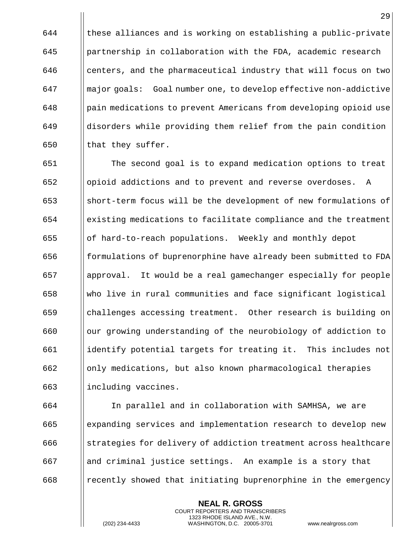|| these alliances and is working on establishing a public-private partnership in collaboration with the FDA, academic research || centers, and the pharmaceutical industry that will focus on two major goals: Goal number one, to develop effective non-addictive pain medications to prevent Americans from developing opioid use disorders while providing them relief from the pain condition  $\parallel$  that they suffer.

 The second goal is to expand medication options to treat opioid addictions and to prevent and reverse overdoses. A short-term focus will be the development of new formulations of existing medications to facilitate compliance and the treatment of hard-to-reach populations. Weekly and monthly depot formulations of buprenorphine have already been submitted to FDA approval. It would be a real gamechanger especially for people who live in rural communities and face significant logistical challenges accessing treatment. Other research is building on our growing understanding of the neurobiology of addiction to identify potential targets for treating it. This includes not only medications, but also known pharmacological therapies 663 | including vaccines.

 In parallel and in collaboration with SAMHSA, we are expanding services and implementation research to develop new  $\begin{array}{c|c} 666 & \text{ | } \text{strategies for delivery of addition treatment across healthcare} \end{array}$  and criminal justice settings. An example is a story that ||recently showed that initiating buprenorphine in the emergency

> **NEAL R. GROSS** COURT REPORTERS AND TRANSCRIBERS 1323 RHODE ISLAND AVE., N.W.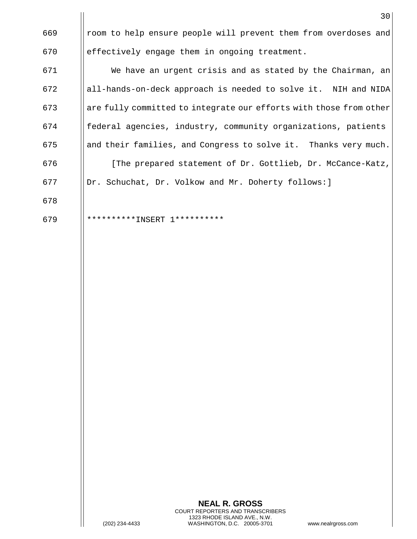|     | 30                                                                 |
|-----|--------------------------------------------------------------------|
| 669 | room to help ensure people will prevent them from overdoses and    |
| 670 | effectively engage them in ongoing treatment.                      |
| 671 | We have an urgent crisis and as stated by the Chairman, an         |
| 672 | all-hands-on-deck approach is needed to solve it. NIH and NIDA     |
| 673 | are fully committed to integrate our efforts with those from other |
| 674 | federal agencies, industry, community organizations, patients      |
| 675 | and their families, and Congress to solve it. Thanks very much.    |
| 676 | [The prepared statement of Dr. Gottlieb, Dr. McCance-Katz,         |
| 677 | Dr. Schuchat, Dr. Volkow and Mr. Doherty follows: ]                |
| 678 |                                                                    |
| 679 | ********** INSERT<br>1 * * * * * *                                 |

 $\mathbf{I}$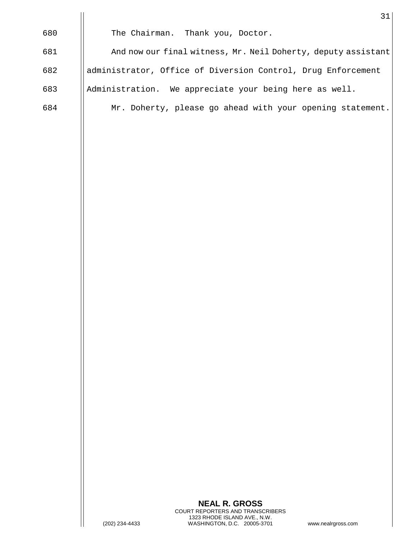|     | 31                                                            |
|-----|---------------------------------------------------------------|
| 680 | The Chairman. Thank you, Doctor.                              |
| 681 | And now our final witness, Mr. Neil Doherty, deputy assistant |
| 682 | administrator, Office of Diversion Control, Drug Enforcement  |
| 683 | Administration. We appreciate your being here as well.        |
| 684 | Mr. Doherty, please go ahead with your opening statement.     |
|     |                                                               |

 $\mathbf{I}$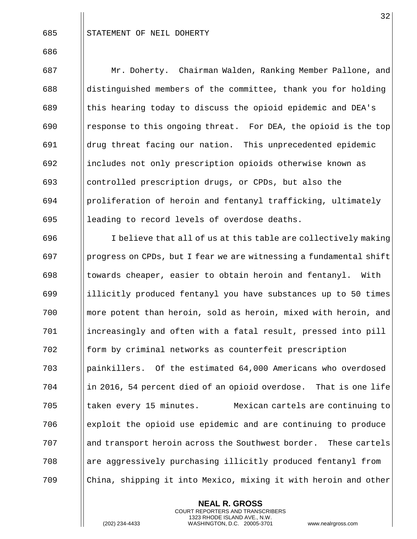685 | STATEMENT OF NEIL DOHERTY

 Mr. Doherty. Chairman Walden, Ranking Member Pallone, and distinguished members of the committee, thank you for holding  $\parallel$  this hearing today to discuss the opioid epidemic and DEA's  $\begin{bmatrix} 690 \end{bmatrix}$  response to this ongoing threat. For DEA, the opioid is the top drug threat facing our nation. This unprecedented epidemic includes not only prescription opioids otherwise known as controlled prescription drugs, or CPDs, but also the proliferation of heroin and fentanyl trafficking, ultimately || leading to record levels of overdose deaths.

 || I believe that all of us at this table are collectively making  $\begin{bmatrix} 697 \end{bmatrix}$  progress on CPDs, but I fear we are witnessing a fundamental shift ||towards cheaper, easier to obtain heroin and fentanyl. With 699 illicitly produced fentanyl you have substances up to 50 times more potent than heroin, sold as heroin, mixed with heroin, and increasingly and often with a fatal result, pressed into pill **form** by criminal networks as counterfeit prescription painkillers. Of the estimated 64,000 Americans who overdosed ||in 2016, 54 percent died of an opioid overdose. That is one life 705 || taken every 15 minutes. Mexican cartels are continuing to exploit the opioid use epidemic and are continuing to produce 707 and transport heroin across the Southwest border. These cartels are aggressively purchasing illicitly produced fentanyl from China, shipping it into Mexico, mixing it with heroin and other

> **NEAL R. GROSS** COURT REPORTERS AND TRANSCRIBERS 1323 RHODE ISLAND AVE., N.W.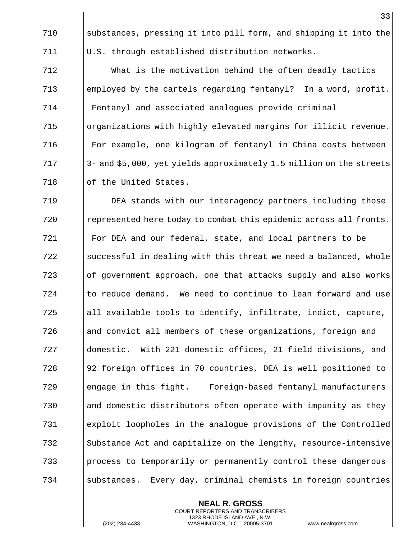substances, pressing it into pill form, and shipping it into the  $\parallel$  U.S. through established distribution networks.

 What is the motivation behind the often deadly tactics employed by the cartels regarding fentanyl? In a word, profit. Fentanyl and associated analogues provide criminal 715 | | organizations with highly elevated margins for illicit revenue. For example, one kilogram of fentanyl in China costs between || 3- and \$5,000, yet yields approximately 1.5 million on the streets 718 | of the United States.

 DEA stands with our interagency partners including those 720 | represented here today to combat this epidemic across all fronts. For DEA and our federal, state, and local partners to be || successful in dealing with this threat we need a balanced, whole of government approach, one that attacks supply and also works || to reduce demand. We need to continue to lean forward and use ||all available tools to identify, infiltrate, indict, capture, 726 and and convict all members of these organizations, foreign and domestic. With 221 domestic offices, 21 field divisions, and 92 foreign offices in 70 countries, DEA is well positioned to engage in this fight. Foreign-based fentanyl manufacturers 730 and domestic distributors often operate with impunity as they exploit loopholes in the analogue provisions of the Controlled 732 Substance Act and capitalize on the lengthy, resource-intensive process to temporarily or permanently control these dangerous || substances. Every day, criminal chemists in foreign countries

> **NEAL R. GROSS** COURT REPORTERS AND TRANSCRIBERS 1323 RHODE ISLAND AVE., N.W.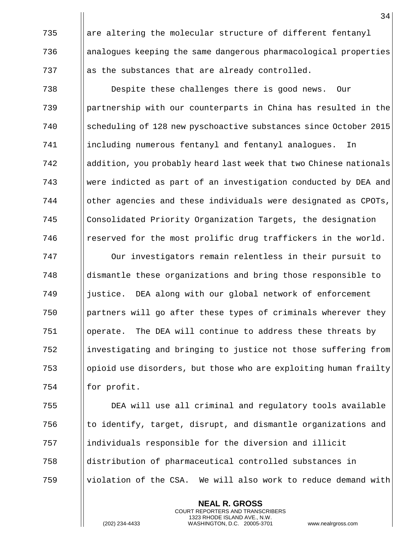|| are altering the molecular structure of different fentanyl analogues keeping the same dangerous pharmacological properties  $\begin{array}{c} 737 \\ \end{array}$  as the substances that are already controlled.

 Despite these challenges there is good news. Our partnership with our counterparts in China has resulted in the scheduling of 128 new pyschoactive substances since October 2015 including numerous fentanyl and fentanyl analogues. In addition, you probably heard last week that two Chinese nationals were indicted as part of an investigation conducted by DEA and ||other agencies and these individuals were designated as CPOTs, 745 | Consolidated Priority Organization Targets, the designation | reserved for the most prolific drug traffickers in the world. Our investigators remain relentless in their pursuit to dismantle these organizations and bring those responsible to 749 iustice. DEA along with our global network of enforcement | partners will go after these types of criminals wherever they operate. The DEA will continue to address these threats by ||investigating and bringing to justice not those suffering from

 $\begin{array}{c|c} \hline \end{array}$  opioid use disorders, but those who are exploiting human frailty | for profit.

 DEA will use all criminal and regulatory tools available  $\|\cdot\|$  to identify, target, disrupt, and dismantle organizations and individuals responsible for the diversion and illicit distribution of pharmaceutical controlled substances in  $\parallel$  violation of the CSA. We will also work to reduce demand with

> **NEAL R. GROSS** COURT REPORTERS AND TRANSCRIBERS 1323 RHODE ISLAND AVE., N.W.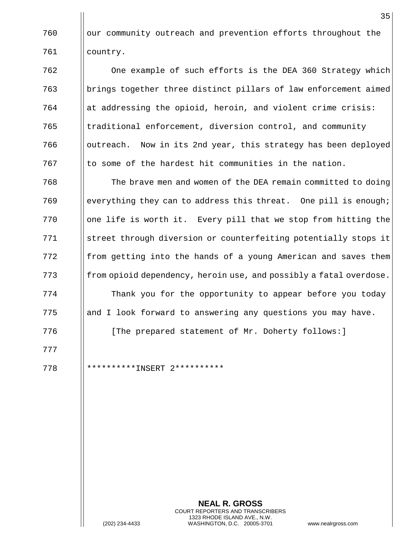760 | our community outreach and prevention efforts throughout the 761 country.

 One example of such efforts is the DEA 360 Strategy which brings together three distinct pillars of law enforcement aimed ||at addressing the opioid, heroin, and violent crime crisis: traditional enforcement, diversion control, and community 766 | outreach. Now in its 2nd year, this strategy has been deployed || to some of the hardest hit communities in the nation.

768 The brave men and women of the DEA remain committed to doing 769 everything they can to address this threat. One pill is enough;  $770$  || one life is worth it. Every pill that we stop from hitting the 771 Street through diversion or counterfeiting potentially stops it  $772$  || from getting into the hands of a young American and saves them  $\begin{array}{c|c} \hline \end{array}$  from opioid dependency, heroin use, and possibly a fatal overdose. 774 Thank you for the opportunity to appear before you today 775 and I look forward to answering any questions you may have.

776 **I** [The prepared statement of Mr. Doherty follows:]

777

778 \*\*\*\*\*\*\*\*\*\*INSERT 2\*\*\*\*\*\*\*\*\*\*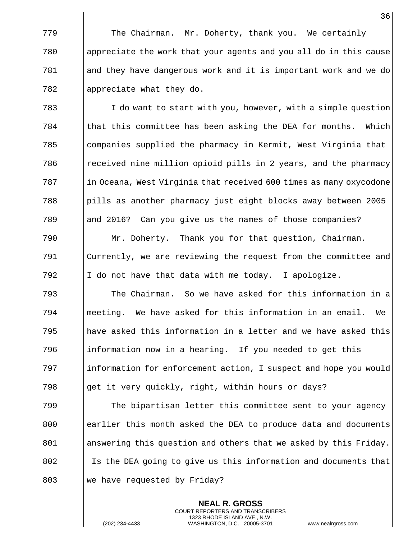The Chairman. Mr. Doherty, thank you. We certainly appreciate the work that your agents and you all do in this cause and they have dangerous work and it is important work and we do  $\parallel$  appreciate what they do.

 I do want to start with you, however, with a simple question || that this committee has been asking the DEA for months. Which companies supplied the pharmacy in Kermit, West Virginia that **Fig.** The million opioid pills in 2 years, and the pharmacy  $\frac{1}{10}$  in Oceana, West Virginia that received 600 times as many oxycodone pills as another pharmacy just eight blocks away between 2005 789 || and 2016? Can you give us the names of those companies?

790 Mr. Doherty. Thank you for that question, Chairman. 791 Currently, we are reviewing the request from the committee and 792  $\parallel$  I do not have that data with me today. I apologize.

 The Chairman. So we have asked for this information in a meeting. We have asked for this information in an email. We || have asked this information in a letter and we have asked this ||information now in a hearing. If you needed to get this 797 information for enforcement action, I suspect and hope you would 798 get it very quickly, right, within hours or days?

799 The bipartisan letter this committee sent to your agency 800 earlier this month asked the DEA to produce data and documents 801 answering this question and others that we asked by this Friday. 802 I Is the DEA going to give us this information and documents that 803  $\parallel$  we have requested by Friday?

> **NEAL R. GROSS** COURT REPORTERS AND TRANSCRIBERS 1323 RHODE ISLAND AVE., N.W.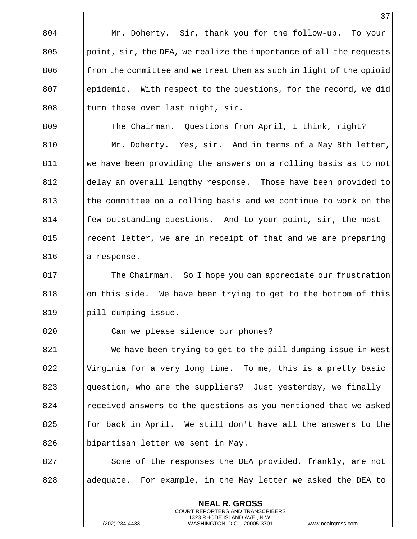37 804 Mr. Doherty. Sir, thank you for the follow-up. To your 805 | point, sir, the DEA, we realize the importance of all the requests 806  $\parallel$  from the committee and we treat them as such in light of the opioid 807 Solumber 1 epidemic. With respect to the questions, for the record, we did 808  $\parallel$  turn those over last night, sir. 809 | The Chairman. Questions from April, I think, right? 810 | Mr. Doherty. Yes, sir. And in terms of a May 8th letter, 811 we have been providing the answers on a rolling basis as to not 812 delay an overall lengthy response. Those have been provided to 813 Ithe committee on a rolling basis and we continue to work on the 814 **follo** few outstanding questions. And to your point, sir, the most 815 | recent letter, we are in receipt of that and we are preparing  $816$  || a response. 817 **The Chairman.** So I hope you can appreciate our frustration  $818$  ||on this side. We have been trying to get to the bottom of this 819 | pill dumping issue. 820 | Can we please silence our phones? 821 We have been trying to get to the pill dumping issue in West 822 | Virginia for a very long time. To me, this is a pretty basic  $823$  ||question, who are the suppliers? Just yesterday, we finally 824 **Produce** answers to the questions as you mentioned that we asked 825 **for back in April.** We still don't have all the answers to the 826 | bipartisan letter we sent in May. 827 Some of the responses the DEA provided, frankly, are not 828 adequate. For example, in the May letter we asked the DEA to

> **NEAL R. GROSS** COURT REPORTERS AND TRANSCRIBERS 1323 RHODE ISLAND AVE., N.W.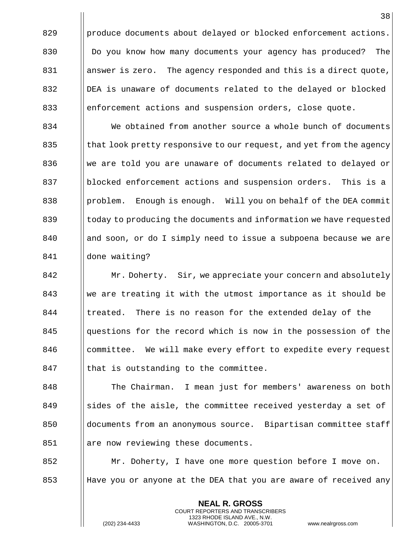$829$  ||produce documents about delayed or blocked enforcement actions. 830 **Do** you know how many documents your agency has produced? The 831 | answer is zero. The agency responded and this is a direct quote, 832 DEA is unaware of documents related to the delayed or blocked 833 enforcement actions and suspension orders, close quote.

**We obtained from another source a whole bunch of documents**  $\vert$  that look pretty responsive to our request, and yet from the agency We are told you are unaware of documents related to delayed or blocked enforcement actions and suspension orders. This is a 838 | problem. Enough is enough. Will you on behalf of the DEA commit 839 (boday to producing the documents and information we have requested 840 || and soon, or do I simply need to issue a subpoena because we are done waiting?

842 **Mr. Doherty.** Sir, we appreciate your concern and absolutely 843 We are treating it with the utmost importance as it should be 844 I treated. There is no reason for the extended delay of the 845 questions for the record which is now in the possession of the 846 committee. We will make every effort to expedite every request  $847$  || that is outstanding to the committee.

848 | The Chairman. I mean just for members' awareness on both 849 Solution States of the aisle, the committee received yesterday a set of 850 documents from an anonymous source. Bipartisan committee staff 851 | are now reviewing these documents.

852 Mr. Doherty, I have one more question before I move on. 853 Have you or anyone at the DEA that you are aware of received any

> **NEAL R. GROSS** COURT REPORTERS AND TRANSCRIBERS 1323 RHODE ISLAND AVE., N.W.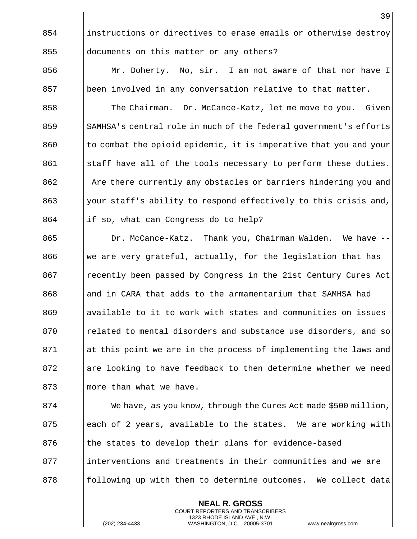854 instructions or directives to erase emails or otherwise destroy 855 **documents on this matter or any others?** 

856 | Mr. Doherty. No, sir. I am not aware of that nor have I  $857$  || been involved in any conversation relative to that matter.

858 The Chairman. Dr. McCance-Katz, let me move to you. Given 859 SAMHSA's central role in much of the federal government's efforts  $860$  || to combat the opioid epidemic, it is imperative that you and your  $861$  Staff have all of the tools necessary to perform these duties. 862 Are there currently any obstacles or barriers hindering you and 863 || your staff's ability to respond effectively to this crisis and,  $864$  ||if so, what can Congress do to help?

865 | Dr. McCance-Katz. Thank you, Chairman Walden. We have --866 We are very grateful, actually, for the legislation that has 867 **Proving the Precently been passed by Congress in the 21st Century Cures Act** 868 and in CARA that adds to the armamentarium that SAMHSA had 869 and available to it to work with states and communities on issues 870 | related to mental disorders and substance use disorders, and so 871 at this point we are in the process of implementing the laws and  $872$  || are looking to have feedback to then determine whether we need  $873$  || more than what we have.

 $874$  We have, as you know, through the Cures Act made \$500 million, 875  $\parallel$  each of 2 years, available to the states. We are working with 876 | the states to develop their plans for evidence-based 877 interventions and treatments in their communities and we are 878 following up with them to determine outcomes. We collect data

> **NEAL R. GROSS** COURT REPORTERS AND TRANSCRIBERS 1323 RHODE ISLAND AVE., N.W.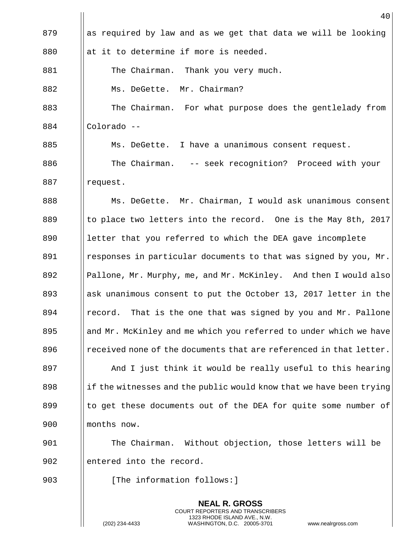|     | 40                                                                  |
|-----|---------------------------------------------------------------------|
| 879 | as required by law and as we get that data we will be looking       |
| 880 | at it to determine if more is needed.                               |
| 881 | The Chairman. Thank you very much.                                  |
| 882 | Ms. DeGette. Mr. Chairman?                                          |
| 883 | The Chairman. For what purpose does the gentlelady from             |
| 884 | Colorado --                                                         |
| 885 | Ms. DeGette. I have a unanimous consent request.                    |
| 886 | The Chairman. -- seek recognition? Proceed with your                |
| 887 | request.                                                            |
| 888 | Ms. DeGette. Mr. Chairman, I would ask unanimous consent            |
| 889 | to place two letters into the record. One is the May 8th, 2017      |
| 890 | letter that you referred to which the DEA gave incomplete           |
| 891 | responses in particular documents to that was signed by you, Mr.    |
| 892 | Pallone, Mr. Murphy, me, and Mr. McKinley. And then I would also    |
| 893 | ask unanimous consent to put the October 13, 2017 letter in the     |
| 894 | record. That is the one that was signed by you and Mr. Pallone      |
| 895 | and Mr. McKinley and me which you referred to under which we have   |
| 896 | received none of the documents that are referenced in that letter.  |
| 897 | And I just think it would be really useful to this hearing          |
| 898 | if the witnesses and the public would know that we have been trying |
| 899 | to get these documents out of the DEA for quite some number of      |
| 900 | months now.                                                         |
| 901 | Without objection, those letters will be<br>The Chairman.           |
| 902 | entered into the record.                                            |
| 903 | [The information follows:]                                          |

**NEAL R. GROSS** COURT REPORTERS AND TRANSCRIBERS 1323 RHODE ISLAND AVE., N.W.

 $\mathsf{I}$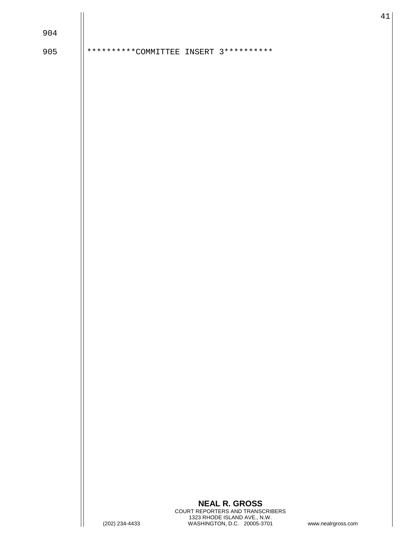| ۰,<br>v | ۰. |  |
|---------|----|--|
|---------|----|--|

905 || \*\*\*\*\*\*\*\*\*\*COMMITTEE INSERT 3\*\*\*\*\*\*\*\*\*\*

## **NEAL R. GROSS** COURT REPORTERS AND TRANSCRIBERS 1323 RHODE ISLAND AVE., N.W. (202) 234-4433 WASHINGTON, D.C. 20005-3701 www.nealrgross.com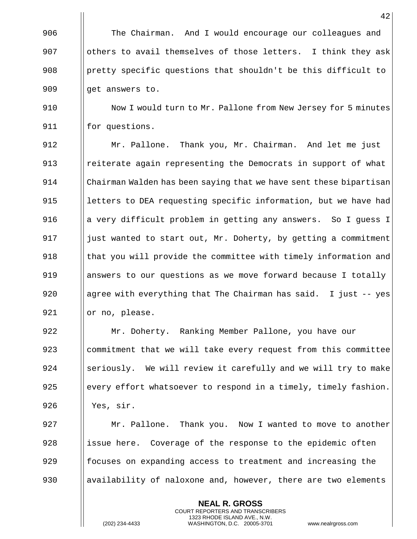The Chairman. And I would encourage our colleagues and  $\parallel$  others to avail themselves of those letters. I think they ask 908 | pretty specific questions that shouldn't be this difficult to || qet answers to.

910  $\parallel$  Now I would turn to Mr. Pallone from New Jersey for 5 minutes 911 | for questions.

912 Mr. Pallone. Thank you, Mr. Chairman. And let me just 913 Investerate again representing the Democrats in support of what 914 Chairman Walden has been saying that we have sent these bipartisan 915 || letters to DEA requesting specific information, but we have had 916 **a very difficult problem in getting any answers.** So I guess I 917  $\parallel$  just wanted to start out, Mr. Doherty, by getting a commitment 918 | that you will provide the committee with timely information and 919 answers to our questions as we move forward because I totally 920 **a**  $\theta$  agree with everything that The Chairman has said. I just -- yes 921 | | or no, please.

922 Mr. Doherty. Ranking Member Pallone, you have our 923 commitment that we will take every request from this committee 924 Seriously. We will review it carefully and we will try to make 925 every effort whatsoever to respond in a timely, timely fashion. 926 Yes, sir.

927 Mr. Pallone. Thank you. Now I wanted to move to another  $928$  ||issue here. Coverage of the response to the epidemic often  $929$  focuses on expanding access to treatment and increasing the 930 availability of naloxone and, however, there are two elements

> **NEAL R. GROSS** COURT REPORTERS AND TRANSCRIBERS 1323 RHODE ISLAND AVE., N.W.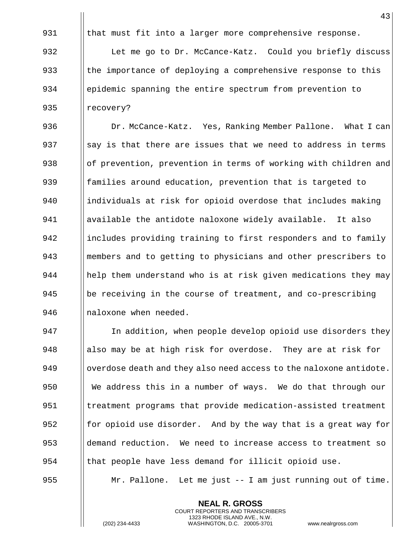931  $\|\cdot\|$  that must fit into a larger more comprehensive response. 932 | Let me go to Dr. McCance-Katz. Could you briefly discuss 933  $\|\cdot\|$  the importance of deploying a comprehensive response to this 934 | epidemic spanning the entire spectrum from prevention to 935 || recovery?

936 | Dr. McCance-Katz. Yes, Ranking Member Pallone. What I can 937  $\parallel$  say is that there are issues that we need to address in terms 938 | of prevention, prevention in terms of working with children and 939 **foll** families around education, prevention that is targeted to 940 individuals at risk for opioid overdose that includes making 941 available the antidote naloxone widely available. It also 942 includes providing training to first responders and to family 943 members and to getting to physicians and other prescribers to 944 help them understand who is at risk given medications they may 945  $\vert$  be receiving in the course of treatment, and co-prescribing 946 | naloxone when needed.

947 | In addition, when people develop opioid use disorders they 948 also may be at high risk for overdose. They are at risk for 949  $\vert\vert$  overdose death and they also need access to the naloxone antidote. 950 We address this in a number of ways. We do that through our 951 | treatment programs that provide medication-assisted treatment 952 for opioid use disorder. And by the way that is a great way for 953 demand reduction. We need to increase access to treatment so 954 I that people have less demand for illicit opioid use.

955 Mr. Pallone. Let me just -- I am just running out of time.

**NEAL R. GROSS** COURT REPORTERS AND TRANSCRIBERS 1323 RHODE ISLAND AVE., N.W.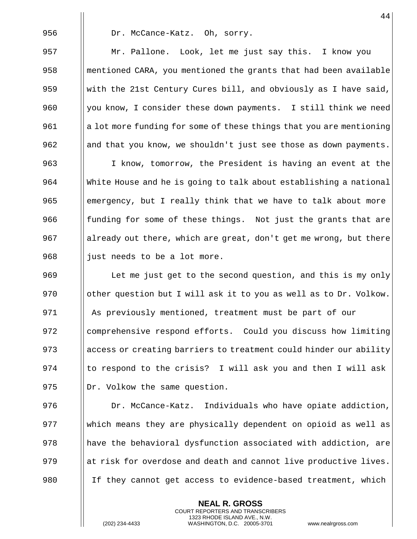956 | Dr. McCance-Katz. Oh, sorry. Mr. Pallone. Look, let me just say this. I know you **mentioned CARA, you mentioned the grants that had been available** 959 With the 21st Century Cures bill, and obviously as I have said,  $\parallel$  you know, I consider these down payments. I still think we need 961 a lot more funding for some of these things that you are mentioning 962 and that you know, we shouldn't just see those as down payments. I know, tomorrow, the President is having an event at the White House and he is going to talk about establishing a national 965 emergency, but I really think that we have to talk about more **funding for some of these things.** Not just the grants that are ||already out there, which are great, don't get me wrong, but there || just needs to be a lot more.  $\parallel$  Let me just get to the second question, and this is my only  $\parallel$  other question but I will ask it to you as well as to Dr. Volkow. As previously mentioned, treatment must be part of our 972 | comprehensive respond efforts. Could you discuss how limiting 973 access or creating barriers to treatment could hinder our ability  $\parallel$  to respond to the crisis? I will ask you and then I will ask  $\vert \vert$  Dr. Volkow the same question.  $\parallel$  Dr. McCance-Katz. Individuals who have opiate addiction, which means they are physically dependent on opioid as well as

> **NEAL R. GROSS** COURT REPORTERS AND TRANSCRIBERS 1323 RHODE ISLAND AVE., N.W.

978 | have the behavioral dysfunction associated with addiction, are

979  $\parallel$  at risk for overdose and death and cannot live productive lives.

980 If they cannot get access to evidence-based treatment, which

(202) 234-4433 WASHINGTON, D.C. 20005-3701 www.nealrgross.com

44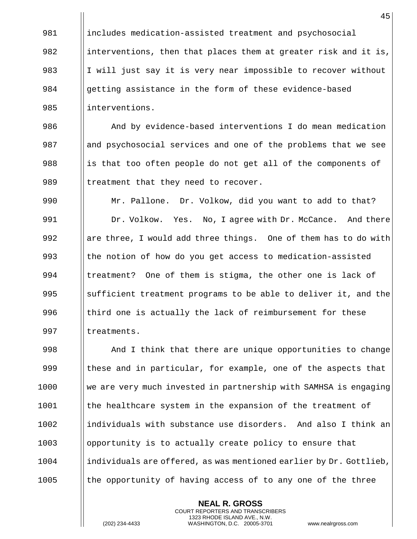981 includes medication-assisted treatment and psychosocial 982 interventions, then that places them at greater risk and it is, 983 I  $\parallel$  I will just say it is very near impossible to recover without 984 Separation assistance in the form of these evidence-based 985 linterventions.

986 And by evidence-based interventions I do mean medication 987 and psychosocial services and one of the problems that we see 988 is that too often people do not get all of the components of 989  $\parallel$  treatment that they need to recover.

990 | Mr. Pallone. Dr. Volkow, did you want to add to that? 991 | Dr. Volkow. Yes. No, I agree with Dr. McCance. And there 992 are three, I would add three things. One of them has to do with 993 || the notion of how do you get access to medication-assisted 994  $\parallel$  treatment? One of them is stigma, the other one is lack of 995  $\parallel$  sufficient treatment programs to be able to deliver it, and the 996  $\parallel$  third one is actually the lack of reimbursement for these 997 | treatments.

 And I think that there are unique opportunities to change  $\parallel$  these and in particular, for example, one of the aspects that We are very much invested in partnership with SAMHSA is engaging || the healthcare system in the expansion of the treatment of individuals with substance use disorders. And also I think an **c** opportunity is to actually create policy to ensure that individuals are offered, as was mentioned earlier by Dr. Gottlieb,  $\parallel$  the opportunity of having access of to any one of the three

> **NEAL R. GROSS** COURT REPORTERS AND TRANSCRIBERS 1323 RHODE ISLAND AVE., N.W.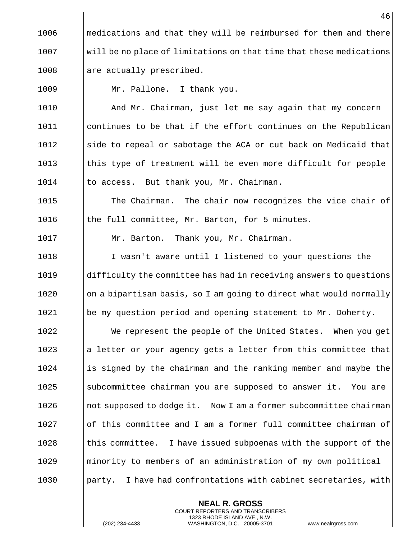1006  $\blacksquare$  medications and that they will be reimbursed for them and there 1007 will be no place of limitations on that time that these medications  $1008$  || are actually prescribed.

1009 Mr. Pallone. I thank you.

1010 | And Mr. Chairman, just let me say again that my concern 1011 | continues to be that if the effort continues on the Republican  $1012$  | side to repeal or sabotage the ACA or cut back on Medicaid that 1013  $\parallel$  this type of treatment will be even more difficult for people 1014 | to access. But thank you, Mr. Chairman.

1015 **The Chairman.** The chair now recognizes the vice chair of 1016  $\parallel$  the full committee, Mr. Barton, for 5 minutes.

1017 | Mr. Barton. Thank you, Mr. Chairman.

 I wasn't aware until I listened to your questions the difficulty the committee has had in receiving answers to questions || on a bipartisan basis, so I am going to direct what would normally 1021 | be my question period and opening statement to Mr. Doherty.

1022 | We represent the people of the United States. When you get 1023 a la letter or your agency gets a letter from this committee that 1024 is signed by the chairman and the ranking member and maybe the 1025 Subcommittee chairman you are supposed to answer it. You are 1026 | not supposed to dodge it. Now I am a former subcommittee chairman 1027 Iof this committee and I am a former full committee chairman of  $1028$  I this committee. I have issued subpoenas with the support of the 1029 minority to members of an administration of my own political 1030 **party.** I have had confrontations with cabinet secretaries, with

> **NEAL R. GROSS** COURT REPORTERS AND TRANSCRIBERS 1323 RHODE ISLAND AVE., N.W.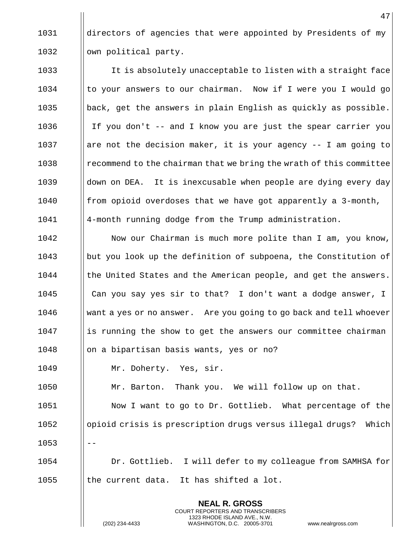1031 directors of agencies that were appointed by Presidents of my 1032 | | own political party.

1033 It is absolutely unacceptable to listen with a straight face  $1034$  || to your answers to our chairman. Now if I were you I would go 1035  $\parallel$  back, get the answers in plain English as quickly as possible. 1036 If you don't -- and I know you are just the spear carrier you 1037 are not the decision maker, it is your agency  $-$  I am going to 1038 **I** recommend to the chairman that we bring the wrath of this committee 1039 down on DEA. It is inexcusable when people are dying every day  $1040$  || from opioid overdoses that we have got apparently a 3-month, 1041 4-month running dodge from the Trump administration.

1042 | Now our Chairman is much more polite than I am, you know, 1043 but you look up the definition of subpoena, the Constitution of  $1044$  || the United States and the American people, and get the answers. 1045 Can you say yes sir to that? I don't want a dodge answer, I 1046 | want a yes or no answer. Are you going to go back and tell whoever 1047 is running the show to get the answers our committee chairman 1048 on a bipartisan basis wants, yes or no? 1049 | Mr. Doherty. Yes, sir. 1050 | Mr. Barton. Thank you. We will follow up on that. 1051 | Now I want to go to Dr. Gottlieb. What percentage of the 1052 | opioid crisis is prescription drugs versus illegal drugs? Which

1054 Dr. Gottlieb. I will defer to my colleague from SAMHSA for  $1055$  || the current data. It has shifted a lot.

> **NEAL R. GROSS** COURT REPORTERS AND TRANSCRIBERS 1323 RHODE ISLAND AVE., N.W.

 $1053$   $|| - -$ 

(202) 234-4433 WASHINGTON, D.C. 20005-3701 www.nealrgross.com

47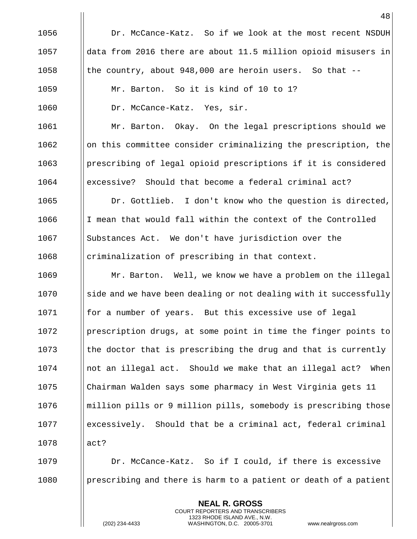|      | 48                                                                |
|------|-------------------------------------------------------------------|
| 1056 | Dr. McCance-Katz. So if we look at the most recent NSDUH          |
| 1057 | data from 2016 there are about 11.5 million opioid misusers in    |
| 1058 | the country, about 948,000 are heroin users. So that --           |
| 1059 | Mr. Barton. So it is kind of 10 to 1?                             |
| 1060 | Dr. McCance-Katz. Yes, sir.                                       |
| 1061 | Mr. Barton. Okay. On the legal prescriptions should we            |
| 1062 | on this committee consider criminalizing the prescription, the    |
| 1063 | prescribing of legal opioid prescriptions if it is considered     |
| 1064 | excessive? Should that become a federal criminal act?             |
| 1065 | Dr. Gottlieb. I don't know who the question is directed,          |
| 1066 | I mean that would fall within the context of the Controlled       |
| 1067 | Substances Act. We don't have jurisdiction over the               |
| 1068 | criminalization of prescribing in that context.                   |
| 1069 | Mr. Barton. Well, we know we have a problem on the illegal        |
| 1070 | side and we have been dealing or not dealing with it successfully |
| 1071 | for a number of years. But this excessive use of legal            |
| 1072 | prescription drugs, at some point in time the finger points to    |
| 1073 | the doctor that is prescribing the drug and that is currently     |
| 1074 | not an illegal act. Should we make that an illegal act?<br>When   |
| 1075 | Chairman Walden says some pharmacy in West Virginia gets 11       |
| 1076 | million pills or 9 million pills, somebody is prescribing those   |
| 1077 | excessively. Should that be a criminal act, federal criminal      |
| 1078 | act?                                                              |
| 1079 | Dr. McCance-Katz. So if I could, if there is excessive            |
| 1080 | prescribing and there is harm to a patient or death of a patient  |
|      | <b>NEAL R. GROSS</b>                                              |

COURT REPORTERS AND TRANSCRIBERS 1323 RHODE ISLAND AVE., N.W.

 $\begin{array}{c} \hline \end{array}$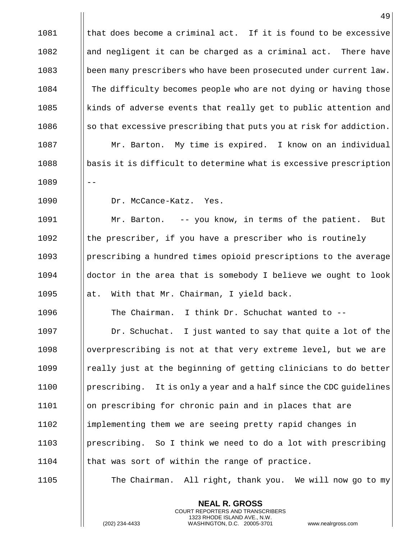|      | 49                                                                 |
|------|--------------------------------------------------------------------|
| 1081 | that does become a criminal act. If it is found to be excessive    |
| 1082 | and negligent it can be charged as a criminal act. There have      |
| 1083 | been many prescribers who have been prosecuted under current law.  |
| 1084 | The difficulty becomes people who are not dying or having those    |
| 1085 | kinds of adverse events that really get to public attention and    |
| 1086 | so that excessive prescribing that puts you at risk for addiction. |
| 1087 | Mr. Barton. My time is expired. I know on an individual            |
| 1088 | basis it is difficult to determine what is excessive prescription  |
| 1089 |                                                                    |
| 1090 | Dr. McCance-Katz. Yes.                                             |
| 1091 | Mr. Barton. -- you know, in terms of the patient.<br>But           |
| 1092 | the prescriber, if you have a prescriber who is routinely          |
| 1093 | prescribing a hundred times opioid prescriptions to the average    |
| 1094 | doctor in the area that is somebody I believe we ought to look     |
| 1095 | With that Mr. Chairman, I yield back.<br>at.                       |
| 1096 | The Chairman. I think Dr. Schuchat wanted to --                    |
| 1097 | Dr. Schuchat. I just wanted to say that quite a lot of the         |
| 1098 | overprescribing is not at that very extreme level, but we are      |
| 1099 | really just at the beginning of getting clinicians to do better    |
| 1100 | prescribing. It is only a year and a half since the CDC quidelines |
| 1101 | on prescribing for chronic pain and in places that are             |
| 1102 | implementing them we are seeing pretty rapid changes in            |
| 1103 | prescribing. So I think we need to do a lot with prescribing       |
| 1104 | that was sort of within the range of practice.                     |
| 1105 | The Chairman. All right, thank you. We will now go to my           |

**NEAL R. GROSS** COURT REPORTERS AND TRANSCRIBERS 1323 RHODE ISLAND AVE., N.W.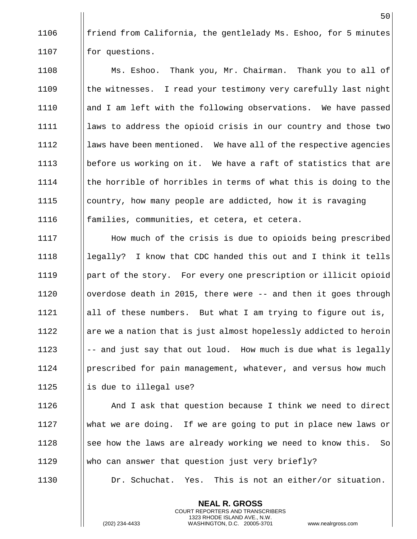1106  $\parallel$  friend from California, the gentlelady Ms. Eshoo, for 5 minutes  $1107$  | for questions.

1108 **Ms. Eshoo.** Thank you, Mr. Chairman. Thank you to all of  $1109$  || the witnesses. I read your testimony very carefully last night 1110 | and I am left with the following observations. We have passed 1111 || laws to address the opioid crisis in our country and those two  $1112$  | laws have been mentioned. We have all of the respective agencies 1113 **b** | before us working on it. We have a raft of statistics that are 1114  $\parallel$  the horrible of horribles in terms of what this is doing to the 1115 | country, how many people are addicted, how it is ravaging 1116 | families, communities, et cetera, et cetera.

**How much of the crisis is due to opioids being prescribed** 1118 Is income legally? I know that CDC handed this out and I think it tells 1119 | part of the story. For every one prescription or illicit opioid  $\parallel$  overdose death in 2015, there were -- and then it goes through 1121 || all of these numbers. But what I am trying to figure out is, are we a nation that is just almost hopelessly addicted to heroin  $\parallel$  -- and just say that out loud. How much is due what is legally **prescribed for pain management, whatever, and versus how much**  $\parallel$  is due to illegal use?

 And I ask that question because I think we need to direct what we are doing. If we are going to put in place new laws or See how the laws are already working we need to know this. So  $\parallel$  who can answer that question just very briefly?

1130 | Dr. Schuchat. Yes. This is not an either/or situation.

**NEAL R. GROSS** COURT REPORTERS AND TRANSCRIBERS 1323 RHODE ISLAND AVE., N.W.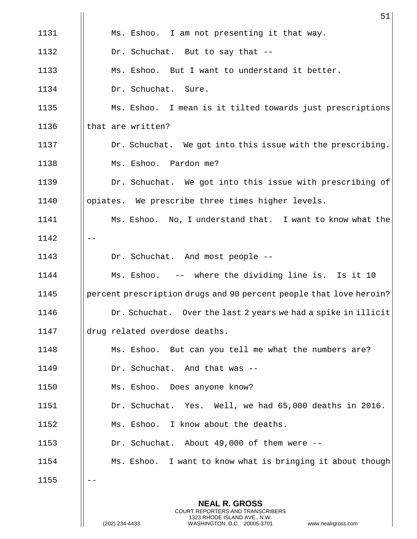|      | 51                                                                 |
|------|--------------------------------------------------------------------|
| 1131 | Ms. Eshoo. I am not presenting it that way.                        |
| 1132 | Dr. Schuchat. But to say that --                                   |
| 1133 | Ms. Eshoo. But I want to understand it better.                     |
| 1134 | Dr. Schuchat. Sure.                                                |
| 1135 | Ms. Eshoo. I mean is it tilted towards just prescriptions          |
| 1136 | that are written?                                                  |
| 1137 | Dr. Schuchat. We got into this issue with the prescribing.         |
| 1138 | Ms. Eshoo. Pardon me?                                              |
| 1139 | Dr. Schuchat. We got into this issue with prescribing of           |
| 1140 | opiates. We prescribe three times higher levels.                   |
| 1141 | Ms. Eshoo. No, I understand that. I want to know what the          |
| 1142 |                                                                    |
| 1143 | Dr. Schuchat. And most people --                                   |
| 1144 | Ms. Eshoo. -- where the dividing line is. Is it 10                 |
| 1145 | percent prescription drugs and 90 percent people that love heroin? |
| 1146 | Dr. Schuchat. Over the last 2 years we had a spike in illicit      |
| 1147 | drug related overdose deaths.                                      |
| 1148 | Ms. Eshoo. But can you tell me what the numbers are?               |
| 1149 | Dr. Schuchat. And that was --                                      |
| 1150 | Ms. Eshoo. Does anyone know?                                       |
| 1151 | Dr. Schuchat. Yes. Well, we had 65,000 deaths in 2016.             |
| 1152 | Ms. Eshoo. I know about the deaths.                                |
| 1153 | Dr. Schuchat. About 49,000 of them were --                         |
| 1154 | Ms. Eshoo. I want to know what is bringing it about though         |
| 1155 |                                                                    |
|      | <b>NEAL R. GROSS</b>                                               |

COURT REPORTERS AND TRANSCRIBERS 1323 RHODE ISLAND AVE., N.W.

 $\prod_{i=1}^{n}$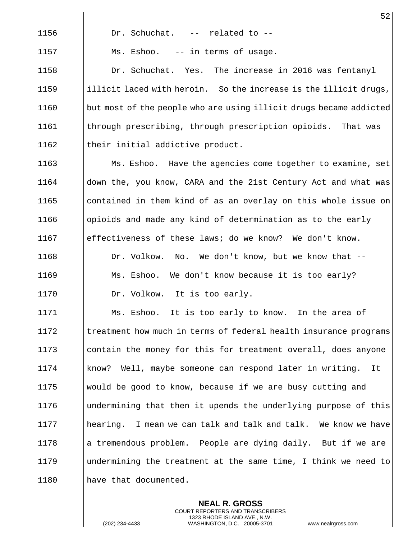1156 | Dr. Schuchat. -- related to --1157 | Ms. Eshoo. -- in terms of usage. 1158 Dr. Schuchat. Yes. The increase in 2016 was fentanyl 1159  $\parallel$  illicit laced with heroin. So the increase is the illicit drugs, 1160  $\parallel$  but most of the people who are using illicit drugs became addicted 1161 | through prescribing, through prescription opioids. That was 1162  $\parallel$  their initial addictive product.

1163 **Ms. Eshoo.** Have the agencies come together to examine, set 1164 down the, you know, CARA and the 21st Century Act and what was 1165 all contained in them kind of as an overlay on this whole issue on 1166 | opioids and made any kind of determination as to the early 1167 effectiveness of these laws; do we know? We don't know. 1168 | Dr. Volkow. No. We don't know, but we know that --1169 **Ms. Eshoo.** We don't know because it is too early? 1170 | Dr. Volkow. It is too early.

1171 | Ms. Eshoo. It is too early to know. In the area of 1172 Itreatment how much in terms of federal health insurance programs 1173 I contain the money for this for treatment overall, does anyone 1174 know? Well, maybe someone can respond later in writing. It 1175  $\parallel$  would be good to know, because if we are busy cutting and 1176 undermining that then it upends the underlying purpose of this 1177 hearing. I mean we can talk and talk and talk. We know we have 1178 a tremendous problem. People are dying daily. But if we are 1179 undermining the treatment at the same time, I think we need to 1180 | have that documented.

> **NEAL R. GROSS** COURT REPORTERS AND TRANSCRIBERS 1323 RHODE ISLAND AVE., N.W.

(202) 234-4433 WASHINGTON, D.C. 20005-3701 www.nealrgross.com

52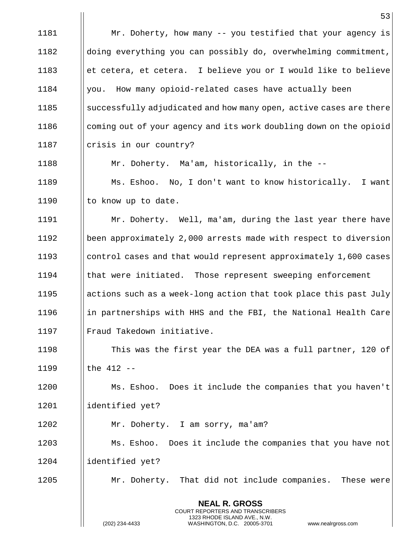|      | 53                                                                                                                                      |
|------|-----------------------------------------------------------------------------------------------------------------------------------------|
| 1181 | Mr. Doherty, how many -- you testified that your agency is                                                                              |
| 1182 | doing everything you can possibly do, overwhelming commitment,                                                                          |
| 1183 | et cetera, et cetera. I believe you or I would like to believe                                                                          |
| 1184 | you. How many opioid-related cases have actually been                                                                                   |
| 1185 | successfully adjudicated and how many open, active cases are there                                                                      |
| 1186 | coming out of your agency and its work doubling down on the opioid                                                                      |
| 1187 | crisis in our country?                                                                                                                  |
| 1188 | Mr. Doherty. Ma'am, historically, in the --                                                                                             |
| 1189 | Ms. Eshoo. No, I don't want to know historically.<br>I want                                                                             |
| 1190 | to know up to date.                                                                                                                     |
| 1191 | Mr. Doherty. Well, ma'am, during the last year there have                                                                               |
| 1192 | been approximately 2,000 arrests made with respect to diversion                                                                         |
| 1193 | control cases and that would represent approximately 1,600 cases                                                                        |
| 1194 | that were initiated. Those represent sweeping enforcement                                                                               |
| 1195 | actions such as a week-long action that took place this past July                                                                       |
| 1196 | in partnerships with HHS and the FBI, the National Health Care                                                                          |
| 1197 | Fraud Takedown initiative.                                                                                                              |
| 1198 | This was the first year the DEA was a full partner, 120 of                                                                              |
| 1199 | the 412 --                                                                                                                              |
| 1200 | Ms. Eshoo. Does it include the companies that you haven't                                                                               |
| 1201 | identified yet?                                                                                                                         |
| 1202 | Mr. Doherty. I am sorry, ma'am?                                                                                                         |
| 1203 | Ms. Eshoo. Does it include the companies that you have not                                                                              |
| 1204 | identified yet?                                                                                                                         |
| 1205 | Mr. Doherty. That did not include companies. These were                                                                                 |
|      | <b>NEAL R. GROSS</b>                                                                                                                    |
|      | COURT REPORTERS AND TRANSCRIBERS<br>1323 RHODE ISLAND AVE., N.W.<br>(202) 234-4433<br>WASHINGTON, D.C. 20005-3701<br>www.nealrgross.com |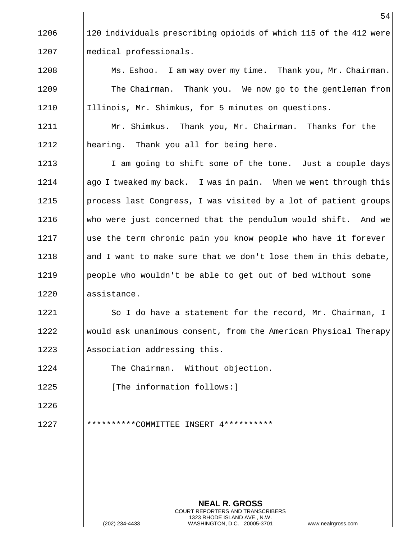1206 120 individuals prescribing opioids of which 115 of the 412 were 1207 medical professionals.

1208 **Ms. Eshoo.** I am way over my time. Thank you, Mr. Chairman. 1209 | The Chairman. Thank you. We now go to the gentleman from 1210 | Illinois, Mr. Shimkus, for 5 minutes on questions.

1211 | Mr. Shimkus. Thank you, Mr. Chairman. Thanks for the 1212 || hearing. Thank you all for being here.

1213 I am going to shift some of the tone. Just a couple days 1214 **a**  $\parallel$  ago I tweaked my back. I was in pain. When we went through this  $1215$  | process last Congress, I was visited by a lot of patient groups 1216 Who were just concerned that the pendulum would shift. And we 1217 Isse the term chronic pain you know people who have it forever 1218 and I want to make sure that we don't lose them in this debate, 1219 | people who wouldn't be able to get out of bed without some 1220 | assistance.

1221 | So I do have a statement for the record, Mr. Chairman, I 1222 Would ask unanimous consent, from the American Physical Therapy  $1223$  | Association addressing this.

1224 | The Chairman. Without objection.

1225 | The information follows:

1226

1227 \*\*\*\*\*\*\*\*\*\*COMMITTEE INSERT 4\*\*\*\*\*\*\*\*\*\*

**NEAL R. GROSS** COURT REPORTERS AND TRANSCRIBERS 1323 RHODE ISLAND AVE., N.W. (202) 234-4433 WASHINGTON, D.C. 20005-3701 www.nealrgross.com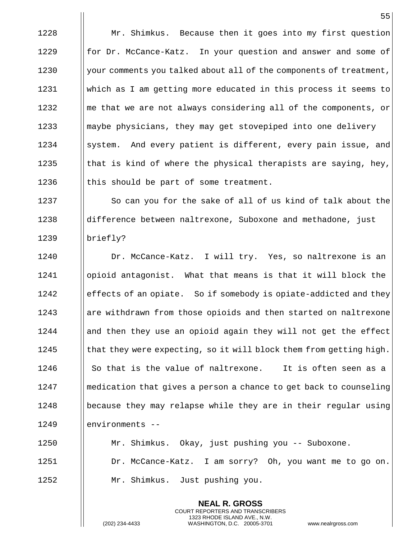1228 | Mr. Shimkus. Because then it goes into my first question **for Dr. McCance-Katz.** In your question and answer and some of  $\parallel$  your comments you talked about all of the components of treatment, which as I am getting more educated in this process it seems to  $\parallel$  me that we are not always considering all of the components, or **Maybe physicians, they may get stovepiped into one delivery** 1234 System. And every patient is different, every pain issue, and  $\parallel$  that is kind of where the physical therapists are saying, hey,  $\parallel$  this should be part of some treatment.

1237 So can you for the sake of all of us kind of talk about the 1238 difference between naltrexone, Suboxone and methadone, just 1239 | briefly?

1240 Dr. McCance-Katz. I will try. Yes, so naltrexone is an 1241 opioid antagonist. What that means is that it will block the 1242 effects of an opiate. So if somebody is opiate-addicted and they 1243 are withdrawn from those opioids and then started on naltrexone  $1244$  || and then they use an opioid again they will not get the effect 1245  $\parallel$  that they were expecting, so it will block them from getting high.  $1246$  || So that is the value of naltrexone. It is often seen as a 1247 medication that gives a person a chance to get back to counseling 1248 because they may relapse while they are in their regular using 1249 Ilenvironments --

1250 Mr. Shimkus. Okay, just pushing you -- Suboxone. 1251 | Dr. McCance-Katz. I am sorry? Oh, you want me to go on. 1252 | Mr. Shimkus. Just pushing you.

> **NEAL R. GROSS** COURT REPORTERS AND TRANSCRIBERS 1323 RHODE ISLAND AVE., N.W.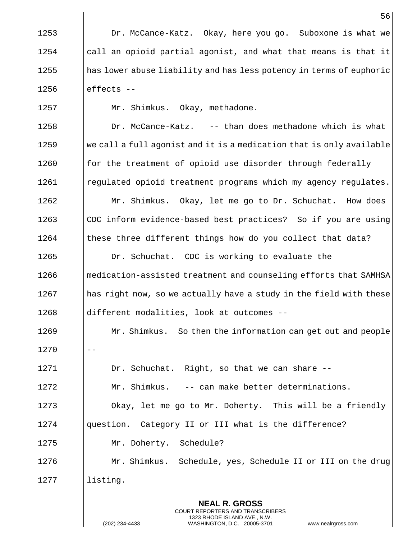56 1253 | Dr. McCance-Katz. Okay, here you go. Suboxone is what we  $1254$  | call an opioid partial agonist, and what that means is that it  $1255$  || has lower abuse liability and has less potency in terms of euphoric  $1256$  || effects --1257 | Mr. Shimkus. Okay, methadone. 1258 | Dr. McCance-Katz. -- than does methadone which is what  $1259$  We call a full agonist and it is a medication that is only available  $1260$  || for the treatment of opioid use disorder through federally 1261 | regulated opioid treatment programs which my agency regulates. 1262 Mr. Shimkus. Okay, let me go to Dr. Schuchat. How does 1263 CDC inform evidence-based best practices? So if you are using 1264 these three different things how do you collect that data? 1265 | Dr. Schuchat. CDC is working to evaluate the 1266 **medication-assisted treatment and counseling efforts that SAMHSA**  $1267$  || has right now, so we actually have a study in the field with these 1268 ||different modalities, look at outcomes --1269 | Mr. Shimkus. So then the information can get out and people 1270 1271 | Dr. Schuchat. Right, so that we can share --1272 | Mr. Shimkus. -- can make better determinations. 1273 | Okay, let me go to Mr. Doherty. This will be a friendly 1274 | question. Category II or III what is the difference? 1275 Mr. Doherty. Schedule? 1276 Mr. Shimkus. Schedule, yes, Schedule II or III on the drug 1277 | listing.

> **NEAL R. GROSS** COURT REPORTERS AND TRANSCRIBERS 1323 RHODE ISLAND AVE., N.W.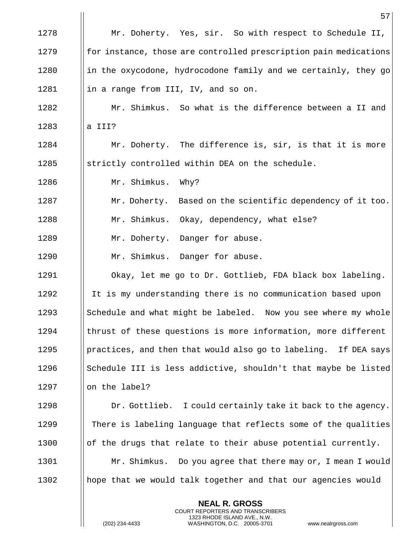|      | 57                                                               |
|------|------------------------------------------------------------------|
| 1278 | Mr. Doherty. Yes, sir. So with respect to Schedule II,           |
| 1279 | for instance, those are controlled prescription pain medications |
| 1280 | in the oxycodone, hydrocodone family and we certainly, they go   |
| 1281 | in a range from III, IV, and so on.                              |
| 1282 | Mr. Shimkus. So what is the difference between a II and          |
| 1283 | a III?                                                           |
| 1284 | Mr. Doherty. The difference is, sir, is that it is more          |
| 1285 | strictly controlled within DEA on the schedule.                  |
| 1286 | Mr. Shimkus.<br>Why?                                             |
| 1287 | Mr. Doherty. Based on the scientific dependency of it too.       |
| 1288 | Mr. Shimkus. Okay, dependency, what else?                        |
| 1289 | Mr. Doherty. Danger for abuse.                                   |
| 1290 | Mr. Shimkus. Danger for abuse.                                   |
| 1291 | Okay, let me go to Dr. Gottlieb, FDA black box labeling.         |
| 1292 | It is my understanding there is no communication based upon      |
| 1293 | Schedule and what might be labeled. Now you see where my whole   |
| 1294 | thrust of these questions is more information, more different    |
| 1295 | practices, and then that would also go to labeling. If DEA says  |
| 1296 | Schedule III is less addictive, shouldn't that maybe be listed   |
| 1297 | on the label?                                                    |
| 1298 | Dr. Gottlieb. I could certainly take it back to the agency.      |
| 1299 | There is labeling language that reflects some of the qualities   |
| 1300 | of the drugs that relate to their abuse potential currently.     |
| 1301 | Mr. Shimkus. Do you agree that there may or, I mean I would      |
| 1302 | hope that we would talk together and that our agencies would     |
|      | <b>NEAL R. GROSS</b>                                             |

COURT REPORTERS AND TRANSCRIBERS 1323 RHODE ISLAND AVE., N.W.

 $\prod_{i=1}^{n}$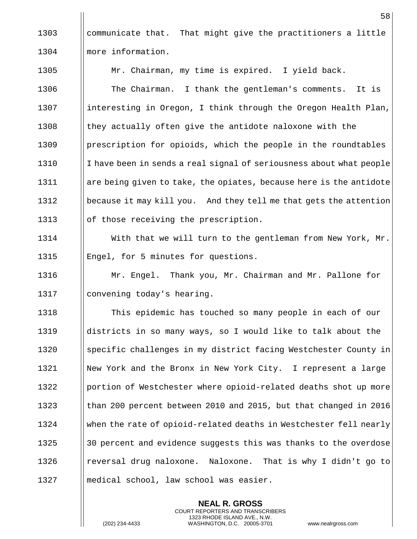1303  $\parallel$  communicate that. That might give the practitioners a little 1304 Ilmore information.

1305 | Mr. Chairman, my time is expired. I yield back.

1306  $\parallel$  The Chairman. I thank the gentleman's comments. It is 1307 | interesting in Oregon, I think through the Oregon Health Plan, 1308  $\parallel$  they actually often give the antidote naloxone with the 1309 | prescription for opioids, which the people in the roundtables 1310 I have been in sends a real signal of seriousness about what people 1311 are being given to take, the opiates, because here is the antidote 1312 | because it may kill you. And they tell me that gets the attention 1313 || of those receiving the prescription.

1314 | With that we will turn to the gentleman from New York, Mr. 1315 | Engel, for 5 minutes for questions.

1316 Mr. Engel. Thank you, Mr. Chairman and Mr. Pallone for 1317 | convening today's hearing.

1318 **The Stude Exerc** in stouched so many people in each of our 1319 districts in so many ways, so I would like to talk about the 1320 Specific challenges in my district facing Westchester County in 1321 | New York and the Bronx in New York City. I represent a large 1322 | portion of Westchester where opioid-related deaths shot up more 1323 **than 200 percent between 2010 and 2015, but that changed in 2016** 1324 When the rate of opioid-related deaths in Westchester fell nearly 1325  $\parallel$  30 percent and evidence suggests this was thanks to the overdose 1326 **I** reversal drug naloxone. Naloxone. That is why I didn't go to 1327 || medical school, law school was easier.

> **NEAL R. GROSS** COURT REPORTERS AND TRANSCRIBERS 1323 RHODE ISLAND AVE., N.W.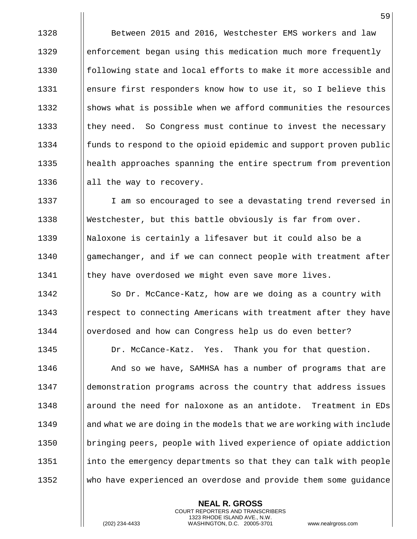**Between 2015 and 2016, Westchester EMS workers and law e** enforcement began using this medication much more frequently **following state and local efforts to make it more accessible and ensure first responders know how to use it, so I believe this**  ||shows what is possible when we afford communities the resources  $\parallel$  they need. So Congress must continue to invest the necessary funds to respond to the opioid epidemic and support proven public 1335 | health approaches spanning the entire spectrum from prevention  $\parallel$  all the way to recovery.

1337 I I am so encouraged to see a devastating trend reversed in 1338 Westchester, but this battle obviously is far from over. 1339 | Naloxone is certainly a lifesaver but it could also be a 1340 Igamechanger, and if we can connect people with treatment after 1341 | they have overdosed we might even save more lives.

1342 | So Dr. McCance-Katz, how are we doing as a country with 1343 **Fame I** respect to connecting Americans with treatment after they have 1344 overdosed and how can Congress help us do even better?

1345 | Dr. McCance-Katz. Yes. Thank you for that question.

**And so we have, SAMHSA has a number of programs that are**  demonstration programs across the country that address issues **around the need for naloxone as an antidote.** Treatment in EDs 1349 and what we are doing in the models that we are working with include 1350 bringing peers, people with lived experience of opiate addiction into the emergency departments so that they can talk with people who have experienced an overdose and provide them some guidance

> **NEAL R. GROSS** COURT REPORTERS AND TRANSCRIBERS 1323 RHODE ISLAND AVE., N.W.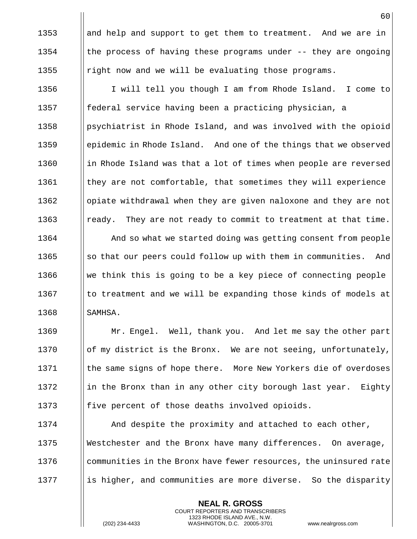1353  $\parallel$  and help and support to get them to treatment. And we are in 1354  $\parallel$  the process of having these programs under -- they are ongoing 1355  $\parallel$  right now and we will be evaluating those programs.

1356 I will tell you though I am from Rhode Island. I come to 1357 federal service having been a practicing physician, a 1358 **paragelerist in Rhode Island, and was involved with the opioid** 1359 epidemic in Rhode Island. And one of the things that we observed 1360 in Rhode Island was that a lot of times when people are reversed 1361 | they are not comfortable, that sometimes they will experience 1362 | | opiate withdrawal when they are given naloxone and they are not 1363 **random** ready. They are not ready to commit to treatment at that time.

**And so what we started doing was getting consent from people**  $\|\$  so that our peers could follow up with them in communities. And  $\Box$  we think this is going to be a key piece of connecting people  $\parallel$  to treatment and we will be expanding those kinds of models at  $\blacksquare$  SAMHSA.

1369 | Mr. Engel. Well, thank you. And let me say the other part 1370  $\|\circ\|$  of my district is the Bronx. We are not seeing, unfortunately, 1371 | the same signs of hope there. More New Yorkers die of overdoses 1372 in the Bronx than in any other city borough last year. Eighty 1373  $\parallel$  five percent of those deaths involved opioids.

**And despite the proximity and attached to each other,**  Westchester and the Bronx have many differences. On average, 1376 I communities in the Bronx have fewer resources, the uninsured rate || is higher, and communities are more diverse. So the disparity

> **NEAL R. GROSS** COURT REPORTERS AND TRANSCRIBERS 1323 RHODE ISLAND AVE., N.W.

(202) 234-4433 WASHINGTON, D.C. 20005-3701 www.nealrgross.com

60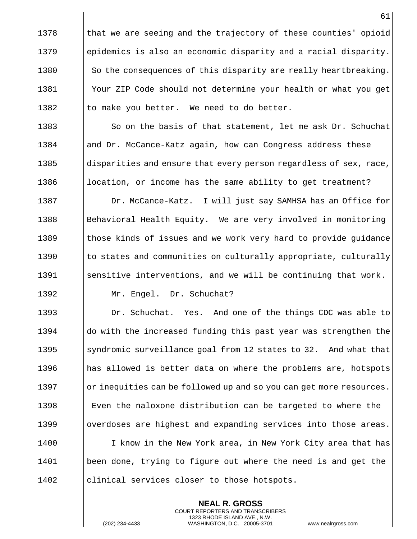$\parallel$  that we are seeing and the trajectory of these counties' opioid epidemics is also an economic disparity and a racial disparity.  $\parallel$  So the consequences of this disparity are really heartbreaking. 1381 | Your ZIP Code should not determine your health or what you get  $\parallel$  to make you better. We need to do better.

1383 So on the basis of that statement, let me ask Dr. Schuchat **and Dr. McCance-Katz again, how can Congress address these**  $\Box$  disparities and ensure that every person regardless of sex, race,  $\parallel$  location, or income has the same ability to get treatment?

1387 | Dr. McCance-Katz. I will just say SAMHSA has an Office for 1388 Behavioral Health Equity. We are very involved in monitoring 1389 those kinds of issues and we work very hard to provide guidance 1390 I to states and communities on culturally appropriate, culturally 1391 Sensitive interventions, and we will be continuing that work. 1392 Mr. Engel. Dr. Schuchat?

1393 **Dr. Schuchat.** Yes. And one of the things CDC was able to 1394 | do with the increased funding this past year was strengthen the 1395 Supermic surveillance goal from 12 states to 32. And what that 1396 || has allowed is better data on where the problems are, hotspots 1397 | or inequities can be followed up and so you can get more resources. 1398 Even the naloxone distribution can be targeted to where the 1399  $\parallel$  overdoses are highest and expanding services into those areas. 1400 I I know in the New York area, in New York City area that has 1401 been done, trying to figure out where the need is and get the

> **NEAL R. GROSS** COURT REPORTERS AND TRANSCRIBERS 1323 RHODE ISLAND AVE., N.W.

 $1402$  | clinical services closer to those hotspots.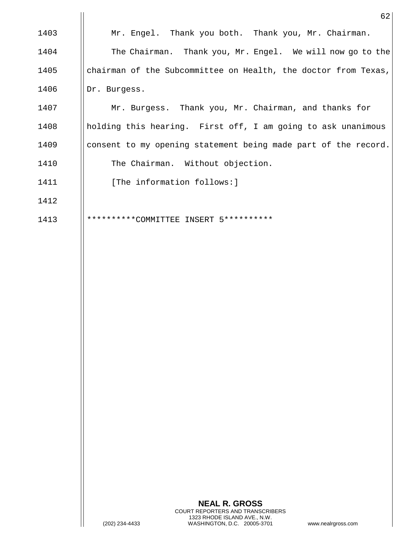|      | 62                                                             |
|------|----------------------------------------------------------------|
| 1403 | Mr. Engel. Thank you both. Thank you, Mr. Chairman.            |
| 1404 | The Chairman. Thank you, Mr. Engel. We will now go to the      |
| 1405 | chairman of the Subcommittee on Health, the doctor from Texas, |
| 1406 | Dr. Burgess.                                                   |
| 1407 | Mr. Burgess. Thank you, Mr. Chairman, and thanks for           |
| 1408 | holding this hearing. First off, I am going to ask unanimous   |
| 1409 | consent to my opening statement being made part of the record. |
| 1410 | The Chairman. Without objection.                               |
| 1411 | [The information follows:]                                     |
| 1412 |                                                                |
| 1413 | **********COMMITTEE<br>5**********<br>TNSERT                   |
|      |                                                                |

 $\mathbf{I}$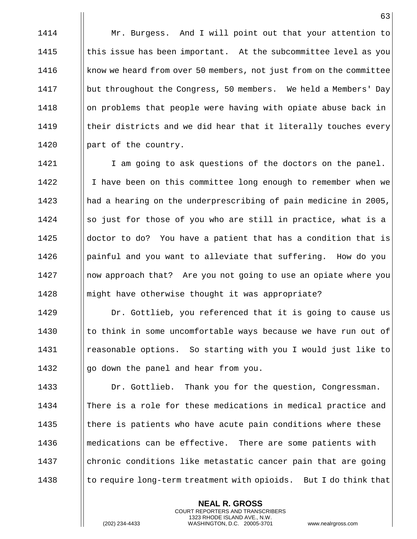1414 **Mr. Burgess.** And I will point out that your attention to 1415  $\parallel$  this issue has been important. At the subcommittee level as you 1416 **know we heard from over 50 members, not just from on the committee** 1417 | but throughout the Congress, 50 members. We held a Members' Day 1418 | on problems that people were having with opiate abuse back in  $1419$  | their districts and we did hear that it literally touches every 1420 | part of the country.

1421 | I am going to ask questions of the doctors on the panel. 1422 I I have been on this committee long enough to remember when we 1423 had a hearing on the underprescribing of pain medicine in 2005, 1424  $\parallel$  so just for those of you who are still in practice, what is a 1425  $\parallel$  doctor to do? You have a patient that has a condition that is 1426 Ipainful and you want to alleviate that suffering. How do you 1427 Inow approach that? Are you not going to use an opiate where you 1428 **marge 1428** might have otherwise thought it was appropriate?

**Dr.** Gottlieb, you referenced that it is going to cause us  $\parallel$  to think in some uncomfortable ways because we have run out of reasonable options. So starting with you I would just like to  $\parallel$  go down the panel and hear from you.

**Dr. Gottlieb.** Thank you for the question, Congressman. There is a role for these medications in medical practice and  $\parallel$  there is patients who have acute pain conditions where these **medications can be effective.** There are some patients with  $\Box$  chronic conditions like metastatic cancer pain that are going  $\parallel$  to require long-term treatment with opioids. But I do think that

> **NEAL R. GROSS** COURT REPORTERS AND TRANSCRIBERS 1323 RHODE ISLAND AVE., N.W.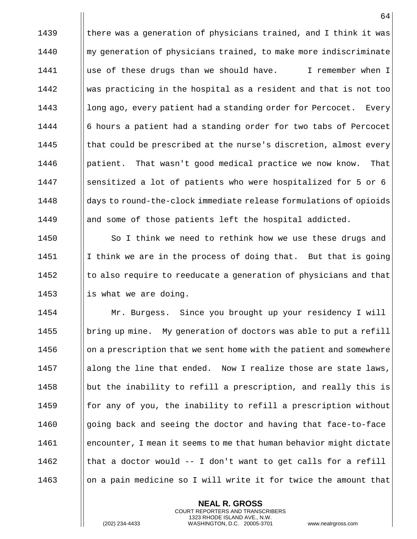1439  $\parallel$  there was a generation of physicians trained, and I think it was 1440 **m** my generation of physicians trained, to make more indiscriminate 1441 | use of these drugs than we should have. I remember when I 1442 was practicing in the hospital as a resident and that is not too 1443 **long ago, every patient had a standing order for Percocet.** Every 1444 | 6 hours a patient had a standing order for two tabs of Percocet 1445  $\parallel$  that could be prescribed at the nurse's discretion, almost every 1446 **patient.** That wasn't good medical practice we now know. That 1447 Sensitized a lot of patients who were hospitalized for 5 or 6 1448 days to round-the-clock immediate release formulations of opioids 1449 | and some of those patients left the hospital addicted.

**So I** think we need to rethink how we use these drugs and  $\parallel$  I think we are in the process of doing that. But that is going || to also require to reeducate a generation of physicians and that  $\parallel$  is what we are doing.

 Mr. Burgess. Since you brought up your residency I will  $\parallel$  bring up mine. My generation of doctors was able to put a refill || on a prescription that we sent home with the patient and somewhere 1457 along the line that ended. Now I realize those are state laws,  $\parallel$  but the inability to refill a prescription, and really this is **for any of you, the inability to refill a prescription without**  || going back and seeing the doctor and having that face-to-face encounter, I mean it seems to me that human behavior might dictate  $\parallel$  that a doctor would -- I don't want to get calls for a refill  $\Box$  on a pain medicine so I will write it for twice the amount that

> **NEAL R. GROSS** COURT REPORTERS AND TRANSCRIBERS 1323 RHODE ISLAND AVE., N.W.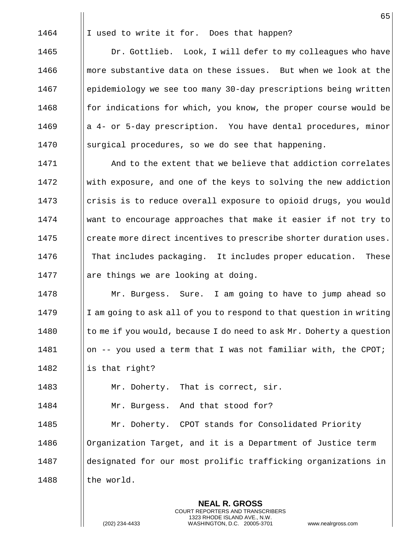1464  $\parallel$  I used to write it for. Does that happen? 1465 | Dr. Gottlieb. Look, I will defer to my colleagues who have 1466 **more substantive data on these issues.** But when we look at the

 epidemiology we see too many 30-day prescriptions being written  $\parallel$  for indications for which, you know, the proper course would be a 4- or 5-day prescription. You have dental procedures, minor 1470 Surgical procedures, so we do see that happening.

**And to the extent that we believe that addiction correlates** 1472 With exposure, and one of the keys to solving the new addiction 1473 Icrisis is to reduce overall exposure to opioid drugs, you would want to encourage approaches that make it easier if not try to || create more direct incentives to prescribe shorter duration uses. That includes packaging. It includes proper education. These || are things we are looking at doing.

 Mr. Burgess. Sure. I am going to have to jump ahead so 1479 I I am going to ask all of you to respond to that question in writing  $\parallel$  to me if you would, because I do need to ask Mr. Doherty a question  $\parallel$  on -- you used a term that I was not familiar with, the CPOT;

1482  $\parallel$  is that right?

1483 | Mr. Doherty. That is correct, sir.

1484 | Mr. Burgess. And that stood for?

1485 **Mr. Doherty.** CPOT stands for Consolidated Priority 1486 | Organization Target, and it is a Department of Justice term 1487 and designated for our most prolific trafficking organizations in  $1488$  || the world.

> **NEAL R. GROSS** COURT REPORTERS AND TRANSCRIBERS 1323 RHODE ISLAND AVE., N.W.

(202) 234-4433 WASHINGTON, D.C. 20005-3701 www.nealrgross.com

65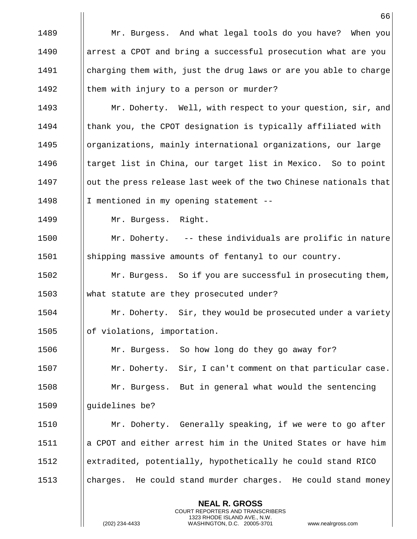66 1489 **Mr. Burgess.** And what legal tools do you have? When you 1490 **a** arrest a CPOT and bring a successful prosecution what are you 1491 charging them with, just the drug laws or are you able to charge 1492  $\parallel$  them with injury to a person or murder? 1493 **Mr. Doherty.** Well, with respect to your question, sir, and  $1494$  | thank you, the CPOT designation is typically affiliated with 1495 | organizations, mainly international organizations, our large 1496  $\parallel$  target list in China, our target list in Mexico. So to point 1497 | out the press release last week of the two Chinese nationals that 1498 | I mentioned in my opening statement --1499 | Mr. Burgess. Right. 1500 Mr. Doherty. -- these individuals are prolific in nature 1501 shipping massive amounts of fentanyl to our country. 1502 | Mr. Burgess. So if you are successful in prosecuting them, 1503 what statute are they prosecuted under? 1504 **Mr.** Doherty. Sir, they would be prosecuted under a variety 1505 | of violations, importation. 1506 | Mr. Burgess. So how long do they go away for? 1507 | Mr. Doherty. Sir, I can't comment on that particular case. 1508 Mr. Burgess. But in general what would the sentencing 1509 || quidelines be? 1510 Mr. Doherty. Generally speaking, if we were to go after 1511 || a CPOT and either arrest him in the United States or have him 1512 extradited, potentially, hypothetically he could stand RICO 1513 | charges. He could stand murder charges. He could stand money

> **NEAL R. GROSS** COURT REPORTERS AND TRANSCRIBERS 1323 RHODE ISLAND AVE., N.W.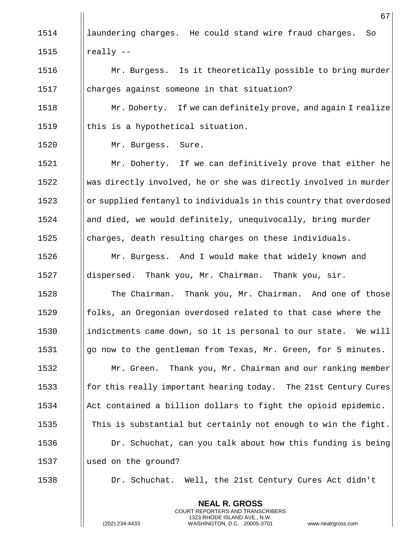|      | 67                                                                 |
|------|--------------------------------------------------------------------|
| 1514 | laundering charges. He could stand wire fraud charges.<br>So       |
| 1515 | really --                                                          |
| 1516 | Mr. Burgess. Is it theoretically possible to bring murder          |
| 1517 | charges against someone in that situation?                         |
| 1518 | Mr. Doherty. If we can definitely prove, and again I realize       |
| 1519 | this is a hypothetical situation.                                  |
| 1520 | Mr. Burgess. Sure.                                                 |
| 1521 | Mr. Doherty. If we can definitively prove that either he           |
| 1522 | was directly involved, he or she was directly involved in murder   |
| 1523 | or supplied fentanyl to individuals in this country that overdosed |
| 1524 | and died, we would definitely, unequivocally, bring murder         |
| 1525 | charges, death resulting charges on these individuals.             |
| 1526 | Mr. Burgess. And I would make that widely known and                |
| 1527 | dispersed. Thank you, Mr. Chairman. Thank you, sir.                |
| 1528 | The Chairman. Thank you, Mr. Chairman. And one of those            |
| 1529 | folks, an Oregonian overdosed related to that case where the       |
| 1530 | indictments came down, so it is personal to our state. We will     |
| 1531 | go now to the gentleman from Texas, Mr. Green, for 5 minutes.      |
| 1532 | Thank you, Mr. Chairman and our ranking member<br>Mr. Green.       |
| 1533 | for this really important hearing today. The 21st Century Cures    |
| 1534 | Act contained a billion dollars to fight the opioid epidemic.      |
| 1535 | This is substantial but certainly not enough to win the fight.     |
| 1536 | Dr. Schuchat, can you talk about how this funding is being         |
| 1537 | used on the ground?                                                |
| 1538 | Dr. Schuchat. Well, the 21st Century Cures Act didn't              |
|      | <b>NEAL R. GROSS</b>                                               |

COURT REPORTERS AND TRANSCRIBERS 1323 RHODE ISLAND AVE., N.W.

 $\prod_{i=1}^{n}$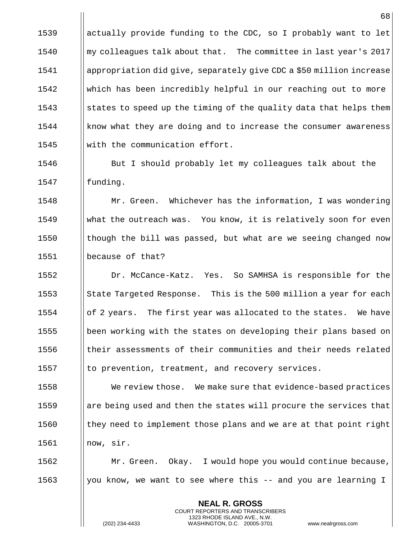$\parallel$  actually provide funding to the CDC, so I probably want to let my colleagues talk about that. The committee in last year's 2017 appropriation did give, separately give CDC a \$50 million increase which has been incredibly helpful in our reaching out to more 1543 States to speed up the timing of the quality data that helps them | know what they are doing and to increase the consumer awareness 1545 With the communication effort.

1546 **But I** should probably let my colleagues talk about the 1547 | funding.

 Mr. Green. Whichever has the information, I was wondering 1549 What the outreach was. You know, it is relatively soon for even  $\parallel$  though the bill was passed, but what are we seeing changed now because of that?

 Dr. McCance-Katz. Yes. So SAMHSA is responsible for the  $\parallel$  State Targeted Response. This is the 500 million a year for each || of 2 years. The first year was allocated to the states. We have 1555 been working with the states on developing their plans based on their assessments of their communities and their needs related  $\|\cdot\|$  to prevention, treatment, and recovery services.

 We review those. We make sure that evidence-based practices are being used and then the states will procure the services that  $\parallel$  they need to implement those plans and we are at that point right now, sir.

1562 Mr. Green. Okay. I would hope you would continue because, 1563  $\parallel$  you know, we want to see where this -- and you are learning I

> **NEAL R. GROSS** COURT REPORTERS AND TRANSCRIBERS 1323 RHODE ISLAND AVE., N.W.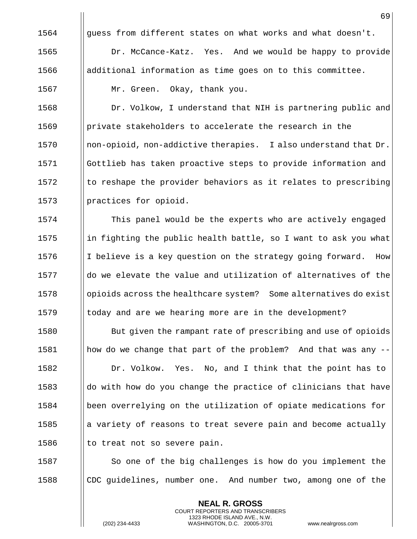$\parallel$  quess from different states on what works and what doesn't. **Dr. McCance-Katz.** Yes. And we would be happy to provide  $\parallel$  additional information as time goes on to this committee. 1567 | Mr. Green. Okay, thank you.

**Dr. Volkow, I understand that NIH is partnering public and**  private stakeholders to accelerate the research in the  $\parallel$  non-opioid, non-addictive therapies. I also understand that Dr. Gottlieb has taken proactive steps to provide information and || to reshape the provider behaviors as it relates to prescribing || practices for opioid.

**This panel would be the experts who are actively engaged**  in fighting the public health battle, so I want to ask you what 1576 I I believe is a key question on the strategy going forward. How  $\parallel$  do we elevate the value and utilization of alternatives of the opioids across the healthcare system? Some alternatives do exist 1579 I today and are we hearing more are in the development?

**But given the rampant rate of prescribing and use of opioids**  how do we change that part of the problem? And that was any -- 1582 | Dr. Volkow. Yes. No, and I think that the point has to  $\parallel$  do with how do you change the practice of clinicians that have been overrelying on the utilization of opiate medications for || a variety of reasons to treat severe pain and become actually  $\parallel$  to treat not so severe pain.

1587  $\Box$  So one of the big challenges is how do you implement the 1588 CDC guidelines, number one. And number two, among one of the

> **NEAL R. GROSS** COURT REPORTERS AND TRANSCRIBERS 1323 RHODE ISLAND AVE., N.W.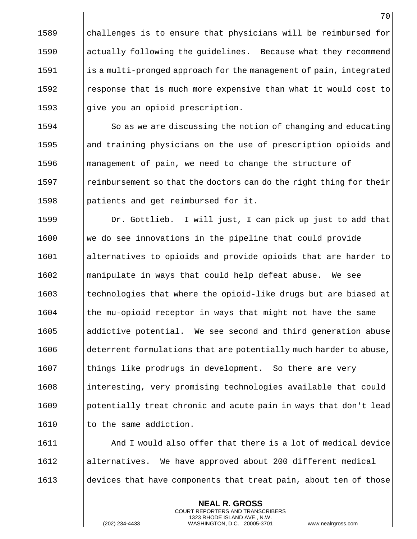$\parallel$  challenges is to ensure that physicians will be reimbursed for **actually following the quidelines.** Because what they recommend  $\|\cdot\|$  is a multi-pronged approach for the management of pain, integrated **I** response that is much more expensive than what it would cost to  $\parallel$  give you an opioid prescription.

1594 | So as we are discussing the notion of changing and educating 1595 **and incurrent** physicians on the use of prescription opioids and 1596 **management of pain, we need to change the structure of** 1597 **I** reimbursement so that the doctors can do the right thing for their 1598 |  $\Box$  | patients and get reimbursed for it.

**Dr.** Gottlieb. I will just, I can pick up just to add that we do see innovations in the pipeline that could provide alternatives to opioids and provide opioids that are harder to manipulate in ways that could help defeat abuse. We see || technologies that where the opioid-like drugs but are biased at | the mu-opioid receptor in ways that might not have the same 1605 addictive potential. We see second and third generation abuse eterrent formulations that are potentially much harder to abuse, | things like prodrugs in development. So there are very 1608 interesting, very promising technologies available that could 1609 | potentially treat chronic and acute pain in ways that don't lead || to the same addiction.

1611 And I would also offer that there is a lot of medical device 1612 alternatives. We have approved about 200 different medical 1613 **devices that have components that treat pain, about ten of those** 

> **NEAL R. GROSS** COURT REPORTERS AND TRANSCRIBERS 1323 RHODE ISLAND AVE., N.W.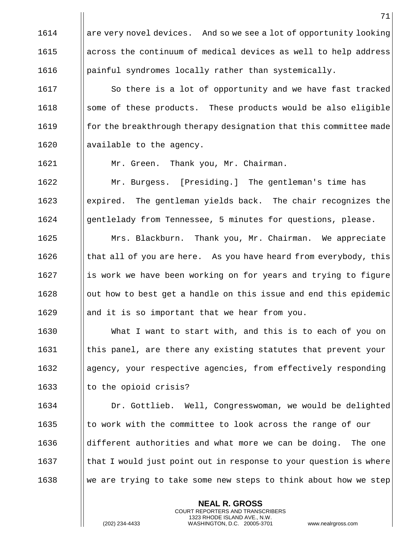**NEAL R. GROSS** || are very novel devices. And so we see a lot of opportunity looking **a** across the continuum of medical devices as well to help address **painful syndromes locally rather than systemically.** 1617 | So there is a lot of opportunity and we have fast tracked Some of these products. These products would be also eligible **for the breakthrough therapy designation that this committee made**  $\parallel$  available to the agency. 1621 | Mr. Green. Thank you, Mr. Chairman. Mr. Burgess. [Presiding.] The gentleman's time has expired. The gentleman yields back. The chair recognizes the **gentlelady from Tennessee, 5 minutes for questions, please.** 1625 | Mrs. Blackburn. Thank you, Mr. Chairman. We appreciate  $\parallel$  that all of you are here. As you have heard from everybody, this || is work we have been working on for years and trying to figure ||out how to best get a handle on this issue and end this epidemic || and it is so important that we hear from you. 1630 | What I want to start with, and this is to each of you on || this panel, are there any existing statutes that prevent your agency, your respective agencies, from effectively responding || to the opioid crisis? Dr. Gottlieb. Well, Congresswoman, we would be delighted  $\parallel$  to work with the committee to look across the range of our  $\parallel$  different authorities and what more we can be doing. The one  $\Box$  that I would just point out in response to your question is where We are trying to take some new steps to think about how we step

> COURT REPORTERS AND TRANSCRIBERS 1323 RHODE ISLAND AVE., N.W.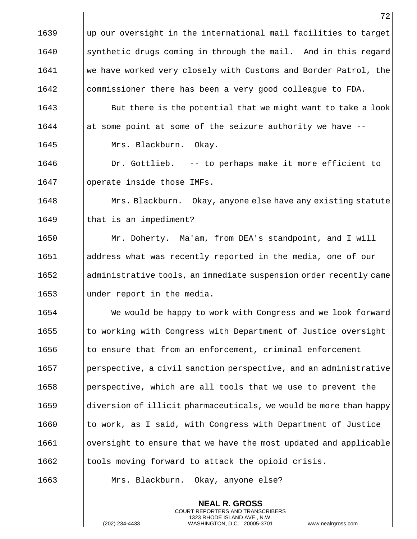|      | 72                                                                |
|------|-------------------------------------------------------------------|
| 1639 | up our oversight in the international mail facilities to target   |
| 1640 | synthetic drugs coming in through the mail. And in this regard    |
| 1641 | we have worked very closely with Customs and Border Patrol, the   |
| 1642 | commissioner there has been a very good colleague to FDA.         |
| 1643 | But there is the potential that we might want to take a look      |
| 1644 | at some point at some of the seizure authority we have --         |
| 1645 | Mrs. Blackburn. Okay.                                             |
| 1646 | Dr. Gottlieb. -- to perhaps make it more efficient to             |
| 1647 | operate inside those IMFs.                                        |
| 1648 | Mrs. Blackburn. Okay, anyone else have any existing statute       |
| 1649 | that is an impediment?                                            |
| 1650 | Mr. Doherty. Ma'am, from DEA's standpoint, and I will             |
| 1651 | address what was recently reported in the media, one of our       |
| 1652 | administrative tools, an immediate suspension order recently came |
| 1653 | under report in the media.                                        |
| 1654 | We would be happy to work with Congress and we look forward       |
| 1655 | to working with Congress with Department of Justice oversight     |
| 1656 | to ensure that from an enforcement, criminal enforcement          |
| 1657 | perspective, a civil sanction perspective, and an administrative  |
| 1658 | perspective, which are all tools that we use to prevent the       |
| 1659 | diversion of illicit pharmaceuticals, we would be more than happy |
| 1660 | to work, as I said, with Congress with Department of Justice      |
| 1661 | oversight to ensure that we have the most updated and applicable  |
| 1662 | tools moving forward to attack the opioid crisis.                 |
| 1663 | Mrs. Blackburn.<br>Okay, anyone else?                             |

**NEAL R. GROSS** COURT REPORTERS AND TRANSCRIBERS 1323 RHODE ISLAND AVE., N.W.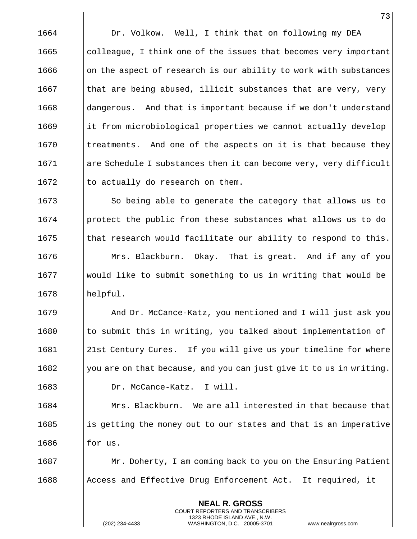1664 | Dr. Volkow. Well, I think that on following my DEA  $\Box$  colleague, I think one of the issues that becomes very important ||on the aspect of research is our ability to work with substances  $\parallel$  that are being abused, illicit substances that are very, very | dangerous. And that is important because if we don't understand 1669 it from microbiological properties we cannot actually develop | treatments. And one of the aspects on it is that because they 1671 are Schedule I substances then it can become very, very difficult  $\parallel$  to actually do research on them.

1673 | So being able to generate the category that allows us to **protect the public from these substances what allows us to do**  Is that research would facilitate our ability to respond to this. **Mrs. Blackburn.** Okay. That is great. And if any of you would like to submit something to us in writing that would be helpful.

 And Dr. McCance-Katz, you mentioned and I will just ask you  $\parallel$  to submit this in writing, you talked about implementation of 21st Century Cures. If you will give us your timeline for where  $\parallel$  you are on that because, and you can just give it to us in writing. Dr. McCance-Katz. I will.

 Mrs. Blackburn. We are all interested in that because that | is getting the money out to our states and that is an imperative  $\blacksquare$  if or us.

 $\parallel$  Mr. Doherty, I am coming back to you on the Ensuring Patient 1688 Access and Effective Drug Enforcement Act. It required, it

> **NEAL R. GROSS** COURT REPORTERS AND TRANSCRIBERS 1323 RHODE ISLAND AVE., N.W.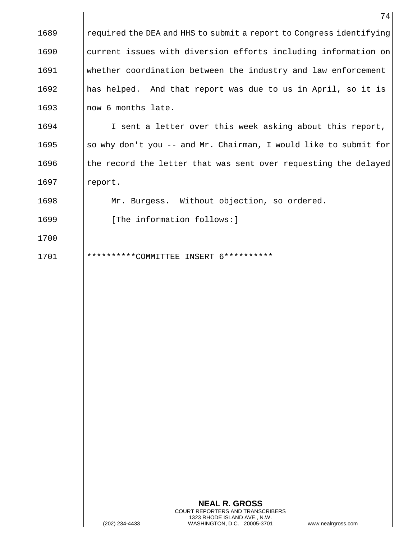|      | 74                                                                  |
|------|---------------------------------------------------------------------|
| 1689 | required the DEA and HHS to submit a report to Congress identifying |
| 1690 | current issues with diversion efforts including information on      |
| 1691 | whether coordination between the industry and law enforcement       |
| 1692 | has helped. And that report was due to us in April, so it is        |
| 1693 | now 6 months late.                                                  |
| 1694 | I sent a letter over this week asking about this report,            |
| 1695 | so why don't you -- and Mr. Chairman, I would like to submit for    |
| 1696 | the record the letter that was sent over requesting the delayed     |
| 1697 | report.                                                             |
| 1698 | Mr. Burgess. Without objection, so ordered.                         |
| 1699 | [The information follows:]                                          |
| 1700 |                                                                     |
| 1701 | **********COMMITTEE<br>INSERT 6**********                           |
|      |                                                                     |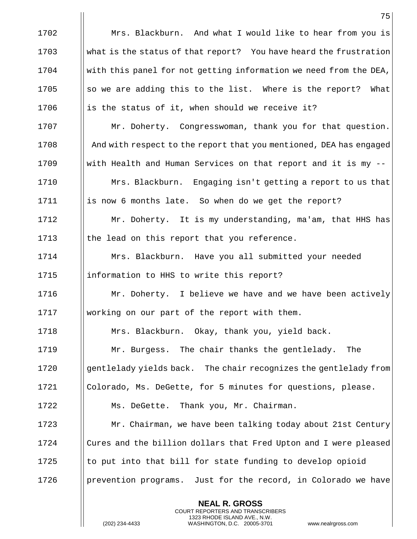**NEAL R. GROSS** 1702 **Mrs. Blackburn.** And what I would like to hear from you is 1703 What is the status of that report? You have heard the frustration 1704 with this panel for not getting information we need from the DEA, 1705  $\|\$  so we are adding this to the list. Where is the report? What 1706  $\parallel$  is the status of it, when should we receive it? 1707 | Mr. Doherty. Congresswoman, thank you for that question. 1708 **And with respect to the report that you mentioned, DEA has engaged** 1709  $\parallel$  with Health and Human Services on that report and it is my --1710 | Mrs. Blackburn. Engaging isn't getting a report to us that 1711 | is now 6 months late. So when do we get the report? 1712 Mr. Doherty. It is my understanding, ma'am, that HHS has  $1713$  || the lead on this report that you reference. 1714 Mrs. Blackburn. Have you all submitted your needed 1715 | information to HHS to write this report? 1716 **Mr.** Doherty. I believe we have and we have been actively 1717 working on our part of the report with them. 1718 | Mrs. Blackburn. Okay, thank you, yield back. 1719 | Mr. Burgess. The chair thanks the gentlelady. The 1720 Superminiclady yields back. The chair recognizes the gentlelady from 1721 Colorado, Ms. DeGette, for 5 minutes for questions, please. 1722 | Ms. DeGette. Thank you, Mr. Chairman. 1723 **Mr.** Chairman, we have been talking today about 21st Century 1724 I Cures and the billion dollars that Fred Upton and I were pleased 1725  $\|\cdot\|$  to put into that bill for state funding to develop opioid 1726 **prevention programs.** Just for the record, in Colorado we have

> COURT REPORTERS AND TRANSCRIBERS 1323 RHODE ISLAND AVE., N.W.

(202) 234-4433 WASHINGTON, D.C. 20005-3701 www.nealrgross.com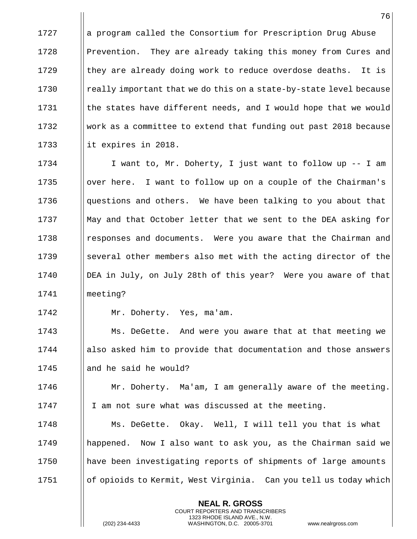1727 a a program called the Consortium for Prescription Drug Abuse 1728 Prevention. They are already taking this money from Cures and 1729  $\parallel$  they are already doing work to reduce overdose deaths. It is 1730 **really important that we do this on a state-by-state level because** 1731  $\parallel$  the states have different needs, and I would hope that we would 1732 Work as a committee to extend that funding out past 2018 because 1733  $\parallel$  it expires in 2018.

1734 | I want to, Mr. Doherty, I just want to follow up -- I am 1735  $\Box$  over here. I want to follow up on a couple of the Chairman's 1736 **questions and others.** We have been talking to you about that 1737  $\blacksquare$  May and that October letter that we sent to the DEA asking for 1738 I responses and documents. Were you aware that the Chairman and 1739 Several other members also met with the acting director of the 1740 IDEA in July, on July 28th of this year? Were you aware of that 1741 meeting?

1742 Mr. Doherty. Yes, ma'am.

1743 **Ms. DeGette.** And were you aware that at that meeting we 1744 | also asked him to provide that documentation and those answers  $1745$  || and he said he would?

1746 | Mr. Doherty. Ma'am, I am generally aware of the meeting. 1747 | I am not sure what was discussed at the meeting.

1748 Ms. DeGette. Okay. Well, I will tell you that is what happened. Now I also want to ask you, as the Chairman said we have been investigating reports of shipments of large amounts of opioids to Kermit, West Virginia. Can you tell us today which

> **NEAL R. GROSS** COURT REPORTERS AND TRANSCRIBERS 1323 RHODE ISLAND AVE., N.W.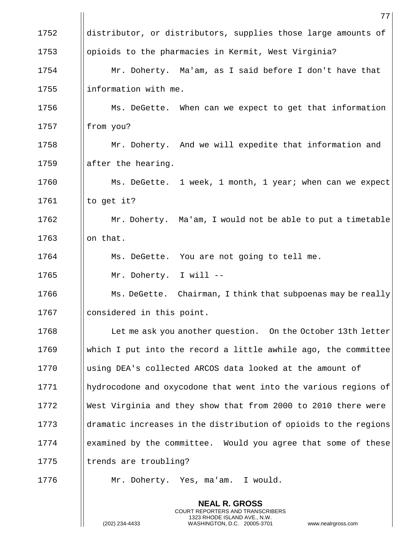|      | 77                                                               |
|------|------------------------------------------------------------------|
| 1752 | distributor, or distributors, supplies those large amounts of    |
| 1753 | opioids to the pharmacies in Kermit, West Virginia?              |
| 1754 | Mr. Doherty. Ma'am, as I said before I don't have that           |
| 1755 | information with me.                                             |
| 1756 | Ms. DeGette. When can we expect to get that information          |
| 1757 | from you?                                                        |
| 1758 | Mr. Doherty. And we will expedite that information and           |
| 1759 | after the hearing.                                               |
| 1760 | Ms. DeGette. 1 week, 1 month, 1 year; when can we expect         |
| 1761 | to get it?                                                       |
| 1762 | Mr. Doherty. Ma'am, I would not be able to put a timetable       |
| 1763 | on that.                                                         |
| 1764 | Ms. DeGette. You are not going to tell me.                       |
| 1765 | Mr. Doherty. I will --                                           |
| 1766 | Ms. DeGette. Chairman, I think that subpoenas may be really      |
| 1767 | considered in this point.                                        |
| 1768 | Let me ask you another question. On the October 13th letter      |
| 1769 | which I put into the record a little awhile ago, the committee   |
| 1770 | using DEA's collected ARCOS data looked at the amount of         |
| 1771 | hydrocodone and oxycodone that went into the various regions of  |
| 1772 | West Virginia and they show that from 2000 to 2010 there were    |
| 1773 | dramatic increases in the distribution of opioids to the regions |
| 1774 | examined by the committee. Would you agree that some of these    |
| 1775 | trends are troubling?                                            |
| 1776 | Mr. Doherty. Yes, ma'am. I would.                                |
|      | <b>NEAL R. GROSS</b>                                             |

COURT REPORTERS AND TRANSCRIBERS 1323 RHODE ISLAND AVE., N.W.

 $\frac{1}{2}$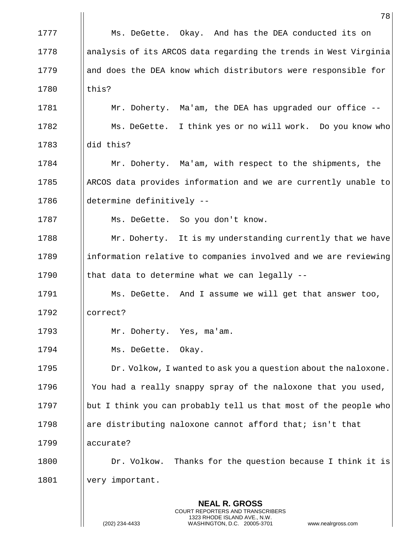|      | 78                                                                                                                                                              |
|------|-----------------------------------------------------------------------------------------------------------------------------------------------------------------|
| 1777 | Ms. DeGette. Okay. And has the DEA conducted its on                                                                                                             |
| 1778 | analysis of its ARCOS data regarding the trends in West Virginia                                                                                                |
| 1779 | and does the DEA know which distributors were responsible for                                                                                                   |
| 1780 | this?                                                                                                                                                           |
| 1781 | Mr. Doherty. Ma'am, the DEA has upgraded our office --                                                                                                          |
| 1782 | Ms. DeGette. I think yes or no will work. Do you know who                                                                                                       |
| 1783 | did this?                                                                                                                                                       |
| 1784 | Mr. Doherty. Ma'am, with respect to the shipments, the                                                                                                          |
| 1785 | ARCOS data provides information and we are currently unable to                                                                                                  |
| 1786 | determine definitively --                                                                                                                                       |
| 1787 | Ms. DeGette. So you don't know.                                                                                                                                 |
| 1788 | Mr. Doherty. It is my understanding currently that we have                                                                                                      |
| 1789 | information relative to companies involved and we are reviewing                                                                                                 |
| 1790 | that data to determine what we can legally --                                                                                                                   |
| 1791 | Ms. DeGette. And I assume we will get that answer too,                                                                                                          |
| 1792 | correct?                                                                                                                                                        |
| 1793 | Mr. Doherty. Yes, ma'am.                                                                                                                                        |
| 1794 | Ms. DeGette. Okay.                                                                                                                                              |
| 1795 | Dr. Volkow, I wanted to ask you a question about the naloxone.                                                                                                  |
| 1796 | You had a really snappy spray of the naloxone that you used,                                                                                                    |
| 1797 | but I think you can probably tell us that most of the people who                                                                                                |
| 1798 | are distributing naloxone cannot afford that; isn't that                                                                                                        |
| 1799 | accurate?                                                                                                                                                       |
| 1800 | Dr. Volkow. Thanks for the question because I think it is                                                                                                       |
| 1801 | very important.                                                                                                                                                 |
|      | <b>NEAL R. GROSS</b><br>COURT REPORTERS AND TRANSCRIBERS<br>1323 RHODE ISLAND AVE., N.W.<br>(202) 234-4433<br>WASHINGTON, D.C. 20005-3701<br>www.nealrgross.com |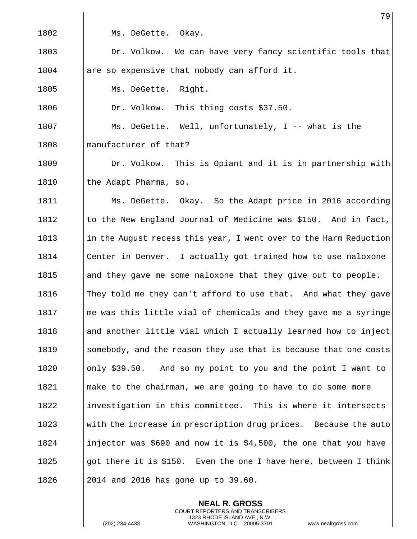|      | 79                                                                |
|------|-------------------------------------------------------------------|
| 1802 | Ms. DeGette. Okay.                                                |
| 1803 | Dr. Volkow. We can have very fancy scientific tools that          |
| 1804 | are so expensive that nobody can afford it.                       |
| 1805 | Ms. DeGette. Right.                                               |
| 1806 | Dr. Volkow. This thing costs \$37.50.                             |
| 1807 | Ms. DeGette. Well, unfortunately, I -- what is the                |
| 1808 | manufacturer of that?                                             |
| 1809 | Dr. Volkow. This is Opiant and it is in partnership with          |
| 1810 | the Adapt Pharma, so.                                             |
| 1811 | Ms. DeGette. Okay. So the Adapt price in 2016 according           |
| 1812 | to the New England Journal of Medicine was \$150. And in fact,    |
| 1813 | in the August recess this year, I went over to the Harm Reduction |
| 1814 | Center in Denver. I actually got trained how to use naloxone      |
| 1815 | and they gave me some naloxone that they give out to people.      |
| 1816 | They told me they can't afford to use that. And what they gave    |
| 1817 | me was this little vial of chemicals and they gave me a syringe   |
| 1818 | and another little vial which I actually learned how to inject    |
| 1819 | somebody, and the reason they use that is because that one costs  |
| 1820 | only \$39.50. And so my point to you and the point I want to      |
| 1821 | make to the chairman, we are going to have to do some more        |
| 1822 | investigation in this committee. This is where it intersects      |
| 1823 | with the increase in prescription drug prices. Because the auto   |
| 1824 | injector was \$690 and now it is \$4,500, the one that you have   |
| 1825 | got there it is \$150. Even the one I have here, between I think  |
| 1826 | 2014 and 2016 has gone up to 39.60.                               |

**NEAL R. GROSS** COURT REPORTERS AND TRANSCRIBERS 1323 RHODE ISLAND AVE., N.W.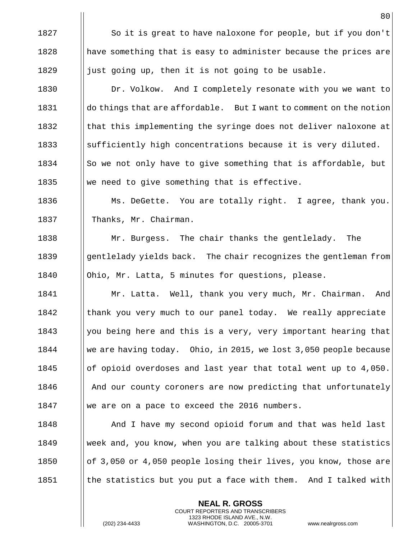1827 | So it is great to have naloxone for people, but if you don't || have something that is easy to administer because the prices are  $\parallel$  just going up, then it is not going to be usable. **Dr. Volkow.** And I completely resonate with you we want to

 $\parallel$  do things that are affordable. But I want to comment on the notion  $\parallel$  that this implementing the syringe does not deliver naloxone at  $\parallel$  sufficiently high concentrations because it is very diluted.  $\|\$ So we not only have to give something that is affordable, but  $\parallel$  we need to give something that is effective.

1836 Ms. DeGette. You are totally right. I agree, thank you. 1837 | Thanks, Mr. Chairman.

1838 Mr. Burgess. The chair thanks the gentlelady. The 1839 Igentlelady yields back. The chair recognizes the gentleman from 1840 | Ohio, Mr. Latta, 5 minutes for questions, please.

1841 | Mr. Latta. Well, thank you very much, Mr. Chairman. And  $1842$  || thank you very much to our panel today. We really appreciate 1843  $\parallel$  you being here and this is a very, very important hearing that 1844 we are having today. Ohio, in 2015, we lost 3,050 people because 1845  $\|\circ\|$  of opioid overdoses and last year that total went up to 4,050. 1846 And our county coroners are now predicting that unfortunately 1847 We are on a pace to exceed the 2016 numbers.

1848 And I have my second opioid forum and that was held last 1849 Week and, you know, when you are talking about these statistics 1850  $\|\circ f\|$  3,050 or 4,050 people losing their lives, you know, those are 1851  $\parallel$  the statistics but you put a face with them. And I talked with

> **NEAL R. GROSS** COURT REPORTERS AND TRANSCRIBERS 1323 RHODE ISLAND AVE., N.W.

(202) 234-4433 WASHINGTON, D.C. 20005-3701 www.nealrgross.com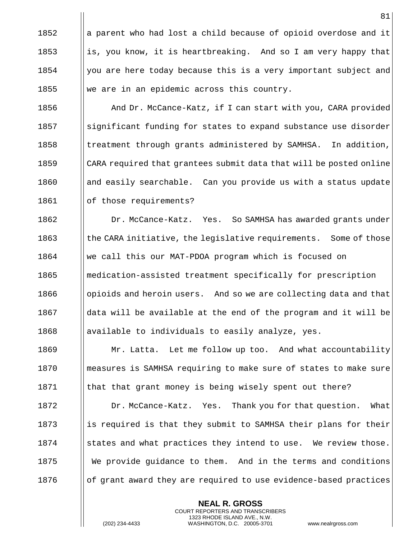1852  $\|\cdot\|$  a parent who had lost a child because of opioid overdose and it 1853 is, you know, it is heartbreaking. And so I am very happy that  $1854$  | you are here today because this is a very important subject and 1855 We are in an epidemic across this country.

**And Dr. McCance-Katz, if I can start with you, CARA provided** 1857 Subsetignificant funding for states to expand substance use disorder ||treatment through grants administered by SAMHSA. In addition, CARA required that grantees submit data that will be posted online || and easily searchable. Can you provide us with a status update 1861 | | of those requirements?

1862 | Dr. McCance-Katz. Yes. So SAMHSA has awarded grants under 1863 I | the CARA initiative, the legislative requirements. Some of those we call this our MAT-PDOA program which is focused on **medication-assisted treatment specifically for prescription dependent** opioids and heroin users. And so we are collecting data and that ||data will be available at the end of the program and it will be **a** | available to individuals to easily analyze, yes.

1869 **Mr. Latta.** Let me follow up too. And what accountability 1870 measures is SAMHSA requiring to make sure of states to make sure  $1871$  || that that grant money is being wisely spent out there?

1872 **Dr. McCance-Katz.** Yes. Thank you for that question. What 1873 is required is that they submit to SAMHSA their plans for their  $1874$  States and what practices they intend to use. We review those. 1875 We provide quidance to them. And in the terms and conditions  $1876$  || of grant award they are required to use evidence-based practices

> **NEAL R. GROSS** COURT REPORTERS AND TRANSCRIBERS 1323 RHODE ISLAND AVE., N.W.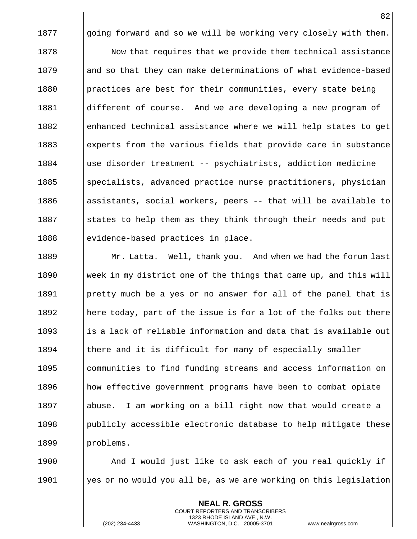1877  $\|\$ going forward and so we will be working very closely with them.  $1878$   $\parallel$  Now that requires that we provide them technical assistance 1879 || and so that they can make determinations of what evidence-based 1880 **practices are best for their communities, every state being** 1881 different of course. And we are developing a new program of 1882 enhanced technical assistance where we will help states to get 1883 experts from the various fields that provide care in substance 1884 use disorder treatment -- psychiatrists, addiction medicine 1885 Specialists, advanced practice nurse practitioners, physician  $1886$  ||assistants, social workers, peers -- that will be available to 1887  $\parallel$  states to help them as they think through their needs and put 1888 evidence-based practices in place.

1889 Mr. Latta. Well, thank you. And when we had the forum last 1890 Week in my district one of the things that came up, and this will 1891 | pretty much be a yes or no answer for all of the panel that is 1892  $\parallel$  here today, part of the issue is for a lot of the folks out there  $1893$  || is a lack of reliable information and data that is available out  $1894$  || there and it is difficult for many of especially smaller 1895 **communities to find funding streams and access information on** 1896 how effective government programs have been to combat opiate 1897 abuse. I am working on a bill right now that would create a  $1898$  | publicly accessible electronic database to help mitigate these 1899 | problems.

1900 **And I** would just like to ask each of you real quickly if 1901  $\parallel$  yes or no would you all be, as we are working on this legislation

> **NEAL R. GROSS** COURT REPORTERS AND TRANSCRIBERS 1323 RHODE ISLAND AVE., N.W.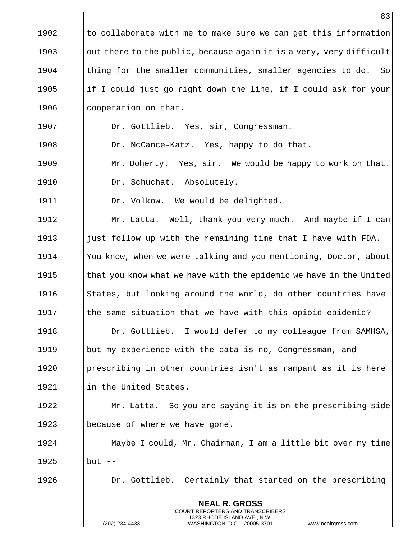|      | 83                                                                                                                                                              |
|------|-----------------------------------------------------------------------------------------------------------------------------------------------------------------|
| 1902 | to collaborate with me to make sure we can get this information                                                                                                 |
| 1903 | out there to the public, because again it is a very, very difficult                                                                                             |
| 1904 | thing for the smaller communities, smaller agencies to do.<br>So                                                                                                |
| 1905 | if I could just go right down the line, if I could ask for your                                                                                                 |
| 1906 | cooperation on that.                                                                                                                                            |
| 1907 | Dr. Gottlieb. Yes, sir, Congressman.                                                                                                                            |
| 1908 | Dr. McCance-Katz. Yes, happy to do that.                                                                                                                        |
| 1909 | Mr. Doherty. Yes, sir. We would be happy to work on that.                                                                                                       |
| 1910 | Dr. Schuchat. Absolutely.                                                                                                                                       |
| 1911 | Dr. Volkow. We would be delighted.                                                                                                                              |
| 1912 | Mr. Latta. Well, thank you very much. And maybe if I can                                                                                                        |
| 1913 | just follow up with the remaining time that I have with FDA.                                                                                                    |
| 1914 | You know, when we were talking and you mentioning, Doctor, about                                                                                                |
| 1915 | that you know what we have with the epidemic we have in the United                                                                                              |
| 1916 | States, but looking around the world, do other countries have                                                                                                   |
| 1917 | the same situation that we have with this opioid epidemic?                                                                                                      |
| 1918 | Dr. Gottlieb. I would defer to my colleague from SAMHSA,                                                                                                        |
| 1919 | but my experience with the data is no, Congressman, and                                                                                                         |
| 1920 | prescribing in other countries isn't as rampant as it is here                                                                                                   |
| 1921 | in the United States.                                                                                                                                           |
| 1922 | Mr. Latta. So you are saying it is on the prescribing side                                                                                                      |
| 1923 | because of where we have gone.                                                                                                                                  |
| 1924 | Maybe I could, Mr. Chairman, I am a little bit over my time                                                                                                     |
| 1925 | $but --$                                                                                                                                                        |
| 1926 | Dr. Gottlieb. Certainly that started on the prescribing                                                                                                         |
|      | <b>NEAL R. GROSS</b><br>COURT REPORTERS AND TRANSCRIBERS<br>1323 RHODE ISLAND AVE., N.W.<br>(202) 234-4433<br>WASHINGTON, D.C. 20005-3701<br>www.nealrgross.com |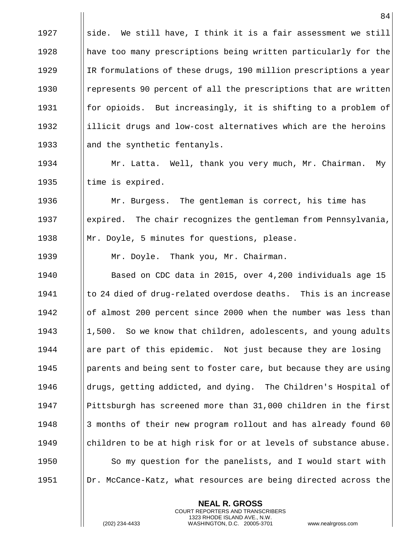1927  $\|\$  side. We still have, I think it is a fair assessment we still 1928 || have too many prescriptions being written particularly for the 1929 IR formulations of these drugs, 190 million prescriptions a year 1930 | represents 90 percent of all the prescriptions that are written 1931 **for opioids.** But increasingly, it is shifting to a problem of 1932  $\parallel$  illicit drugs and low-cost alternatives which are the heroins 1933  $\parallel$  and the synthetic fentanyls.

1934 Mr. Latta. Well, thank you very much, Mr. Chairman. My 1935  $\parallel$  time is expired.

1936 | Mr. Burgess. The gentleman is correct, his time has 1937 expired. The chair recognizes the gentleman from Pennsylvania, 1938  $\parallel$  Mr. Doyle, 5 minutes for questions, please.

1939 | Mr. Doyle. Thank you, Mr. Chairman.

1940 Based on CDC data in 2015, over 4,200 individuals age 15 1941  $\parallel$  to 24 died of drug-related overdose deaths. This is an increase 1942 | of almost 200 percent since 2000 when the number was less than 1943 1943 1,500. So we know that children, adolescents, and young adults 1944  $\parallel$  are part of this epidemic. Not just because they are losing 1945 **parents and being sent to foster care, but because they are using** 1946 **drugs, getting addicted, and dying.** The Children's Hospital of 1947 Pittsburgh has screened more than 31,000 children in the first 1948 3 months of their new program rollout and has already found 60 1949 Ichildren to be at high risk for or at levels of substance abuse. 1950  $\parallel$  So my question for the panelists, and I would start with 1951 | Dr. McCance-Katz, what resources are being directed across the

> **NEAL R. GROSS** COURT REPORTERS AND TRANSCRIBERS 1323 RHODE ISLAND AVE., N.W.

(202) 234-4433 WASHINGTON, D.C. 20005-3701 www.nealrgross.com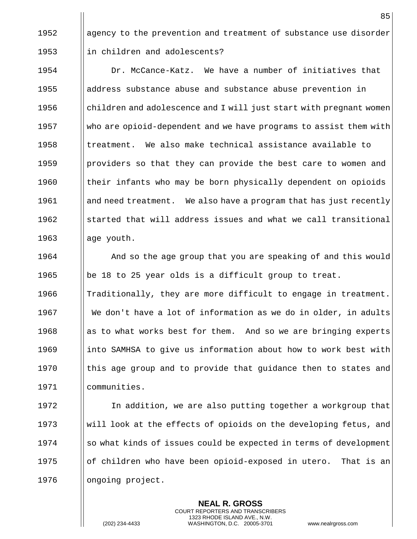1952 agency to the prevention and treatment of substance use disorder 1953 | in children and adolescents?

 Dr. McCance-Katz. We have a number of initiatives that address substance abuse and substance abuse prevention in  $\Box$  children and adolescence and I will just start with pregnant women 1957 Who are opioid-dependent and we have programs to assist them with  $\parallel$  treatment. We also make technical assistance available to **providers so that they can provide the best care to women and**  $\parallel$  their infants who may be born physically dependent on opioids 1961 and need treatment. We also have a program that has just recently Started that will address issues and what we call transitional || age youth.

**And so the age group that you are speaking of and this would**  $\Box$  | be 18 to 25 year olds is a difficult group to treat.  $\blacksquare$  Traditionally, they are more difficult to engage in treatment. 1967 We don't have a lot of information as we do in older, in adults 1968 as to what works best for them. And so we are bringing experts 1969 into SAMHSA to give us information about how to work best with  $\parallel$  this age group and to provide that guidance then to states and communities.

1972 I In addition, we are also putting together a workgroup that 1973 Will look at the effects of opioids on the developing fetus, and  $1974$  ||so what kinds of issues could be expected in terms of development 1975  $\Box$  of children who have been opioid-exposed in utero. That is an 1976 | ongoing project.

> **NEAL R. GROSS** COURT REPORTERS AND TRANSCRIBERS 1323 RHODE ISLAND AVE., N.W.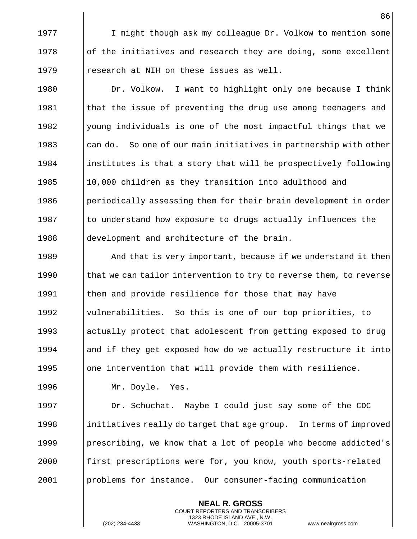1977 | I might though ask my colleague Dr. Volkow to mention some 1978  $\|\circ\|$  of the initiatives and research they are doing, some excellent 1979  $\parallel$  research at NIH on these issues as well.

1980 | Dr. Volkow. I want to highlight only one because I think  $\parallel$  that the issue of preventing the drug use among teenagers and  $\parallel$  young individuals is one of the most impactful things that we  $\parallel$  can do. So one of our main initiatives in partnership with other ||institutes is that a story that will be prospectively following 1985 10,000 children as they transition into adulthood and  $\parallel$  periodically assessing them for their brain development in order || to understand how exposure to drugs actually influences the 1988 all development and architecture of the brain.

**And that is very important, because if we understand it then**  $\parallel$  that we can tailor intervention to try to reverse them, to reverse 1991 | them and provide resilience for those that may have **Vulnerabilities.** So this is one of our top priorities, to  $\parallel$  actually protect that adolescent from getting exposed to drug  $\parallel$  and if they get exposed how do we actually restructure it into  $\Box$  one intervention that will provide them with resilience.

1996 Mr. Doyle. Yes.

 Dr. Schuchat. Maybe I could just say some of the CDC **initiatives really do target that age group.** In terms of improved **prescribing, we know that a lot of people who become addicted's first prescriptions were for, you know, youth sports-related** problems for instance. Our consumer-facing communication

> **NEAL R. GROSS** COURT REPORTERS AND TRANSCRIBERS 1323 RHODE ISLAND AVE., N.W.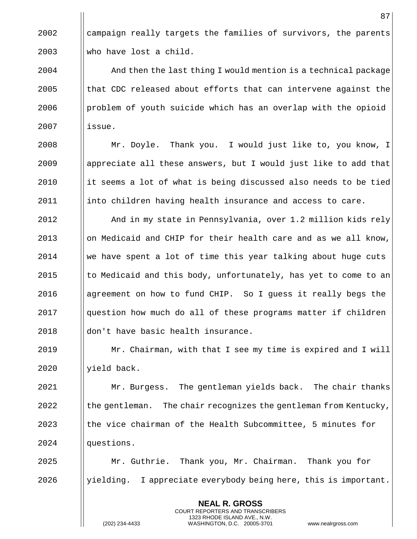$\parallel$  campaign really targets the families of survivors, the parents who have lost a child.

 | And then the last thing I would mention is a technical package || that CDC released about efforts that can intervene against the **problem of youth suicide which has an overlap with the opioid** issue.

**Mr.** Doyle. Thank you. I would just like to, you know, I | appreciate all these answers, but I would just like to add that  $\parallel$  it seems a lot of what is being discussed also needs to be tied into children having health insurance and access to care.

 And in my state in Pennsylvania, over 1.2 million kids rely || on Medicaid and CHIP for their health care and as we all know, we have spent a lot of time this year talking about huge cuts | to Medicaid and this body, unfortunately, has yet to come to an agreement on how to fund CHIP. So I guess it really begs the question how much do all of these programs matter if children 2018 | don't have basic health insurance.

 Mr. Chairman, with that I see my time is expired and I will yield back.

**Mr. Burgess.** The gentleman yields back. The chair thanks the gentleman. The chair recognizes the gentleman from Kentucky, Ithe vice chairman of the Health Subcommittee, 5 minutes for 2024 || questions.

 Mr. Guthrie. Thank you, Mr. Chairman. Thank you for ||yielding. I appreciate everybody being here, this is important.

> **NEAL R. GROSS** COURT REPORTERS AND TRANSCRIBERS 1323 RHODE ISLAND AVE., N.W.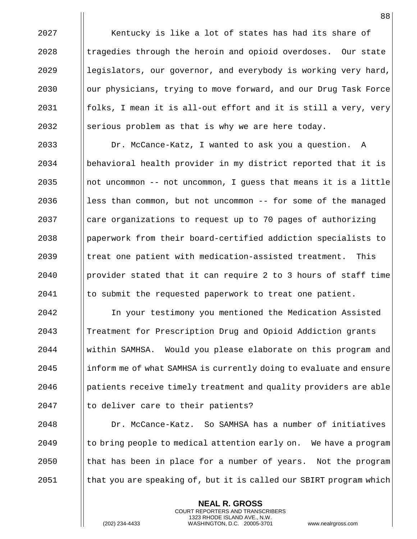2027 | Kentucky is like a lot of states has had its share of || tragedies through the heroin and opioid overdoses. Our state || legislators, our governor, and everybody is working very hard, 2030 | our physicians, trying to move forward, and our Drug Task Force  $\parallel$  folks, I mean it is all-out effort and it is still a very, very  $\parallel$  serious problem as that is why we are here today.

**Dr. McCance-Katz, I wanted to ask you a question.** A behavioral health provider in my district reported that it is ||not uncommon -- not uncommon, I guess that means it is a little || less than common, but not uncommon -- for some of the managed | care organizations to request up to 70 pages of authorizing paperwork from their board-certified addiction specialists to || treat one patient with medication-assisted treatment. This **provider stated that it can require** 2 to 3 hours of staff time | to submit the requested paperwork to treat one patient.

 In your testimony you mentioned the Medication Assisted Treatment for Prescription Drug and Opioid Addiction grants within SAMHSA. Would you please elaborate on this program and inform me of what SAMHSA is currently doing to evaluate and ensure patients receive timely treatment and quality providers are able || to deliver care to their patients?

 Dr. McCance-Katz. So SAMHSA has a number of initiatives to bring people to medical attention early on. We have a program  $\parallel$  that has been in place for a number of years. Not the program I that you are speaking of, but it is called our SBIRT program which

> **NEAL R. GROSS** COURT REPORTERS AND TRANSCRIBERS 1323 RHODE ISLAND AVE., N.W.

(202) 234-4433 WASHINGTON, D.C. 20005-3701 www.nealrgross.com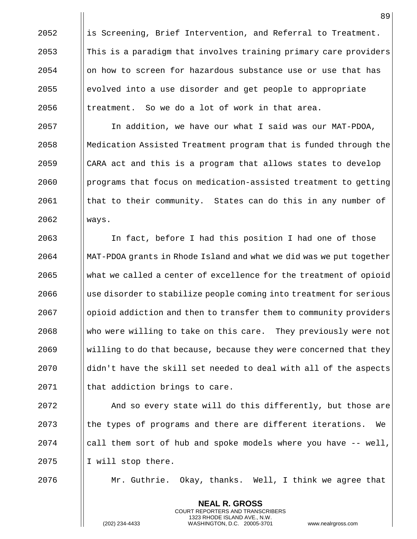|| is Screening, Brief Intervention, and Referral to Treatment. This is a paradigm that involves training primary care providers on how to screen for hazardous substance use or use that has evolved into a use disorder and get people to appropriate | treatment. So we do a lot of work in that area.

 In addition, we have our what I said was our MAT-PDOA, Medication Assisted Treatment program that is funded through the  $\parallel$  CARA act and this is a program that allows states to develop programs that focus on medication-assisted treatment to getting | that to their community. States can do this in any number of ways.

 In fact, before I had this position I had one of those MAT-PDOA grants in Rhode Island and what we did was we put together what we called a center of excellence for the treatment of opioid  $\Box$  use disorder to stabilize people coming into treatment for serious 2067 | opioid addiction and then to transfer them to community providers 2068 Who were willing to take on this care. They previously were not Willing to do that because, because they were concerned that they ||didn't have the skill set needed to deal with all of the aspects | that addiction brings to care.

**And so every state will do this differently, but those are**  $\parallel$  the types of programs and there are different iterations. We | call them sort of hub and spoke models where you have  $-$  well, | I will stop there.

 $\parallel$  Mr. Guthrie. Okay, thanks. Well, I think we agree that

**NEAL R. GROSS** COURT REPORTERS AND TRANSCRIBERS 1323 RHODE ISLAND AVE., N.W.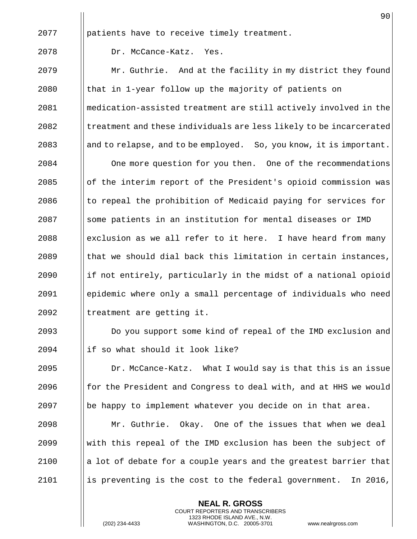|      | 90                                                                 |
|------|--------------------------------------------------------------------|
| 2077 | patients have to receive timely treatment.                         |
| 2078 | Dr. McCance-Katz.<br>Yes.                                          |
| 2079 | Mr. Guthrie. And at the facility in my district they found         |
| 2080 | that in 1-year follow up the majority of patients on               |
| 2081 | medication-assisted treatment are still actively involved in the   |
| 2082 | treatment and these individuals are less likely to be incarcerated |
| 2083 | and to relapse, and to be employed. So, you know, it is important. |
| 2084 | One more question for you then. One of the recommendations         |
| 2085 | of the interim report of the President's opioid commission was     |
| 2086 | to repeal the prohibition of Medicaid paying for services for      |
| 2087 | some patients in an institution for mental diseases or IMD         |
| 2088 | exclusion as we all refer to it here. I have heard from many       |
| 2089 | that we should dial back this limitation in certain instances,     |
| 2090 | if not entirely, particularly in the midst of a national opioid    |
| 2091 | epidemic where only a small percentage of individuals who need     |
| 2092 | treatment are getting it.                                          |
| 2093 | Do you support some kind of repeal of the IMD exclusion and        |
| 2094 | if so what should it look like?                                    |
| 2095 | Dr. McCance-Katz. What I would say is that this is an issue        |
| 2096 | for the President and Congress to deal with, and at HHS we would   |
| 2097 | be happy to implement whatever you decide on in that area.         |
| 2098 | Mr. Guthrie. Okay. One of the issues that when we deal             |
| 2099 | with this repeal of the IMD exclusion has been the subject of      |
| 2100 | a lot of debate for a couple years and the greatest barrier that   |
| 2101 | is preventing is the cost to the federal government.<br>In 2016,   |

**NEAL R. GROSS** COURT REPORTERS AND TRANSCRIBERS 1323 RHODE ISLAND AVE., N.W.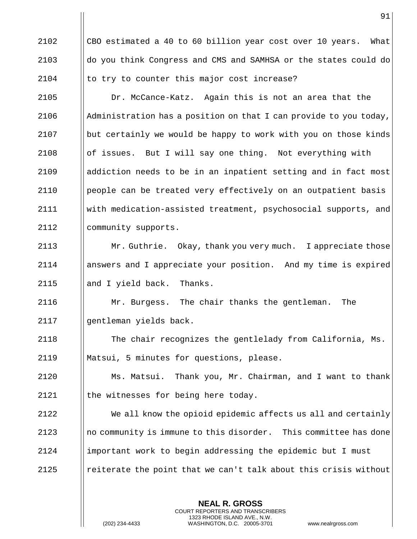$\parallel$  CBO estimated a 40 to 60 billion year cost over 10 years. What 2103 do you think Congress and CMS and SAMHSA or the states could do  $\parallel$  to try to counter this major cost increase? Dr. McCance-Katz. Again this is not an area that the  $\parallel$  Administration has a position on that I can provide to you today,  $\Box$  but certainly we would be happy to work with you on those kinds  $\|\circ f\|$  issues. But I will say one thing. Not everything with addiction needs to be in an inpatient setting and in fact most people can be treated very effectively on an outpatient basis with medication-assisted treatment, psychosocial supports, and 2112 | community supports. **Mr. Guthrie.** Okay, thank you very much. I appreciate those answers and I appreciate your position. And my time is expired 2115 || and I yield back. Thanks. Mr. Burgess. The chair thanks the gentleman. The gentleman yields back. The chair recognizes the gentlelady from California, Ms. Matsui, 5 minutes for questions, please. Ms. Matsui. Thank you, Mr. Chairman, and I want to thank || the witnesses for being here today. We all know the opioid epidemic affects us all and certainly  $\parallel$  no community is immune to this disorder. This committee has done important work to begin addressing the epidemic but I must **e** reiterate the point that we can't talk about this crisis without

> **NEAL R. GROSS** COURT REPORTERS AND TRANSCRIBERS 1323 RHODE ISLAND AVE., N.W.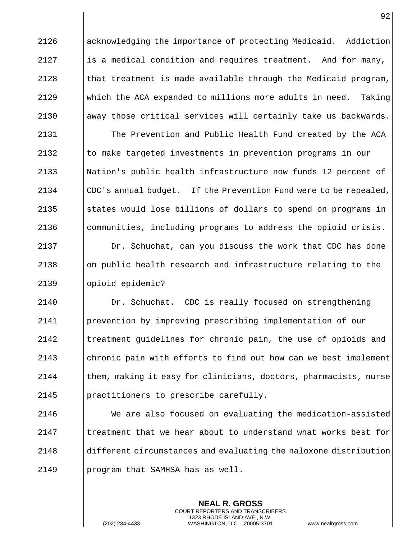acknowledging the importance of protecting Medicaid. Addiction **i** is a medical condition and requires treatment. And for many,  $\parallel$  that treatment is made available through the Medicaid program, which the ACA expanded to millions more adults in need. Taking  $\parallel$  away those critical services will certainly take us backwards. 2131 | The Prevention and Public Health Fund created by the ACA  $\|\cdot\|$  to make targeted investments in prevention programs in our 2133 Nation's public health infrastructure now funds 12 percent of 2134 CDC's annual budget. If the Prevention Fund were to be repealed,  $\parallel$  states would lose billions of dollars to spend on programs in | communities, including programs to address the opioid crisis. 2137 | Dr. Schuchat, can you discuss the work that CDC has done ||on public health research and infrastructure relating to the 2139 || opioid epidemic? Dr. Schuchat. CDC is really focused on strengthening prevention by improving prescribing implementation of our 2142 Inteatment guidelines for chronic pain, the use of opioids and chronic pain with efforts to find out how can we best implement | them, making it easy for clinicians, doctors, pharmacists, nurse 2145 | practitioners to prescribe carefully. We are also focused on evaluating the medication-assisted I treatment that we hear about to understand what works best for different circumstances and evaluating the naloxone distribution 2149 | program that SAMHSA has as well.

> **NEAL R. GROSS** COURT REPORTERS AND TRANSCRIBERS 1323 RHODE ISLAND AVE., N.W.

(202) 234-4433 WASHINGTON, D.C. 20005-3701 www.nealrgross.com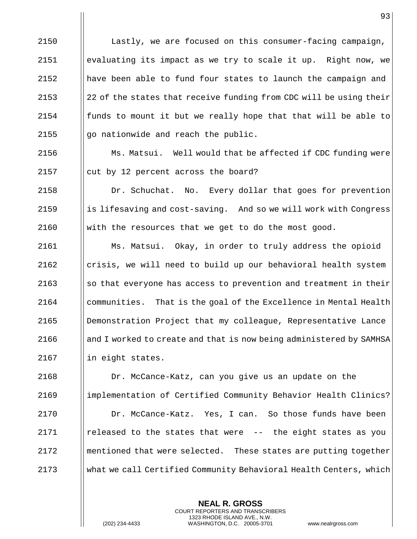2150 | Lastly, we are focused on this consumer-facing campaign, evaluating its impact as we try to scale it up. Right now, we have been able to fund four states to launch the campaign and  $\parallel$  22 of the states that receive funding from CDC will be using their  $\parallel$  funds to mount it but we really hope that that will be able to  $\parallel$  go nationwide and reach the public.

2156  $\parallel$  Ms. Matsui. Well would that be affected if CDC funding were 2157  $\vert$  cut by 12 percent across the board?

2158 | Dr. Schuchat. No. Every dollar that goes for prevention 2159  $\parallel$  is lifesaving and cost-saving. And so we will work with Congress 2160  $\parallel$  with the resources that we get to do the most good.

 Ms. Matsui. Okay, in order to truly address the opioid crisis, we will need to build up our behavioral health system  $\|\$ so that everyone has access to prevention and treatment in their **communities.** That is the goal of the Excellence in Mental Health Demonstration Project that my colleague, Representative Lance 2166 and I worked to create and that is now being administered by SAMHSA || in eight states.

 Dr. McCance-Katz, can you give us an update on the implementation of Certified Community Behavior Health Clinics? 2170 | Dr. McCance-Katz. Yes, I can. So those funds have been  $\parallel$  released to the states that were -- the eight states as you || mentioned that were selected. These states are putting together what we call Certified Community Behavioral Health Centers, which

> **NEAL R. GROSS** COURT REPORTERS AND TRANSCRIBERS 1323 RHODE ISLAND AVE., N.W.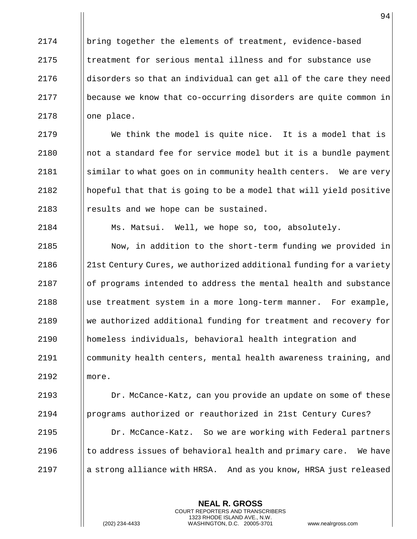bring together the elements of treatment, evidence-based Itreatment for serious mental illness and for substance use  $\parallel$  disorders so that an individual can get all of the care they need 2177 | because we know that co-occurring disorders are quite common in || one place.

 We think the model is quite nice. It is a model that is  $\parallel$  not a standard fee for service model but it is a bundle payment 2181 Similar to what goes on in community health centers. We are very hopeful that that is going to be a model that will yield positive 2183 || results and we hope can be sustained.

Ms. Matsui. Well, we hope so, too, absolutely.

 Now, in addition to the short-term funding we provided in 2186 218t Century Cures, we authorized additional funding for a variety of programs intended to address the mental health and substance ||use treatment system in a more long-term manner. For example, 2189 We authorized additional funding for treatment and recovery for homeless individuals, behavioral health integration and community health centers, mental health awareness training, and more.

 Dr. McCance-Katz, can you provide an update on some of these programs authorized or reauthorized in 21st Century Cures? Dr. McCance-Katz. So we are working with Federal partners  $\|\cdot\|$  to address issues of behavioral health and primary care. We have 2197 | a strong alliance with HRSA. And as you know, HRSA just released

> **NEAL R. GROSS** COURT REPORTERS AND TRANSCRIBERS 1323 RHODE ISLAND AVE., N.W.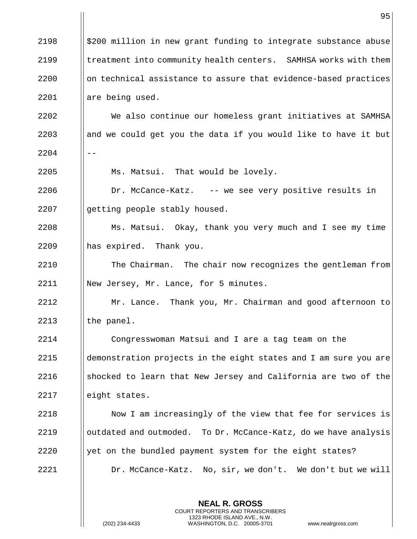|      | 95                                                               |
|------|------------------------------------------------------------------|
| 2198 | \$200 million in new grant funding to integrate substance abuse  |
| 2199 | treatment into community health centers. SAMHSA works with them  |
| 2200 | on technical assistance to assure that evidence-based practices  |
| 2201 | are being used.                                                  |
| 2202 | We also continue our homeless grant initiatives at SAMHSA        |
| 2203 | and we could get you the data if you would like to have it but   |
| 2204 |                                                                  |
| 2205 | Ms. Matsui. That would be lovely.                                |
| 2206 | Dr. McCance-Katz. -- we see very positive results in             |
| 2207 | getting people stably housed.                                    |
| 2208 | Ms. Matsui. Okay, thank you very much and I see my time          |
| 2209 | has expired. Thank you.                                          |
| 2210 | The Chairman. The chair now recognizes the gentleman from        |
| 2211 | New Jersey, Mr. Lance, for 5 minutes.                            |
| 2212 | Mr. Lance. Thank you, Mr. Chairman and good afternoon to         |
| 2213 | the panel.                                                       |
| 2214 | Congresswoman Matsui and I are a tag team on the                 |
| 2215 | demonstration projects in the eight states and I am sure you are |
| 2216 | shocked to learn that New Jersey and California are two of the   |
| 2217 | eight states.                                                    |
| 2218 | Now I am increasingly of the view that fee for services is       |
| 2219 | outdated and outmoded. To Dr. McCance-Katz, do we have analysis  |
| 2220 | yet on the bundled payment system for the eight states?          |
| 2221 | Dr. McCance-Katz. No, sir, we don't. We don't but we will        |
|      |                                                                  |
|      | <b>NEAL R. GROSS</b>                                             |

COURT REPORTERS AND TRANSCRIBERS 1323 RHODE ISLAND AVE., N.W.

 $\prod$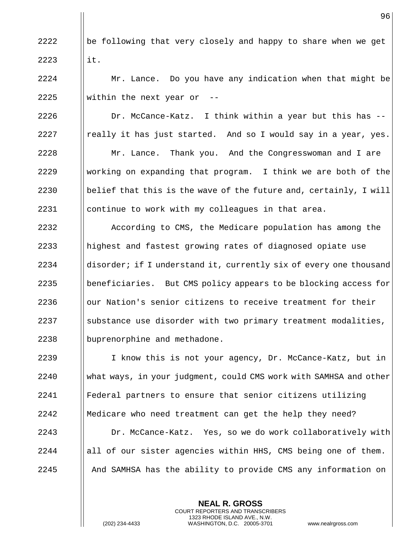$\|\$ be following that very closely and happy to share when we get  $2223$  ||it. 2224 | Mr. Lance. Do you have any indication when that might be  $\parallel$  within the next year or -- $\parallel$  Dr. McCance-Katz. I think within a year but this has  $-$ 2227 || really it has just started. And so I would say in a year, yes. Mr. Lance. Thank you. And the Congresswoman and I are  $\parallel$  working on expanding that program. I think we are both of the  $\Box$  belief that this is the wave of the future and, certainly, I will continue to work with my colleagues in that area. 2232 According to CMS, the Medicare population has among the 2233 || highest and fastest growing rates of diagnosed opiate use  $\parallel$  disorder; if I understand it, currently six of every one thousand 2235 Beneficiaries. But CMS policy appears to be blocking access for || our Nation's senior citizens to receive treatment for their Substance use disorder with two primary treatment modalities, 2238 | buprenorphine and methadone. 2239 I I know this is not your agency, Dr. McCance-Katz, but in what ways, in your judgment, could CMS work with SAMHSA and other Federal partners to ensure that senior citizens utilizing Medicare who need treatment can get the help they need? Dr. McCance-Katz. Yes, so we do work collaboratively with ||all of our sister agencies within HHS, CMS being one of them. And SAMHSA has the ability to provide CMS any information on

> **NEAL R. GROSS** COURT REPORTERS AND TRANSCRIBERS 1323 RHODE ISLAND AVE., N.W.

(202) 234-4433 WASHINGTON, D.C. 20005-3701 www.nealrgross.com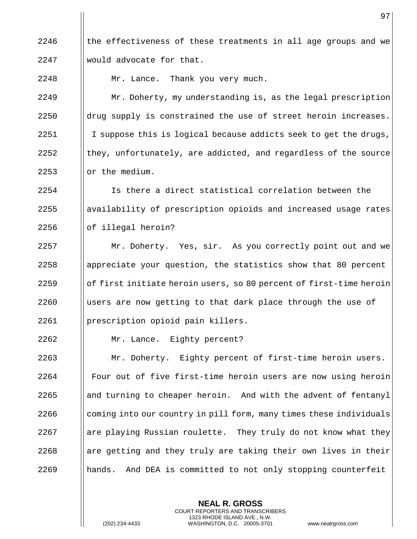$\parallel$  the effectiveness of these treatments in all age groups and we would advocate for that.

2248 | Mr. Lance. Thank you very much.

 Mr. Doherty, my understanding is, as the legal prescription  $\parallel$  drug supply is constrained the use of street heroin increases.  $\parallel$  I suppose this is logical because addicts seek to get the drugs,  $\parallel$  they, unfortunately, are addicted, and regardless of the source  $\parallel$  or the medium.

 Is there a direct statistical correlation between the || availability of prescription opioids and increased usage rates || of illegal heroin?

2257 | Mr. Doherty. Yes, sir. As you correctly point out and we | appreciate your question, the statistics show that 80 percent  $\|\circ\|$  first initiate heroin users, so 80 percent of first-time heroin  $\parallel$  users are now getting to that dark place through the use of prescription opioid pain killers.

Mr. Lance. Eighty percent?

 Mr. Doherty. Eighty percent of first-time heroin users. **Four out of five first-time heroin users are now using heroin**  || and turning to cheaper heroin. And with the advent of fentanyl coming into our country in pill form, many times these individuals are playing Russian roulette. They truly do not know what they are getting and they truly are taking their own lives in their hands. And DEA is committed to not only stopping counterfeit

> **NEAL R. GROSS** COURT REPORTERS AND TRANSCRIBERS 1323 RHODE ISLAND AVE., N.W.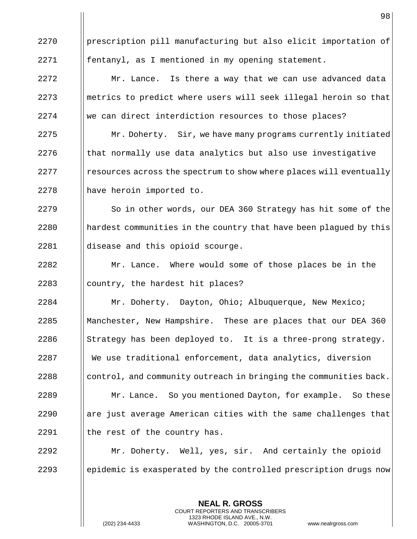2270 | prescription pill manufacturing but also elicit importation of fentanyl, as I mentioned in my opening statement. | Mr. Lance. Is there a way that we can use advanced data ||metrics to predict where users will seek illegal heroin so that 2274 We can direct interdiction resources to those places? 2275 | Mr. Doherty. Sir, we have many programs currently initiated || that normally use data analytics but also use investigative || resources across the spectrum to show where places will eventually 2278 | have heroin imported to. 2279 | So in other words, our DEA 360 Strategy has hit some of the **hardest communities in the country that have been plagued by this**  disease and this opioid scourge. **Mr.** Lance. Where would some of those places be in the || country, the hardest hit places? **Mr. Doherty.** Dayton, Ohio; Albuquerque, New Mexico; Manchester, New Hampshire. These are places that our DEA 360 Strategy has been deployed to. It is a three-prong strategy. We use traditional enforcement, data analytics, diversion ||control, and community outreach in bringing the communities back. **Mr. Lance.** So you mentioned Dayton, for example. So these || are just average American cities with the same challenges that I the rest of the country has. Mr. Doherty. Well, yes, sir. And certainly the opioid 2293 epidemic is exasperated by the controlled prescription drugs now

> **NEAL R. GROSS** COURT REPORTERS AND TRANSCRIBERS 1323 RHODE ISLAND AVE., N.W.

(202) 234-4433 WASHINGTON, D.C. 20005-3701 www.nealrgross.com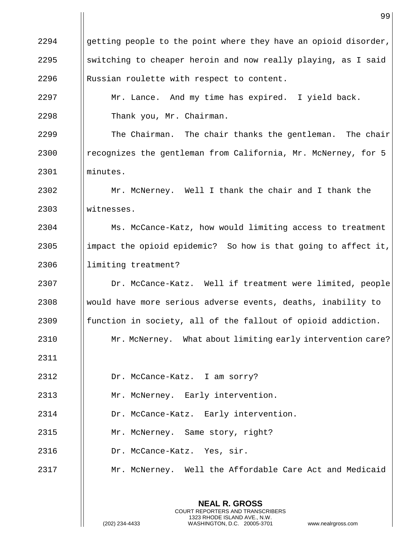|      | 99                                                              |
|------|-----------------------------------------------------------------|
| 2294 | getting people to the point where they have an opioid disorder, |
| 2295 | switching to cheaper heroin and now really playing, as I said   |
| 2296 | Russian roulette with respect to content.                       |
| 2297 | Mr. Lance. And my time has expired. I yield back.               |
| 2298 | Thank you, Mr. Chairman.                                        |
| 2299 | The Chairman. The chair thanks the gentleman. The chair         |
| 2300 | recognizes the gentleman from California, Mr. McNerney, for 5   |
| 2301 | minutes.                                                        |
| 2302 | Mr. McNerney. Well I thank the chair and I thank the            |
| 2303 | witnesses.                                                      |
| 2304 | Ms. McCance-Katz, how would limiting access to treatment        |
| 2305 | impact the opioid epidemic? So how is that going to affect it,  |
| 2306 | limiting treatment?                                             |
| 2307 | Dr. McCance-Katz. Well if treatment were limited, people        |
| 2308 | would have more serious adverse events, deaths, inability to    |
| 2309 | function in society, all of the fallout of opioid addiction.    |
| 2310 | Mr. McNerney. What about limiting early intervention care?      |
| 2311 |                                                                 |
| 2312 | Dr. McCance-Katz. I am sorry?                                   |
| 2313 | Mr. McNerney. Early intervention.                               |
| 2314 | Dr. McCance-Katz. Early intervention.                           |
| 2315 | Mr. McNerney. Same story, right?                                |
| 2316 | Dr. McCance-Katz. Yes, sir.                                     |
| 2317 | Mr. McNerney. Well the Affordable Care Act and Medicaid         |
|      |                                                                 |

**NEAL R. GROSS** COURT REPORTERS AND TRANSCRIBERS 1323 RHODE ISLAND AVE., N.W.

 $\mathsf{I}$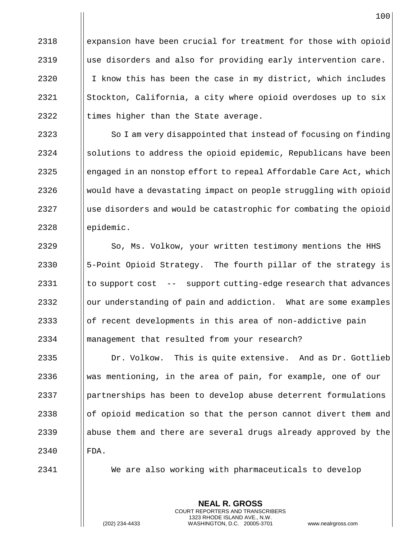**expansion have been crucial for treatment for those with opioid**  $\parallel$  use disorders and also for providing early intervention care.  $\parallel$  I know this has been the case in my district, which includes  $\parallel$  Stockton, California, a city where opioid overdoses up to six  $\parallel$  times higher than the State average.

 $\parallel$  So I am very disappointed that instead of focusing on finding | solutions to address the opioid epidemic, Republicans have been  $\parallel$  engaged in an nonstop effort to repeal Affordable Care Act, which Would have a devastating impact on people struggling with opioid || use disorders and would be catastrophic for combating the opioid | epidemic.

2329 | So, Ms. Volkow, your written testimony mentions the HHS  $\parallel$  5-Point Opioid Strategy. The fourth pillar of the strategy is | to support cost -- support cutting-edge research that advances || our understanding of pain and addiction. What are some examples || of recent developments in this area of non-addictive pain management that resulted from your research?

**Dr. Volkow.** This is quite extensive. And as Dr. Gottlieb was mentioning, in the area of pain, for example, one of our partnerships has been to develop abuse deterrent formulations  $\Box$  of opioid medication so that the person cannot divert them and 2339 abuse them and there are several drugs already approved by the 2340 FDA.

2341 We are also working with pharmaceuticals to develop

**NEAL R. GROSS** COURT REPORTERS AND TRANSCRIBERS 1323 RHODE ISLAND AVE., N.W.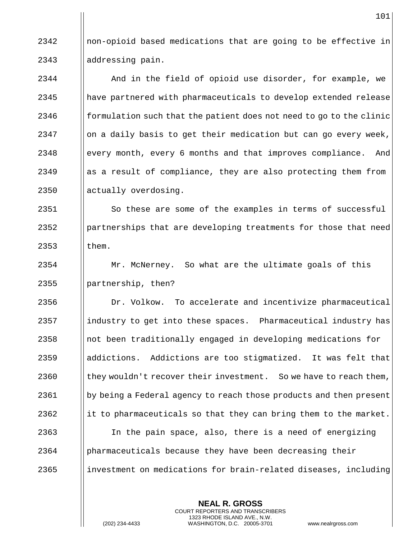$2342$  || non-opioid based medications that are going to be effective in 2343 || addressing pain.

2344 | And in the field of opioid use disorder, for example, we 2345 || have partnered with pharmaceuticals to develop extended release 2346  $\parallel$  formulation such that the patient does not need to go to the clinic  $2347$  || on a daily basis to get their medication but can go every week, 2348 every month, every 6 months and that improves compliance. And 2349 as a result of compliance, they are also protecting them from 2350 || actually overdosing.

2351 | So these are some of the examples in terms of successful 2352 **partnerships that are developing treatments for those that need**  $2353$  ||them.

2354 Mr. McNerney. So what are the ultimate goals of this  $2355$  || partnership, then?

**Dr. Volkow.** To accelerate and incentivize pharmaceutical ||industry to get into these spaces. Pharmaceutical industry has ||not been traditionally engaged in developing medications for 2359 || addictions. Addictions are too stigmatized. It was felt that  $\vert\vert$  they wouldn't recover their investment. So we have to reach them, 2361 by being a Federal agency to reach those products and then present 2362 it to pharmaceuticals so that they can bring them to the market. || In the pain space, also, there is a need of energizing pharmaceuticals because they have been decreasing their **indellarge increases in the investment** on medications for brain-related diseases, including

> **NEAL R. GROSS** COURT REPORTERS AND TRANSCRIBERS 1323 RHODE ISLAND AVE., N.W.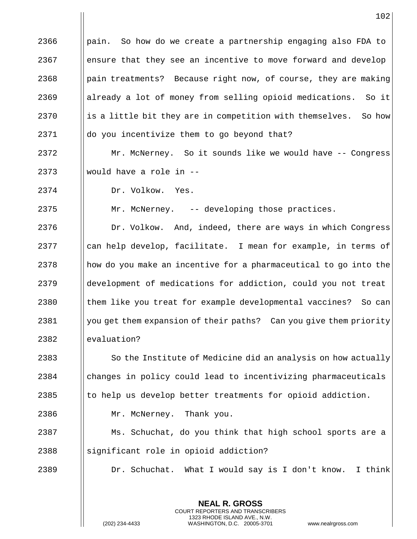|      | 102                                                                |
|------|--------------------------------------------------------------------|
| 2366 | pain. So how do we create a partnership engaging also FDA to       |
| 2367 | ensure that they see an incentive to move forward and develop      |
| 2368 | pain treatments? Because right now, of course, they are making     |
| 2369 | already a lot of money from selling opioid medications. So it      |
| 2370 | is a little bit they are in competition with themselves.<br>So how |
| 2371 | do you incentivize them to go beyond that?                         |
| 2372 | Mr. McNerney. So it sounds like we would have -- Congress          |
| 2373 | would have a role in --                                            |
| 2374 | Dr. Volkow.<br>Yes.                                                |
| 2375 | Mr. McNerney. -- developing those practices.                       |
| 2376 | Dr. Volkow. And, indeed, there are ways in which Congress          |
| 2377 | can help develop, facilitate. I mean for example, in terms of      |
| 2378 | how do you make an incentive for a pharmaceutical to go into the   |
| 2379 | development of medications for addiction, could you not treat      |
| 2380 | them like you treat for example developmental vaccines?<br>So can  |
| 2381 | you get them expansion of their paths? Can you give them priority  |
| 2382 | evaluation?                                                        |
| 2383 | So the Institute of Medicine did an analysis on how actually       |
| 2384 | changes in policy could lead to incentivizing pharmaceuticals      |
| 2385 | to help us develop better treatments for opioid addiction.         |
| 2386 | Mr. McNerney. Thank you.                                           |
| 2387 | Ms. Schuchat, do you think that high school sports are a           |
| 2388 | significant role in opioid addiction?                              |
| 2389 | Dr. Schuchat. What I would say is I don't know.<br>I think         |
|      |                                                                    |

**NEAL R. GROSS** COURT REPORTERS AND TRANSCRIBERS 1323 RHODE ISLAND AVE., N.W.

(202) 234-4433 WASHINGTON, D.C. 20005-3701 www.nealrgross.com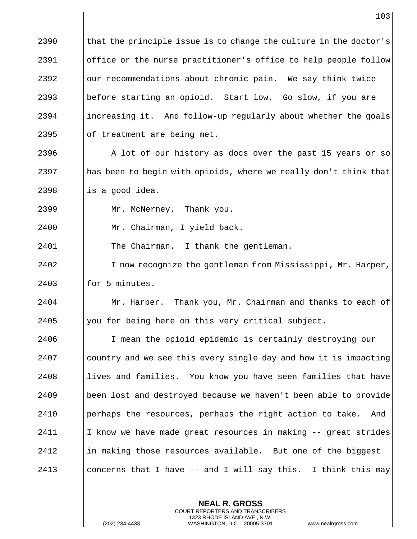$\parallel$  that the principle issue is to change the culture in the doctor's **Solut** of the nurse practitioner's office to help people follow || our recommendations about chronic pain. We say think twice 2393 || before starting an opioid. Start low. Go slow, if you are  $\parallel$  increasing it. And follow-up regularly about whether the goals  $\Box$  of treatment are being met.  $\parallel$  A lot of our history as docs over the past 15 years or so  $\parallel$  has been to begin with opioids, where we really don't think that  $\parallel$  is a good idea. Mr. McNerney. Thank you. Mr. Chairman, I yield back. 2401 | The Chairman. I thank the gentleman. 2402 | I now recognize the gentleman from Mississippi, Mr. Harper, || for 5 minutes. **Mr.** Harper. Thank you, Mr. Chairman and thanks to each of 2405 | you for being here on this very critical subject. I mean the opioid epidemic is certainly destroying our country and we see this every single day and how it is impacting 2408 lives and families. You know you have seen families that have 2409 || been lost and destroyed because we haven't been able to provide 2410 Iperhaps the resources, perhaps the right action to take. And | I know we have made great resources in making  $-$  great strides ||in making those resources available. But one of the biggest **concerns that I have -- and I will say this.** I think this may

> **NEAL R. GROSS** COURT REPORTERS AND TRANSCRIBERS 1323 RHODE ISLAND AVE., N.W.

(202) 234-4433 WASHINGTON, D.C. 20005-3701 www.nealrgross.com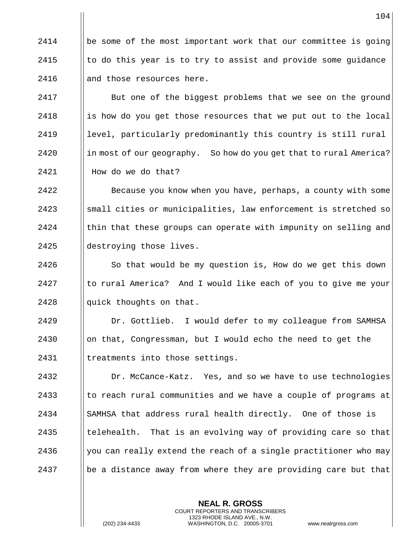2414  $\Box$  be some of the most important work that our committee is going 2415  $\parallel$  to do this year is to try to assist and provide some quidance 2416  $\parallel$  and those resources here.

2417 | But one of the biggest problems that we see on the ground 2418 is how do you get those resources that we put out to the local 2419 **level, particularly predominantly this country is still rural**  $2420$  || in most of our geography. So how do you get that to rural America?  $2421$  | How do we do that?

**Because you know when you have, perhaps, a county with some**  ||small cities or municipalities, law enforcement is stretched so Ithin that these groups can operate with impunity on selling and 2425 | destroying those lives.

 $2426$   $\parallel$  So that would be my question is, How do we get this down  $2427$  || to rural America? And I would like each of you to give me your 2428  $\parallel$  quick thoughts on that.

2429 Dr. Gottlieb. I would defer to my colleague from SAMHSA 2430 | on that, Congressman, but I would echo the need to get the 2431 | treatments into those settings.

**Dr. McCance-Katz.** Yes, and so we have to use technologies I to reach rural communities and we have a couple of programs at 2434 SAMHSA that address rural health directly. One of those is  $\parallel$  telehealth. That is an evolving way of providing care so that  $\parallel$  you can really extend the reach of a single practitioner who may 2437 be a distance away from where they are providing care but that

> **NEAL R. GROSS** COURT REPORTERS AND TRANSCRIBERS 1323 RHODE ISLAND AVE., N.W.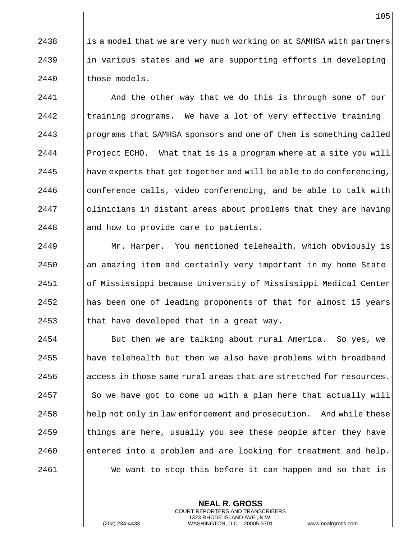2438  $\parallel$  is a model that we are very much working on at SAMHSA with partners 2439  $\parallel$  in various states and we are supporting efforts in developing 2440 | those models.

2441 | And the other way that we do this is through some of our  $\parallel$  training programs. We have a lot of very effective training | programs that SAMHSA sponsors and one of them is something called **Project ECHO.** What that is is a program where at a site you will  $\parallel$  have experts that get together and will be able to do conferencing, | conference calls, video conferencing, and be able to talk with 2447 | clinicians in distant areas about problems that they are having || and how to provide care to patients.

2449 | Mr. Harper. You mentioned telehealth, which obviously is an amazing item and certainly very important in my home State of Mississippi because University of Mississippi Medical Center has been one of leading proponents of that for almost 15 years  $\parallel$  that have developed that in a great way.

 But then we are talking about rural America. So yes, we || have telehealth but then we also have problems with broadband access in those same rural areas that are stretched for resources. || So we have got to come up with a plan here that actually will || help not only in law enforcement and prosecution. And while these  $\parallel$  things are here, usually you see these people after they have **entered into a problem and are looking for treatment and help.** 2461 | We want to stop this before it can happen and so that is

> **NEAL R. GROSS** COURT REPORTERS AND TRANSCRIBERS 1323 RHODE ISLAND AVE., N.W.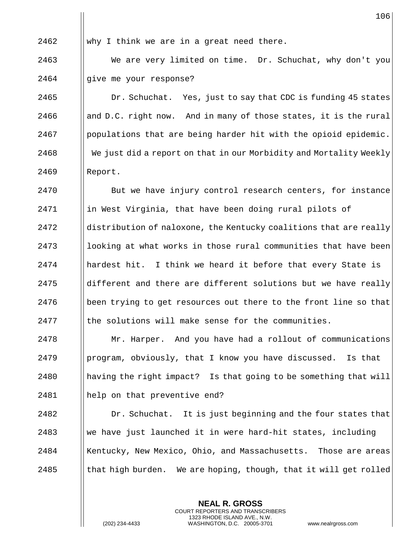2462 Why I think we are in a great need there.

2463 We are very limited on time. Dr. Schuchat, why don't you 2464 || give me your response?

2465 | Dr. Schuchat. Yes, just to say that CDC is funding 45 states 2466 and D.C. right now. And in many of those states, it is the rural  $2467$  | populations that are being harder hit with the opioid epidemic. 2468 We just did a report on that in our Morbidity and Mortality Weekly 2469 Report.

**But we have injury control research centers, for instance**  ||in West Virginia, that have been doing rural pilots of distribution of naloxone, the Kentucky coalitions that are really || looking at what works in those rural communities that have been || hardest hit. I think we heard it before that every State is ||different and there are different solutions but we have really | been trying to get resources out there to the front line so that Ithe solutions will make sense for the communities.

 Mr. Harper. And you have had a rollout of communications | program, obviously, that I know you have discussed. Is that having the right impact? Is that going to be something that will help on that preventive end?

2482 **Dr. Schuchat.** It is just beginning and the four states that 2483 We have just launched it in were hard-hit states, including 2484 | Kentucky, New Mexico, Ohio, and Massachusetts. Those are areas 2485  $\parallel$  that high burden. We are hoping, though, that it will get rolled

> **NEAL R. GROSS** COURT REPORTERS AND TRANSCRIBERS 1323 RHODE ISLAND AVE., N.W.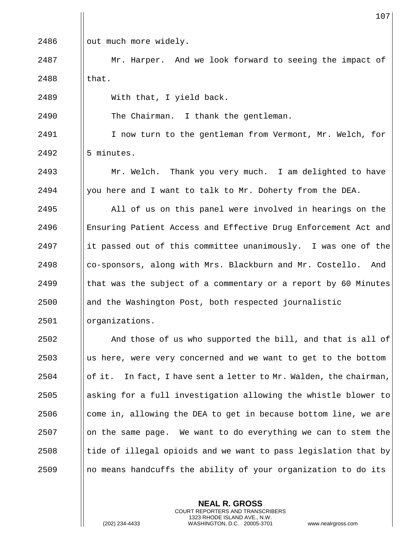|      | 107                                                               |
|------|-------------------------------------------------------------------|
| 2486 | out much more widely.                                             |
| 2487 | Mr. Harper. And we look forward to seeing the impact of           |
| 2488 | that.                                                             |
| 2489 | With that, I yield back.                                          |
| 2490 | The Chairman. I thank the gentleman.                              |
| 2491 | I now turn to the gentleman from Vermont, Mr. Welch, for          |
| 2492 | 5 minutes.                                                        |
| 2493 | Mr. Welch. Thank you very much. I am delighted to have            |
| 2494 | you here and I want to talk to Mr. Doherty from the DEA.          |
| 2495 | All of us on this panel were involved in hearings on the          |
| 2496 | Ensuring Patient Access and Effective Drug Enforcement Act and    |
| 2497 | it passed out of this committee unanimously. I was one of the     |
| 2498 | co-sponsors, along with Mrs. Blackburn and Mr. Costello.<br>And   |
| 2499 | that was the subject of a commentary or a report by 60 Minutes    |
| 2500 | and the Washington Post, both respected journalistic              |
| 2501 | organizations.                                                    |
| 2502 | And those of us who supported the bill, and that is all of        |
| 2503 | us here, were very concerned and we want to get to the bottom     |
| 2504 | of it. In fact, I have sent a letter to Mr. Walden, the chairman, |
| 2505 | asking for a full investigation allowing the whistle blower to    |
| 2506 | come in, allowing the DEA to get in because bottom line, we are   |
| 2507 | on the same page. We want to do everything we can to stem the     |
| 2508 | tide of illegal opioids and we want to pass legislation that by   |
| 2509 | no means handcuffs the ability of your organization to do its     |
|      |                                                                   |

**NEAL R. GROSS** COURT REPORTERS AND TRANSCRIBERS 1323 RHODE ISLAND AVE., N.W.

 $\prod$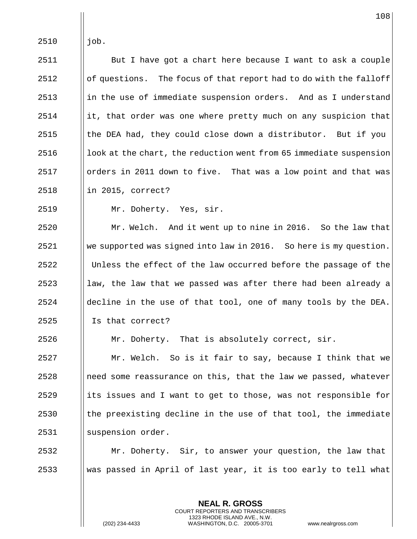$\parallel$  iob.

  $\parallel$  But I have got a chart here because I want to ask a couple | of questions. The focus of that report had to do with the falloff ||in the use of immediate suspension orders. And as I understand ||it, that order was one where pretty much on any suspicion that  $\parallel$  the DEA had, they could close down a distributor. But if you  $\parallel$  look at the chart, the reduction went from 65 immediate suspension | orders in 2011 down to five. That was a low point and that was in 2015, correct?

Mr. Doherty. Yes, sir.

 Mr. Welch. And it went up to nine in 2016. So the law that we supported was signed into law in 2016. So here is my question. 2522 | Unless the effect of the law occurred before the passage of the || law, the law that we passed was after there had been already a ||decline in the use of that tool, one of many tools by the DEA. 2525 | Is that correct?

| Mr. Doherty. That is absolutely correct, sir.

 | Mr. Welch. So is it fair to say, because I think that we || need some reassurance on this, that the law we passed, whatever ||its issues and I want to get to those, was not responsible for || the preexisting decline in the use of that tool, the immediate 2531 || suspension order.

 Mr. Doherty. Sir, to answer your question, the law that Was passed in April of last year, it is too early to tell what

> **NEAL R. GROSS** COURT REPORTERS AND TRANSCRIBERS 1323 RHODE ISLAND AVE., N.W.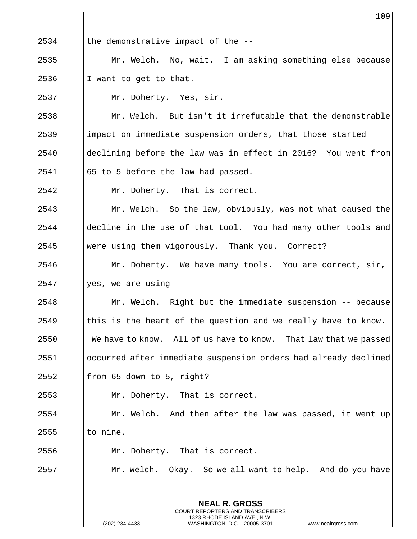|      | 109                                                              |
|------|------------------------------------------------------------------|
| 2534 | the demonstrative impact of the --                               |
| 2535 | Mr. Welch. No, wait. I am asking something else because          |
| 2536 | I want to get to that.                                           |
| 2537 | Mr. Doherty. Yes, sir.                                           |
| 2538 | Mr. Welch. But isn't it irrefutable that the demonstrable        |
| 2539 | impact on immediate suspension orders, that those started        |
| 2540 | declining before the law was in effect in 2016? You went from    |
| 2541 | 65 to 5 before the law had passed.                               |
| 2542 | Mr. Doherty. That is correct.                                    |
| 2543 | Mr. Welch. So the law, obviously, was not what caused the        |
| 2544 | decline in the use of that tool. You had many other tools and    |
| 2545 | were using them vigorously. Thank you. Correct?                  |
| 2546 | Mr. Doherty. We have many tools. You are correct, sir,           |
| 2547 | yes, we are using --                                             |
| 2548 | Mr. Welch. Right but the immediate suspension -- because         |
| 2549 | this is the heart of the question and we really have to know.    |
| 2550 | We have to know. All of us have to know. That law that we passed |
| 2551 | occurred after immediate suspension orders had already declined  |
| 2552 | from 65 down to 5, right?                                        |
| 2553 | Mr. Doherty. That is correct.                                    |
| 2554 | Mr. Welch. And then after the law was passed, it went up         |
| 2555 | to nine.                                                         |
| 2556 | Mr. Doherty. That is correct.                                    |
| 2557 | Mr. Welch. Okay. So we all want to help. And do you have         |
|      | <b>NEAL R. GROSS</b>                                             |

 $\prod_{i=1}^{n}$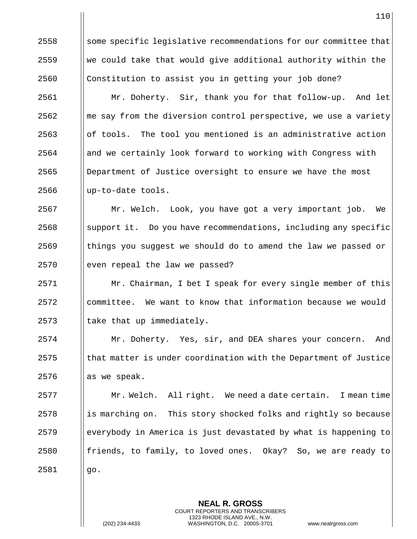Some specific legislative recommendations for our committee that We could take that would give additional authority within the Constitution to assist you in getting your job done? Mr. Doherty. Sir, thank you for that follow-up. And let ||me say from the diversion control perspective, we use a variety || of tools. The tool you mentioned is an administrative action and we certainly look forward to working with Congress with Department of Justice oversight to ensure we have the most || up-to-date tools. Mr. Welch. Look, you have got a very important job. We Support it. Do you have recommendations, including any specific

 || things you suggest we should do to amend the law we passed or || even repeal the law we passed?

 Mr. Chairman, I bet I speak for every single member of this | committee. We want to know that information because we would || take that up immediately.

 Mr. Doherty. Yes, sir, and DEA shares your concern. And || that matter is under coordination with the Department of Justice || as we speak.

 Mr. Welch. All right. We need a date certain. I mean time || is marching on. This story shocked folks and rightly so because everybody in America is just devastated by what is happening to || friends, to family, to loved ones. Okay? So, we are ready to  $\vert \vert$  qo.

> **NEAL R. GROSS** COURT REPORTERS AND TRANSCRIBERS 1323 RHODE ISLAND AVE., N.W.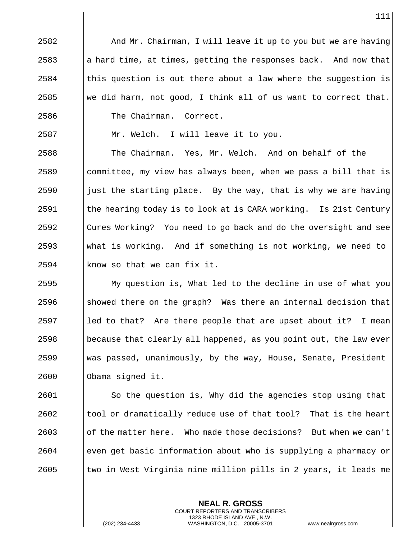$\parallel$  And Mr. Chairman, I will leave it up to you but we are having a hard time, at times, getting the responses back. And now that | this question is out there about a law where the suggestion is We did harm, not good, I think all of us want to correct that. 2586 | The Chairman. Correct.

|| Mr. Welch. I will leave it to you.

 The Chairman. Yes, Mr. Welch. And on behalf of the ||committee, my view has always been, when we pass a bill that is  $\parallel$  just the starting place. By the way, that is why we are having || the hearing today is to look at is CARA working. Is 21st Century Cures Working? You need to go back and do the oversight and see What is working. And if something is not working, we need to | know so that we can fix it.

 My question is, What led to the decline in use of what you  $\Box$  showed there on the graph? Was there an internal decision that 2597 led to that? Are there people that are upset about it? I mean  $\vert\vert$  because that clearly all happened, as you point out, the law ever was passed, unanimously, by the way, House, Senate, President 2600 | Obama signed it.

 So the question is, Why did the agencies stop using that || tool or dramatically reduce use of that tool? That is the heart of the matter here. Who made those decisions? But when we can't even get basic information about who is supplying a pharmacy or  $\parallel$  two in West Virginia nine million pills in 2 years, it leads me

> **NEAL R. GROSS** COURT REPORTERS AND TRANSCRIBERS 1323 RHODE ISLAND AVE., N.W.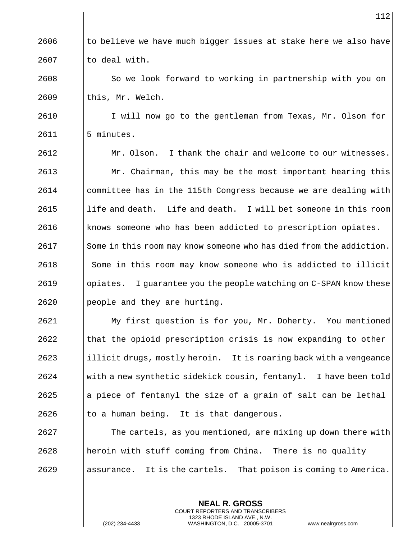|| to believe we have much bigger issues at stake here we also have || to deal with.

2608 | So we look forward to working in partnership with you on || this, Mr. Welch.

 I will now go to the gentleman from Texas, Mr. Olson for | 5 minutes.

 $\parallel$  Mr. Olson. I thank the chair and welcome to our witnesses. **Mr.** Chairman, this may be the most important hearing this committee has in the 115th Congress because we are dealing with | life and death. Life and death. I will bet someone in this room | knows someone who has been addicted to prescription opiates. 2617 Some in this room may know someone who has died from the addiction. 2618 | Some in this room may know someone who is addicted to illicit 2619 | opiates. I guarantee you the people watching on C-SPAN know these | people and they are hurting.

 My first question is for you, Mr. Doherty. You mentioned || that the opioid prescription crisis is now expanding to other ||illicit drugs, mostly heroin. It is roaring back with a vengeance With a new synthetic sidekick cousin, fentanyl. I have been told || a piece of fentanyl the size of a grain of salt can be lethal || to a human being. It is that dangerous.

**The cartels, as you mentioned, are mixing up down there with**  || heroin with stuff coming from China. There is no quality assurance. It is the cartels. That poison is coming to America.

> **NEAL R. GROSS** COURT REPORTERS AND TRANSCRIBERS 1323 RHODE ISLAND AVE., N.W.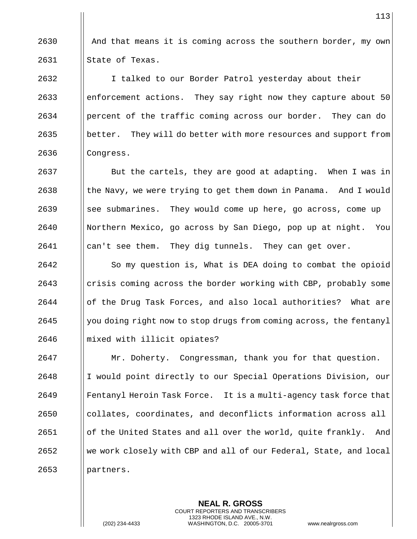2630  $\parallel$  And that means it is coming across the southern border, my own 2631 || State of Texas.

2632 | I talked to our Border Patrol yesterday about their  $2633$  | enforcement actions. They say right now they capture about 50  $2634$  | percent of the traffic coming across our border. They can do 2635 better. They will do better with more resources and support from  $2636$  | Congress.

**But the cartels, they are good at adapting.** When I was in Ithe Navy, we were trying to get them down in Panama. And I would ||see submarines. They would come up here, go across, come up Northern Mexico, go across by San Diego, pop up at night. You 2641 | can't see them. They dig tunnels. They can get over.

2642 | So my question is, What is DEA doing to combat the opioid 2643 crisis coming across the border working with CBP, probably some 2644 of the Drug Task Forces, and also local authorities? What are 2645 Wellyou doing right now to stop drugs from coming across, the fentanyl 2646 mixed with illicit opiates?

 Mr. Doherty. Congressman, thank you for that question. I would point directly to our Special Operations Division, our **Fentanyl Heroin Task Force.** It is a multi-agency task force that collates, coordinates, and deconflicts information across all | of the United States and all over the world, quite frankly. And 2652 We work closely with CBP and all of our Federal, State, and local 2653 | partners.

> **NEAL R. GROSS** COURT REPORTERS AND TRANSCRIBERS 1323 RHODE ISLAND AVE., N.W.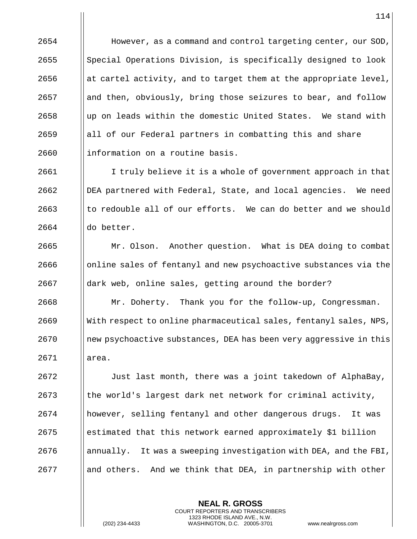**However, as a command and control targeting center, our SOD,**  Special Operations Division, is specifically designed to look 2656 at actel activity, and to target them at the appropriate level, || and then, obviously, bring those seizures to bear, and follow up on leads within the domestic United States. We stand with ||all of our Federal partners in combatting this and share ||information on a routine basis.

2661 I I truly believe it is a whole of government approach in that DEA partnered with Federal, State, and local agencies. We need to redouble all of our efforts. We can do better and we should  $\parallel$  do better.

2665 | Mr. Olson. Another question. What is DEA doing to combat || online sales of fentanyl and new psychoactive substances via the 2667 | dark web, online sales, getting around the border? Mr. Doherty. Thank you for the follow-up, Congressman. With respect to online pharmaceutical sales, fentanyl sales, NPS, new psychoactive substances, DEA has been very aggressive in this area.

2672 | Just last month, there was a joint takedown of AlphaBay, || the world's largest dark net network for criminal activity, however, selling fentanyl and other dangerous drugs. It was estimated that this network earned approximately \$1 billion || annually. It was a sweeping investigation with DEA, and the FBI, and others. And we think that DEA, in partnership with other

> **NEAL R. GROSS** COURT REPORTERS AND TRANSCRIBERS 1323 RHODE ISLAND AVE., N.W.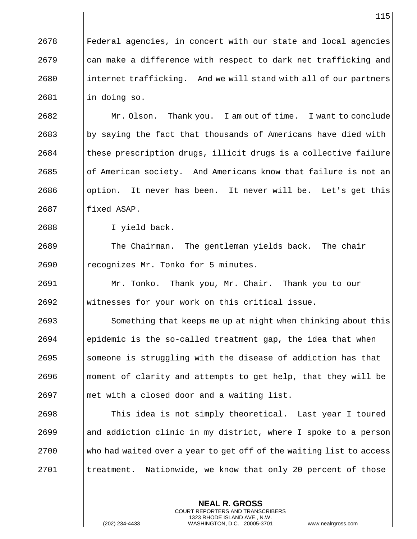||Federal agencies, in concert with our state and local agencies | can make a difference with respect to dark net trafficking and ||internet trafficking. And we will stand with all of our partners || in doing so.

**Mr. Olson.** Thank you. I am out of time. I want to conclude by saying the fact that thousands of Americans have died with || these prescription drugs, illicit drugs is a collective failure || of American society. And Americans know that failure is not an | option. It never has been. It never will be. Let's get this || fixed ASAP.

I yield back.

2689 | The Chairman. The gentleman yields back. The chair 2690 | recognizes Mr. Tonko for 5 minutes.

 Mr. Tonko. Thank you, Mr. Chair. Thank you to our witnesses for your work on this critical issue.

2693 | Something that keeps me up at night when thinking about this epidemic is the so-called treatment gap, the idea that when ||someone is struggling with the disease of addiction has that moment of clarity and attempts to get help, that they will be || met with a closed door and a waiting list.

 This idea is not simply theoretical. Last year I toured || and addiction clinic in my district, where I spoke to a person Who had waited over a year to get off of the waiting list to access | treatment. Nationwide, we know that only 20 percent of those

> **NEAL R. GROSS** COURT REPORTERS AND TRANSCRIBERS 1323 RHODE ISLAND AVE., N.W.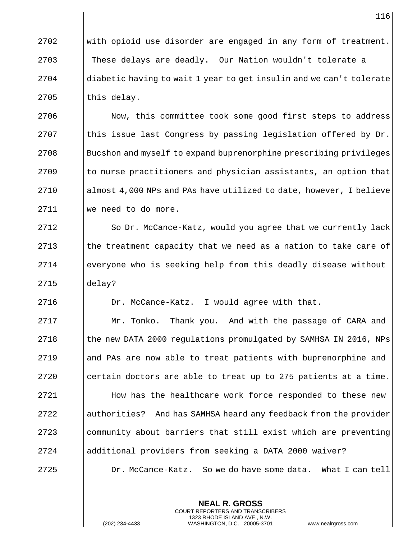With opioid use disorder are engaged in any form of treatment. These delays are deadly. Our Nation wouldn't tolerate a diabetic having to wait 1 year to get insulin and we can't tolerate | this delay.

2706 | Now, this committee took some good first steps to address  $\parallel$  this issue last Congress by passing legislation offered by Dr. Bucshon and myself to expand buprenorphine prescribing privileges || to nurse practitioners and physician assistants, an option that  $\Box$  almost 4,000 NPs and PAs have utilized to date, however, I believe 2711 | we need to do more.

2712 | So Dr. McCance-Katz, would you agree that we currently lack  $\parallel$  the treatment capacity that we need as a nation to take care of everyone who is seeking help from this deadly disease without delay?

Dr. McCance-Katz. I would agree with that.

 Mr. Tonko. Thank you. And with the passage of CARA and 2718 1.1 | the new DATA 2000 regulations promulgated by SAMHSA IN 2016, NPs **and PAs are now able to treat patients with buprenorphine and**  $\parallel$  certain doctors are able to treat up to 275 patients at a time. **How has the healthcare work force responded to these new a** | authorities? And has SAMHSA heard any feedback from the provider || community about barriers that still exist which are preventing additional providers from seeking a DATA 2000 waiver?

Dr. McCance-Katz. So we do have some data. What I can tell

**NEAL R. GROSS** COURT REPORTERS AND TRANSCRIBERS 1323 RHODE ISLAND AVE., N.W.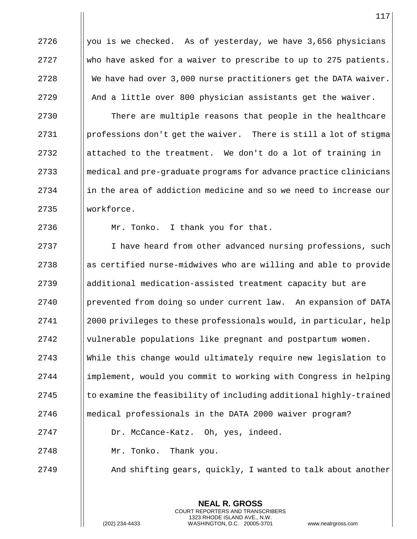2726  $\parallel$  you is we checked. As of yesterday, we have 3,656 physicians 2727 Who have asked for a waiver to prescribe to up to 275 patients. 2728  $\parallel$  We have had over 3,000 nurse practitioners get the DATA waiver. 2729 | And a little over 800 physician assistants get the waiver.

**There are multiple reasons that people in the healthcare**  | professions don't get the waiver. There is still a lot of stigma  $\parallel$  attached to the treatment. We don't do a lot of training in medical and pre-graduate programs for advance practice clinicians ||in the area of addiction medicine and so we need to increase our 2735 || workforce.

2736 | Mr. Tonko. I thank you for that.

2737 | I have heard from other advanced nursing professions, such || as certified nurse-midwives who are willing and able to provide additional medication-assisted treatment capacity but are prevented from doing so under current law. An expansion of DATA 2000 privileges to these professionals would, in particular, help vulnerable populations like pregnant and postpartum women. While this change would ultimately require new legislation to implement, would you commit to working with Congress in helping  $\parallel$  to examine the feasibility of including additional highly-trained medical professionals in the DATA 2000 waiver program? Dr. McCance-Katz. Oh, yes, indeed.

2748 Mr. Tonko. Thank you.

2749 **And shifting gears, quickly, I wanted to talk about another** 

**NEAL R. GROSS** COURT REPORTERS AND TRANSCRIBERS 1323 RHODE ISLAND AVE., N.W.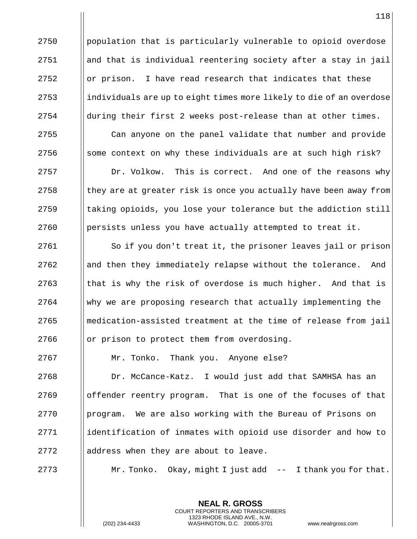| population that is particularly vulnerable to opioid overdose and that is individual reentering society after a stay in jail  $\Box$  or prison. I have read research that indicates that these  $\parallel$  individuals are up to eight times more likely to die of an overdose  $\parallel$  during their first 2 weeks post-release than at other times. 2755 | Can anyone on the panel validate that number and provide  $\parallel$  some context on why these individuals are at such high risk? **Dr. Volkow.** This is correct. And one of the reasons why  $\vert\vert$  they are at greater risk is once you actually have been away from || taking opioids, you lose your tolerance but the addiction still persists unless you have actually attempted to treat it.

2761 | So if you don't treat it, the prisoner leaves jail or prison and then they immediately relapse without the tolerance. And I that is why the risk of overdose is much higher. And that is why we are proposing research that actually implementing the medication-assisted treatment at the time of release from jail  $\Box$  or prison to protect them from overdosing.

Mr. Tonko. Thank you. Anyone else?

 Dr. McCance-Katz. I would just add that SAMHSA has an offender reentry program. That is one of the focuses of that **program.** We are also working with the Bureau of Prisons on 2771 | identification of inmates with opioid use disorder and how to || address when they are about to leave.

 $\parallel$  Mr. Tonko. Okay, might I just add -- I thank you for that.

**NEAL R. GROSS** COURT REPORTERS AND TRANSCRIBERS 1323 RHODE ISLAND AVE., N.W.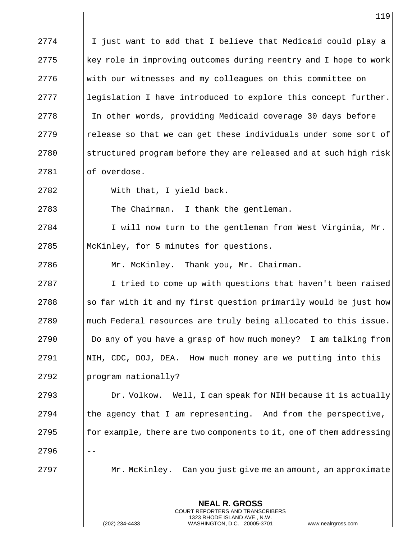|      | 119                                                                                                 |
|------|-----------------------------------------------------------------------------------------------------|
| 2774 | I just want to add that I believe that Medicaid could play a                                        |
| 2775 | key role in improving outcomes during reentry and I hope to work                                    |
| 2776 | with our witnesses and my colleagues on this committee on                                           |
| 2777 | legislation I have introduced to explore this concept further.                                      |
| 2778 | In other words, providing Medicaid coverage 30 days before                                          |
| 2779 | release so that we can get these individuals under some sort of                                     |
| 2780 | structured program before they are released and at such high risk                                   |
| 2781 | of overdose.                                                                                        |
| 2782 | With that, I yield back.                                                                            |
| 2783 | The Chairman. I thank the gentleman.                                                                |
| 2784 | I will now turn to the gentleman from West Virginia, Mr.                                            |
| 2785 | McKinley, for 5 minutes for questions.                                                              |
| 2786 | Mr. McKinley. Thank you, Mr. Chairman.                                                              |
| 2787 | I tried to come up with questions that haven't been raised                                          |
| 2788 | so far with it and my first question primarily would be just how                                    |
| 2789 | much Federal resources are truly being allocated to this issue.                                     |
| 2790 | Do any of you have a grasp of how much money? I am talking from                                     |
| 2791 | NIH, CDC, DOJ, DEA. How much money are we putting into this                                         |
| 2792 | program nationally?                                                                                 |
| 2793 | Dr. Volkow. Well, I can speak for NIH because it is actually                                        |
| 2794 | the agency that I am representing. And from the perspective,                                        |
| 2795 | for example, there are two components to it, one of them addressing                                 |
| 2796 |                                                                                                     |
| 2797 | Mr. McKinley. Can you just give me an amount, an approximate                                        |
|      | <b>NEAL R. GROSS</b><br>COURT REPORTERS AND TRANSCRIBERS                                            |
|      | 1323 RHODE ISLAND AVE., N.W.<br>(202) 234-4433<br>WASHINGTON, D.C. 20005-3701<br>www.nealrgross.com |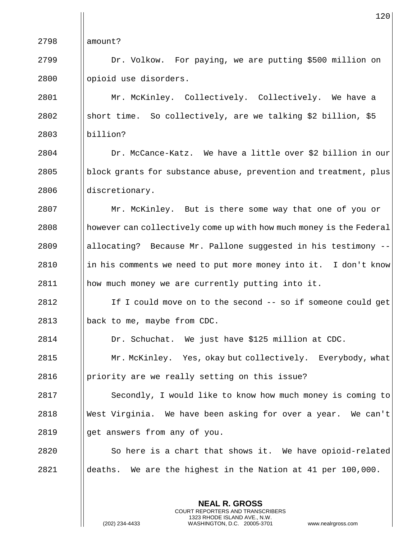|      | 120                                                                 |
|------|---------------------------------------------------------------------|
| 2798 | amount?                                                             |
| 2799 | Dr. Volkow. For paying, we are putting \$500 million on             |
| 2800 | opioid use disorders.                                               |
| 2801 | Mr. McKinley. Collectively. Collectively. We have a                 |
| 2802 | short time. So collectively, are we talking \$2 billion, \$5        |
| 2803 | billion?                                                            |
| 2804 | Dr. McCance-Katz. We have a little over \$2 billion in our          |
| 2805 | block grants for substance abuse, prevention and treatment, plus    |
| 2806 | discretionary.                                                      |
| 2807 | Mr. McKinley. But is there some way that one of you or              |
| 2808 | however can collectively come up with how much money is the Federal |
| 2809 | allocating? Because Mr. Pallone suggested in his testimony --       |
| 2810 | in his comments we need to put more money into it. I don't know     |
| 2811 | how much money we are currently putting into it.                    |
| 2812 | If I could move on to the second -- so if someone could get         |
| 2813 | back to me, maybe from CDC.                                         |
| 2814 | Dr. Schuchat. We just have \$125 million at CDC.                    |
| 2815 | Mr. McKinley. Yes, okay but collectively. Everybody, what           |
| 2816 | priority are we really setting on this issue?                       |
| 2817 | Secondly, I would like to know how much money is coming to          |
| 2818 | West Virginia. We have been asking for over a year. We can't        |
| 2819 | get answers from any of you.                                        |
| 2820 | So here is a chart that shows it. We have opioid-related            |
| 2821 | deaths. We are the highest in the Nation at 41 per 100,000.         |
|      |                                                                     |

 $\mathbf{I}$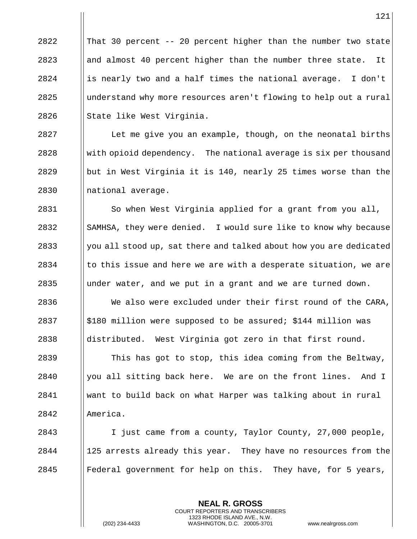$\parallel$  That 30 percent -- 20 percent higher than the number two state **a** almost 40 percent higher than the number three state. It  $\parallel$  is nearly two and a half times the national average. I don't || understand why more resources aren't flowing to help out a rural  $\parallel$  State like West Virginia.

2827 | Let me give you an example, though, on the neonatal births  $2828$  With opioid dependency. The national average is six per thousand 2829  $\parallel$  but in West Virginia it is 140, nearly 25 times worse than the 2830 || national average.

2831 | So when West Virginia applied for a grant from you all, 2832 SAMHSA, they were denied. I would sure like to know why because  $2833$  || you all stood up, sat there and talked about how you are dedicated 2834  $\parallel$  to this issue and here we are with a desperate situation, we are  $2835$  || under water, and we put in a grant and we are turned down. 2836 We also were excluded under their first round of the CARA, 2837  $\frac{1}{2837}$  | \$180 million were supposed to be assured; \$144 million was 2838  $\parallel$  distributed. West Virginia got zero in that first round. 2839 This has got to stop, this idea coming from the Beltway,

 $2840$  | you all sitting back here. We are on the front lines. And I 2841 want to build back on what Harper was talking about in rural 2842 America.

2843 I just came from a county, Taylor County, 27,000 people,  $2844$  | 125 arrests already this year. They have no resources from the 2845  $\parallel$  Federal government for help on this. They have, for 5 years,

> **NEAL R. GROSS** COURT REPORTERS AND TRANSCRIBERS 1323 RHODE ISLAND AVE., N.W.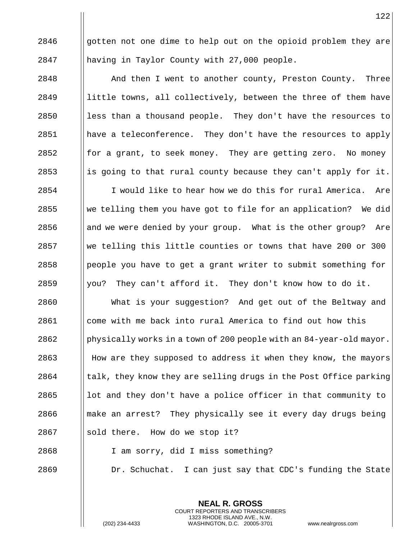2846  $\parallel$  gotten not one dime to help out on the opioid problem they are having in Taylor County with 27,000 people.

**And then I went to another county, Preston County.** Three ||little towns, all collectively, between the three of them have  $\parallel$  less than a thousand people. They don't have the resources to || have a teleconference. They don't have the resources to apply  $\parallel$  for a grant, to seek money. They are getting zero. No money 2853 is going to that rural county because they can't apply for it. I would like to hear how we do this for rural America. Are We telling them you have got to file for an application? We did || and we were denied by your group. What is the other group? Are We telling this little counties or towns that have 200 or 300 | people you have to get a grant writer to submit something for  $\parallel$  you? They can't afford it. They don't know how to do it. What is your suggestion? And get out of the Beltway and come with me back into rural America to find out how this 2862 | physically works in a town of 200 people with an 84-year-old mayor. 2863 How are they supposed to address it when they know, the mayors || talk, they know they are selling drugs in the Post Office parking || lot and they don't have a police officer in that community to **make an arrest?** They physically see it every day drugs being || sold there. How do we stop it? I am sorry, did I miss something?

**Dr.** Schuchat. I can just say that CDC's funding the State

**NEAL R. GROSS** COURT REPORTERS AND TRANSCRIBERS 1323 RHODE ISLAND AVE., N.W.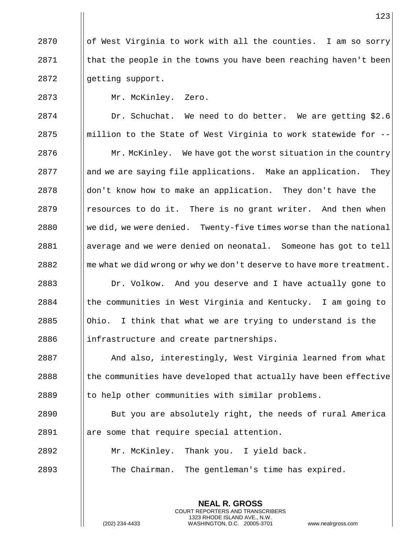| of West Virginia to work with all the counties. I am so sorry I that the people in the towns you have been reaching haven't been 2872 | getting support.

Mr. McKinley. Zero.

 Dr. Schuchat. We need to do better. We are getting \$2.6 ||million to the State of West Virginia to work statewide for -- | Mr. McKinley. We have got the worst situation in the country || and we are saying file applications. Make an application. They don't know how to make an application. They don't have the | resources to do it. There is no grant writer. And then when We did, we were denied. Twenty-five times worse than the national average and we were denied on neonatal. Someone has got to tell  $\parallel$  me what we did wrong or why we don't deserve to have more treatment. Dr. Volkow. And you deserve and I have actually gone to | the communities in West Virginia and Kentucky. I am going to  $\Box$  Ohio. I think that what we are trying to understand is the ||infrastructure and create partnerships.

2887 And also, interestingly, West Virginia learned from what || the communities have developed that actually have been effective || to help other communities with similar problems.

 But you are absolutely right, the needs of rural America 2891 | are some that require special attention.

Mr. McKinley. Thank you. I yield back.

The Chairman. The gentleman's time has expired.

**NEAL R. GROSS** COURT REPORTERS AND TRANSCRIBERS 1323 RHODE ISLAND AVE., N.W.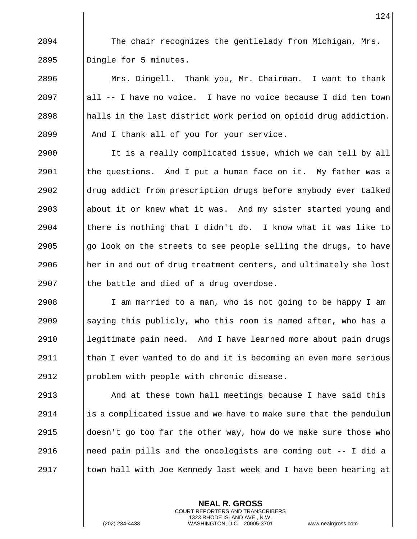$2894$   $\parallel$  The chair recognizes the gentlelady from Michigan, Mrs. 2895 | Dingle for 5 minutes.

 $\parallel$  Mrs. Dingell. Thank you, Mr. Chairman. I want to thank  $\parallel$  all -- I have no voice. I have no voice because I did ten town  $\parallel$  halls in the last district work period on opioid drug addiction. || And I thank all of you for your service.

 $\parallel$  It is a really complicated issue, which we can tell by all  $\parallel$  the questions. And I put a human face on it. My father was a 2902 aldrug addict from prescription drugs before anybody ever talked  $\parallel$  about it or knew what it was. And my sister started young and  $\parallel$  there is nothing that I didn't do. I know what it was like to  $\|\$ go look on the streets to see people selling the drugs, to have || her in and out of drug treatment centers, and ultimately she lost || the battle and died of a drug overdose.

2908 | I am married to a man, who is not going to be happy I am 2909  $\parallel$  saying this publicly, who this room is named after, who has a  $2910$  | legitimate pain need. And I have learned more about pain drugs 2911  $\parallel$  than I ever wanted to do and it is becoming an even more serious 2912 | problem with people with chronic disease.

 And at these town hall meetings because I have said this | is a complicated issue and we have to make sure that the pendulum  $\Box$  doesn't go too far the other way, how do we make sure those who **I** need pain pills and the oncologists are coming out  $-$ - I did a  $\Box$  town hall with Joe Kennedy last week and I have been hearing at

> **NEAL R. GROSS** COURT REPORTERS AND TRANSCRIBERS 1323 RHODE ISLAND AVE., N.W.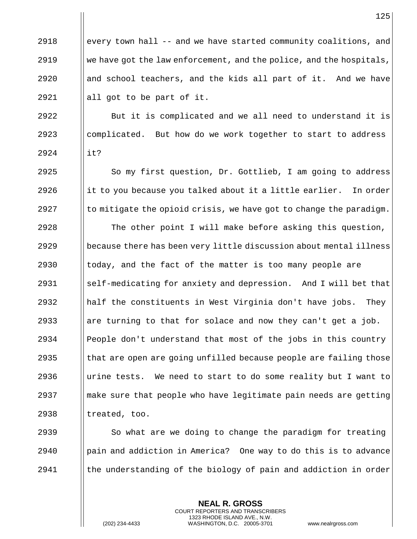$\Box$  every town hall -- and we have started community coalitions, and  $\|\cdot\|$  we have got the law enforcement, and the police, and the hospitals,  $\parallel$  and school teachers, and the kids all part of it. And we have  $\parallel$  all got to be part of it.

2922 **But it is complicated and we all need to understand it is**  $2923$  complicated. But how do we work together to start to address 2924 it?

 $2925$  | So my first question, Dr. Gottlieb, I am going to address 2926 incluit to you because you talked about it a little earlier. In order 2927  $\|\cdot\|$  to mitigate the opioid crisis, we have got to change the paradigm.

 $\parallel$  The other point I will make before asking this question, because there has been very little discussion about mental illness  $\parallel$  today, and the fact of the matter is too many people are self-medicating for anxiety and depression. And I will bet that || half the constituents in West Virginia don't have jobs. They 2933 are turning to that for solace and now they can't get a job. People don't understand that most of the jobs in this country || that are open are going unfilled because people are failing those  $\parallel$  urine tests. We need to start to do some reality but I want to make sure that people who have legitimate pain needs are getting ||treated, too.

2939  $\parallel$  So what are we doing to change the paradigm for treating 2940 **pain and addiction in America?** One way to do this is to advance  $2941$  I the understanding of the biology of pain and addiction in order

> **NEAL R. GROSS** COURT REPORTERS AND TRANSCRIBERS 1323 RHODE ISLAND AVE., N.W.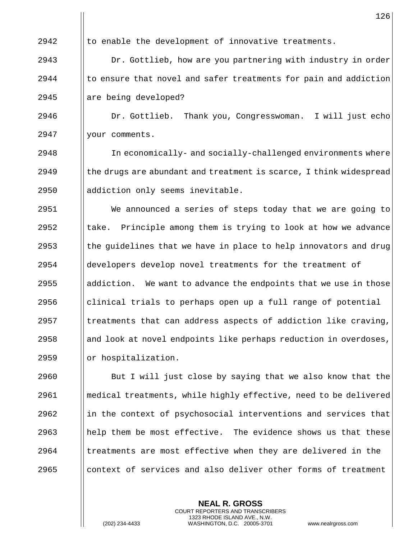|      | 126                                                                |
|------|--------------------------------------------------------------------|
| 2942 | to enable the development of innovative treatments.                |
| 2943 | Dr. Gottlieb, how are you partnering with industry in order        |
| 2944 | to ensure that novel and safer treatments for pain and addiction   |
| 2945 | are being developed?                                               |
| 2946 | Dr. Gottlieb. Thank you, Congresswoman. I will just echo           |
| 2947 | your comments.                                                     |
| 2948 | In economically- and socially-challenged environments where        |
| 2949 | the drugs are abundant and treatment is scarce, I think widespread |
| 2950 | addiction only seems inevitable.                                   |
| 2951 | We announced a series of steps today that we are going to          |
| 2952 | take. Principle among them is trying to look at how we advance     |
| 2953 | the guidelines that we have in place to help innovators and drug   |
| 2954 | developers develop novel treatments for the treatment of           |
| 2955 | addiction. We want to advance the endpoints that we use in those   |
| 2956 | clinical trials to perhaps open up a full range of potential       |
| 2957 | treatments that can address aspects of addiction like craving,     |
| 2958 | and look at novel endpoints like perhaps reduction in overdoses,   |
| 2959 | or hospitalization.                                                |
| 2960 | But I will just close by saying that we also know that the         |
| 2961 | medical treatments, while highly effective, need to be delivered   |
| 2962 | in the context of psychosocial interventions and services that     |
| 2963 | help them be most effective. The evidence shows us that these      |
| 2964 | treatments are most effective when they are delivered in the       |
| 2965 | context of services and also deliver other forms of treatment      |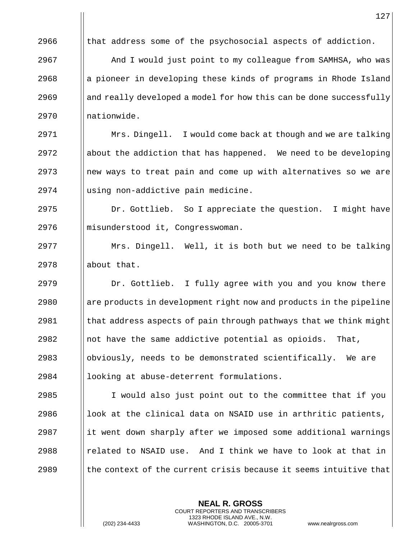|      | 127                                                                |
|------|--------------------------------------------------------------------|
| 2966 | that address some of the psychosocial aspects of addiction.        |
| 2967 | And I would just point to my colleague from SAMHSA, who was        |
| 2968 | a pioneer in developing these kinds of programs in Rhode Island    |
| 2969 | and really developed a model for how this can be done successfully |
| 2970 | nationwide.                                                        |
| 2971 | Mrs. Dingell. I would come back at though and we are talking       |
| 2972 | about the addiction that has happened. We need to be developing    |
| 2973 | new ways to treat pain and come up with alternatives so we are     |
| 2974 | using non-addictive pain medicine.                                 |
| 2975 | Dr. Gottlieb. So I appreciate the question. I might have           |
| 2976 | misunderstood it, Congresswoman.                                   |
| 2977 | Mrs. Dingell. Well, it is both but we need to be talking           |
| 2978 | about that.                                                        |
| 2979 | Dr. Gottlieb. I fully agree with you and you know there            |
| 2980 | are products in development right now and products in the pipeline |
| 2981 | that address aspects of pain through pathways that we think might  |
| 2982 | not have the same addictive potential as opioids.<br>That,         |
| 2983 | obviously, needs to be demonstrated scientifically.<br>We are      |
| 2984 | looking at abuse-deterrent formulations.                           |
| 2985 | I would also just point out to the committee that if you           |
| 2986 | look at the clinical data on NSAID use in arthritic patients,      |
| 2987 | it went down sharply after we imposed some additional warnings     |
| 2988 | related to NSAID use. And I think we have to look at that in       |
| 2989 | the context of the current crisis because it seems intuitive that  |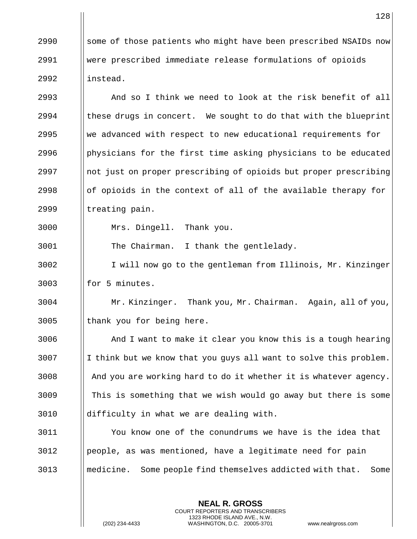2990  $\parallel$  some of those patients who might have been prescribed NSAIDs now were prescribed immediate release formulations of opioids instead.

 $\parallel$  And so I think we need to look at the risk benefit of all  $\parallel$  these drugs in concert. We sought to do that with the blueprint We advanced with respect to new educational requirements for **physicians for the first time asking physicians to be educated**  ||not just on proper prescribing of opioids but proper prescribing  $\Box$  of opioids in the context of all of the available therapy for | treating pain.

Mrs. Dingell. Thank you.

The Chairman. I thank the gentlelady.

 I will now go to the gentleman from Illinois, Mr. Kinzinger || for 5 minutes.

 Mr. Kinzinger. Thank you, Mr. Chairman. Again, all of you, || thank you for being here.

3006 And I want to make it clear you know this is a tough hearing | I think but we know that you guys all want to solve this problem. 3008 And you are working hard to do it whether it is whatever agency. This is something that we wish would go away but there is some difficulty in what we are dealing with.

 You know one of the conundrums we have is the idea that people, as was mentioned, have a legitimate need for pain medicine. Some people find themselves addicted with that. Some

> **NEAL R. GROSS** COURT REPORTERS AND TRANSCRIBERS 1323 RHODE ISLAND AVE., N.W.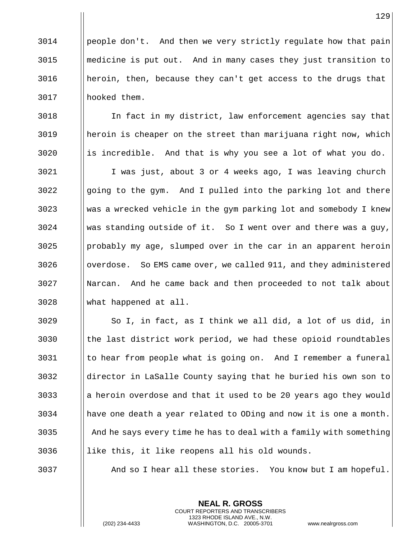| people don't. And then we very strictly regulate how that pain medicine is put out. And in many cases they just transition to heroin, then, because they can't get access to the drugs that hooked them.

3018 | In fact in my district, law enforcement agencies say that heroin is cheaper on the street than marijuana right now, which || is incredible. And that is why you see a lot of what you do.

 I was just, about 3 or 4 weeks ago, I was leaving church going to the gym. And I pulled into the parking lot and there 3023 Weding a wrecked vehicle in the gym parking lot and somebody I knew Was standing outside of it. So I went over and there was a guy, ||probably my age, slumped over in the car in an apparent heroin 3026 | overdose. So EMS came over, we called 911, and they administered Narcan. And he came back and then proceeded to not talk about what happened at all.

 | So I, in fact, as I think we all did, a lot of us did, in || the last district work period, we had these opioid roundtables to hear from people what is going on. And I remember a funeral director in LaSalle County saying that he buried his own son to ||a heroin overdose and that it used to be 20 years ago they would have one death a year related to ODing and now it is one a month.  $\parallel$  And he says every time he has to deal with a family with something ||like this, it like reopens all his old wounds.

And so I hear all these stories. You know but I am hopeful.

**NEAL R. GROSS** COURT REPORTERS AND TRANSCRIBERS 1323 RHODE ISLAND AVE., N.W.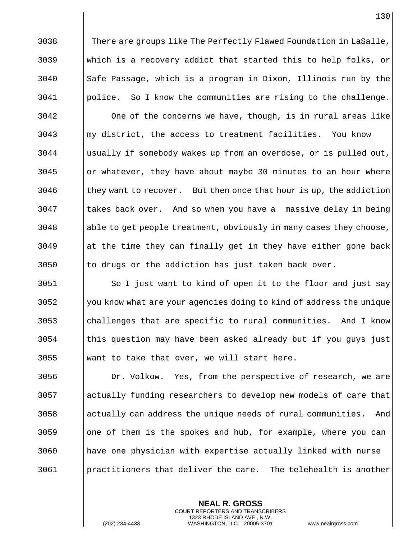**There are groups like The Perfectly Flawed Foundation in LaSalle**, which is a recovery addict that started this to help folks, or Safe Passage, which is a program in Dixon, Illinois run by the police. So I know the communities are rising to the challenge.

 One of the concerns we have, though, is in rural areas like ||my district, the access to treatment facilities. You know usually if somebody wakes up from an overdose, or is pulled out, || or whatever, they have about maybe 30 minutes to an hour where they want to recover. But then once that hour is up, the addiction 3047 | takes back over. And so when you have a massive delay in being ||able to get people treatment, obviously in many cases they choose, || at the time they can finally get in they have either gone back || to drugs or the addiction has just taken back over.

3051 | So I just want to kind of open it to the floor and just say || you know what are your agencies doing to kind of address the unique challenges that are specific to rural communities. And I know this question may have been asked already but if you guys just Weant to take that over, we will start here.

3056 | Dr. Volkow. Yes, from the perspective of research, we are 3057 actually funding researchers to develop new models of care that || actually can address the unique needs of rural communities. And ||one of them is the spokes and hub, for example, where you can have one physician with expertise actually linked with nurse practitioners that deliver the care. The telehealth is another

> **NEAL R. GROSS** COURT REPORTERS AND TRANSCRIBERS 1323 RHODE ISLAND AVE., N.W.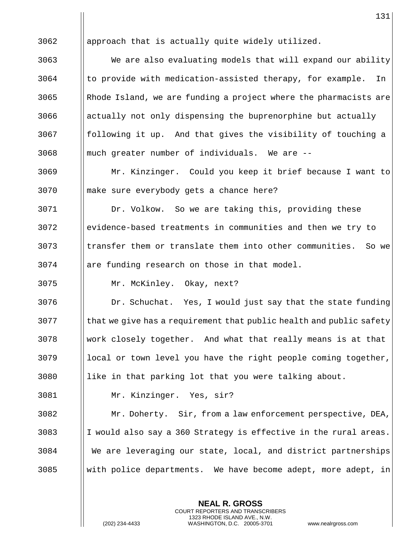||approach that is actually quite widely utilized. We are also evaluating models that will expand our ability | to provide with medication-assisted therapy, for example. In ||Rhode Island, we are funding a project where the pharmacists are || actually not only dispensing the buprenorphine but actually || following it up. And that gives the visibility of touching a || much greater number of individuals. We are  $-$ - Mr. Kinzinger. Could you keep it brief because I want to make sure everybody gets a chance here? Dr. Volkow. So we are taking this, providing these evidence-based treatments in communities and then we try to || transfer them or translate them into other communities. So we || are funding research on those in that model. Mr. McKinley. Okay, next? Dr. Schuchat. Yes, I would just say that the state funding || that we give has a requirement that public health and public safety work closely together. And what that really means is at that || local or town level you have the right people coming together, || like in that parking lot that you were talking about. Mr. Kinzinger. Yes, sir? Mr. Doherty. Sir, from a law enforcement perspective, DEA, 3083 I I would also say a 360 Strategy is effective in the rural areas. We are leveraging our state, local, and district partnerships Weith police departments. We have become adept, more adept, in

> **NEAL R. GROSS** COURT REPORTERS AND TRANSCRIBERS 1323 RHODE ISLAND AVE., N.W.

(202) 234-4433 WASHINGTON, D.C. 20005-3701 www.nealrgross.com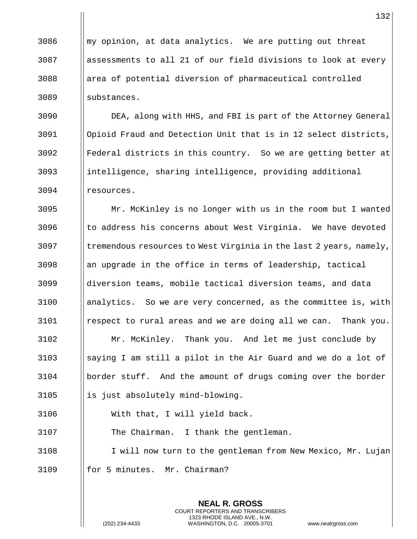momorpopinion, at data analytics. We are putting out threat assessments to all 21 of our field divisions to look at every ||area of potential diversion of pharmaceutical controlled 3089 ||substances.

 DEA, along with HHS, and FBI is part of the Attorney General Opioid Fraud and Detection Unit that is in 12 select districts, Federal districts in this country. So we are getting better at intelligence, sharing intelligence, providing additional resources.

 Mr. McKinley is no longer with us in the room but I wanted || to address his concerns about West Virginia. We have devoted || tremendous resources to West Virginia in the last 2 years, namely, an upgrade in the office in terms of leadership, tactical diversion teams, mobile tactical diversion teams, and data analytics. So we are very concerned, as the committee is, with | respect to rural areas and we are doing all we can. Thank you. Mr. McKinley. Thank you. And let me just conclude by ||saying I am still a pilot in the Air Guard and we do a lot of border stuff. And the amount of drugs coming over the border || is just absolutely mind-blowing. With that, I will yield back.

 The Chairman. I thank the gentleman. 3108 | I will now turn to the gentleman from New Mexico, Mr. Lujan

> **NEAL R. GROSS** COURT REPORTERS AND TRANSCRIBERS 1323 RHODE ISLAND AVE., N.W.

| for 5 minutes. Mr. Chairman?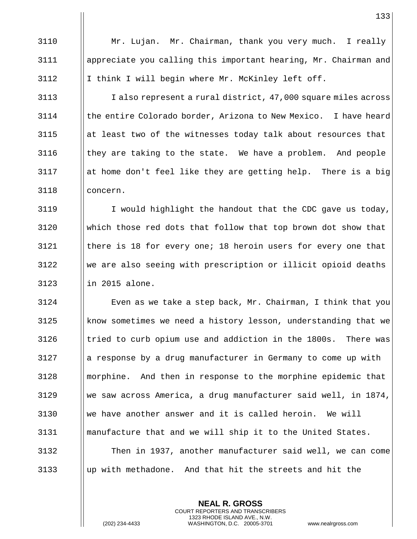Mr. Lujan. Mr. Chairman, thank you very much. I really appreciate you calling this important hearing, Mr. Chairman and 3112  $\|\$ I think I will begin where Mr. McKinley left off.

3113 | I also represent a rural district, 47,000 square miles across | the entire Colorado border, Arizona to New Mexico. I have heard at least two of the witnesses today talk about resources that  $\parallel$  they are taking to the state. We have a problem. And people ||at home don't feel like they are getting help. There is a big concern.

3119 | I would highlight the handout that the CDC gave us today, which those red dots that follow that top brown dot show that  $\parallel$  there is 18 for every one; 18 heroin users for every one that We are also seeing with prescription or illicit opioid deaths || in 2015 alone.

 Even as we take a step back, Mr. Chairman, I think that you know sometimes we need a history lesson, understanding that we || tried to curb opium use and addiction in the 1800s. There was || a response by a drug manufacturer in Germany to come up with morphine. And then in response to the morphine epidemic that we saw across America, a drug manufacturer said well, in 1874, we have another answer and it is called heroin. We will manufacture that and we will ship it to the United States. Then in 1937, another manufacturer said well, we can come up with methadone. And that hit the streets and hit the

> **NEAL R. GROSS** COURT REPORTERS AND TRANSCRIBERS 1323 RHODE ISLAND AVE., N.W.

(202) 234-4433 WASHINGTON, D.C. 20005-3701 www.nealrgross.com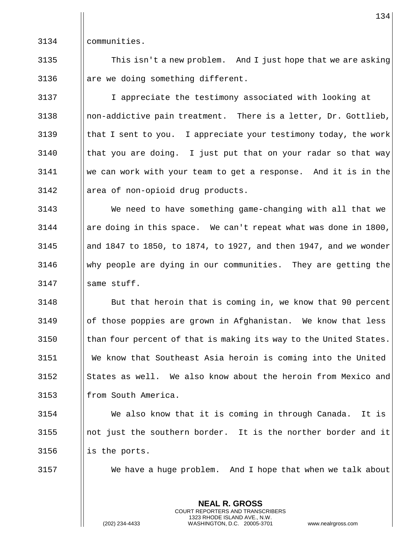communities.

3135  $\parallel$  This isn't a new problem. And I just hope that we are asking || are we doing something different.

 I appreciate the testimony associated with looking at || non-addictive pain treatment. There is a letter, Dr. Gottlieb,  $\parallel$  that I sent to you. I appreciate your testimony today, the work  $\parallel$  that you are doing. I just put that on your radar so that way we can work with your team to get a response. And it is in the area of non-opioid drug products.

 We need to have something game-changing with all that we || are doing in this space. We can't repeat what was done in 1800, || and 1847 to 1850, to 1874, to 1927, and then 1947, and we wonder why people are dying in our communities. They are getting the | same stuff.

**But that heroin that is coming in, we know that 90 percent**  of those poppies are grown in Afghanistan. We know that less || than four percent of that is making its way to the United States. We know that Southeast Asia heroin is coming into the United States as well. We also know about the heroin from Mexico and 3153 || from South America.

 We also know that it is coming in through Canada. It is  $\Box$  not just the southern border. It is the norther border and it || is the ports.

We have a huge problem. And I hope that when we talk about

**NEAL R. GROSS** COURT REPORTERS AND TRANSCRIBERS 1323 RHODE ISLAND AVE., N.W.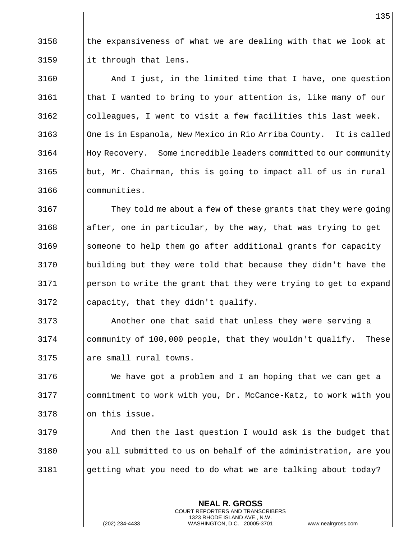$\parallel$  the expansiveness of what we are dealing with that we look at || it through that lens.

 And I just, in the limited time that I have, one question  $\parallel$  that I wanted to bring to your attention is, like many of our ||colleagues, I went to visit a few facilities this last week. 3163 | One is in Espanola, New Mexico in Rio Arriba County. It is called 3164 Hoy Recovery. Some incredible leaders committed to our community ||but, Mr. Chairman, this is going to impact all of us in rural communities.

3167 | They told me about a few of these grants that they were going ||after, one in particular, by the way, that was trying to get 3169 Someone to help them go after additional grants for capacity building but they were told that because they didn't have the person to write the grant that they were trying to get to expand || capacity, that they didn't qualify.

 Another one that said that unless they were serving a community of 100,000 people, that they wouldn't qualify. These || are small rural towns.

 We have got a problem and I am hoping that we can get a commitment to work with you, Dr. McCance-Katz, to work with you || on this issue.

 And then the last question I would ask is the budget that Well submitted to us on behalf of the administration, are you getting what you need to do what we are talking about today?

> **NEAL R. GROSS** COURT REPORTERS AND TRANSCRIBERS 1323 RHODE ISLAND AVE., N.W.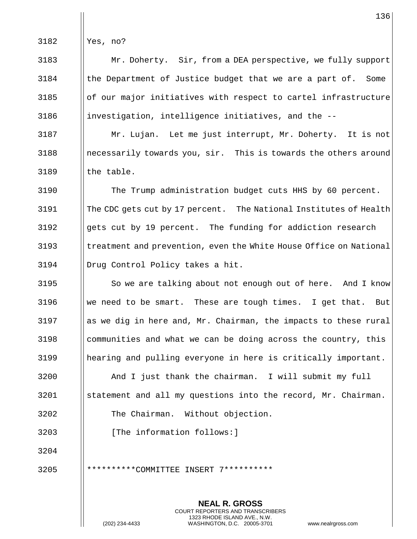Yes, no?

 Mr. Doherty. Sir, from a DEA perspective, we fully support  $\parallel$  the Department of Justice budget that we are a part of. Some || of our major initiatives with respect to cartel infrastructure ||investigation, intelligence initiatives, and the  $-$ -

 Mr. Lujan. Let me just interrupt, Mr. Doherty. It is not || necessarily towards you, sir. This is towards the others around || the table.

 The Trump administration budget cuts HHS by 60 percent. 3191 || The CDC gets cut by 17 percent. The National Institutes of Health || gets cut by 19 percent. The funding for addiction research 3193 | treatment and prevention, even the White House Office on National Drug Control Policy takes a hit.

3195 | So we are talking about not enough out of here. And I know 3196 We need to be smart. These are tough times. I get that. But || as we dig in here and, Mr. Chairman, the impacts to these rural | communities and what we can be doing across the country, this hearing and pulling everyone in here is critically important.

 And I just thank the chairman. I will submit my full statement and all my questions into the record, Mr. Chairman. The Chairman. Without objection.

> **NEAL R. GROSS** COURT REPORTERS AND TRANSCRIBERS 1323 RHODE ISLAND AVE., N.W.

3203 | [The information follows:]

\*\*\*\*\*\*\*\*\*\*COMMITTEE INSERT 7\*\*\*\*\*\*\*\*\*\*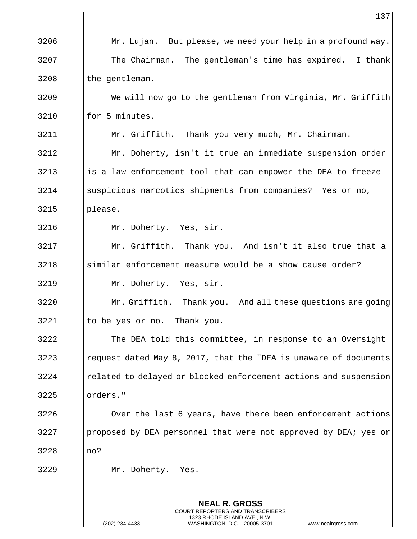|      | 137                                                                                                                                                             |
|------|-----------------------------------------------------------------------------------------------------------------------------------------------------------------|
| 3206 | Mr. Lujan. But please, we need your help in a profound way.                                                                                                     |
| 3207 | The Chairman. The gentleman's time has expired. I thank                                                                                                         |
| 3208 | the gentleman.                                                                                                                                                  |
| 3209 | We will now go to the gentleman from Virginia, Mr. Griffith                                                                                                     |
| 3210 | for 5 minutes.                                                                                                                                                  |
| 3211 | Mr. Griffith. Thank you very much, Mr. Chairman.                                                                                                                |
| 3212 | Mr. Doherty, isn't it true an immediate suspension order                                                                                                        |
| 3213 | is a law enforcement tool that can empower the DEA to freeze                                                                                                    |
| 3214 | suspicious narcotics shipments from companies? Yes or no,                                                                                                       |
| 3215 | please.                                                                                                                                                         |
| 3216 | Mr. Doherty. Yes, sir.                                                                                                                                          |
| 3217 | Mr. Griffith. Thank you. And isn't it also true that a                                                                                                          |
| 3218 | similar enforcement measure would be a show cause order?                                                                                                        |
| 3219 | Mr. Doherty. Yes, sir.                                                                                                                                          |
| 3220 | Mr. Griffith. Thank you. And all these questions are going                                                                                                      |
| 3221 | to be yes or no. Thank you.                                                                                                                                     |
| 3222 | The DEA told this committee, in response to an Oversight                                                                                                        |
| 3223 | request dated May 8, 2017, that the "DEA is unaware of documents                                                                                                |
| 3224 | related to delayed or blocked enforcement actions and suspension                                                                                                |
| 3225 | orders."                                                                                                                                                        |
| 3226 | Over the last 6 years, have there been enforcement actions                                                                                                      |
| 3227 | proposed by DEA personnel that were not approved by DEA; yes or                                                                                                 |
| 3228 | no?                                                                                                                                                             |
| 3229 | Mr. Doherty. Yes.                                                                                                                                               |
|      |                                                                                                                                                                 |
|      | <b>NEAL R. GROSS</b><br>COURT REPORTERS AND TRANSCRIBERS<br>1323 RHODE ISLAND AVE., N.W.<br>(202) 234-4433<br>WASHINGTON, D.C. 20005-3701<br>www.nealrgross.com |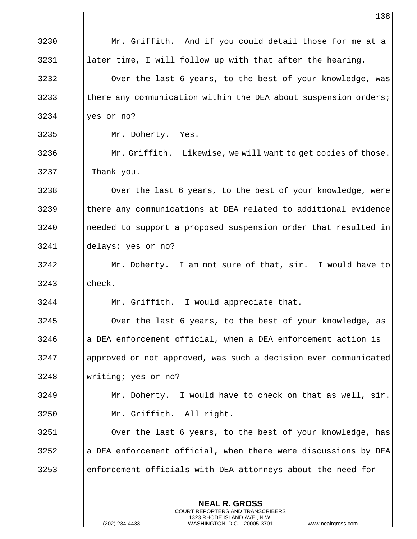|      | 138                                                             |
|------|-----------------------------------------------------------------|
| 3230 | Mr. Griffith. And if you could detail those for me at a         |
| 3231 | later time, I will follow up with that after the hearing.       |
| 3232 | Over the last 6 years, to the best of your knowledge, was       |
| 3233 | there any communication within the DEA about suspension orders; |
| 3234 | yes or no?                                                      |
| 3235 | Mr. Doherty. Yes.                                               |
| 3236 | Mr. Griffith. Likewise, we will want to get copies of those.    |
| 3237 | Thank you.                                                      |
| 3238 | Over the last 6 years, to the best of your knowledge, were      |
| 3239 | there any communications at DEA related to additional evidence  |
| 3240 | needed to support a proposed suspension order that resulted in  |
| 3241 | delays; yes or no?                                              |
| 3242 | Mr. Doherty. I am not sure of that, sir. I would have to        |
| 3243 | check.                                                          |
| 3244 | Mr. Griffith. I would appreciate that.                          |
| 3245 | Over the last 6 years, to the best of your knowledge, as        |
| 3246 | a DEA enforcement official, when a DEA enforcement action is    |
| 3247 | approved or not approved, was such a decision ever communicated |
| 3248 | writing; yes or no?                                             |
| 3249 | Mr. Doherty. I would have to check on that as well, sir.        |
| 3250 | Mr. Griffith. All right.                                        |
| 3251 | Over the last 6 years, to the best of your knowledge, has       |
| 3252 | a DEA enforcement official, when there were discussions by DEA  |
| 3253 | enforcement officials with DEA attorneys about the need for     |

(202) 234-4433 WASHINGTON, D.C. 20005-3701 www.nealrgross.com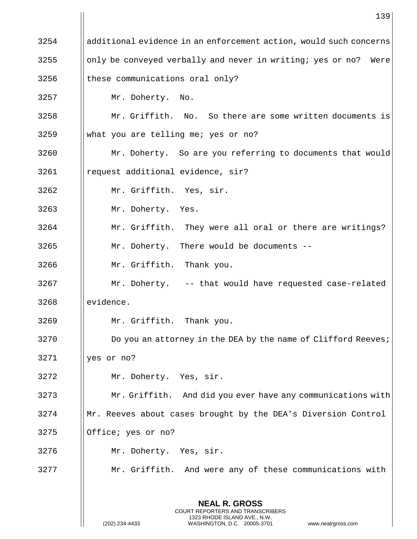|      | 139                                                                                                                                                             |
|------|-----------------------------------------------------------------------------------------------------------------------------------------------------------------|
| 3254 | additional evidence in an enforcement action, would such concerns                                                                                               |
| 3255 | only be conveyed verbally and never in writing; yes or no? Were                                                                                                 |
| 3256 | these communications oral only?                                                                                                                                 |
| 3257 | Mr. Doherty. No.                                                                                                                                                |
| 3258 | Mr. Griffith. No. So there are some written documents is                                                                                                        |
| 3259 | what you are telling me; yes or no?                                                                                                                             |
| 3260 | Mr. Doherty. So are you referring to documents that would                                                                                                       |
| 3261 | request additional evidence, sir?                                                                                                                               |
| 3262 | Mr. Griffith. Yes, sir.                                                                                                                                         |
| 3263 | Mr. Doherty. Yes.                                                                                                                                               |
| 3264 | Mr. Griffith. They were all oral or there are writings?                                                                                                         |
| 3265 | Mr. Doherty. There would be documents --                                                                                                                        |
| 3266 | Mr. Griffith. Thank you.                                                                                                                                        |
| 3267 | Mr. Doherty. -- that would have requested case-related                                                                                                          |
| 3268 | evidence.                                                                                                                                                       |
| 3269 | Mr. Griffith. Thank you.                                                                                                                                        |
| 3270 | Do you an attorney in the DEA by the name of Clifford Reeves;                                                                                                   |
| 3271 | yes or no?                                                                                                                                                      |
| 3272 | Mr. Doherty. Yes, sir.                                                                                                                                          |
| 3273 | Mr. Griffith. And did you ever have any communications with                                                                                                     |
| 3274 | Mr. Reeves about cases brought by the DEA's Diversion Control                                                                                                   |
| 3275 | Office; yes or no?                                                                                                                                              |
| 3276 | Mr. Doherty. Yes, sir.                                                                                                                                          |
| 3277 | Mr. Griffith. And were any of these communications with                                                                                                         |
|      | <b>NEAL R. GROSS</b><br>COURT REPORTERS AND TRANSCRIBERS<br>1323 RHODE ISLAND AVE., N.W.<br>(202) 234-4433<br>WASHINGTON, D.C. 20005-3701<br>www.nealrgross.com |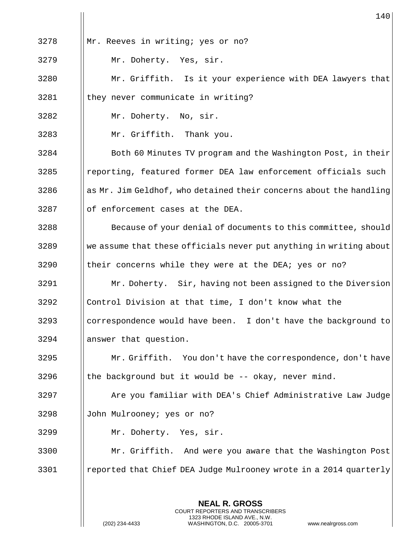|      | 140                                                                |
|------|--------------------------------------------------------------------|
| 3278 | Mr. Reeves in writing; yes or no?                                  |
| 3279 | Mr. Doherty. Yes, sir.                                             |
| 3280 | Mr. Griffith. Is it your experience with DEA lawyers that          |
| 3281 | they never communicate in writing?                                 |
| 3282 | Mr. Doherty. No, sir.                                              |
| 3283 | Mr. Griffith. Thank you.                                           |
| 3284 | Both 60 Minutes TV program and the Washington Post, in their       |
| 3285 | reporting, featured former DEA law enforcement officials such      |
| 3286 | as Mr. Jim Geldhof, who detained their concerns about the handling |
| 3287 | of enforcement cases at the DEA.                                   |
| 3288 | Because of your denial of documents to this committee, should      |
| 3289 | we assume that these officials never put anything in writing about |
| 3290 | their concerns while they were at the DEA; yes or no?              |
| 3291 | Mr. Doherty. Sir, having not been assigned to the Diversion        |
| 3292 | Control Division at that time, I don't know what the               |
| 3293 | correspondence would have been. I don't have the background to     |
| 3294 | answer that question.                                              |
| 3295 | Mr. Griffith. You don't have the correspondence, don't have        |
| 3296 | the background but it would be -- okay, never mind.                |
| 3297 | Are you familiar with DEA's Chief Administrative Law Judge         |
| 3298 | John Mulrooney; yes or no?                                         |
| 3299 | Mr. Doherty. Yes, sir.                                             |
| 3300 | Mr. Griffith. And were you aware that the Washington Post          |
| 3301 | reported that Chief DEA Judge Mulrooney wrote in a 2014 quarterly  |
|      |                                                                    |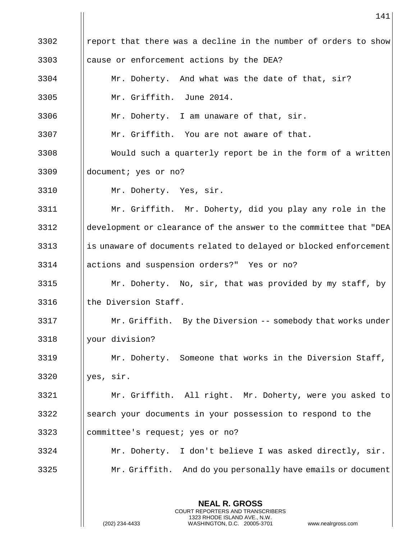|      | 141                                                               |
|------|-------------------------------------------------------------------|
| 3302 | report that there was a decline in the number of orders to show   |
| 3303 | cause or enforcement actions by the DEA?                          |
| 3304 | Mr. Doherty. And what was the date of that, sir?                  |
| 3305 | Mr. Griffith. June 2014.                                          |
| 3306 | Mr. Doherty. I am unaware of that, sir.                           |
| 3307 | Mr. Griffith. You are not aware of that.                          |
| 3308 | Would such a quarterly report be in the form of a written         |
| 3309 | document; yes or no?                                              |
| 3310 | Mr. Doherty. Yes, sir.                                            |
| 3311 | Mr. Griffith. Mr. Doherty, did you play any role in the           |
| 3312 | development or clearance of the answer to the committee that "DEA |
| 3313 | is unaware of documents related to delayed or blocked enforcement |
| 3314 | actions and suspension orders?" Yes or no?                        |
| 3315 | Mr. Doherty. No, sir, that was provided by my staff, by           |
| 3316 | the Diversion Staff.                                              |
| 3317 | Mr. Griffith. By the Diversion -- somebody that works under       |
| 3318 | your division?                                                    |
| 3319 | Mr. Doherty. Someone that works in the Diversion Staff,           |
| 3320 | yes, sir.                                                         |
| 3321 | Mr. Griffith. All right. Mr. Doherty, were you asked to           |
| 3322 | search your documents in your possession to respond to the        |
| 3323 | committee's request; yes or no?                                   |
| 3324 | I don't believe I was asked directly, sir.<br>Mr. Doherty.        |
| 3325 | Mr. Griffith. And do you personally have emails or document       |
|      |                                                                   |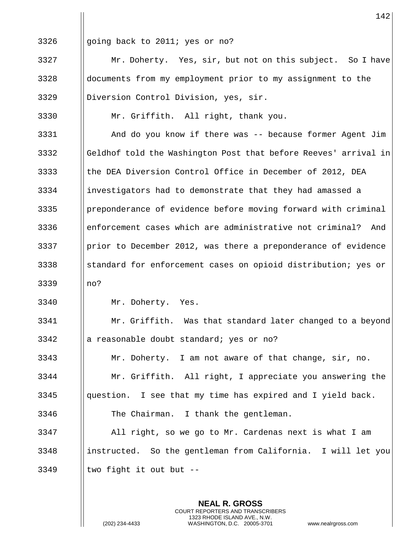|      | 142                                                             |
|------|-----------------------------------------------------------------|
| 3326 | going back to 2011; yes or no?                                  |
| 3327 | Mr. Doherty. Yes, sir, but not on this subject. So I have       |
| 3328 | documents from my employment prior to my assignment to the      |
| 3329 | Diversion Control Division, yes, sir.                           |
| 3330 | Mr. Griffith. All right, thank you.                             |
| 3331 | And do you know if there was -- because former Agent Jim        |
| 3332 | Geldhof told the Washington Post that before Reeves' arrival in |
| 3333 | the DEA Diversion Control Office in December of 2012, DEA       |
| 3334 | investigators had to demonstrate that they had amassed a        |
| 3335 | preponderance of evidence before moving forward with criminal   |
| 3336 | enforcement cases which are administrative not criminal?<br>And |
| 3337 | prior to December 2012, was there a preponderance of evidence   |
| 3338 | standard for enforcement cases on opioid distribution; yes or   |
| 3339 | no?                                                             |
| 3340 | Mr. Doherty. Yes.                                               |
| 3341 | Mr. Griffith. Was that standard later changed to a beyond       |
| 3342 | a reasonable doubt standard; yes or no?                         |
| 3343 | Mr. Doherty. I am not aware of that change, sir, no.            |
| 3344 | Mr. Griffith. All right, I appreciate you answering the         |
| 3345 | question. I see that my time has expired and I yield back.      |
| 3346 | The Chairman. I thank the gentleman.                            |
| 3347 | All right, so we go to Mr. Cardenas next is what I am           |
| 3348 | instructed. So the gentleman from California. I will let you    |
| 3349 | two fight it out but --                                         |
|      |                                                                 |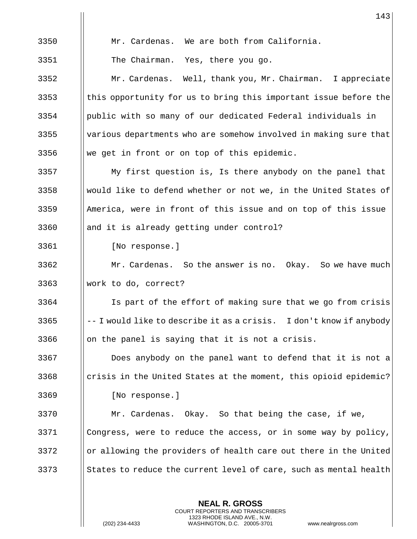|      | 143                                                                 |
|------|---------------------------------------------------------------------|
| 3350 | Mr. Cardenas. We are both from California.                          |
| 3351 | The Chairman. Yes, there you go.                                    |
| 3352 | Mr. Cardenas. Well, thank you, Mr. Chairman. I appreciate           |
| 3353 | this opportunity for us to bring this important issue before the    |
| 3354 | public with so many of our dedicated Federal individuals in         |
| 3355 | various departments who are somehow involved in making sure that    |
| 3356 | we get in front or on top of this epidemic.                         |
| 3357 | My first question is, Is there anybody on the panel that            |
| 3358 | would like to defend whether or not we, in the United States of     |
| 3359 | America, were in front of this issue and on top of this issue       |
| 3360 | and it is already getting under control?                            |
| 3361 | [No response.]                                                      |
| 3362 | Mr. Cardenas. So the answer is no. Okay. So we have much            |
| 3363 | work to do, correct?                                                |
| 3364 | Is part of the effort of making sure that we go from crisis         |
| 3365 | -- I would like to describe it as a crisis. I don't know if anybody |
| 3366 | on the panel is saying that it is not a crisis.                     |
| 3367 | Does anybody on the panel want to defend that it is not a           |
| 3368 | crisis in the United States at the moment, this opioid epidemic?    |
| 3369 | [No response.]                                                      |
| 3370 | Mr. Cardenas. Okay. So that being the case, if we,                  |
| 3371 | Congress, were to reduce the access, or in some way by policy,      |
| 3372 | or allowing the providers of health care out there in the United    |
| 3373 | States to reduce the current level of care, such as mental health   |
|      |                                                                     |

 $\mathsf{I}$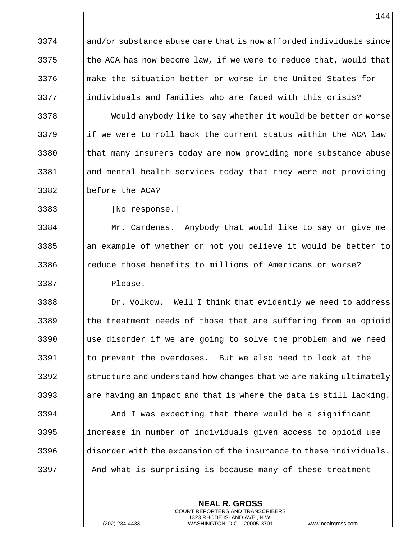and/or substance abuse care that is now afforded individuals since || the ACA has now become law, if we were to reduce that, would that make the situation better or worse in the United States for ||individuals and families who are faced with this crisis?

3378 | Would anybody like to say whether it would be better or worse 3379 if we were to roll back the current status within the ACA law 3380 | that many insurers today are now providing more substance abuse and mental health services today that they were not providing before the ACA?

[No response.]

 Mr. Cardenas. Anybody that would like to say or give me ||an example of whether or not you believe it would be better to 3386 | reduce those benefits to millions of Americans or worse? Please.

3388 | Dr. Volkow. Well I think that evidently we need to address || the treatment needs of those that are suffering from an opioid  $\parallel$  use disorder if we are going to solve the problem and we need to prevent the overdoses. But we also need to look at the Subseture and understand how changes that we are making ultimately 3393 are having an impact and that is where the data is still lacking.

 And I was expecting that there would be a significant ||increase in number of individuals given access to opioid use disorder with the expansion of the insurance to these individuals. And what is surprising is because many of these treatment

> **NEAL R. GROSS** COURT REPORTERS AND TRANSCRIBERS 1323 RHODE ISLAND AVE., N.W.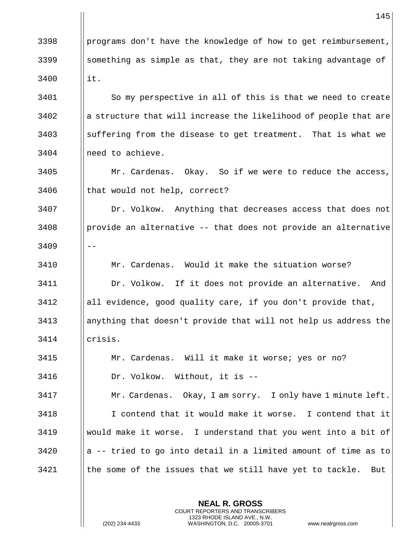|      | 145                                                              |
|------|------------------------------------------------------------------|
| 3398 | programs don't have the knowledge of how to get reimbursement,   |
| 3399 | something as simple as that, they are not taking advantage of    |
| 3400 | it.                                                              |
| 3401 | So my perspective in all of this is that we need to create       |
| 3402 | a structure that will increase the likelihood of people that are |
| 3403 | suffering from the disease to get treatment. That is what we     |
| 3404 | need to achieve.                                                 |
| 3405 | Mr. Cardenas. Okay. So if we were to reduce the access,          |
| 3406 | that would not help, correct?                                    |
| 3407 | Dr. Volkow. Anything that decreases access that does not         |
| 3408 | provide an alternative -- that does not provide an alternative   |
| 3409 |                                                                  |
| 3410 | Mr. Cardenas. Would it make the situation worse?                 |
| 3411 | Dr. Volkow. If it does not provide an alternative.<br>And        |
| 3412 | all evidence, good quality care, if you don't provide that,      |
| 3413 | anything that doesn't provide that will not help us address the  |
| 3414 | crisis.                                                          |
| 3415 | Mr. Cardenas. Will it make it worse; yes or no?                  |
| 3416 | Dr. Volkow. Without, it is --                                    |
| 3417 | Mr. Cardenas. Okay, I am sorry. I only have 1 minute left.       |
| 3418 | I contend that it would make it worse. I contend that it         |
| 3419 | would make it worse. I understand that you went into a bit of    |
| 3420 | a -- tried to go into detail in a limited amount of time as to   |
| 3421 | the some of the issues that we still have yet to tackle.<br>But  |

**NEAL R. GROSS** COURT REPORTERS AND TRANSCRIBERS 1323 RHODE ISLAND AVE., N.W.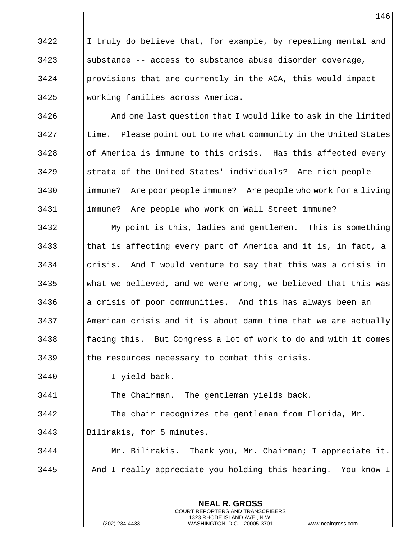||I truly do believe that, for example, by repealing mental and substance -- access to substance abuse disorder coverage, | provisions that are currently in the ACA, this would impact working families across America.

 |  $\blacksquare$  And one last question that I would like to ask in the limited || time. Please point out to me what community in the United States || of America is immune to this crisis. Has this affected every 3429 Strata of the United States' individuals? Are rich people 3430 | immune? Are poor people immune? Are people who work for a living immune? Are people who work on Wall Street immune?

 My point is this, ladies and gentlemen. This is something  $\parallel$  that is affecting every part of America and it is, in fact, a || crisis. And I would venture to say that this was a crisis in what we believed, and we were wrong, we believed that this was || a crisis of poor communities. And this has always been an American crisis and it is about damn time that we are actually || facing this. But Congress a lot of work to do and with it comes || the resources necessary to combat this crisis.

I yield back.

The Chairman. The gentleman yields back.

 The chair recognizes the gentleman from Florida, Mr. Bilirakis, for 5 minutes.

 Mr. Bilirakis. Thank you, Mr. Chairman; I appreciate it. And I really appreciate you holding this hearing. You know I

> **NEAL R. GROSS** COURT REPORTERS AND TRANSCRIBERS 1323 RHODE ISLAND AVE., N.W.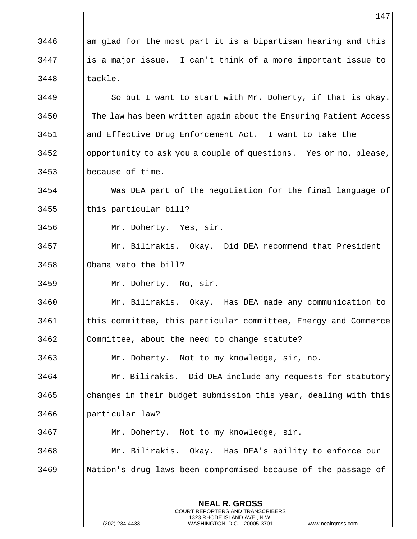|      | 147                                                              |
|------|------------------------------------------------------------------|
| 3446 | am glad for the most part it is a bipartisan hearing and this    |
| 3447 | is a major issue. I can't think of a more important issue to     |
| 3448 | tackle.                                                          |
| 3449 | So but I want to start with Mr. Doherty, if that is okay.        |
| 3450 | The law has been written again about the Ensuring Patient Access |
| 3451 | and Effective Drug Enforcement Act. I want to take the           |
| 3452 | opportunity to ask you a couple of questions. Yes or no, please, |
| 3453 | because of time.                                                 |
| 3454 | Was DEA part of the negotiation for the final language of        |
| 3455 | this particular bill?                                            |
| 3456 | Mr. Doherty. Yes, sir.                                           |
| 3457 | Mr. Bilirakis. Okay. Did DEA recommend that President            |
| 3458 | Obama veto the bill?                                             |
| 3459 | Mr. Doherty. No, sir.                                            |
| 3460 | Mr. Bilirakis. Okay. Has DEA made any communication to           |
| 3461 | this committee, this particular committee, Energy and Commerce   |
| 3462 | Committee, about the need to change statute?                     |
| 3463 | Mr. Doherty. Not to my knowledge, sir, no.                       |
| 3464 | Mr. Bilirakis. Did DEA include any requests for statutory        |
| 3465 | changes in their budget submission this year, dealing with this  |
| 3466 | particular law?                                                  |
| 3467 | Mr. Doherty. Not to my knowledge, sir.                           |
| 3468 | Mr. Bilirakis. Okay. Has DEA's ability to enforce our            |
| 3469 | Nation's drug laws been compromised because of the passage of    |
|      |                                                                  |

**NEAL R. GROSS** COURT REPORTERS AND TRANSCRIBERS 1323 RHODE ISLAND AVE., N.W.

 $\mathsf{I}$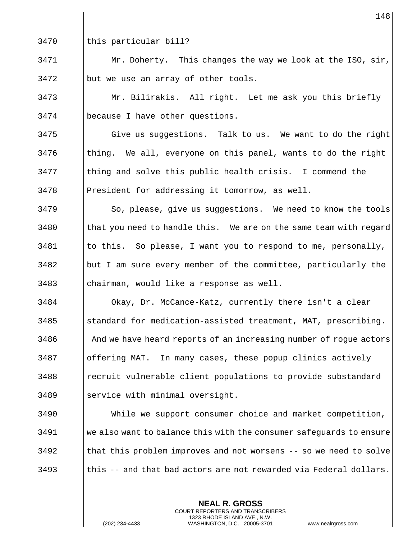| this particular bill?

 | Mr. Doherty. This changes the way we look at the ISO, sir, || but we use an array of other tools.

 Mr. Bilirakis. All right. Let me ask you this briefly because I have other questions.

 Give us suggestions. Talk to us. We want to do the right | thing. We all, everyone on this panel, wants to do the right || thing and solve this public health crisis. I commend the President for addressing it tomorrow, as well.

3479 | So, please, give us suggestions. We need to know the tools | that you need to handle this. We are on the same team with regard || to this. So please, I want you to respond to me, personally, but I am sure every member of the committee, particularly the || chairman, would like a response as well.

 Okay, Dr. McCance-Katz, currently there isn't a clear ||standard for medication-assisted treatment, MAT, prescribing. 3486 And we have heard reports of an increasing number of rogue actors offering MAT. In many cases, these popup clinics actively 3488 | recruit vulnerable client populations to provide substandard 3489 || service with minimal oversight.

 While we support consumer choice and market competition, we also want to balance this with the consumer safeguards to ensure I that this problem improves and not worsens  $-$  so we need to solve Ithis -- and that bad actors are not rewarded via Federal dollars.

> **NEAL R. GROSS** COURT REPORTERS AND TRANSCRIBERS 1323 RHODE ISLAND AVE., N.W.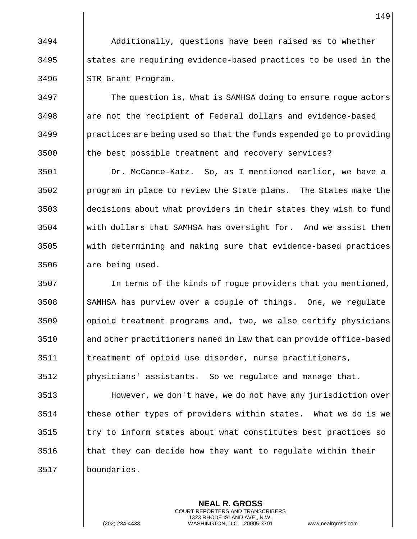Additionally, questions have been raised as to whether States are requiring evidence-based practices to be used in the || STR Grant Program.

**The question is, What is SAMHSA doing to ensure rogue actors**  || are not the recipient of Federal dollars and evidence-based practices are being used so that the funds expended go to providing || the best possible treatment and recovery services?

 Dr. McCance-Katz. So, as I mentioned earlier, we have a program in place to review the State plans. The States make the || decisions about what providers in their states they wish to fund with dollars that SAMHSA has oversight for. And we assist them with determining and making sure that evidence-based practices || are being used.

 In terms of the kinds of rogue providers that you mentioned, 3508 SAMHSA has purview over a couple of things. One, we regulate opioid treatment programs and, two, we also certify physicians and other practitioners named in law that can provide office-based treatment of opioid use disorder, nurse practitioners, physicians' assistants. So we regulate and manage that.

 However, we don't have, we do not have any jurisdiction over | these other types of providers within states. What we do is we ||try to inform states about what constitutes best practices so  $\parallel$  that they can decide how they want to regulate within their boundaries.

> **NEAL R. GROSS** COURT REPORTERS AND TRANSCRIBERS 1323 RHODE ISLAND AVE., N.W.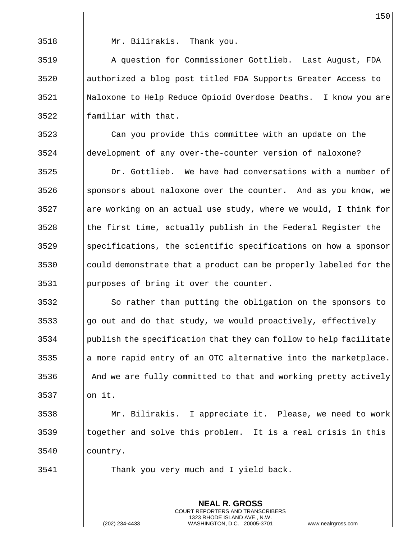Mr. Bilirakis. Thank you.

 A question for Commissioner Gottlieb. Last August, FDA authorized a blog post titled FDA Supports Greater Access to Naloxone to Help Reduce Opioid Overdose Deaths. I know you are || familiar with that.

 Can you provide this committee with an update on the development of any over-the-counter version of naloxone?

 Dr. Gottlieb. We have had conversations with a number of sponsors about naloxone over the counter. And as you know, we || are working on an actual use study, where we would, I think for || the first time, actually publish in the Federal Register the ||specifications, the scientific specifications on how a sponsor 3530 could demonstrate that a product can be properly labeled for the purposes of bring it over the counter.

 $\parallel$  So rather than putting the obligation on the sponsors to ||go out and do that study, we would proactively, effectively publish the specification that they can follow to help facilitate || a more rapid entry of an OTC alternative into the marketplace. 3536 And we are fully committed to that and working pretty actively on it.

 Mr. Bilirakis. I appreciate it. Please, we need to work ||together and solve this problem. It is a real crisis in this country.

> **NEAL R. GROSS** COURT REPORTERS AND TRANSCRIBERS 1323 RHODE ISLAND AVE., N.W.

Thank you very much and I yield back.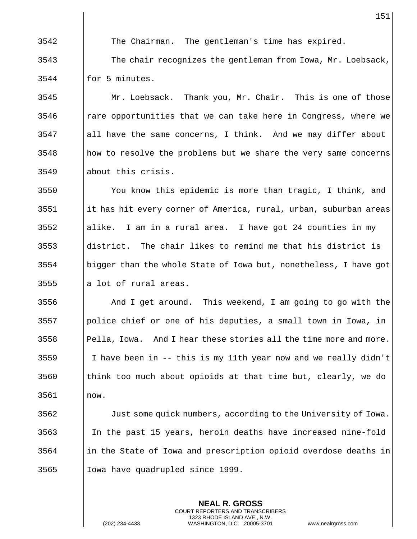The Chairman. The gentleman's time has expired.

 The chair recognizes the gentleman from Iowa, Mr. Loebsack, | for 5 minutes.

3545 | Mr. Loebsack. Thank you, Mr. Chair. This is one of those | rare opportunities that we can take here in Congress, where we ||all have the same concerns, I think. And we may differ about || how to resolve the problems but we share the very same concerns about this crisis.

 You know this epidemic is more than tragic, I think, and 3551 | it has hit every corner of America, rural, urban, suburban areas ||alike. I am in a rural area. I have got 24 counties in my ||district. The chair likes to remind me that his district is bigger than the whole State of Iowa but, nonetheless, I have got || a lot of rural areas.

 And I get around. This weekend, I am going to go with the police chief or one of his deputies, a small town in Iowa, in ||Pella, Iowa. And I hear these stories all the time more and more.  $\parallel$  I have been in -- this is my 11th year now and we really didn't || think too much about opioids at that time but, clearly, we do now.

**Just some quick numbers, according to the University of Iowa.**  In the past 15 years, heroin deaths have increased nine-fold ||in the State of Iowa and prescription opioid overdose deaths in 3565 | Iowa have quadrupled since 1999.

> **NEAL R. GROSS** COURT REPORTERS AND TRANSCRIBERS 1323 RHODE ISLAND AVE., N.W.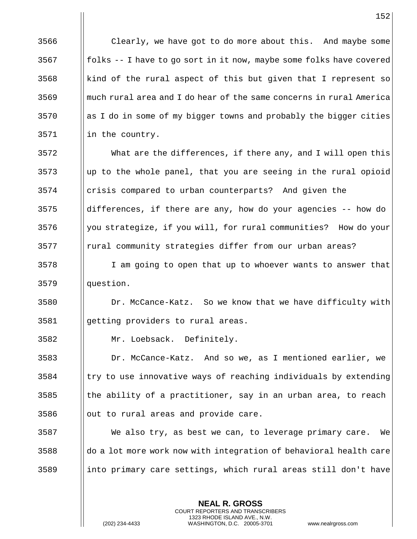3566 | Clearly, we have got to do more about this. And maybe some  $\lvert \rvert$  folks -- I have to go sort in it now, maybe some folks have covered  $\parallel$  kind of the rural aspect of this but given that I represent so much rural area and I do hear of the same concerns in rural America as I do in some of my bigger towns and probably the bigger cities || in the country.

 What are the differences, if there any, and I will open this Up to the whole panel, that you are seeing in the rural opioid crisis compared to urban counterparts? And given the ||differences, if there are any, how do your agencies -- how do | you strategize, if you will, for rural communities? How do your || rural community strategies differ from our urban areas?

 I am going to open that up to whoever wants to answer that question.

 Dr. McCance-Katz. So we know that we have difficulty with getting providers to rural areas.

Mr. Loebsack. Definitely.

 Dr. McCance-Katz. And so we, as I mentioned earlier, we ||try to use innovative ways of reaching individuals by extending  $\parallel$  the ability of a practitioner, say in an urban area, to reach || out to rural areas and provide care.

 We also try, as best we can, to leverage primary care. We do a lot more work now with integration of behavioral health care ||into primary care settings, which rural areas still don't have

> **NEAL R. GROSS** COURT REPORTERS AND TRANSCRIBERS 1323 RHODE ISLAND AVE., N.W.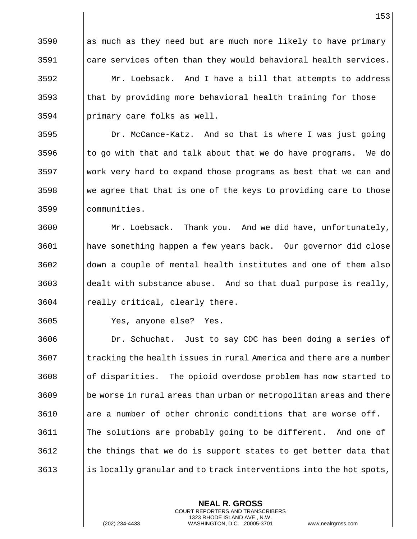|| as much as they need but are much more likely to have primary care services often than they would behavioral health services.  $\parallel$  Mr. Loebsack. And I have a bill that attempts to address || that by providing more behavioral health training for those primary care folks as well.

**Dr. McCance-Katz.** And so that is where I was just going  $\parallel$  to go with that and talk about that we do have programs. We do work very hard to expand those programs as best that we can and We agree that that is one of the keys to providing care to those communities.

3600 | Mr. Loebsack. Thank you. And we did have, unfortunately, have something happen a few years back. Our governor did close down a couple of mental health institutes and one of them also ||dealt with substance abuse. And so that dual purpose is really, || really critical, clearly there.

Yes, anyone else? Yes.

3606 | Dr. Schuchat. Just to say CDC has been doing a series of I tracking the health issues in rural America and there are a number of disparities. The opioid overdose problem has now started to || be worse in rural areas than urban or metropolitan areas and there | are a number of other chronic conditions that are worse off. The solutions are probably going to be different. And one of || the things that we do is support states to get better data that  $\frac{3613}{1}$  is locally granular and to track interventions into the hot spots,

> **NEAL R. GROSS** COURT REPORTERS AND TRANSCRIBERS 1323 RHODE ISLAND AVE., N.W.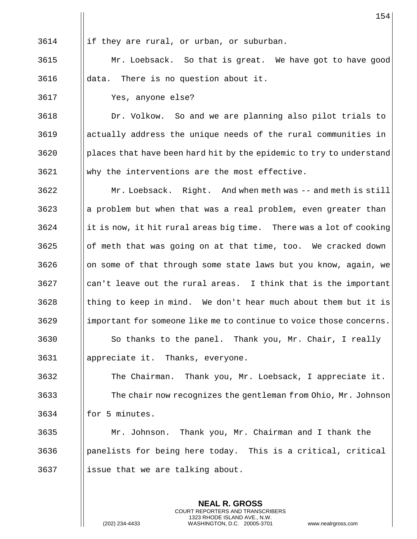||if they are rural, or urban, or suburban.

 Mr. Loebsack. So that is great. We have got to have good data. There is no question about it.

Yes, anyone else?

 Dr. Volkow. So and we are planning also pilot trials to actually address the unique needs of the rural communities in ||places that have been hard hit by the epidemic to try to understand Why the interventions are the most effective.

 Mr. Loebsack. Right. And when meth was -- and meth is still || a problem but when that was a real problem, even greater than ||it is now, it hit rural areas big time. There was a lot of cooking || of meth that was going on at that time, too. We cracked down || on some of that through some state laws but you know, again, we || can't leave out the rural areas. I think that is the important ||thing to keep in mind. We don't hear much about them but it is important for someone like me to continue to voice those concerns. || So thanks to the panel. Thank you, Mr. Chair, I really appreciate it. Thanks, everyone.

 The Chairman. Thank you, Mr. Loebsack, I appreciate it. **The chair now recognizes the gentleman from Ohio, Mr. Johnson** || for 5 minutes.

 Mr. Johnson. Thank you, Mr. Chairman and I thank the || panelists for being here today. This is a critical, critical || issue that we are talking about.

> **NEAL R. GROSS** COURT REPORTERS AND TRANSCRIBERS 1323 RHODE ISLAND AVE., N.W.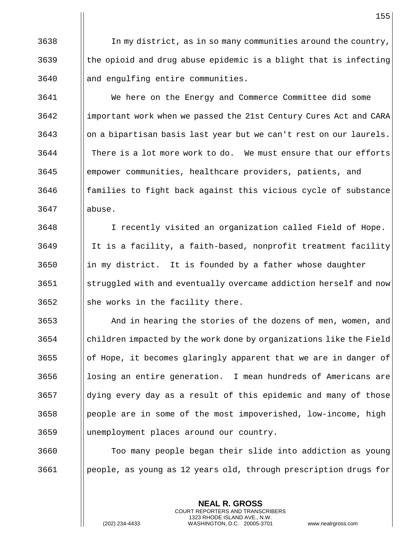| In my district, as in so many communities around the country, the opioid and drug abuse epidemic is a blight that is infecting and engulfing entire communities.

 We here on the Energy and Commerce Committee did some important work when we passed the 21st Century Cures Act and CARA || on a bipartisan basis last year but we can't rest on our laurels. There is a lot more work to do. We must ensure that our efforts empower communities, healthcare providers, patients, and **foll** families to fight back against this vicious cycle of substance abuse.

 I recently visited an organization called Field of Hope. 3649 || It is a facility, a faith-based, nonprofit treatment facility ||in my district. It is founded by a father whose daughter struggled with and eventually overcame addiction herself and now || she works in the facility there.

 And in hearing the stories of the dozens of men, women, and children impacted by the work done by organizations like the Field || of Hope, it becomes glaringly apparent that we are in danger of || losing an entire generation. I mean hundreds of Americans are dying every day as a result of this epidemic and many of those | people are in some of the most impoverished, low-income, high unemployment places around our country.

 Too many people began their slide into addiction as young people, as young as 12 years old, through prescription drugs for

> **NEAL R. GROSS** COURT REPORTERS AND TRANSCRIBERS 1323 RHODE ISLAND AVE., N.W.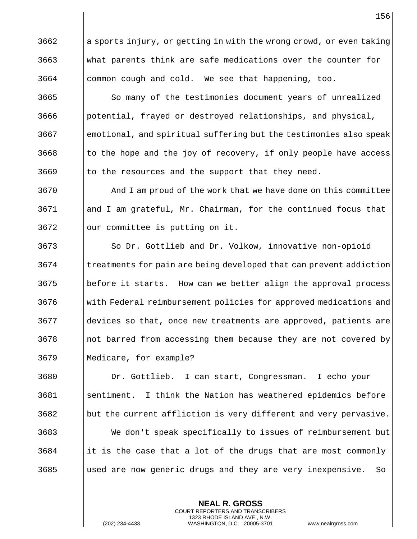a sports injury, or getting in with the wrong crowd, or even taking what parents think are safe medications over the counter for | common cough and cold. We see that happening, too.

3665 | So many of the testimonies document years of unrealized ||potential, frayed or destroyed relationships, and physical, emotional, and spiritual suffering but the testimonies also speak | to the hope and the joy of recovery, if only people have access | to the resources and the support that they need.

 And I am proud of the work that we have done on this committee and I am grateful, Mr. Chairman, for the continued focus that || our committee is putting on it.

3673 | So Dr. Gottlieb and Dr. Volkow, innovative non-opioid  $\parallel$  treatments for pain are being developed that can prevent addiction before it starts. How can we better align the approval process with Federal reimbursement policies for approved medications and devices so that, once new treatments are approved, patients are 3678 including line is accessing them because they are not covered by Medicare, for example?

 Dr. Gottlieb. I can start, Congressman. I echo your sentiment. I think the Nation has weathered epidemics before ||but the current affliction is very different and very pervasive. We don't speak specifically to issues of reimbursement but ||it is the case that a lot of the drugs that are most commonly ||used are now generic drugs and they are very inexpensive. So

> **NEAL R. GROSS** COURT REPORTERS AND TRANSCRIBERS 1323 RHODE ISLAND AVE., N.W.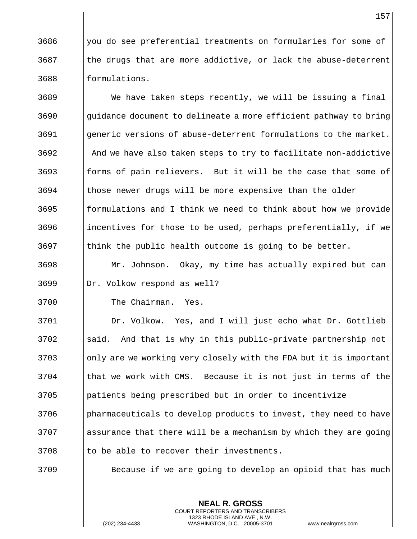| you do see preferential treatments on formularies for some of the drugs that are more addictive, or lack the abuse-deterrent 3688 | formulations.

 We have taken steps recently, we will be issuing a final || guidance document to delineate a more efficient pathway to bring generic versions of abuse-deterrent formulations to the market. || And we have also taken steps to try to facilitate non-addictive forms of pain relievers. But it will be the case that some of those newer drugs will be more expensive than the older || formulations and I think we need to think about how we provide ||incentives for those to be used, perhaps preferentially, if we || think the public health outcome is going to be better.

 Mr. Johnson. Okay, my time has actually expired but can | Dr. Volkow respond as well?

The Chairman. Yes.

 Dr. Volkow. Yes, and I will just echo what Dr. Gottlieb ||said. And that is why in this public-private partnership not 3703 Solutionly are we working very closely with the FDA but it is important 3704 In that we work with CMS. Because it is not just in terms of the patients being prescribed but in order to incentivize 3706 Pharmaceuticals to develop products to invest, they need to have assurance that there will be a mechanism by which they are going || to be able to recover their investments.

**Because if we are going to develop an opioid that has much** 

**NEAL R. GROSS** COURT REPORTERS AND TRANSCRIBERS 1323 RHODE ISLAND AVE., N.W.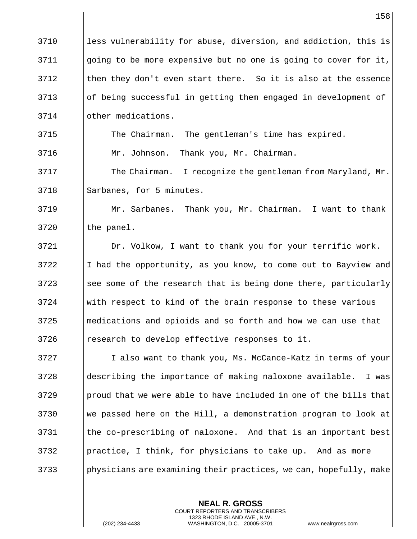|      | 158                                                               |
|------|-------------------------------------------------------------------|
| 3710 | less vulnerability for abuse, diversion, and addiction, this is   |
| 3711 | going to be more expensive but no one is going to cover for it,   |
| 3712 | then they don't even start there. So it is also at the essence    |
| 3713 | of being successful in getting them engaged in development of     |
| 3714 | other medications.                                                |
| 3715 | The Chairman. The gentleman's time has expired.                   |
| 3716 | Mr. Johnson. Thank you, Mr. Chairman.                             |
| 3717 | The Chairman. I recognize the gentleman from Maryland, Mr.        |
| 3718 | Sarbanes, for 5 minutes.                                          |
| 3719 | Mr. Sarbanes. Thank you, Mr. Chairman. I want to thank            |
| 3720 | the panel.                                                        |
| 3721 | Dr. Volkow, I want to thank you for your terrific work.           |
| 3722 | I had the opportunity, as you know, to come out to Bayview and    |
| 3723 | see some of the research that is being done there, particularly   |
| 3724 | with respect to kind of the brain response to these various       |
| 3725 | medications and opioids and so forth and how we can use that      |
| 3726 | research to develop effective responses to it.                    |
| 3727 | I also want to thank you, Ms. McCance-Katz in terms of your       |
| 3728 | describing the importance of making naloxone available.<br>I was  |
| 3729 | proud that we were able to have included in one of the bills that |
| 3730 | we passed here on the Hill, a demonstration program to look at    |
| 3731 | the co-prescribing of naloxone. And that is an important best     |
| 3732 | practice, I think, for physicians to take up. And as more         |
| 3733 | physicians are examining their practices, we can, hopefully, make |
|      |                                                                   |

**NEAL R. GROSS** COURT REPORTERS AND TRANSCRIBERS 1323 RHODE ISLAND AVE., N.W.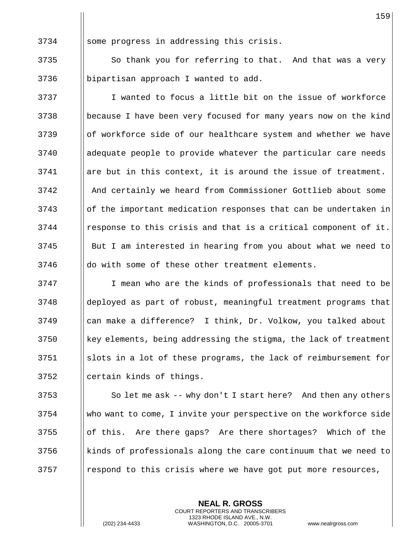|| some progress in addressing this crisis.

  $\parallel$  So thank you for referring to that. And that was a very bipartisan approach I wanted to add.

3737 I I wanted to focus a little bit on the issue of workforce because I have been very focused for many years now on the kind 3739 Iof workforce side of our healthcare system and whether we have adequate people to provide whatever the particular care needs are but in this context, it is around the issue of treatment. And certainly we heard from Commissioner Gottlieb about some 3743 || of the important medication responses that can be undertaken in | response to this crisis and that is a critical component of it. 3745 | But I am interested in hearing from you about what we need to || do with some of these other treatment elements.

 I mean who are the kinds of professionals that need to be deployed as part of robust, meaningful treatment programs that can make a difference? I think, Dr. Volkow, you talked about 3750 | key elements, being addressing the stigma, the lack of treatment slots in a lot of these programs, the lack of reimbursement for || certain kinds of things.

  $\parallel$  So let me ask -- why don't I start here? And then any others who want to come, I invite your perspective on the workforce side || of this. Are there gaps? Are there shortages? Which of the ||kinds of professionals along the care continuum that we need to | respond to this crisis where we have got put more resources,

> **NEAL R. GROSS** COURT REPORTERS AND TRANSCRIBERS 1323 RHODE ISLAND AVE., N.W.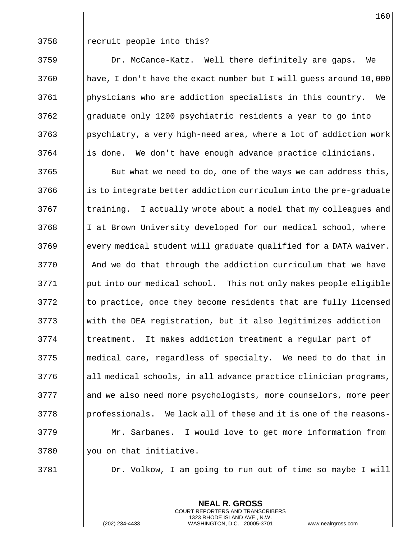| recruit people into this?

 Dr. McCance-Katz. Well there definitely are gaps. We  $\parallel$  have, I don't have the exact number but I will guess around 10,000 physicians who are addiction specialists in this country. We graduate only 1200 psychiatric residents a year to go into | psychiatry, a very high-need area, where a lot of addiction work || is done. We don't have enough advance practice clinicians.

 || But what we need to do, one of the ways we can address this, || is to integrate better addiction curriculum into the pre-graduate || training. I actually wrote about a model that my colleagues and 3768 I I at Brown University developed for our medical school, where 3769 | every medical student will graduate qualified for a DATA waiver. And we do that through the addiction curriculum that we have put into our medical school. This not only makes people eligible || to practice, once they become residents that are fully licensed with the DEA registration, but it also legitimizes addiction 3774 I treatment. It makes addiction treatment a regular part of medical care, regardless of specialty. We need to do that in all medical schools, in all advance practice clinician programs, 3777 and we also need more psychologists, more counselors, more peer ||professionals. We lack all of these and it is one of the reasons- Mr. Sarbanes. I would love to get more information from || you on that initiative.

Dr. Volkow, I am going to run out of time so maybe I will

**NEAL R. GROSS** COURT REPORTERS AND TRANSCRIBERS 1323 RHODE ISLAND AVE., N.W.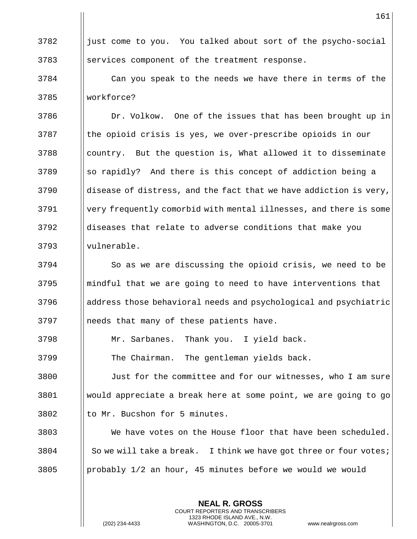| just come to you. You talked about sort of the psycho-social 3783 Services component of the treatment response.

 Can you speak to the needs we have there in terms of the workforce?

**Dr. Volkow.** One of the issues that has been brought up in 3787 Ithe opioid crisis is yes, we over-prescribe opioids in our ||country. But the question is, What allowed it to disseminate ||so rapidly? And there is this concept of addiction being a ||disease of distress, and the fact that we have addiction is very, very frequently comorbid with mental illnesses, and there is some diseases that relate to adverse conditions that make you 3793 || vulnerable.

 So as we are discussing the opioid crisis, we need to be ||mindful that we are going to need to have interventions that address those behavioral needs and psychological and psychiatric || needs that many of these patients have.

Mr. Sarbanes. Thank you. I yield back.

3799 | The Chairman. The gentleman yields back.

 Just for the committee and for our witnesses, who I am sure would appreciate a break here at some point, we are going to go || to Mr. Bucshon for 5 minutes.

 We have votes on the House floor that have been scheduled. 3804  $\parallel$  So we will take a break. I think we have got three or four votes; 3805 || probably  $1/2$  an hour, 45 minutes before we would we would

> **NEAL R. GROSS** COURT REPORTERS AND TRANSCRIBERS 1323 RHODE ISLAND AVE., N.W.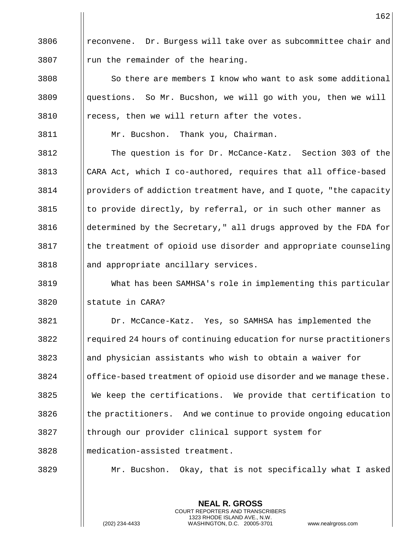3806 | reconvene. Dr. Burgess will take over as subcommittee chair and || run the remainder of the hearing.

  $\parallel$  So there are members I know who want to ask some additional questions. So Mr. Bucshon, we will go with you, then we will | recess, then we will return after the votes.

Mr. Bucshon. Thank you, Chairman.

 The question is for Dr. McCance-Katz. Section 303 of the CARA Act, which I co-authored, requires that all office-based | providers of addiction treatment have, and I quote, "the capacity" || to provide directly, by referral, or in such other manner as determined by the Secretary," all drugs approved by the FDA for || the treatment of opioid use disorder and appropriate counseling and appropriate ancillary services.

 What has been SAMHSA's role in implementing this particular || statute in CARA?

 Dr. McCance-Katz. Yes, so SAMHSA has implemented the required 24 hours of continuing education for nurse practitioners || and physician assistants who wish to obtain a waiver for office-based treatment of opioid use disorder and we manage these. We keep the certifications. We provide that certification to || the practitioners. And we continue to provide ongoing education through our provider clinical support system for medication-assisted treatment.

Mr. Bucshon. Okay, that is not specifically what I asked

**NEAL R. GROSS** COURT REPORTERS AND TRANSCRIBERS 1323 RHODE ISLAND AVE., N.W.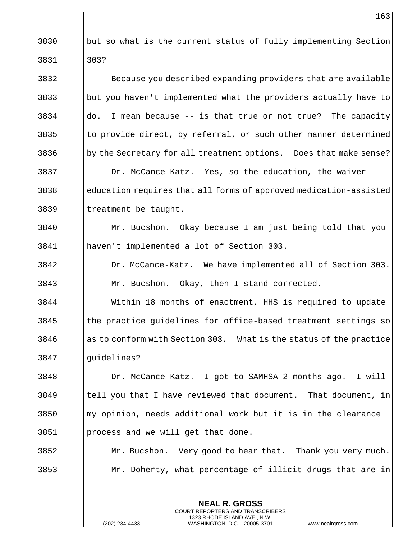|      | 163                                                                |
|------|--------------------------------------------------------------------|
| 3830 | but so what is the current status of fully implementing Section    |
| 3831 | 303?                                                               |
| 3832 | Because you described expanding providers that are available       |
| 3833 | but you haven't implemented what the providers actually have to    |
| 3834 | do. I mean because -- is that true or not true? The capacity       |
| 3835 | to provide direct, by referral, or such other manner determined    |
| 3836 | by the Secretary for all treatment options. Does that make sense?  |
| 3837 | Dr. McCance-Katz. Yes, so the education, the waiver                |
| 3838 | education requires that all forms of approved medication-assisted  |
| 3839 | treatment be taught.                                               |
| 3840 | Mr. Bucshon. Okay because I am just being told that you            |
| 3841 | haven't implemented a lot of Section 303.                          |
| 3842 | Dr. McCance-Katz. We have implemented all of Section 303.          |
| 3843 | Mr. Bucshon. Okay, then I stand corrected.                         |
| 3844 | Within 18 months of enactment, HHS is required to update           |
| 3845 | the practice guidelines for office-based treatment settings so     |
| 3846 | as to conform with Section 303. What is the status of the practice |
| 3847 | guidelines?                                                        |
| 3848 | Dr. McCance-Katz. I got to SAMHSA 2 months ago. I will             |
| 3849 | tell you that I have reviewed that document. That document, in     |
| 3850 | my opinion, needs additional work but it is in the clearance       |
| 3851 | process and we will get that done.                                 |
| 3852 | Mr. Bucshon. Very good to hear that. Thank you very much.          |
| 3853 | Mr. Doherty, what percentage of illicit drugs that are in          |
|      |                                                                    |

**NEAL R. GROSS** COURT REPORTERS AND TRANSCRIBERS 1323 RHODE ISLAND AVE., N.W.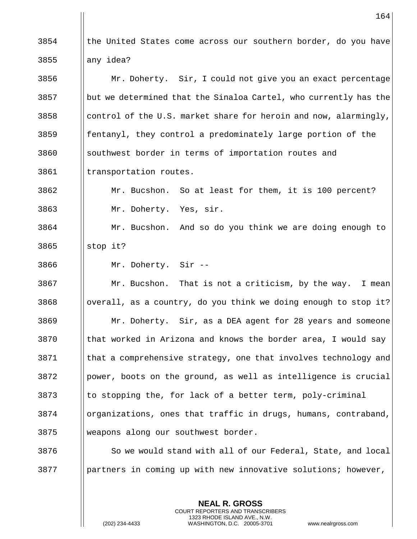|| the United States come across our southern border, do you have ||any idea? 3856 | Mr. Doherty. Sir, I could not give you an exact percentage || but we determined that the Sinaloa Cartel, who currently has the  $\Box$  control of the U.S. market share for heroin and now, alarmingly, **follogily** fentanyl, they control a predominately large portion of the 3860 Southwest border in terms of importation routes and 3861 | transportation routes. Mr. Bucshon. So at least for them, it is 100 percent? Mr. Doherty. Yes, sir. Mr. Bucshon. And so do you think we are doing enough to ||stop it? Mr. Doherty. Sir -- | Mr. Bucshon. That is not a criticism, by the way. I mean ||overall, as a country, do you think we doing enough to stop it? Mr. Doherty. Sir, as a DEA agent for 28 years and someone || that worked in Arizona and knows the border area, I would say that a comprehensive strategy, one that involves technology and | power, boots on the ground, as well as intelligence is crucial || to stopping the, for lack of a better term, poly-criminal organizations, ones that traffic in drugs, humans, contraband, weapons along our southwest border.  $\parallel$  So we would stand with all of our Federal, State, and local | partners in coming up with new innovative solutions; however,

> **NEAL R. GROSS** COURT REPORTERS AND TRANSCRIBERS 1323 RHODE ISLAND AVE., N.W.

(202) 234-4433 WASHINGTON, D.C. 20005-3701 www.nealrgross.com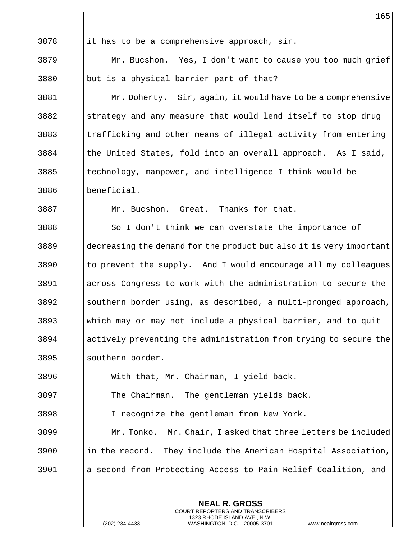||it has to be a comprehensive approach, sir. Mr. Bucshon. Yes, I don't want to cause you too much grief || but is a physical barrier part of that? 3881 | Mr. Doherty. Sir, again, it would have to be a comprehensive strategy and any measure that would lend itself to stop drug 3883 | trafficking and other means of illegal activity from entering || the United States, fold into an overall approach. As I said, || technology, manpower, and intelligence I think would be beneficial. Mr. Bucshon. Great. Thanks for that. 3888 So I don't think we can overstate the importance of 3889 decreasing the demand for the product but also it is very important || to prevent the supply. And I would encourage all my colleagues across Congress to work with the administration to secure the ||southern border using, as described, a multi-pronged approach, which may or may not include a physical barrier, and to quit actively preventing the administration from trying to secure the 3895 || southern border. With that, Mr. Chairman, I yield back. The Chairman. The gentleman yields back. I recognize the gentleman from New York. Mr. Tonko. Mr. Chair, I asked that three letters be included ||in the record. They include the American Hospital Association, a second from Protecting Access to Pain Relief Coalition, and

> **NEAL R. GROSS** COURT REPORTERS AND TRANSCRIBERS 1323 RHODE ISLAND AVE., N.W.

(202) 234-4433 WASHINGTON, D.C. 20005-3701 www.nealrgross.com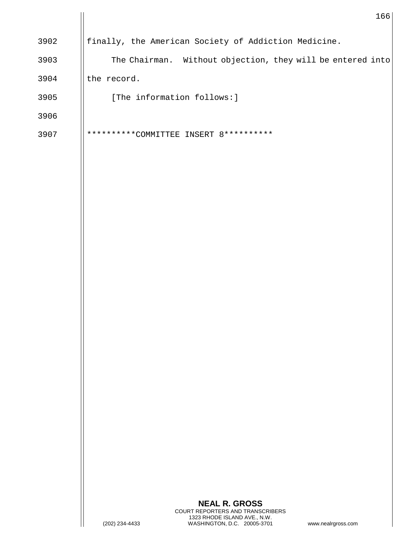|      | 166                                                           |
|------|---------------------------------------------------------------|
| 3902 | finally, the American Society of Addiction Medicine.          |
| 3903 | The Chairman.<br>Without objection, they will be entered into |
| 3904 | the record.                                                   |
| 3905 | [The information follows:]                                    |
| 3906 |                                                               |
| 3907 | **********COMM<br>8**********<br>INSERT<br>TEE                |
|      |                                                               |

 $\mathbf{I}$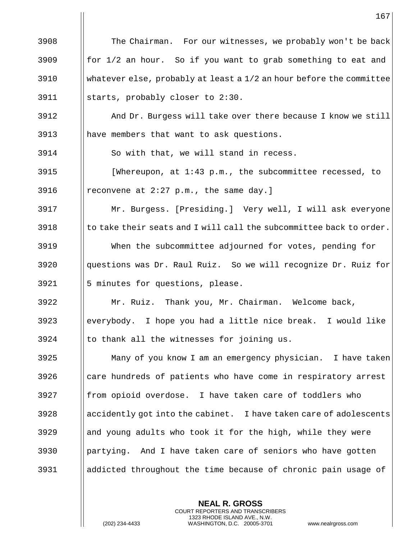|      | 167                                                                 |
|------|---------------------------------------------------------------------|
| 3908 | The Chairman. For our witnesses, we probably won't be back          |
| 3909 | for 1/2 an hour. So if you want to grab something to eat and        |
| 3910 | whatever else, probably at least a 1/2 an hour before the committee |
| 3911 | starts, probably closer to 2:30.                                    |
| 3912 | And Dr. Burgess will take over there because I know we still        |
| 3913 | have members that want to ask questions.                            |
| 3914 | So with that, we will stand in recess.                              |
| 3915 | [Whereupon, at 1:43 p.m., the subcommittee recessed, to             |
| 3916 | reconvene at 2:27 p.m., the same day.]                              |
| 3917 | Mr. Burgess. [Presiding.] Very well, I will ask everyone            |
| 3918 | to take their seats and I will call the subcommittee back to order. |
| 3919 | When the subcommittee adjourned for votes, pending for              |
| 3920 | questions was Dr. Raul Ruiz. So we will recognize Dr. Ruiz for      |
| 3921 | 5 minutes for questions, please.                                    |
| 3922 | Mr. Ruiz. Thank you, Mr. Chairman. Welcome back,                    |
| 3923 | everybody. I hope you had a little nice break. I would like         |
| 3924 | to thank all the witnesses for joining us.                          |
| 3925 | Many of you know I am an emergency physician. I have taken          |
| 3926 | care hundreds of patients who have come in respiratory arrest       |
| 3927 | from opioid overdose. I have taken care of toddlers who             |
| 3928 | accidently got into the cabinet. I have taken care of adolescents   |
| 3929 | and young adults who took it for the high, while they were          |
| 3930 | partying. And I have taken care of seniors who have gotten          |
| 3931 | addicted throughout the time because of chronic pain usage of       |

**NEAL R. GROSS** COURT REPORTERS AND TRANSCRIBERS 1323 RHODE ISLAND AVE., N.W.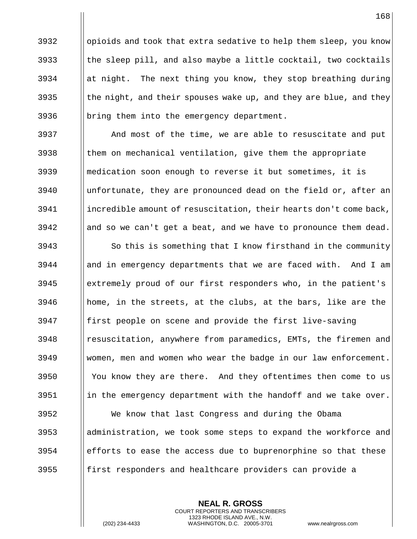||opioids and took that extra sedative to help them sleep, you know  $\parallel$  the sleep pill, and also maybe a little cocktail, two cocktails  $\parallel$  at night. The next thing you know, they stop breathing during  $\parallel$  the night, and their spouses wake up, and they are blue, and they  $\|\right.$  bring them into the emergency department.

 And most of the time, we are able to resuscitate and put || them on mechanical ventilation, give them the appropriate medication soon enough to reverse it but sometimes, it is unfortunate, they are pronounced dead on the field or, after an incredible amount of resuscitation, their hearts don't come back, || and so we can't get a beat, and we have to pronounce them dead.

 || So this is something that I know firsthand in the community ||and in emergency departments that we are faced with. And I am extremely proud of our first responders who, in the patient's  $\parallel$  home, in the streets, at the clubs, at the bars, like are the || first people on scene and provide the first live-saving 3948 | resuscitation, anywhere from paramedics, EMTs, the firemen and women, men and women who wear the badge in our law enforcement. You know they are there. And they oftentimes then come to us ||in the emergency department with the handoff and we take over. We know that last Congress and during the Obama administration, we took some steps to expand the workforce and efforts to ease the access due to buprenorphine so that these

**follog First responders and healthcare providers can provide a** 

**NEAL R. GROSS** COURT REPORTERS AND TRANSCRIBERS 1323 RHODE ISLAND AVE., N.W.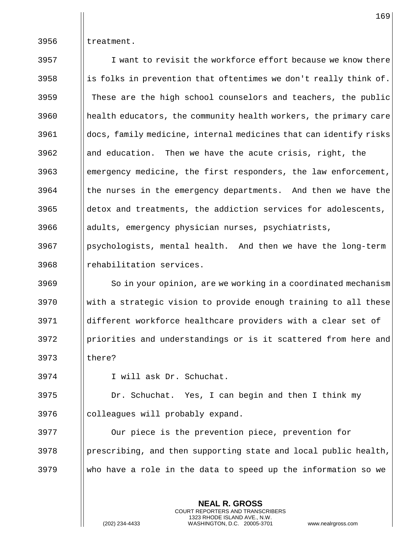$\parallel$  treatment.

 I want to revisit the workforce effort because we know there **indepth** is folks in prevention that oftentimes we don't really think of. || These are the high school counselors and teachers, the public 3960 || health educators, the community health workers, the primary care docs, family medicine, internal medicines that can identify risks **and education.** Then we have the acute crisis, right, the emergency medicine, the first responders, the law enforcement, || the nurses in the emergency departments. And then we have the ||detox and treatments, the addiction services for adolescents, 3966 | adults, emergency physician nurses, psychiatrists, | psychologists, mental health. And then we have the long-term || rehabilitation services. 3969 | So in your opinion, are we working in a coordinated mechanism With a strategic vision to provide enough training to all these different workforce healthcare providers with a clear set of 3972 Ipriorities and understandings or is it scattered from here and 3973 | there? I will ask Dr. Schuchat. 3975 | Dr. Schuchat. Yes, I can begin and then I think my || colleagues will probably expand.

 Our piece is the prevention piece, prevention for | prescribing, and then supporting state and local public health, 3979  $\parallel$  who have a role in the data to speed up the information so we

> **NEAL R. GROSS** COURT REPORTERS AND TRANSCRIBERS 1323 RHODE ISLAND AVE., N.W.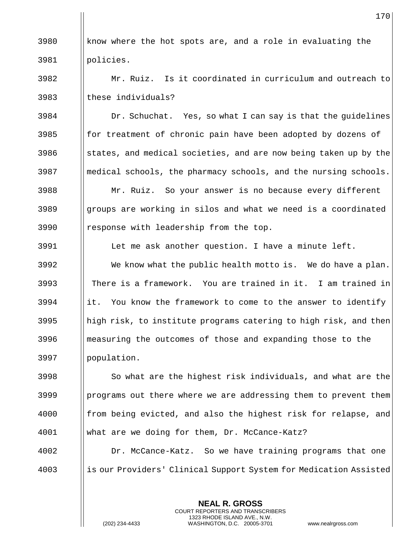3980  $\parallel$  know where the hot spots are, and a role in evaluating the policies.

 Mr. Ruiz. Is it coordinated in curriculum and outreach to I these individuals?

 | Dr. Schuchat. Yes, so what I can say is that the guidelines **for treatment of chronic pain have been adopted by dozens of**  states, and medical societies, and are now being taken up by the medical schools, the pharmacy schools, and the nursing schools. Mr. Ruiz. So your answer is no because every different ||groups are working in silos and what we need is a coordinated 3990 | response with leadership from the top.

 Let me ask another question. I have a minute left.  $\parallel$  We know what the public health motto is. We do have a plan. There is a framework. You are trained in it. I am trained in ||it. You know the framework to come to the answer to identify ||high risk, to institute programs catering to high risk, and then measuring the outcomes of those and expanding those to the population.

 || So what are the highest risk individuals, and what are the | programs out there where we are addressing them to prevent them **foll** from being evicted, and also the highest risk for relapse, and what are we doing for them, Dr. McCance-Katz?

 Dr. McCance-Katz. So we have training programs that one is our Providers' Clinical Support System for Medication Assisted

> **NEAL R. GROSS** COURT REPORTERS AND TRANSCRIBERS 1323 RHODE ISLAND AVE., N.W.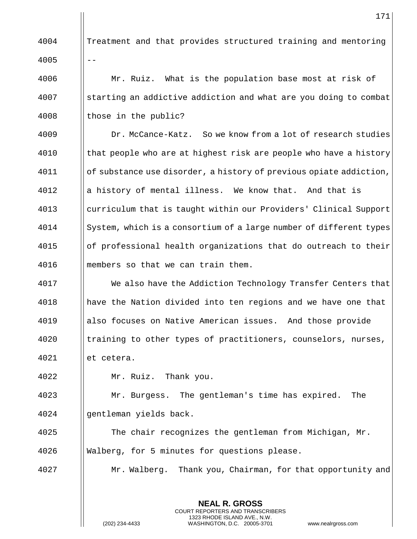|      | 171                                                                |
|------|--------------------------------------------------------------------|
| 4004 | Treatment and that provides structured training and mentoring      |
| 4005 | $-$                                                                |
| 4006 | Mr. Ruiz. What is the population base most at risk of              |
| 4007 | starting an addictive addiction and what are you doing to combat   |
| 4008 | those in the public?                                               |
| 4009 | Dr. McCance-Katz. So we know from a lot of research studies        |
| 4010 | that people who are at highest risk are people who have a history  |
| 4011 | of substance use disorder, a history of previous opiate addiction, |
| 4012 | a history of mental illness. We know that. And that is             |
| 4013 | curriculum that is taught within our Providers' Clinical Support   |
| 4014 | System, which is a consortium of a large number of different types |
| 4015 | of professional health organizations that do outreach to their     |
| 4016 | members so that we can train them.                                 |
| 4017 | We also have the Addiction Technology Transfer Centers that        |
| 4018 | have the Nation divided into ten regions and we have one that      |
| 4019 | also focuses on Native American issues. And those provide          |
| 4020 | training to other types of practitioners, counselors, nurses,      |
| 4021 | et cetera.                                                         |
| 4022 | Mr. Ruiz. Thank you.                                               |
| 4023 | Mr. Burgess. The gentleman's time has expired.<br>The              |
| 4024 | gentleman yields back.                                             |
| 4025 | The chair recognizes the gentleman from Michigan, Mr.              |
| 4026 | Walberg, for 5 minutes for questions please.                       |
| 4027 | Mr. Walberg. Thank you, Chairman, for that opportunity and         |
|      |                                                                    |
|      | <b>NEAL R. GROSS</b>                                               |

COURT REPORTERS AND TRANSCRIBERS 1323 RHODE ISLAND AVE., N.W.

 $\frac{1}{2}$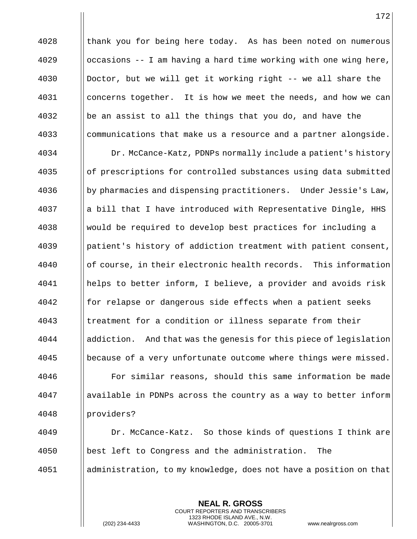|| thank you for being here today. As has been noted on numerous | occasions -- I am having a hard time working with one wing here, Doctor, but we will get it working right -- we all share the 4031 | concerns together. It is how we meet the needs, and how we can  $\|\$ be an assist to all the things that you do, and have the communications that make us a resource and a partner alongside. Dr. McCance-Katz, PDNPs normally include a patient's history of prescriptions for controlled substances using data submitted by pharmacies and dispensing practitioners. Under Jessie's Law, || a bill that I have introduced with Representative Dingle, HHS would be required to develop best practices for including a patient's history of addiction treatment with patient consent, || of course, in their electronic health records. This information helps to better inform, I believe, a provider and avoids risk **for relapse or dangerous side effects when a patient seeks** 4043 Itreatment for a condition or illness separate from their addiction. And that was the genesis for this piece of legislation 4045 | because of a very unfortunate outcome where things were missed. For similar reasons, should this same information be made available in PDNPs across the country as a way to better inform providers? Dr. McCance-Katz. So those kinds of questions I think are best left to Congress and the administration. The administration, to my knowledge, does not have a position on that

> **NEAL R. GROSS** COURT REPORTERS AND TRANSCRIBERS 1323 RHODE ISLAND AVE., N.W.

(202) 234-4433 WASHINGTON, D.C. 20005-3701 www.nealrgross.com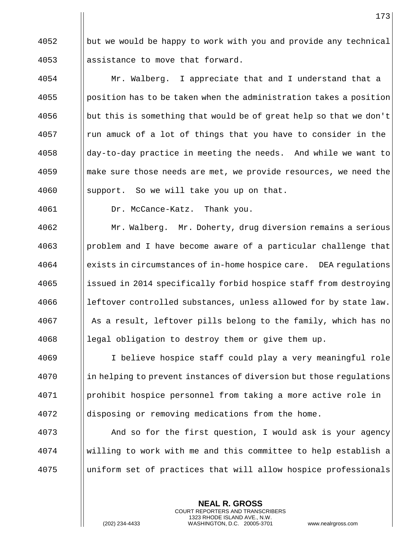|| but we would be happy to work with you and provide any technical || assistance to move that forward.

4054 | Mr. Walberg. I appreciate that and I understand that a ||position has to be taken when the administration takes a position  $\parallel$  but this is something that would be of great help so that we don't || run amuck of a lot of things that you have to consider in the ||day-to-day practice in meeting the needs. And while we want to **I** make sure those needs are met, we provide resources, we need the 4060 | support. So we will take you up on that.

Dr. McCance-Katz. Thank you.

 Mr. Walberg. Mr. Doherty, drug diversion remains a serious ||problem and I have become aware of a particular challenge that exists in circumstances of in-home hospice care. DEA regulations 4065 increased in 2014 specifically forbid hospice staff from destroying | leftover controlled substances, unless allowed for by state law. 4067 | As a result, leftover pills belong to the family, which has no || legal obligation to destroy them or give them up.

 I believe hospice staff could play a very meaningful role **in helping to prevent instances of diversion but those regulations**  prohibit hospice personnel from taking a more active role in disposing or removing medications from the home.

 And so for the first question, I would ask is your agency willing to work with me and this committee to help establish a uniform set of practices that will allow hospice professionals

> **NEAL R. GROSS** COURT REPORTERS AND TRANSCRIBERS 1323 RHODE ISLAND AVE., N.W.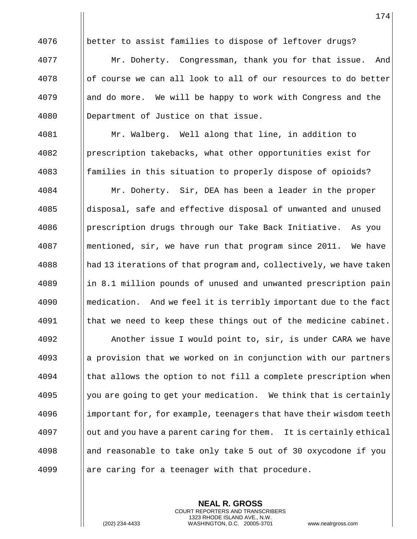4076 | better to assist families to dispose of leftover drugs? Mr. Doherty. Congressman, thank you for that issue. And of course we can all look to all of our resources to do better || and do more. We will be happy to work with Congress and the Department of Justice on that issue. Mr. Walberg. Well along that line, in addition to 4082 Prescription takebacks, what other opportunities exist for **foll** families in this situation to properly dispose of opioids? Mr. Doherty. Sir, DEA has been a leader in the proper 4085 ||disposal, safe and effective disposal of unwanted and unused prescription drugs through our Take Back Initiative. As you 4087 | mentioned, sir, we have run that program since 2011. We have  $\frac{4088}{}$  had 13 iterations of that program and, collectively, we have taken 4089 in 8.1 million pounds of unused and unwanted prescription pain **I** medication. And we feel it is terribly important due to the fact || that we need to keep these things out of the medicine cabinet. Another issue I would point to, sir, is under CARA we have ||a provision that we worked on in conjunction with our partners || that allows the option to not fill a complete prescription when Wellyou are going to get your medication. We think that is certainly 4096 important for, for example, teenagers that have their wisdom teeth | out and you have a parent caring for them. It is certainly ethical 4098 and reasonable to take only take 5 out of 30 oxycodone if you ||are caring for a teenager with that procedure.

> **NEAL R. GROSS** COURT REPORTERS AND TRANSCRIBERS 1323 RHODE ISLAND AVE., N.W.

(202) 234-4433 WASHINGTON, D.C. 20005-3701 www.nealrgross.com

174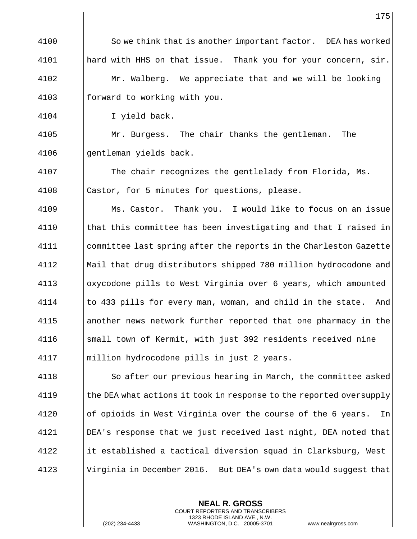4100 | So we think that is another important factor. DEA has worked 4101 | hard with HHS on that issue. Thank you for your concern, sir. 4102 | Mr. Walberg. We appreciate that and we will be looking 4103  $\parallel$  forward to working with you.

4104 I yield back.

4105 | Mr. Burgess. The chair thanks the gentleman. The 4106 || gentleman yields back.

4107 | The chair recognizes the gentlelady from Florida, Ms. 4108 | Castor, for 5 minutes for questions, please.

 Ms. Castor. Thank you. I would like to focus on an issue | that this committee has been investigating and that I raised in 4111 | committee last spring after the reports in the Charleston Gazette Mail that drug distributors shipped 780 million hydrocodone and oxycodone pills to West Virginia over 6 years, which amounted | to 433 pills for every man, woman, and child in the state. And another news network further reported that one pharmacy in the 4116 Small town of Kermit, with just 392 residents received nine million hydrocodone pills in just 2 years.

 So after our previous hearing in March, the committee asked  $\parallel$  the DEA what actions it took in response to the reported oversupply **ording 120** of opioids in West Virginia over the course of the 6 years. In DEA's response that we just received last night, DEA noted that ||it established a tactical diversion squad in Clarksburg, West Virginia in December 2016. But DEA's own data would suggest that

> **NEAL R. GROSS** COURT REPORTERS AND TRANSCRIBERS 1323 RHODE ISLAND AVE., N.W.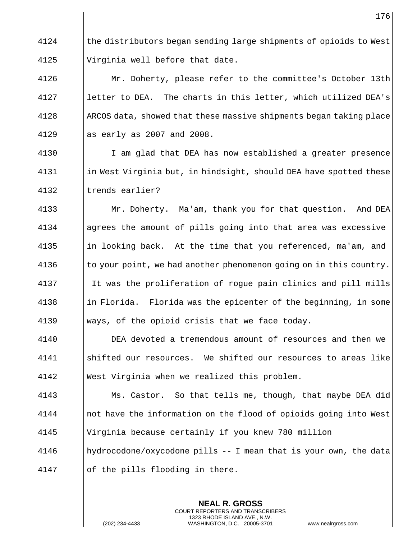4124 the distributors began sending large shipments of opioids to West 4125 | Virginia well before that date.

4126 | Mr. Doherty, please refer to the committee's October 13th 4127 | letter to DEA. The charts in this letter, which utilized DEA's 4128  $\parallel$  ARCOS data, showed that these massive shipments began taking place 4129  $\parallel$  as early as 2007 and 2008.

4130 | I am glad that DEA has now established a greater presence 4131  $\parallel$  in West Virginia but, in hindsight, should DEA have spotted these 4132 || trends earlier?

4133 | Mr. Doherty. Ma'am, thank you for that question. And DEA agrees the amount of pills going into that area was excessive 4135 in looking back. At the time that you referenced, ma'am, and  $\|\cdot\|$  to your point, we had another phenomenon going on in this country. It was the proliferation of rogue pain clinics and pill mills ||in Florida. Florida was the epicenter of the beginning, in some  $\parallel$  ways, of the opioid crisis that we face today.

4140 DEA devoted a tremendous amount of resources and then we 4141 shifted our resources. We shifted our resources to areas like 4142 West Virginia when we realized this problem.

**Ms. Castor.** So that tells me, though, that maybe DEA did 4144 | not have the information on the flood of opioids going into West Virginia because certainly if you knew 780 million hydrocodone/oxycodone pills -- I mean that is your own, the data

> **NEAL R. GROSS** COURT REPORTERS AND TRANSCRIBERS 1323 RHODE ISLAND AVE., N.W.

4147  $\parallel$  of the pills flooding in there.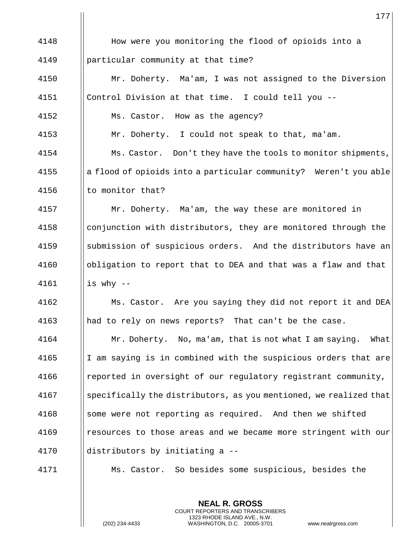|      | 177                                                               |
|------|-------------------------------------------------------------------|
| 4148 | How were you monitoring the flood of opioids into a               |
| 4149 | particular community at that time?                                |
| 4150 | Mr. Doherty. Ma'am, I was not assigned to the Diversion           |
| 4151 | Control Division at that time. I could tell you --                |
| 4152 | Ms. Castor. How as the agency?                                    |
| 4153 | Mr. Doherty. I could not speak to that, ma'am.                    |
| 4154 | Ms. Castor. Don't they have the tools to monitor shipments,       |
| 4155 | a flood of opioids into a particular community? Weren't you able  |
| 4156 | to monitor that?                                                  |
| 4157 | Mr. Doherty. Ma'am, the way these are monitored in                |
| 4158 | conjunction with distributors, they are monitored through the     |
| 4159 | submission of suspicious orders. And the distributors have an     |
| 4160 | obligation to report that to DEA and that was a flaw and that     |
| 4161 | is why $--$                                                       |
| 4162 | Ms. Castor. Are you saying they did not report it and DEA         |
| 4163 | had to rely on news reports? That can't be the case.              |
| 4164 | Mr. Doherty. No, ma'am, that is not what I am saying.<br>What     |
| 4165 | I am saying is in combined with the suspicious orders that are    |
| 4166 | reported in oversight of our regulatory registrant community,     |
| 4167 | specifically the distributors, as you mentioned, we realized that |
| 4168 | some were not reporting as required. And then we shifted          |
| 4169 | resources to those areas and we became more stringent with our    |
| 4170 | distributors by initiating a --                                   |
| 4171 | Ms. Castor. So besides some suspicious, besides the               |

**NEAL R. GROSS** COURT REPORTERS AND TRANSCRIBERS 1323 RHODE ISLAND AVE., N.W.

(202) 234-4433 WASHINGTON, D.C. 20005-3701 www.nealrgross.com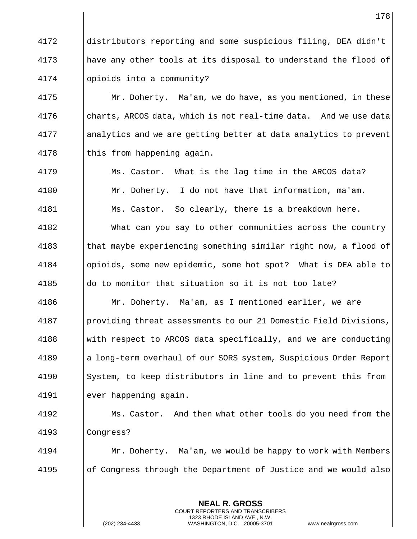distributors reporting and some suspicious filing, DEA didn't have any other tools at its disposal to understand the flood of opioids into a community?

4175 | Mr. Doherty. Ma'am, we do have, as you mentioned, in these  $\parallel$  charts, ARCOS data, which is not real-time data. And we use data analytics and we are getting better at data analytics to prevent  $\parallel$  this from happening again.

4179 | Ms. Castor. What is the lag time in the ARCOS data? Mr. Doherty. I do not have that information, ma'am. 4181 | Ms. Castor. So clearly, there is a breakdown here. What can you say to other communities across the country 4183 (that maybe experiencing something similar right now, a flood of opioids, some new epidemic, some hot spot? What is DEA able to  $\parallel$  do to monitor that situation so it is not too late? Mr. Doherty. Ma'am, as I mentioned earlier, we are

4187 | providing threat assessments to our 21 Domestic Field Divisions, with respect to ARCOS data specifically, and we are conducting a long-term overhaul of our SORS system, Suspicious Order Report System, to keep distributors in line and to prevent this from ever happening again.

 Ms. Castor. And then what other tools do you need from the Congress?

 Mr. Doherty. Ma'am, we would be happy to work with Members || of Congress through the Department of Justice and we would also

> **NEAL R. GROSS** COURT REPORTERS AND TRANSCRIBERS 1323 RHODE ISLAND AVE., N.W.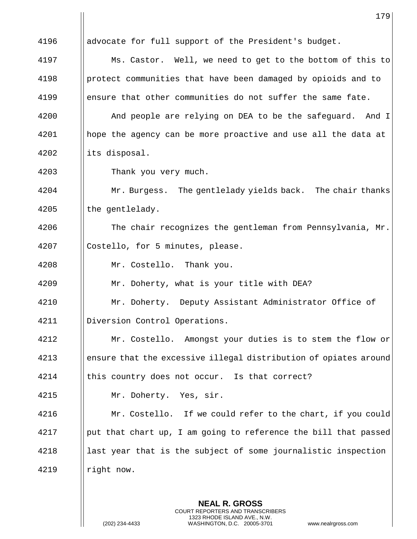| Ms. Castor. Well, we need to get to the bottom of this to<br>protect communities that have been damaged by opioids and to<br>ensure that other communities do not suffer the same fate. |
|-----------------------------------------------------------------------------------------------------------------------------------------------------------------------------------------|
|                                                                                                                                                                                         |
|                                                                                                                                                                                         |
|                                                                                                                                                                                         |
|                                                                                                                                                                                         |
| And people are relying on DEA to be the safeguard. And I                                                                                                                                |
| hope the agency can be more proactive and use all the data at                                                                                                                           |
|                                                                                                                                                                                         |
|                                                                                                                                                                                         |
| Mr. Burgess. The gentlelady yields back. The chair thanks                                                                                                                               |
|                                                                                                                                                                                         |
| The chair recognizes the gentleman from Pennsylvania, Mr.                                                                                                                               |
|                                                                                                                                                                                         |
|                                                                                                                                                                                         |
|                                                                                                                                                                                         |
| Mr. Doherty. Deputy Assistant Administrator Office of                                                                                                                                   |
|                                                                                                                                                                                         |
| Mr. Costello. Amongst your duties is to stem the flow or                                                                                                                                |
| ensure that the excessive illegal distribution of opiates around                                                                                                                        |
|                                                                                                                                                                                         |
|                                                                                                                                                                                         |
| Mr. Costello. If we could refer to the chart, if you could                                                                                                                              |
| put that chart up, I am going to reference the bill that passed                                                                                                                         |
| last year that is the subject of some journalistic inspection                                                                                                                           |
|                                                                                                                                                                                         |
|                                                                                                                                                                                         |

**NEAL R. GROSS** COURT REPORTERS AND TRANSCRIBERS 1323 RHODE ISLAND AVE., N.W.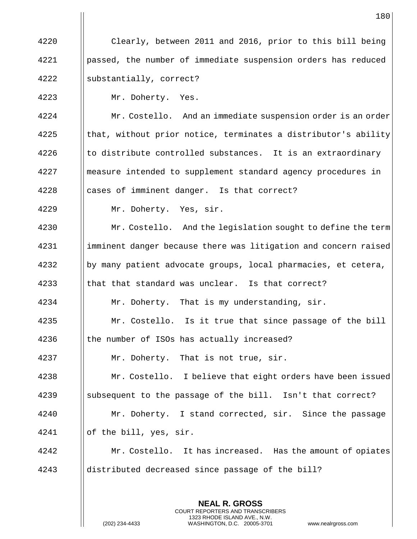Clearly, between 2011 and 2016, prior to this bill being passed, the number of immediate suspension orders has reduced substantially, correct? Mr. Doherty. Yes. **Mr. Costello.** And an immediate suspension order is an order ||that, without prior notice, terminates a distributor's ability || to distribute controlled substances. It is an extraordinary measure intended to supplement standard agency procedures in || cases of imminent danger. Is that correct? Mr. Doherty. Yes, sir. **Mr. Costello.** And the legislation sought to define the term 4231 | imminent danger because there was litigation and concern raised by many patient advocate groups, local pharmacies, et cetera, 4233 Ithat that standard was unclear. Is that correct? 4234 | Mr. Doherty. That is my understanding, sir. Mr. Costello. Is it true that since passage of the bill 4236 I the number of ISOs has actually increased? Mr. Doherty. That is not true, sir. Mr. Costello. I believe that eight orders have been issued 4239 Subsequent to the passage of the bill. Isn't that correct? Mr. Doherty. I stand corrected, sir. Since the passage of the bill, yes, sir. **Mr.** Costello. It has increased. Has the amount of opiates 4243 ||distributed decreased since passage of the bill?

> **NEAL R. GROSS** COURT REPORTERS AND TRANSCRIBERS 1323 RHODE ISLAND AVE., N.W.

(202) 234-4433 WASHINGTON, D.C. 20005-3701 www.nealrgross.com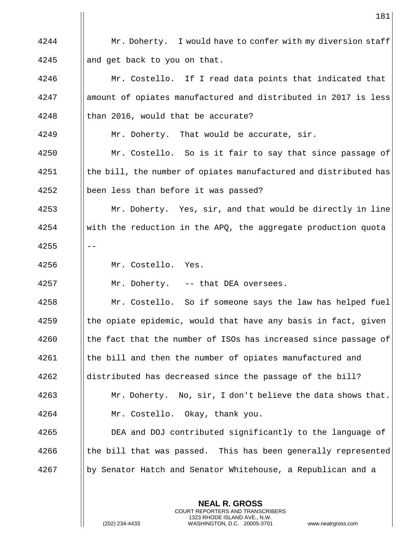4244 **Mr.** Doherty. I would have to confer with my diversion staff 4245 **and get back to you on that.** 4246 | Mr. Costello. If I read data points that indicated that 4247 | amount of opiates manufactured and distributed in 2017 is less  $4248$  | than 2016, would that be accurate? 4249 **Mr.** Doherty. That would be accurate, sir. 4250 | Mr. Costello. So is it fair to say that since passage of  $\frac{4251}{\text{the bill}}$ , the number of opiates manufactured and distributed has 4252 | been less than before it was passed? 4253 | Mr. Doherty. Yes, sir, and that would be directly in line 4254 with the reduction in the APQ, the aggregate production quota  $4255$   $|| - -$ 4256 Mr. Costello. Yes. 4257 Mr. Doherty. -- that DEA oversees. 4258 | Mr. Costello. So if someone says the law has helped fuel  $4259$  || the opiate epidemic, would that have any basis in fact, given  $4260$  || the fact that the number of ISOs has increased since passage of 4261 | the bill and then the number of opiates manufactured and 4262 distributed has decreased since the passage of the bill? 4263 Mr. Doherty. No, sir, I don't believe the data shows that. 4264 Mr. Costello. Okay, thank you. 4265 **DEA** and DOJ contributed significantly to the language of  $\frac{4266}{\pi}$  the bill that was passed. This has been generally represented 4267 by Senator Hatch and Senator Whitehouse, a Republican and a

> **NEAL R. GROSS** COURT REPORTERS AND TRANSCRIBERS 1323 RHODE ISLAND AVE., N.W.

(202) 234-4433 WASHINGTON, D.C. 20005-3701 www.nealrgross.com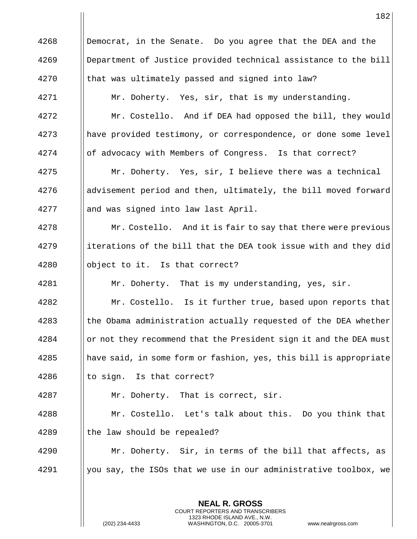Democrat, in the Senate. Do you agree that the DEA and the Department of Justice provided technical assistance to the bill || that was ultimately passed and signed into law? 4271 | Mr. Doherty. Yes, sir, that is my understanding. **Mr.** Costello. And if DEA had opposed the bill, they would have provided testimony, or correspondence, or done some level 4274 | of advocacy with Members of Congress. Is that correct? Mr. Doherty. Yes, sir, I believe there was a technical 4276 advisement period and then, ultimately, the bill moved forward 4277 || and was signed into law last April. **Mr. Costello.** And it is fair to say that there were previous ||iterations of the bill that the DEA took issue with and they did  $\parallel$  object to it. Is that correct? 4281 | Mr. Doherty. That is my understanding, yes, sir. **Mr.** Costello. Is it further true, based upon reports that Ithe Obama administration actually requested of the DEA whether 4284 | or not they recommend that the President sign it and the DEA must 4285 || have said, in some form or fashion, yes, this bill is appropriate  $\parallel$  to sign. Is that correct? Mr. Doherty. That is correct, sir. Mr. Costello. Let's talk about this. Do you think that || the law should be repealed? Mr. Doherty. Sir, in terms of the bill that affects, as | you say, the ISOs that we use in our administrative toolbox, we

> **NEAL R. GROSS** COURT REPORTERS AND TRANSCRIBERS 1323 RHODE ISLAND AVE., N.W.

(202) 234-4433 WASHINGTON, D.C. 20005-3701 www.nealrgross.com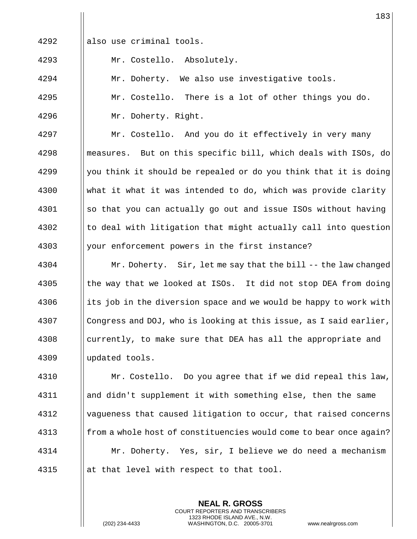$\parallel$  also use criminal tools.

Mr. Costello. Absolutely.

4294 | Mr. Doherty. We also use investigative tools.

4295 | Mr. Costello. There is a lot of other things you do. Mr. Doherty. Right.

4297 | Mr. Costello. And you do it effectively in very many **m** | measures. But on this specific bill, which deals with ISOs, do  $\parallel$  you think it should be repealed or do you think that it is doing what it what it was intended to do, which was provide clarity ||so that you can actually go out and issue ISOs without having || to deal with litigation that might actually call into question 4303 || your enforcement powers in the first instance?

**Mr. Doherty.** Sir, let me say that the bill -- the law changed  $\frac{4305}{1000}$  the way that we looked at ISOs. It did not stop DEA from doing  $\frac{4306}{100}$  its job in the diversion space and we would be happy to work with Congress and DOJ, who is looking at this issue, as I said earlier, || currently, to make sure that DEA has all the appropriate and updated tools.

 Mr. Costello. Do you agree that if we did repeal this law, and didn't supplement it with something else, then the same vagueness that caused litigation to occur, that raised concerns **follow** from a whole host of constituencies would come to bear once again? Mr. Doherty. Yes, sir, I believe we do need a mechanism  $\|\$ at that level with respect to that tool.

> **NEAL R. GROSS** COURT REPORTERS AND TRANSCRIBERS 1323 RHODE ISLAND AVE., N.W.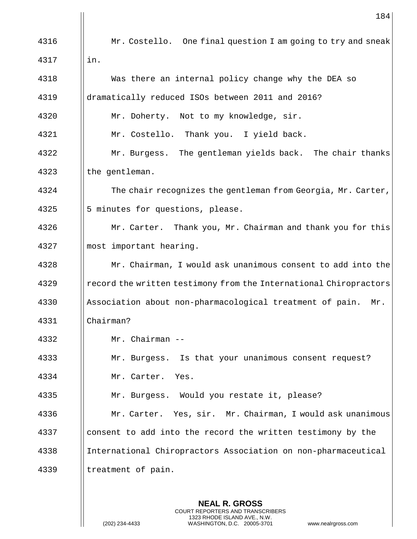|      | 184                                                               |
|------|-------------------------------------------------------------------|
| 4316 | Mr. Costello. One final question I am going to try and sneak      |
| 4317 | in.                                                               |
| 4318 | Was there an internal policy change why the DEA so                |
| 4319 | dramatically reduced ISOs between 2011 and 2016?                  |
| 4320 | Mr. Doherty. Not to my knowledge, sir.                            |
| 4321 | Mr. Costello. Thank you. I yield back.                            |
| 4322 | Mr. Burgess. The gentleman yields back. The chair thanks          |
| 4323 | the gentleman.                                                    |
| 4324 | The chair recognizes the gentleman from Georgia, Mr. Carter,      |
| 4325 | 5 minutes for questions, please.                                  |
| 4326 | Mr. Carter. Thank you, Mr. Chairman and thank you for this        |
| 4327 | most important hearing.                                           |
| 4328 | Mr. Chairman, I would ask unanimous consent to add into the       |
| 4329 | record the written testimony from the International Chiropractors |
| 4330 | Association about non-pharmacological treatment of pain.<br>Mr.   |
| 4331 | Chairman?                                                         |
| 4332 | Mr. Chairman --                                                   |
| 4333 | Mr. Burgess. Is that your unanimous consent request?              |
| 4334 | Mr. Carter. Yes.                                                  |
| 4335 | Mr. Burgess. Would you restate it, please?                        |
| 4336 | Mr. Carter. Yes, sir. Mr. Chairman, I would ask unanimous         |
| 4337 | consent to add into the record the written testimony by the       |
| 4338 | International Chiropractors Association on non-pharmaceutical     |
| 4339 | treatment of pain.                                                |
|      |                                                                   |

**NEAL R. GROSS** COURT REPORTERS AND TRANSCRIBERS 1323 RHODE ISLAND AVE., N.W.

(202) 234-4433 WASHINGTON, D.C. 20005-3701 www.nealrgross.com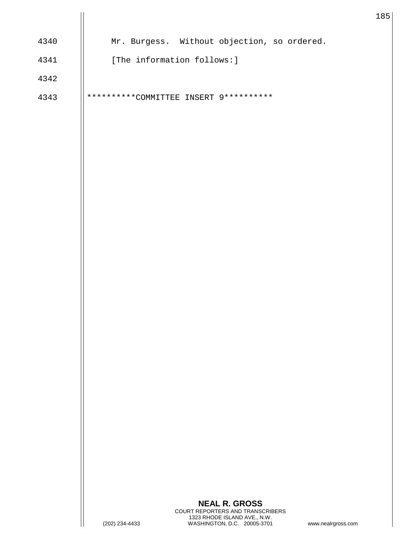|      |                                        |                                                             | $1\,$              |
|------|----------------------------------------|-------------------------------------------------------------|--------------------|
| 4340 |                                        | Mr. Burgess. Without objection, so ordered.                 |                    |
| 4341 | [The information follows:]             |                                                             |                    |
| 4342 |                                        |                                                             |                    |
| 4343 | **********COMMITTEE INSERT 9********** |                                                             |                    |
|      |                                        |                                                             |                    |
|      |                                        |                                                             |                    |
|      |                                        |                                                             |                    |
|      |                                        |                                                             |                    |
|      |                                        |                                                             |                    |
|      |                                        |                                                             |                    |
|      |                                        |                                                             |                    |
|      |                                        |                                                             |                    |
|      |                                        |                                                             |                    |
|      |                                        |                                                             |                    |
|      |                                        |                                                             |                    |
|      |                                        |                                                             |                    |
|      |                                        |                                                             |                    |
|      |                                        |                                                             |                    |
|      |                                        |                                                             |                    |
|      |                                        |                                                             |                    |
|      |                                        |                                                             |                    |
|      |                                        |                                                             |                    |
|      |                                        |                                                             |                    |
|      |                                        |                                                             |                    |
|      |                                        |                                                             |                    |
|      |                                        | <b>NEAL R. GROSS</b><br>COURT REPORTERS AND TRANSCRIBERS    |                    |
|      | (202) 234-4433                         | 1323 RHODE ISLAND AVE., N.W.<br>WASHINGTON, D.C. 20005-3701 | www.nealrgross.com |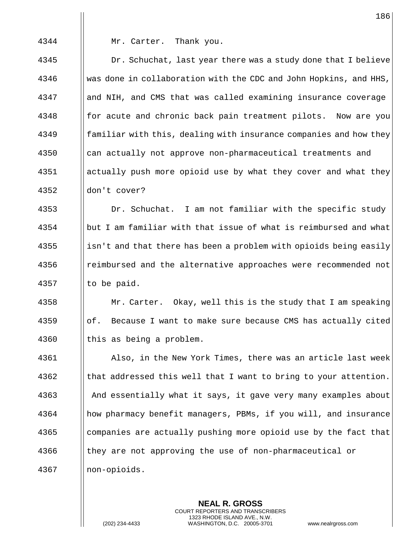4344 Mr. Carter. Thank you.

 $\parallel$  Dr. Schuchat, last year there was a study done that I believe 4346 Was done in collaboration with the CDC and John Hopkins, and HHS, 4347 || and NIH, and CMS that was called examining insurance coverage **for acute and chronic back pain treatment pilots.** Now are you || familiar with this, dealing with insurance companies and how they 4350 | can actually not approve non-pharmaceutical treatments and actually push more opioid use by what they cover and what they ||don't cover?

4353 | Dr. Schuchat. I am not familiar with the specific study 4354 but I am familiar with that issue of what is reimbursed and what  $\frac{1}{355}$  || isn't and that there has been a problem with opioids being easily 4356 **e** reimbursed and the alternative approaches were recommended not 4357  $\parallel$  to be paid.

4358 **Mr. Carter.** Okay, well this is the study that I am speaking  $\frac{4359}{\text{of}}$ . Because I want to make sure because CMS has actually cited 4360 || this as being a problem.

4361 Also, in the New York Times, there was an article last week  $4362$  || that addressed this well that I want to bring to your attention. 4363 And essentially what it says, it gave very many examples about 4364 | how pharmacy benefit managers, PBMs, if you will, and insurance 4365 companies are actually pushing more opioid use by the fact that 4366 In they are not approving the use of non-pharmaceutical or 4367 non-opioids.

> **NEAL R. GROSS** COURT REPORTERS AND TRANSCRIBERS 1323 RHODE ISLAND AVE., N.W.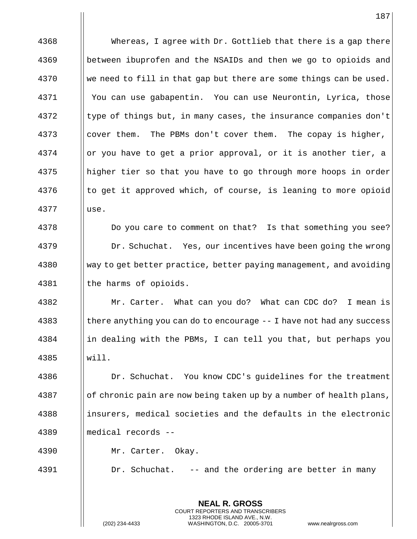**NEAL R. GROSS** 4368 **Whereas, I agree with Dr. Gottlieb that there is a gap there** 4369 between ibuprofen and the NSAIDs and then we go to opioids and 4370 We need to fill in that gap but there are some things can be used. 4371 You can use gabapentin. You can use Neurontin, Lyrica, those  $4372$  I type of things but, in many cases, the insurance companies don't 4373 | cover them. The PBMs don't cover them. The copay is higher,  $4374$  | or you have to get a prior approval, or it is another tier, a 4375 helphigher tier so that you have to go through more hoops in order 4376 the get it approved which, of course, is leaning to more opioid 4377 use. 4378 **Do you care to comment on that?** Is that something you see? 4379 | Dr. Schuchat. Yes, our incentives have been going the wrong 4380 way to get better practice, better paying management, and avoiding 4381 | the harms of opioids. 4382 Mr. Carter. What can you do? What can CDC do? I mean is  $\frac{4383}{\pi}$  there anything you can do to encourage -- I have not had any success  $4384$  ||in dealing with the PBMs, I can tell you that, but perhaps you 4385 will. 4386 **Dr. Schuchat.** You know CDC's quidelines for the treatment  $\frac{4387}{\text{10}}$  of chronic pain are now being taken up by a number of health plans, 4388 insurers, medical societies and the defaults in the electronic 4389 medical records -- 4390 Mr. Carter. Okay. 4391 | Dr. Schuchat. -- and the ordering are better in many

> COURT REPORTERS AND TRANSCRIBERS 1323 RHODE ISLAND AVE., N.W.

(202) 234-4433 WASHINGTON, D.C. 20005-3701 www.nealrgross.com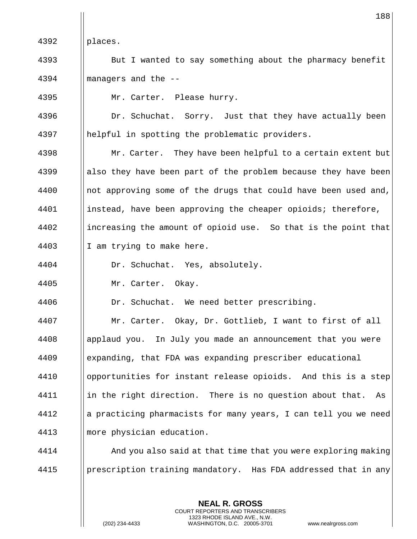|      | 188                                                             |
|------|-----------------------------------------------------------------|
| 4392 | places.                                                         |
| 4393 | But I wanted to say something about the pharmacy benefit        |
| 4394 | managers and the --                                             |
| 4395 | Mr. Carter. Please hurry.                                       |
| 4396 | Dr. Schuchat. Sorry. Just that they have actually been          |
| 4397 | helpful in spotting the problematic providers.                  |
| 4398 | Mr. Carter. They have been helpful to a certain extent but      |
| 4399 | also they have been part of the problem because they have been  |
| 4400 | not approving some of the drugs that could have been used and,  |
| 4401 | instead, have been approving the cheaper opioids; therefore,    |
| 4402 | increasing the amount of opioid use. So that is the point that  |
| 4403 | I am trying to make here.                                       |
| 4404 | Dr. Schuchat. Yes, absolutely.                                  |
| 4405 | Mr. Carter. Okay.                                               |
| 4406 | Dr. Schuchat. We need better prescribing.                       |
| 4407 | Mr. Carter. Okay, Dr. Gottlieb, I want to first of all          |
| 4408 | applaud you. In July you made an announcement that you were     |
| 4409 | expanding, that FDA was expanding prescriber educational        |
| 4410 | opportunities for instant release opioids. And this is a step   |
| 4411 | in the right direction. There is no question about that.<br>As  |
| 4412 | a practicing pharmacists for many years, I can tell you we need |
| 4413 | more physician education.                                       |
| 4414 | And you also said at that time that you were exploring making   |
| 4415 | prescription training mandatory. Has FDA addressed that in any  |
|      |                                                                 |

**NEAL R. GROSS** COURT REPORTERS AND TRANSCRIBERS 1323 RHODE ISLAND AVE., N.W.

 $\mathsf{I}$ 

(202) 234-4433 WASHINGTON, D.C. 20005-3701 www.nealrgross.com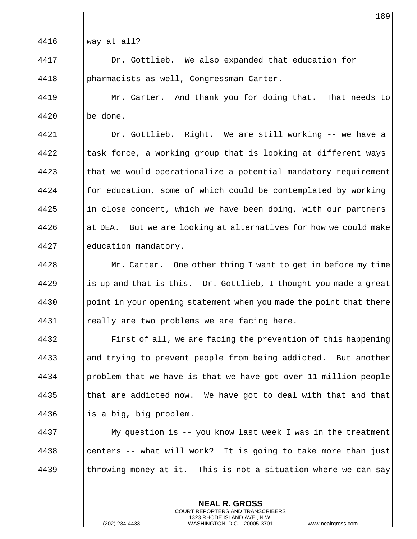way at all?

 Dr. Gottlieb. We also expanded that education for pharmacists as well, Congressman Carter.

4419 | Mr. Carter. And thank you for doing that. That needs to | be done.

 Dr. Gottlieb. Right. We are still working -- we have a  $\parallel$  task force, a working group that is looking at different ways || that we would operationalize a potential mandatory requirement || for education, some of which could be contemplated by working ||in close concert, which we have been doing, with our partners at DEA. But we are looking at alternatives for how we could make education mandatory.

**Mr. Carter.** One other thing I want to get in before my time || is up and that is this. Dr. Gottlieb, I thought you made a great | point in your opening statement when you made the point that there  $\parallel$  really are two problems we are facing here.

**Fixaller** First of all, we are facing the prevention of this happening 4433 and trying to prevent people from being addicted. But another | problem that we have is that we have got over 11 million people  $\parallel$  that are addicted now. We have got to deal with that and that  $\parallel$  is a big, big problem.

 My question is -- you know last week I was in the treatment || centers -- what will work? It is going to take more than just  $\parallel$  throwing money at it. This is not a situation where we can say

> **NEAL R. GROSS** COURT REPORTERS AND TRANSCRIBERS 1323 RHODE ISLAND AVE., N.W.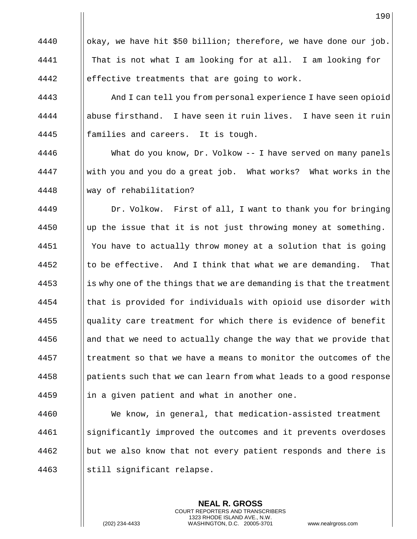$\parallel$  okay, we have hit \$50 billion; therefore, we have done our job. That is not what I am looking for at all. I am looking for 4442  $\parallel$  effective treatments that are going to work.

**And I can tell you from personal experience I have seen opioid**  abuse firsthand. I have seen it ruin lives. I have seen it ruin **families and careers.** It is tough.

 What do you know, Dr. Volkow -- I have served on many panels 4447 With you and you do a great job. What works? What works in the way of rehabilitation?

4449 | Dr. Volkow. First of all, I want to thank you for bringing ||up the issue that it is not just throwing money at something. You have to actually throw money at a solution that is going  $\parallel$  to be effective. And I think that what we are demanding. That || is why one of the things that we are demanding is that the treatment **that is provided for individuals with opioid use disorder with**  ||quality care treatment for which there is evidence of benefit || and that we need to actually change the way that we provide that I treatment so that we have a means to monitor the outcomes of the | patients such that we can learn from what leads to a good response ||in a given patient and what in another one.

 We know, in general, that medication-assisted treatment significantly improved the outcomes and it prevents overdoses | but we also know that not every patient responds and there is ||still significant relapse.

> **NEAL R. GROSS** COURT REPORTERS AND TRANSCRIBERS 1323 RHODE ISLAND AVE., N.W.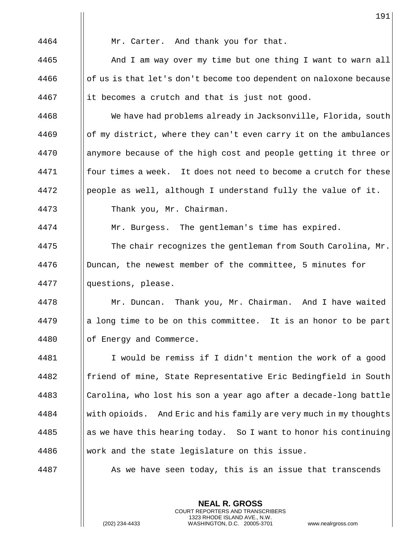|      | 191                                                                |
|------|--------------------------------------------------------------------|
| 4464 | Mr. Carter. And thank you for that.                                |
| 4465 | And I am way over my time but one thing I want to warn all         |
| 4466 | of us is that let's don't become too dependent on naloxone because |
| 4467 | it becomes a crutch and that is just not good.                     |
| 4468 | We have had problems already in Jacksonville, Florida, south       |
| 4469 | of my district, where they can't even carry it on the ambulances   |
| 4470 | anymore because of the high cost and people getting it three or    |
| 4471 | four times a week. It does not need to become a crutch for these   |
| 4472 | people as well, although I understand fully the value of it.       |
| 4473 | Thank you, Mr. Chairman.                                           |
| 4474 | Mr. Burgess. The gentleman's time has expired.                     |
| 4475 | The chair recognizes the gentleman from South Carolina, Mr.        |
| 4476 | Duncan, the newest member of the committee, 5 minutes for          |
| 4477 | questions, please.                                                 |
| 4478 | Mr. Duncan. Thank you, Mr. Chairman. And I have waited             |
| 4479 | a long time to be on this committee. It is an honor to be part     |
| 4480 | of Energy and Commerce.                                            |
| 4481 | I would be remiss if I didn't mention the work of a good           |
| 4482 | friend of mine, State Representative Eric Bedingfield in South     |
| 4483 | Carolina, who lost his son a year ago after a decade-long battle   |
| 4484 | with opioids. And Eric and his family are very much in my thoughts |
| 4485 | as we have this hearing today. So I want to honor his continuing   |
| 4486 | work and the state legislature on this issue.                      |
| 4487 | As we have seen today, this is an issue that transcends            |
|      |                                                                    |

**NEAL R. GROSS** COURT REPORTERS AND TRANSCRIBERS 1323 RHODE ISLAND AVE., N.W.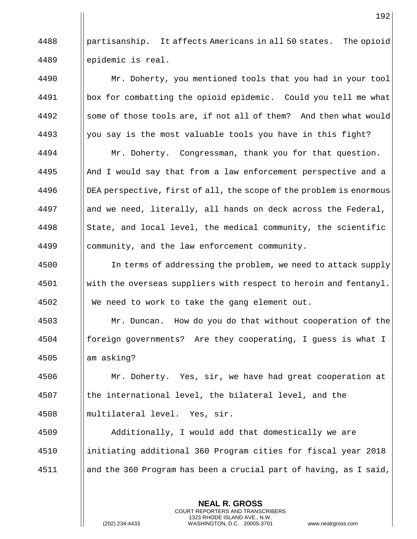4488 | partisanship. It affects Americans in all 50 states. The opioid epidemic is real.

**Mr.** Doherty, you mentioned tools that you had in your tool 4491 | box for combatting the opioid epidemic. Could you tell me what 4492 Some of those tools are, if not all of them? And then what would  $\parallel$  you say is the most valuable tools you have in this fight? Mr. Doherty. Congressman, thank you for that question. || And I would say that from a law enforcement perspective and a **DEA perspective, first of all, the scope of the problem is enormous**  || and we need, literally, all hands on deck across the Federal, State, and local level, the medical community, the scientific 4499 | community, and the law enforcement community.

4500 I In terms of addressing the problem, we need to attack supply With the overseas suppliers with respect to heroin and fentanyl. We need to work to take the gang element out.

 Mr. Duncan. How do you do that without cooperation of the foreign governments? Are they cooperating, I guess is what I || am asking?

 Mr. Doherty. Yes, sir, we have had great cooperation at || the international level, the bilateral level, and the multilateral level. Yes, sir.

 Additionally, I would add that domestically we are initiating additional 360 Program cities for fiscal year 2018  $\parallel$  and the 360 Program has been a crucial part of having, as I said,

> **NEAL R. GROSS** COURT REPORTERS AND TRANSCRIBERS 1323 RHODE ISLAND AVE., N.W.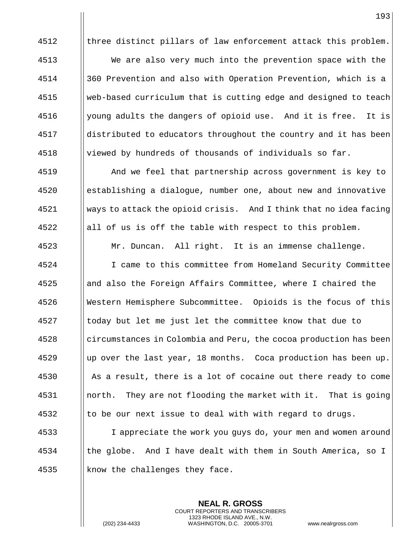|| three distinct pillars of law enforcement attack this problem.

 We are also very much into the prevention space with the 360 Prevention and also with Operation Prevention, which is a web-based curriculum that is cutting edge and designed to teach  $\parallel$  young adults the dangers of opioid use. And it is free. It is distributed to educators throughout the country and it has been  $\parallel$  viewed by hundreds of thousands of individuals so far.

 And we feel that partnership across government is key to establishing a dialogue, number one, about new and innovative ways to attack the opioid crisis. And I think that no idea facing  $\parallel$  all of us is off the table with respect to this problem. Mr. Duncan. All right. It is an immense challenge. I came to this committee from Homeland Security Committee and also the Foreign Affairs Committee, where I chaired the Western Hemisphere Subcommittee. Opioids is the focus of this || today but let me just let the committee know that due to circumstances in Colombia and Peru, the cocoa production has been || up over the last year, 18 months. Coca production has been up. 4530 As a result, there is a lot of cocaine out there ready to come north. They are not flooding the market with it. That is going || to be our next issue to deal with with regard to drugs.

 I appreciate the work you guys do, your men and women around  $\parallel$  the globe. And I have dealt with them in South America, so I 4535  $\parallel$  know the challenges they face.

> **NEAL R. GROSS** COURT REPORTERS AND TRANSCRIBERS 1323 RHODE ISLAND AVE., N.W.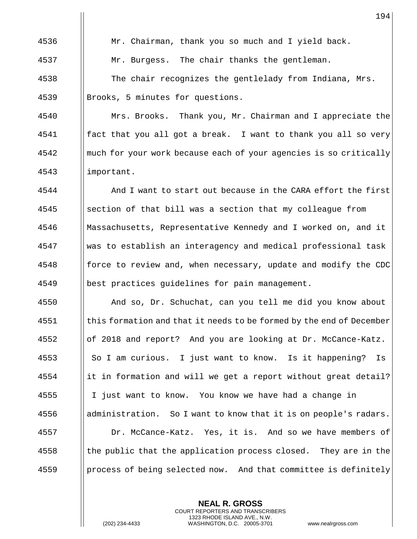4536 | Mr. Chairman, thank you so much and I yield back. **Mr. Burgess.** The chair thanks the gentleman. 4538  $\parallel$  The chair recognizes the gentlelady from Indiana, Mrs. 4539 | Brooks, 5 minutes for questions.

**Mrs. Brooks.** Thank you, Mr. Chairman and I appreciate the fact that you all got a break. I want to thank you all so very **M** much for your work because each of your agencies is so critically important.

 And I want to start out because in the CARA effort the first ||section of that bill was a section that my colleague from Massachusetts, Representative Kennedy and I worked on, and it was to establish an interagency and medical professional task **force to review and, when necessary, update and modify the CDC** best practices guidelines for pain management.

 And so, Dr. Schuchat, can you tell me did you know about this formation and that it needs to be formed by the end of December of 2018 and report? And you are looking at Dr. McCance-Katz. 4553 So I am curious. I just want to know. Is it happening? Is ||it in formation and will we get a report without great detail? I just want to know. You know we have had a change in || administration. So I want to know that it is on people's radars. Dr. McCance-Katz. Yes, it is. And so we have members of I the public that the application process closed. They are in the | process of being selected now. And that committee is definitely

> **NEAL R. GROSS** COURT REPORTERS AND TRANSCRIBERS 1323 RHODE ISLAND AVE., N.W.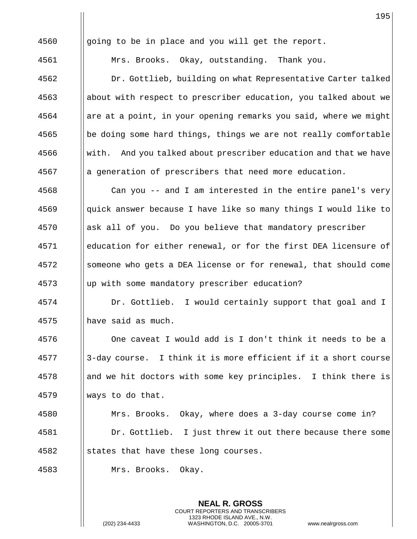|      | 195                                                              |
|------|------------------------------------------------------------------|
| 4560 | going to be in place and you will get the report.                |
| 4561 | Mrs. Brooks. Okay, outstanding. Thank you.                       |
| 4562 | Dr. Gottlieb, building on what Representative Carter talked      |
| 4563 | about with respect to prescriber education, you talked about we  |
| 4564 | are at a point, in your opening remarks you said, where we might |
| 4565 | be doing some hard things, things we are not really comfortable  |
| 4566 | with. And you talked about prescriber education and that we have |
| 4567 | a generation of prescribers that need more education.            |
| 4568 | Can you -- and I am interested in the entire panel's very        |
| 4569 | quick answer because I have like so many things I would like to  |
| 4570 | ask all of you. Do you believe that mandatory prescriber         |
| 4571 | education for either renewal, or for the first DEA licensure of  |
| 4572 | someone who gets a DEA license or for renewal, that should come  |
| 4573 | up with some mandatory prescriber education?                     |
| 4574 | Dr. Gottlieb. I would certainly support that goal and I          |
| 4575 | have said as much.                                               |
| 4576 | One caveat I would add is I don't think it needs to be a         |
| 4577 | 3-day course. I think it is more efficient if it a short course  |
| 4578 | and we hit doctors with some key principles. I think there is    |
| 4579 | ways to do that.                                                 |
| 4580 | Mrs. Brooks. Okay, where does a 3-day course come in?            |
| 4581 | Dr. Gottlieb. I just threw it out there because there some       |
| 4582 | states that have these long courses.                             |
| 4583 | Mrs. Brooks. Okay.                                               |
|      |                                                                  |

**NEAL R. GROSS** COURT REPORTERS AND TRANSCRIBERS 1323 RHODE ISLAND AVE., N.W.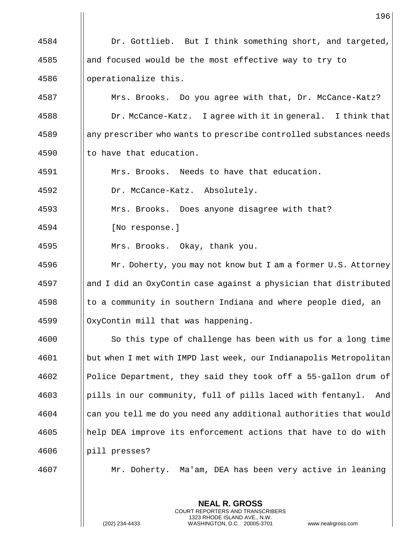4584 | Dr. Gottlieb. But I think something short, and targeted, 4585 and focused would be the most effective way to try to 4586 | operationalize this. 4587 | Mrs. Brooks. Do you agree with that, Dr. McCance-Katz? 4588 | Dr. McCance-Katz. I agree with it in general. I think that 4589 any prescriber who wants to prescribe controlled substances needs 4590  $\parallel$  to have that education. 4591 Mrs. Brooks. Needs to have that education. 4592 Dr. McCance-Katz. Absolutely. 4593 | Mrs. Brooks. Does anyone disagree with that? 4594 | [No response.] 4595 Mrs. Brooks. Okay, thank you. 4596 **Mr. Doherty, you may not know but I am a former U.S. Attorney** 4597 and I did an OxyContin case against a physician that distributed  $4598$  || to a community in southern Indiana and where people died, an  $4599$  | OxyContin mill that was happening. 4600 | So this type of challenge has been with us for a long time 4601 but when I met with IMPD last week, our Indianapolis Metropolitan 4602 Police Department, they said they took off a 55-gallon drum of 4603 pills in our community, full of pills laced with fentanyl. And 4604 can you tell me do you need any additional authorities that would 4605 help DEA improve its enforcement actions that have to do with 4606 | pill presses? 4607 Mr. Doherty. Ma'am, DEA has been very active in leaning

> **NEAL R. GROSS** COURT REPORTERS AND TRANSCRIBERS 1323 RHODE ISLAND AVE., N.W.

(202) 234-4433 WASHINGTON, D.C. 20005-3701 www.nealrgross.com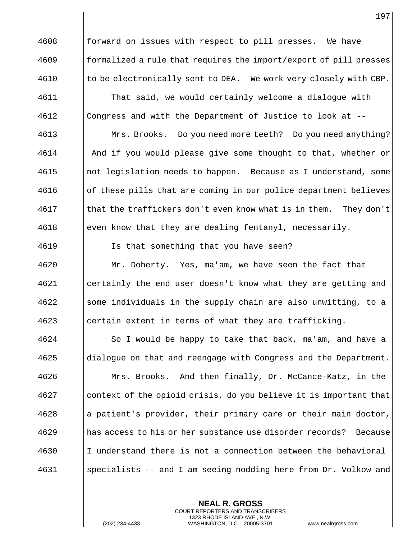$\frac{4608}{10000}$  forward on issues with respect to pill presses. We have  $\frac{4609}{\text{normalized}}$  a rule that requires the import/export of pill presses  $\parallel$  4610  $\parallel$  to be electronically sent to DEA. We work very closely with CBP. That said, we would certainly welcome a dialogue with Congress and with the Department of Justice to look at -- Mrs. Brooks. Do you need more teeth? Do you need anything? **And if you would please give some thought to that, whether or**  not legislation needs to happen. Because as I understand, some of these pills that are coming in our police department believes | that the traffickers don't even know what is in them. They don't 4618 even know that they are dealing fentanyl, necessarily. 4619 | Is that something that you have seen? Mr. Doherty. Yes, ma'am, we have seen the fact that certainly the end user doesn't know what they are getting and ||some individuals in the supply chain are also unwitting, to a ||certain extent in terms of what they are trafficking. So I would be happy to take that back, ma'am, and have a dialogue on that and reengage with Congress and the Department. Mrs. Brooks. And then finally, Dr. McCance-Katz, in the context of the opioid crisis, do you believe it is important that ||a patient's provider, their primary care or their main doctor, has access to his or her substance use disorder records? Because I understand there is not a connection between the behavioral specialists -- and I am seeing nodding here from Dr. Volkow and

> **NEAL R. GROSS** COURT REPORTERS AND TRANSCRIBERS 1323 RHODE ISLAND AVE., N.W.

(202) 234-4433 WASHINGTON, D.C. 20005-3701 www.nealrgross.com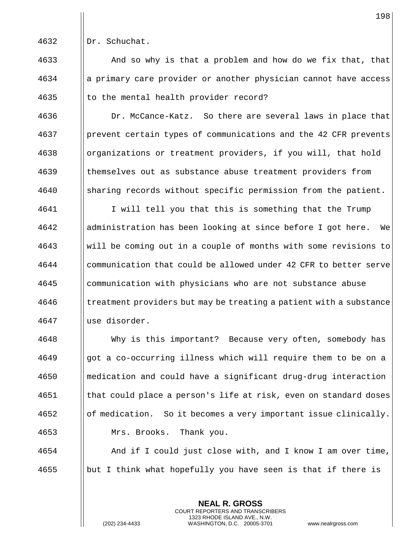4632 | Dr. Schuchat.

 $\parallel$  And so why is that a problem and how do we fix that, that a primary care provider or another physician cannot have access 4635  $\parallel$  to the mental health provider record?

4636 | Dr. McCance-Katz. So there are several laws in place that prevent certain types of communications and the 42 CFR prevents 4638 | organizations or treatment providers, if you will, that hold themselves out as substance abuse treatment providers from sharing records without specific permission from the patient.

4641 | I will tell you that this is something that the Trump administration has been looking at since before I got here. We will be coming out in a couple of months with some revisions to communication that could be allowed under 42 CFR to better serve communication with physicians who are not substance abuse I treatment providers but may be treating a patient with a substance use disorder.

 Why is this important? Because very often, somebody has got a co-occurring illness which will require them to be on a medication and could have a significant drug-drug interaction that could place a person's life at risk, even on standard doses || of medication. So it becomes a very important issue clinically. Mrs. Brooks. Thank you.

 And if I could just close with, and I know I am over time, ||but I think what hopefully you have seen is that if there is

> **NEAL R. GROSS** COURT REPORTERS AND TRANSCRIBERS 1323 RHODE ISLAND AVE., N.W.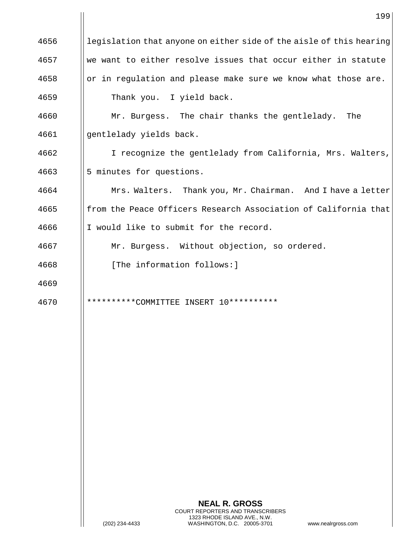|      | 199                                                                                      |
|------|------------------------------------------------------------------------------------------|
| 4656 | legislation that anyone on either side of the aisle of this hearing                      |
| 4657 | we want to either resolve issues that occur either in statute                            |
| 4658 | or in regulation and please make sure we know what those are.                            |
| 4659 | Thank you. I yield back.                                                                 |
| 4660 | Mr. Burgess. The chair thanks the gentlelady. The                                        |
| 4661 | gentlelady yields back.                                                                  |
| 4662 | I recognize the gentlelady from California, Mrs. Walters,                                |
| 4663 | 5 minutes for questions.                                                                 |
| 4664 | Mrs. Walters. Thank you, Mr. Chairman. And I have a letter                               |
| 4665 | from the Peace Officers Research Association of California that                          |
| 4666 | I would like to submit for the record.                                                   |
| 4667 | Mr. Burgess. Without objection, so ordered.                                              |
| 4668 | [The information follows:]                                                               |
| 4669 |                                                                                          |
| 4670 | $10************$<br>**********COMMITTEE INSERT                                           |
|      |                                                                                          |
|      |                                                                                          |
|      |                                                                                          |
|      |                                                                                          |
|      |                                                                                          |
|      |                                                                                          |
|      |                                                                                          |
|      |                                                                                          |
|      |                                                                                          |
|      |                                                                                          |
|      | <b>NEAL R. GROSS</b><br>COURT REPORTERS AND TRANSCRIBERS<br>1323 RHODE ISLAND AVE., N.W. |
|      | (202) 234-4433<br>WASHINGTON, D.C. 20005-3701<br>www.nealrgross.com                      |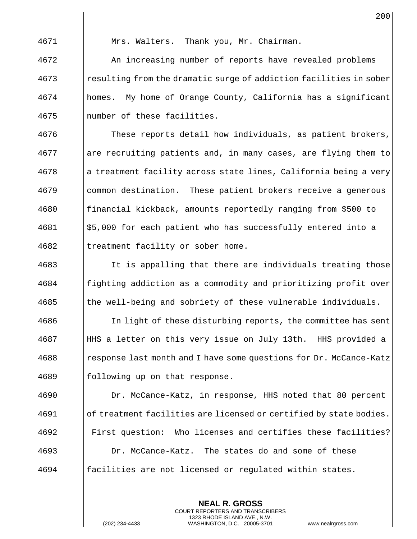Mrs. Walters. Thank you, Mr. Chairman.

 An increasing number of reports have revealed problems resulting from the dramatic surge of addiction facilities in sober homes. My home of Orange County, California has a significant number of these facilities.

4676 | These reports detail how individuals, as patient brokers, || are recruiting patients and, in many cases, are flying them to || a treatment facility across state lines, California being a very common destination. These patient brokers receive a generous **foll** financial kickback, amounts reportedly ranging from \$500 to | \$5,000 for each patient who has successfully entered into a || treatment facility or sober home.

4683 I It is appalling that there are individuals treating those fighting addiction as a commodity and prioritizing profit over || the well-being and sobriety of these vulnerable individuals.

 In light of these disturbing reports, the committee has sent HHS a letter on this very issue on July 13th. HHS provided a  $\frac{4688}{\text{resphere}}$  response last month and I have some questions for Dr. McCance-Katz 4689 || following up on that response.

 Dr. McCance-Katz, in response, HHS noted that 80 percent of treatment facilities are licensed or certified by state bodies. First question: Who licenses and certifies these facilities? Dr. McCance-Katz. The states do and some of these facilities are not licensed or regulated within states.

> **NEAL R. GROSS** COURT REPORTERS AND TRANSCRIBERS 1323 RHODE ISLAND AVE., N.W.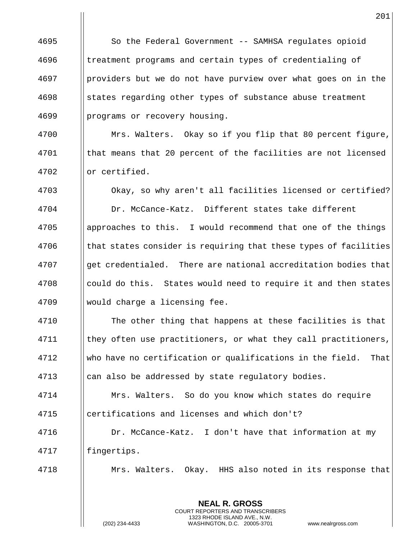So the Federal Government -- SAMHSA regulates opioid **the Interpretence is an** evaluate types of credentialing of | providers but we do not have purview over what goes on in the ||states regarding other types of substance abuse treatment 4699 | programs or recovery housing.

4700 | Mrs. Walters. Okay so if you flip that 80 percent figure, | that means that 20 percent of the facilities are not licensed 4702 | or certified.

 Okay, so why aren't all facilities licensed or certified? Dr. McCance-Katz. Different states take different approaches to this. I would recommend that one of the things || that states consider is requiring that these types of facilities  $\frac{4707}{1000}$  et credentialed. There are national accreditation bodies that 4708 election could do this. States would need to require it and then states would charge a licensing fee.

**The other thing that happens at these facilities is that**  they often use practitioners, or what they call practitioners, who have no certification or qualifications in the field. That 4713 | can also be addressed by state regulatory bodies.

 Mrs. Walters. So do you know which states do require certifications and licenses and which don't?

 Dr. McCance-Katz. I don't have that information at my 4717 | fingertips.

Mrs. Walters. Okay. HHS also noted in its response that

**NEAL R. GROSS** COURT REPORTERS AND TRANSCRIBERS 1323 RHODE ISLAND AVE., N.W.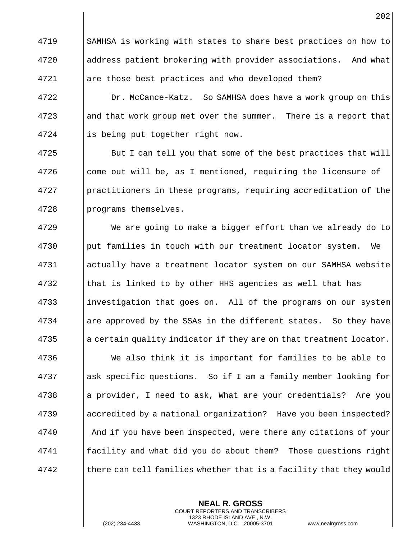4719 SAMHSA is working with states to share best practices on how to address patient brokering with provider associations. And what 4721 || are those best practices and who developed them?

4722 | Dr. McCance-Katz. So SAMHSA does have a work group on this  $\parallel$  and that work group met over the summer. There is a report that 4724 | is being put together right now.

**But I** can tell you that some of the best practices that will  $\parallel$  come out will be, as I mentioned, requiring the licensure of | practitioners in these programs, requiring accreditation of the || programs themselves.

 We are going to make a bigger effort than we already do to ||put families in touch with our treatment locator system. We actually have a treatment locator system on our SAMHSA website || that is linked to by other HHS agencies as well that has 4733 investigation that goes on. All of the programs on our system || are approved by the SSAs in the different states. So they have || a certain quality indicator if they are on that treatment locator. We also think it is important for families to be able to ask specific questions. So if I am a family member looking for || a provider, I need to ask, What are your credentials? Are you accredited by a national organization? Have you been inspected? **And if you have been inspected, were there any citations of your**  facility and what did you do about them? Those questions right there can tell families whether that is a facility that they would

> **NEAL R. GROSS** COURT REPORTERS AND TRANSCRIBERS 1323 RHODE ISLAND AVE., N.W.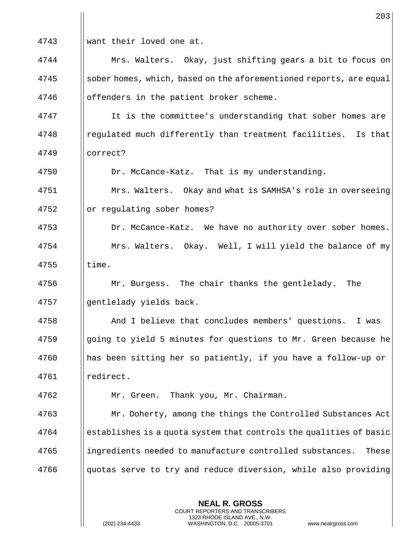4743 want their loved one at.

4744 Mrs. Walters. Okay, just shifting gears a bit to focus on 4745 sober homes, which, based on the aforementioned reports, are equal 4746 | offenders in the patient broker scheme.

4747 | It is the committee's understanding that sober homes are 4748 regulated much differently than treatment facilities. Is that 4749 correct?

4750 | Dr. McCance-Katz. That is my understanding.

4751 Mrs. Walters. Okay and what is SAMHSA's role in overseeing  $4752$  | or regulating sober homes?

4753 | Dr. McCance-Katz. We have no authority over sober homes. 4754 | Mrs. Walters. Okay. Well, I will yield the balance of my  $4755$  ||time.

4756  $\parallel$  Mr. Burgess. The chair thanks the gentlelady. The 4757 | gentlelady yields back.

 And I believe that concludes members' questions. I was 4759 Supering to yield 5 minutes for questions to Mr. Green because he has been sitting her so patiently, if you have a follow-up or redirect.

4762 Mr. Green. Thank you, Mr. Chairman.

**Mr. Doherty, among the things the Controlled Substances Act**  establishes is a quota system that controls the qualities of basic 4765 ingredients needed to manufacture controlled substances. These || quotas serve to try and reduce diversion, while also providing

> **NEAL R. GROSS** COURT REPORTERS AND TRANSCRIBERS 1323 RHODE ISLAND AVE., N.W.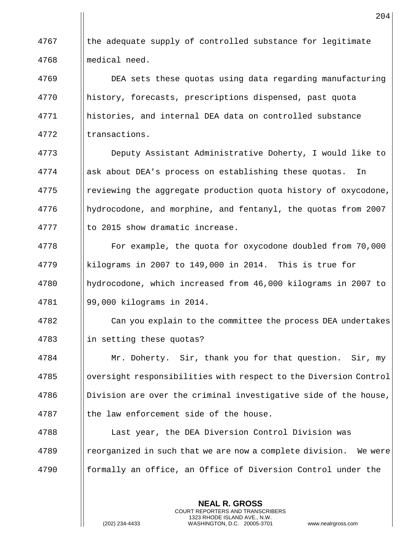I the adequate supply of controlled substance for legitimate medical need. DEA sets these quotas using data regarding manufacturing history, forecasts, prescriptions dispensed, past quota histories, and internal DEA data on controlled substance 4772 Iltransactions. Deputy Assistant Administrative Doherty, I would like to

4774 | ask about DEA's process on establishing these quotas. In reviewing the aggregate production quota history of oxycodone, hydrocodone, and morphine, and fentanyl, the quotas from 2007 || to 2015 show dramatic increase.

4778 | For example, the quota for oxycodone doubled from 70,000 kilograms in 2007 to 149,000 in 2014. This is true for hydrocodone, which increased from 46,000 kilograms in 2007 to 99,000 kilograms in 2014.

 Can you explain to the committee the process DEA undertakes || in setting these quotas?

 Mr. Doherty. Sir, thank you for that question. Sir, my 4785 Share oversight responsibilities with respect to the Diversion Control | Division are over the criminal investigative side of the house, || the law enforcement side of the house.

4788  $\parallel$  Last year, the DEA Diversion Control Division was | reorganized in such that we are now a complete division. We were **formally an office, an Office of Diversion Control under the** 

> **NEAL R. GROSS** COURT REPORTERS AND TRANSCRIBERS 1323 RHODE ISLAND AVE., N.W.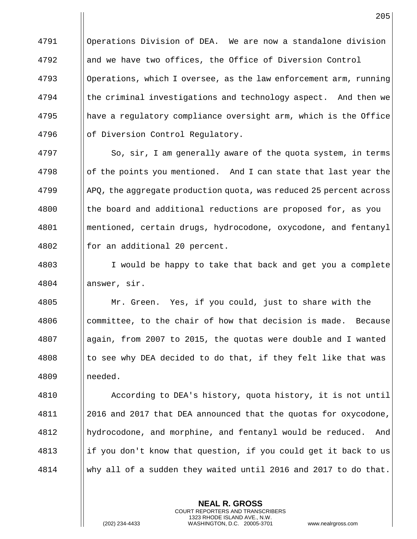Operations Division of DEA. We are now a standalone division **and we have two offices, the Office of Diversion Control**  || Operations, which I oversee, as the law enforcement arm, running || the criminal investigations and technology aspect. And then we  $\parallel$  have a regulatory compliance oversight arm, which is the Office of Diversion Control Regulatory.

4797 | So, sir, I am generally aware of the quota system, in terms of the points you mentioned. And I can state that last year the  $\frac{1}{2}$  APQ, the aggregate production quota, was reduced 25 percent across || the board and additional reductions are proposed for, as you mentioned, certain drugs, hydrocodone, oxycodone, and fentanyl || for an additional 20 percent.

 I would be happy to take that back and get you a complete 4804 | answer, sir.

 Mr. Green. Yes, if you could, just to share with the | committee, to the chair of how that decision is made. Because again, from 2007 to 2015, the quotas were double and I wanted || to see why DEA decided to do that, if they felt like that was needed.

 According to DEA's history, quota history, it is not until 4811 || 2016 and 2017 that DEA announced that the quotas for oxycodone, hydrocodone, and morphine, and fentanyl would be reduced. And ||if you don't know that question, if you could get it back to us why all of a sudden they waited until 2016 and 2017 to do that.

> **NEAL R. GROSS** COURT REPORTERS AND TRANSCRIBERS 1323 RHODE ISLAND AVE., N.W.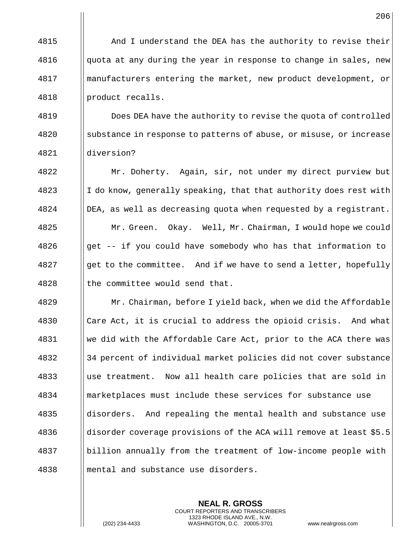**And I** understand the DEA has the authority to revise their  $\Box$  quota at any during the year in response to change in sales, new manufacturers entering the market, new product development, or 4818 | product recalls.

**I** Does DEA have the authority to revise the quota of controlled substance in response to patterns of abuse, or misuse, or increase diversion?

 Mr. Doherty. Again, sir, not under my direct purview but || I do know, generally speaking, that that authority does rest with DEA, as well as decreasing quota when requested by a registrant. Mr. Green. Okay. Well, Mr. Chairman, I would hope we could || get -- if you could have somebody who has that information to ||get to the committee. And if we have to send a letter, hopefully || the committee would send that.

 Mr. Chairman, before I yield back, when we did the Affordable 4830 | Care Act, it is crucial to address the opioid crisis. And what 4831 We did with the Affordable Care Act, prior to the ACA there was 34 percent of individual market policies did not cover substance use treatment. Now all health care policies that are sold in marketplaces must include these services for substance use disorders. And repealing the mental health and substance use disorder coverage provisions of the ACA will remove at least \$5.5 4837 | billion annually from the treatment of low-income people with **mental and substance use disorders.** 

> **NEAL R. GROSS** COURT REPORTERS AND TRANSCRIBERS 1323 RHODE ISLAND AVE., N.W.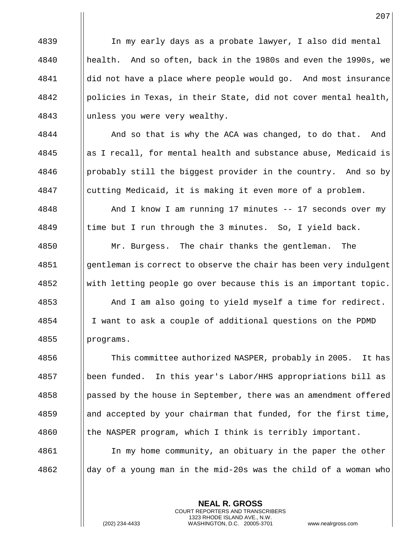In my early days as a probate lawyer, I also did mental health. And so often, back in the 1980s and even the 1990s, we | did not have a place where people would go. And most insurance | policies in Texas, in their State, did not cover mental health, unless you were very wealthy.

4844 | And so that is why the ACA was changed, to do that. And  $\frac{4845}{ }$  as I recall, for mental health and substance abuse, Medicaid is | probably still the biggest provider in the country. And so by cutting Medicaid, it is making it even more of a problem.

 And I know I am running 17 minutes -- 17 seconds over my 4849  $\parallel$  time but I run through the 3 minutes. So, I yield back.

4850 | Mr. Burgess. The chair thanks the gentleman. The gentleman is correct to observe the chair has been very indulgent with letting people go over because this is an important topic. And I am also going to yield myself a time for redirect. I want to ask a couple of additional questions on the PDMD programs.

 $\parallel$  This committee authorized NASPER, probably in 2005. It has been funded. In this year's Labor/HHS appropriations bill as || passed by the house in September, there was an amendment offered || and accepted by your chairman that funded, for the first time,  $\parallel$  the NASPER program, which I think is terribly important. 4861 In my home community, an obituary in the paper the other

> **NEAL R. GROSS** COURT REPORTERS AND TRANSCRIBERS 1323 RHODE ISLAND AVE., N.W.

day of a young man in the mid-20s was the child of a woman who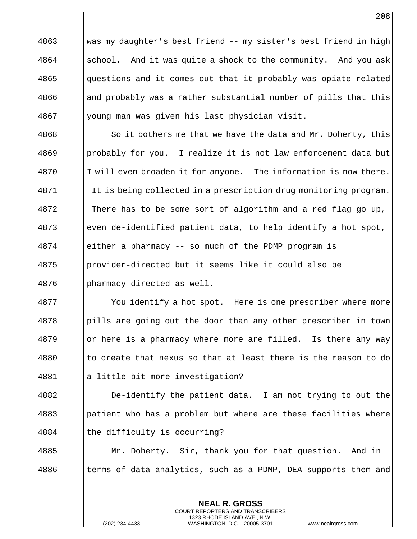was my daughter's best friend -- my sister's best friend in high  $\parallel$  school. And it was quite a shock to the community. And you ask || questions and it comes out that it probably was opiate-related || and probably was a rather substantial number of pills that this young man was given his last physician visit.

 $\parallel$  So it bothers me that we have the data and Mr. Doherty, this | probably for you. I realize it is not law enforcement data but I will even broaden it for anyone. The information is now there. It is being collected in a prescription drug monitoring program. 4872 | There has to be some sort of algorithm and a red flag go up, 4873 even de-identified patient data, to help identify a hot spot, either a pharmacy -- so much of the PDMP program is provider-directed but it seems like it could also be pharmacy-directed as well.

4877 | You identify a hot spot. Here is one prescriber where more | pills are going out the door than any other prescriber in town || or here is a pharmacy where more are filled. Is there any way || to create that nexus so that at least there is the reason to do 4881 | a little bit more investigation?

 De-identify the patient data. I am not trying to out the ||patient who has a problem but where are these facilities where 4884 | the difficulty is occurring?

 Mr. Doherty. Sir, thank you for that question. And in  $\parallel$  terms of data analytics, such as a PDMP, DEA supports them and

> **NEAL R. GROSS** COURT REPORTERS AND TRANSCRIBERS 1323 RHODE ISLAND AVE., N.W.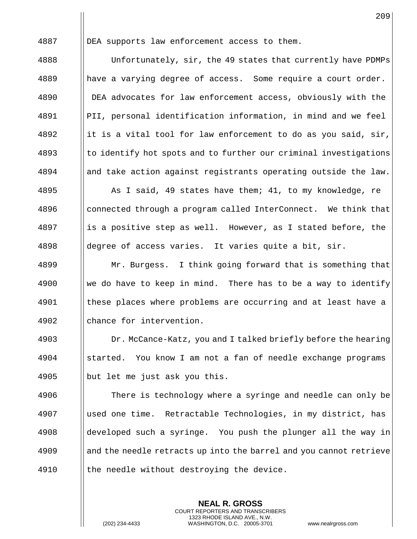4887 DEA supports law enforcement access to them.

4888 | Unfortunately, sir, the 49 states that currently have PDMPs || have a varying degree of access. Some require a court order. DEA advocates for law enforcement access, obviously with the | PII, personal identification information, in mind and we feel 4892 in it is a vital tool for law enforcement to do as you said, sir, to identify hot spots and to further our criminal investigations || and take action against registrants operating outside the law. 4895 As I said, 49 states have them; 41, to my knowledge, re || connected through a program called InterConnect. We think that || is a positive step as well. However, as I stated before, the  $\parallel$  degree of access varies. It varies quite a bit, sir.

**Mr. Burgess.** I think going forward that is something that  $\parallel$  we do have to keep in mind. There has to be a way to identify these places where problems are occurring and at least have a 4902 || chance for intervention.

4903 **Dr. McCance-Katz, you and I talked briefly before the hearing** 4904 started. You know I am not a fan of needle exchange programs 4905 | but let me just ask you this.

4906 There is technology where a syringe and needle can only be 4907 used one time. Retractable Technologies, in my district, has  $4908$  developed such a syringe. You push the plunger all the way in 4909 and the needle retracts up into the barrel and you cannot retrieve 4910  $\parallel$  the needle without destroying the device.

> **NEAL R. GROSS** COURT REPORTERS AND TRANSCRIBERS 1323 RHODE ISLAND AVE., N.W.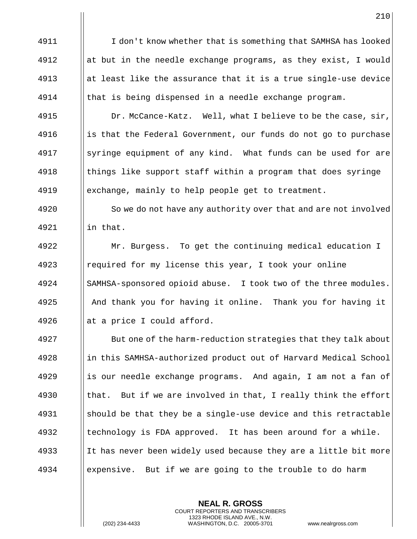4911 I don't know whether that is something that SAMHSA has looked 4912 at but in the needle exchange programs, as they exist, I would 4913 at least like the assurance that it is a true single-use device 4914  $\parallel$  that is being dispensed in a needle exchange program.

4915 | Dr. McCance-Katz. Well, what I believe to be the case, sir, 4916 is that the Federal Government, our funds do not go to purchase 4917 September 1 and the state of any kind. What funds can be used for are  $4918$  || things like support staff within a program that does syringe 4919 exchange, mainly to help people get to treatment.

4920 | So we do not have any authority over that and are not involved  $4921$   $\parallel$  in that.

 Mr. Burgess. To get the continuing medical education I required for my license this year, I took your online 4924 | SAMHSA-sponsored opioid abuse. I took two of the three modules. And thank you for having it online. Thank you for having it  $\parallel$  at a price I could afford.

**But one of the harm-reduction strategies that they talk about** 4928 in this SAMHSA-authorized product out of Harvard Medical School || is our needle exchange programs. And again, I am not a fan of  $\parallel$  that. But if we are involved in that, I really think the effort  $\parallel$  should be that they be a single-use device and this retractable || technology is FDA approved. It has been around for a while. 4933 It has never been widely used because they are a little bit more expensive. But if we are going to the trouble to do harm

> **NEAL R. GROSS** COURT REPORTERS AND TRANSCRIBERS 1323 RHODE ISLAND AVE., N.W.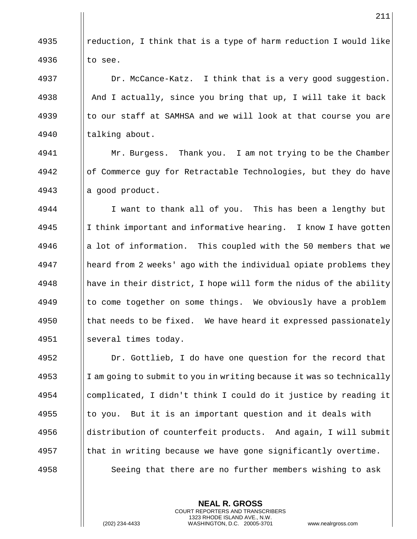**e** || reduction, I think that is a type of harm reduction I would like || to see. 4937 | Dr. McCance-Katz. I think that is a very good suggestion.  $\parallel$  And I actually, since you bring that up, I will take it back  $\parallel$  to our staff at SAMHSA and we will look at that course you are 4940 | talking about. 4941 | Mr. Burgess. Thank you. I am not trying to be the Chamber of Commerce guy for Retractable Technologies, but they do have || a good product. 4944 | I want to thank all of you. This has been a lengthy but | I think important and informative hearing. I know I have gotten || a lot of information. This coupled with the 50 members that we heard from 2 weeks' ago with the individual opiate problems they || have in their district, I hope will form the nidus of the ability || to come together on some things. We obviously have a problem || that needs to be fixed. We have heard it expressed passionately several times today. 4952 | Dr. Gottlieb, I do have one question for the record that I am going to submit to you in writing because it was so technically complicated, I didn't think I could do it justice by reading it || to you. But it is an important question and it deals with distribution of counterfeit products. And again, I will submit || that in writing because we have gone significantly overtime.

> **NEAL R. GROSS** COURT REPORTERS AND TRANSCRIBERS 1323 RHODE ISLAND AVE., N.W.

4958 | Seeing that there are no further members wishing to ask

(202) 234-4433 WASHINGTON, D.C. 20005-3701 www.nealrgross.com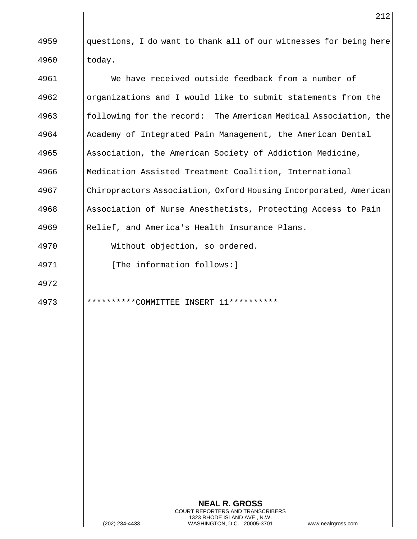|| questions, I do want to thank all of our witnesses for being here | today.

 We have received outside feedback from a number of organizations and I would like to submit statements from the **following for the record:** The American Medical Association, the Academy of Integrated Pain Management, the American Dental 4965 Association, the American Society of Addiction Medicine, Medication Assisted Treatment Coalition, International Chiropractors Association, Oxford Housing Incorporated, American 4968 Association of Nurse Anesthetists, Protecting Access to Pain Relief, and America's Health Insurance Plans.

Without objection, so ordered.

- 4971 | [The information follows:]
- 
- 

\*\*\*\*\*\*\*\*\*\*COMMITTEE INSERT 11\*\*\*\*\*\*\*\*\*\*